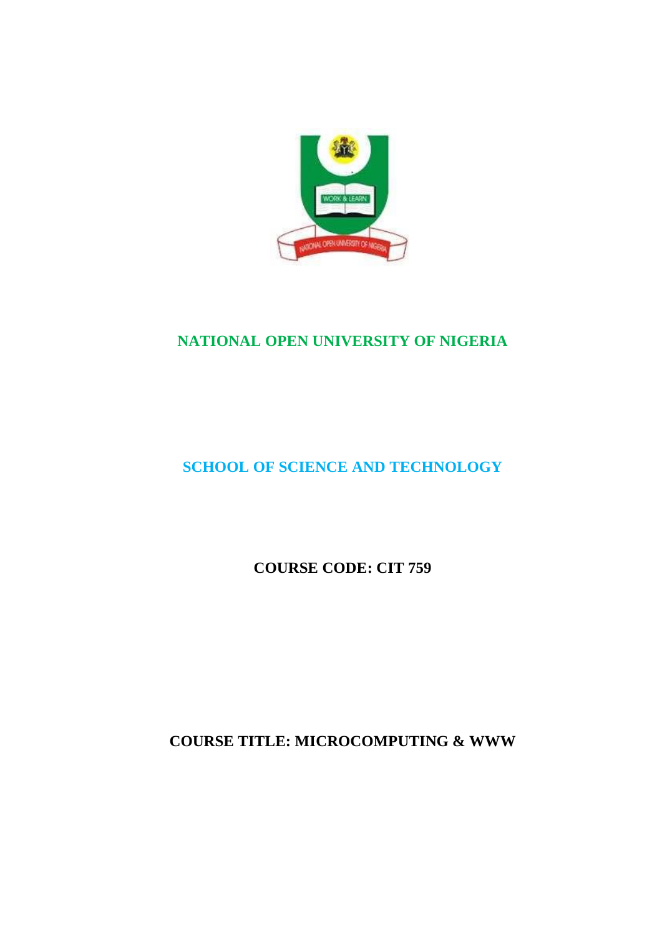

# **NATIONAL OPEN UNIVERSITY OF NIGERIA**

**SCHOOL OF SCIENCE AND TECHNOLOGY**

**COURSE CODE: CIT 759**

**COURSE TITLE: MICROCOMPUTING & WWW**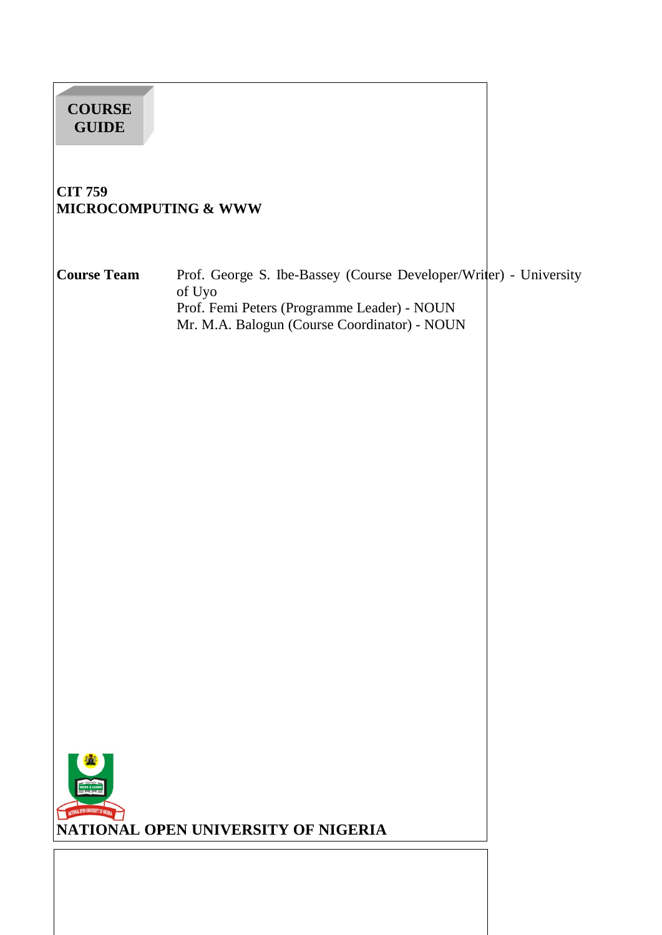| <b>COURSE</b><br><b>GUIDE</b>                  |                                                                                                                                                                            |  |
|------------------------------------------------|----------------------------------------------------------------------------------------------------------------------------------------------------------------------------|--|
| <b>CIT 759</b>                                 | <b>MICROCOMPUTING &amp; WWW</b>                                                                                                                                            |  |
| <b>Course Team</b>                             | Prof. George S. Ibe-Bassey (Course Developer/Writer) - University<br>of Uyo<br>Prof. Femi Peters (Programme Leader) - NOUN<br>Mr. M.A. Balogun (Course Coordinator) - NOUN |  |
| RK & LE<br>NATIONAL OPEN UNIVERSITY OF NIGERIA | NATIONAL OPEN UNIVERSITY OF NIGERIA                                                                                                                                        |  |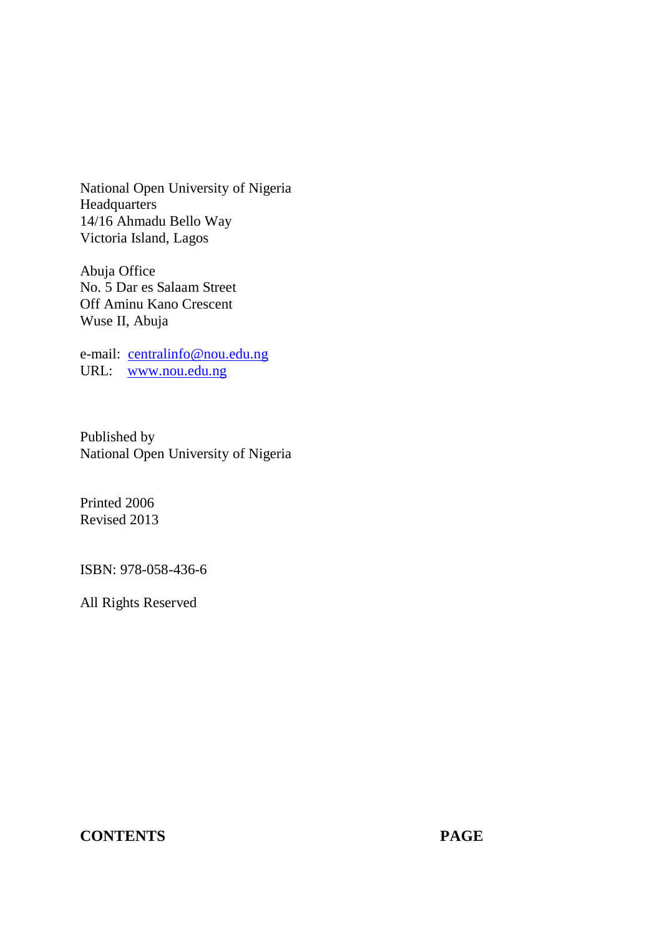National Open University of Nigeria Headquarters 14/16 Ahmadu Bello Way Victoria Island, Lagos

Abuja Office No. 5 Dar es Salaam Street Off Aminu Kano Crescent Wuse II, Abuja

e-mail: [centralinfo@nou.edu.ng](mailto:centralinfo@nou.edu.ng) URL: [www.nou.edu.ng](http://www.nou.edu.ng/)

Published by National Open University of Nigeria

Printed 2006 Revised 2013

ISBN: 978-058-436-6

All Rights Reserved

## **CONTENTS PAGE**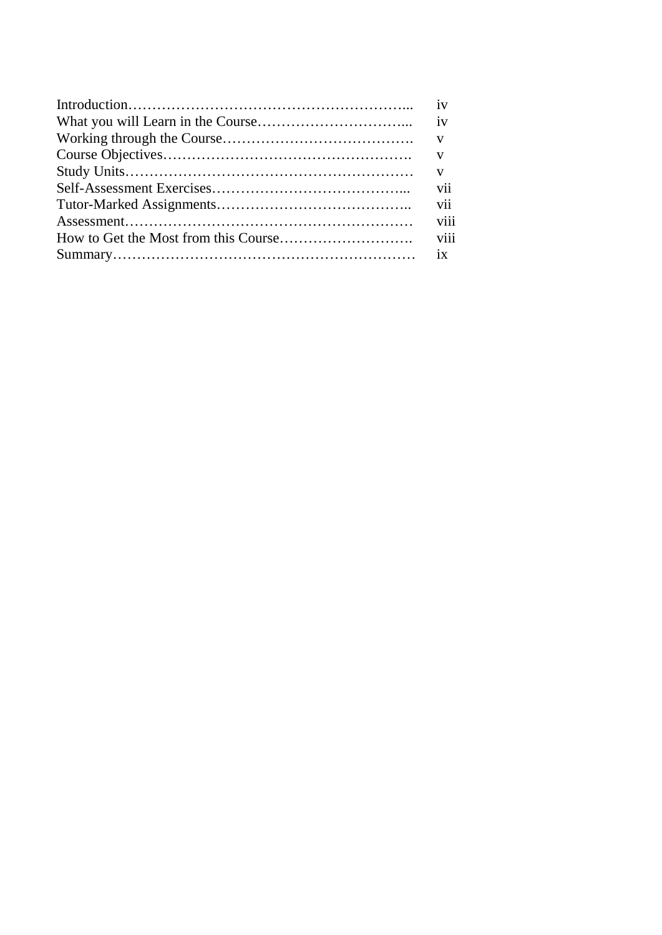| vii  |
|------|
| vii  |
| viii |
|      |
|      |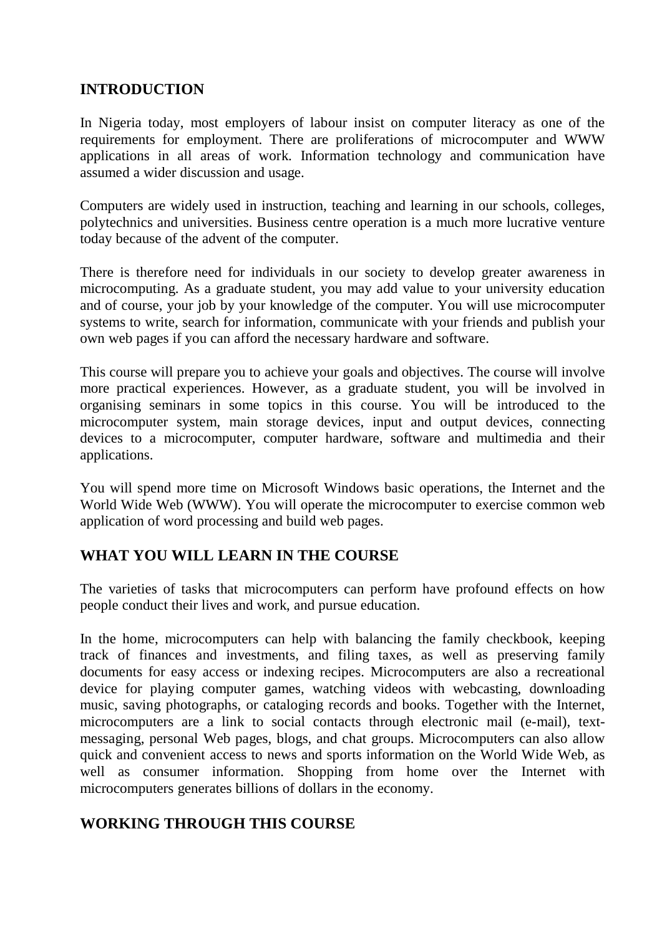# **INTRODUCTION**

In Nigeria today, most employers of labour insist on computer literacy as one of the requirements for employment. There are proliferations of microcomputer and WWW applications in all areas of work. Information technology and communication have assumed a wider discussion and usage.

Computers are widely used in instruction, teaching and learning in our schools, colleges, polytechnics and universities. Business centre operation is a much more lucrative venture today because of the advent of the computer.

There is therefore need for individuals in our society to develop greater awareness in microcomputing. As a graduate student, you may add value to your university education and of course, your job by your knowledge of the computer. You will use microcomputer systems to write, search for information, communicate with your friends and publish your own web pages if you can afford the necessary hardware and software.

This course will prepare you to achieve your goals and objectives. The course will involve more practical experiences. However, as a graduate student, you will be involved in organising seminars in some topics in this course. You will be introduced to the microcomputer system, main storage devices, input and output devices, connecting devices to a microcomputer, computer hardware, software and multimedia and their applications.

You will spend more time on Microsoft Windows basic operations, the Internet and the World Wide Web (WWW). You will operate the microcomputer to exercise common web application of word processing and build web pages.

## **WHAT YOU WILL LEARN IN THE COURSE**

The varieties of tasks that microcomputers can perform have profound effects on how people conduct their lives and work, and pursue education.

In the home, microcomputers can help with balancing the family checkbook, keeping track of finances and investments, and filing taxes, as well as preserving family documents for easy access or indexing recipes. Microcomputers are also a recreational device for playing computer games, watching videos with webcasting, downloading music, saving photographs, or cataloging records and books. Together with the Internet, microcomputers are a link to social contacts through electronic mail (e-mail), textmessaging, personal Web pages, blogs, and chat groups. Microcomputers can also allow quick and convenient access to news and sports information on the World Wide Web, as well as consumer information. Shopping from home over the Internet with microcomputers generates billions of dollars in the economy.

# **WORKING THROUGH THIS COURSE**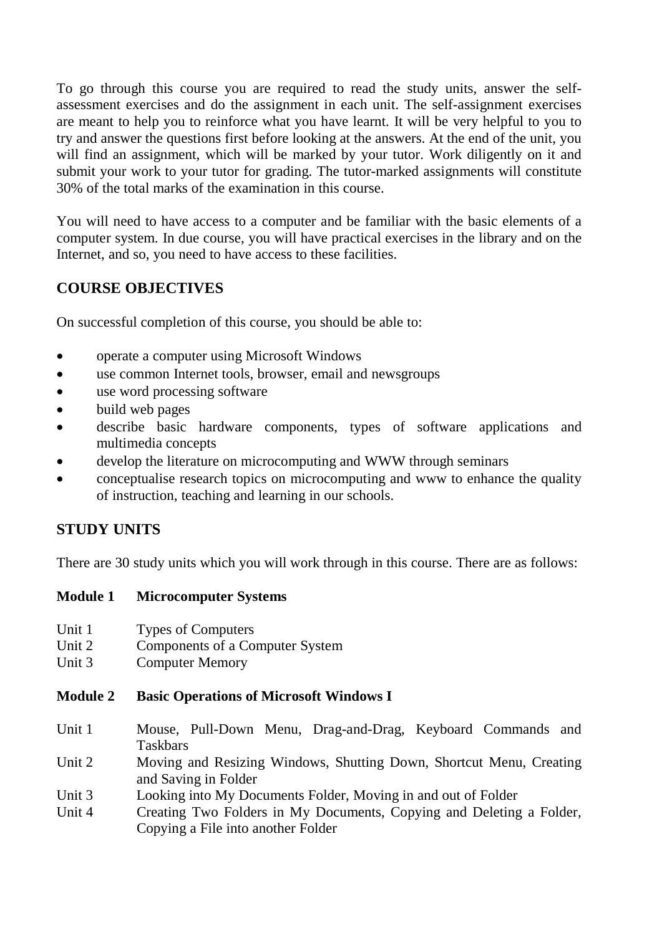To go through this course you are required to read the study units, answer the selfassessment exercises and do the assignment in each unit. The self-assignment exercises are meant to help you to reinforce what you have learnt. It will be very helpful to you to try and answer the questions first before looking at the answers. At the end of the unit, you will find an assignment, which will be marked by your tutor. Work diligently on it and submit your work to your tutor for grading. The tutor-marked assignments will constitute 30% of the total marks of the examination in this course.

You will need to have access to a computer and be familiar with the basic elements of a computer system. In due course, you will have practical exercises in the library and on the Internet, and so, you need to have access to these facilities.

# **COURSE OBJECTIVES**

On successful completion of this course, you should be able to:

- operate a computer using Microsoft Windows
- use common Internet tools, browser, email and newsgroups
- use word processing software
- build web pages
- describe basic hardware components, types of software applications and multimedia concepts
- develop the literature on microcomputing and WWW through seminars
- conceptualise research topics on microcomputing and www to enhance the quality of instruction, teaching and learning in our schools.

# **STUDY UNITS**

There are 30 study units which you will work through in this course. There are as follows:

## **Module 1 Microcomputer Systems**

- Unit 1 Types of Computers
- Unit 2 Components of a Computer System
- Unit 3 Computer Memory

# **Module 2 Basic Operations of Microsoft Windows I**

- Unit 1 Mouse, Pull-Down Menu, Drag-and-Drag, Keyboard Commands and Taskbars
- Unit 2 Moving and Resizing Windows, Shutting Down, Shortcut Menu, Creating and Saving in Folder
- Unit 3 Looking into My Documents Folder, Moving in and out of Folder
- Unit 4 Creating Two Folders in My Documents, Copying and Deleting a Folder, Copying a File into another Folder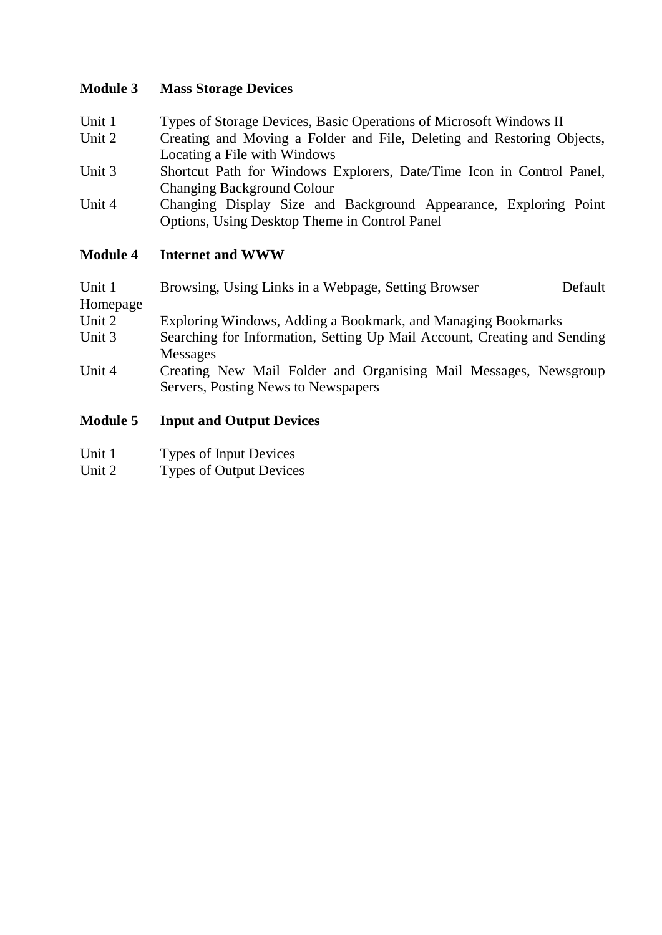## **Module 3 Mass Storage Devices**

- Unit 1 Types of Storage Devices, Basic Operations of Microsoft Windows II
- Unit 2 Creating and Moving a Folder and File, Deleting and Restoring Objects, Locating a File with Windows
- Unit 3 Shortcut Path for Windows Explorers, Date/Time Icon in Control Panel, Changing Background Colour
- Unit 4 Changing Display Size and Background Appearance, Exploring Point Options, Using Desktop Theme in Control Panel

## **Module 4 Internet and WWW**

| Unit 1   | Browsing, Using Links in a Webpage, Setting Browser                      | Default |
|----------|--------------------------------------------------------------------------|---------|
| Homepage |                                                                          |         |
| Unit 2   | Exploring Windows, Adding a Bookmark, and Managing Bookmarks             |         |
| Unit 3   | Searching for Information, Setting Up Mail Account, Creating and Sending |         |
|          | <b>Messages</b>                                                          |         |
| Unit 4   | Creating New Mail Folder and Organising Mail Messages, Newsgroup         |         |
|          | Servers, Posting News to Newspapers                                      |         |

## **Module 5 Input and Output Devices**

- Unit 1 Types of Input Devices
- Unit 2 Types of Output Devices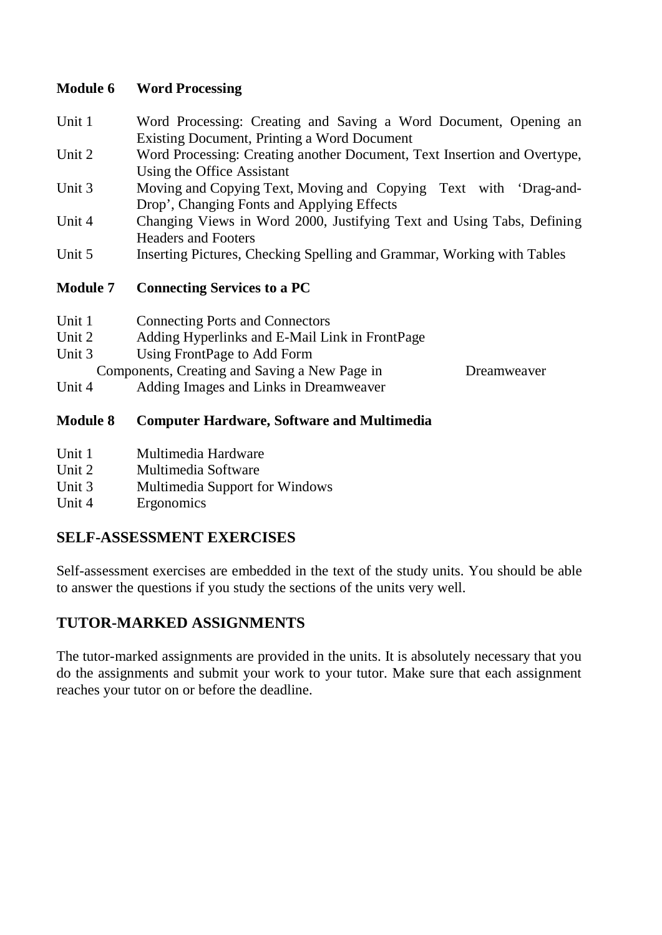## **Module 6 Word Processing**

- Unit 1 Word Processing: Creating and Saving a Word Document, Opening an Existing Document, Printing a Word Document
- Unit 2 Word Processing: Creating another Document, Text Insertion and Overtype, Using the Office Assistant
- Unit 3 Moving and Copying Text, Moving and Copying Text with 'Drag-and-Drop', Changing Fonts and Applying Effects
- Unit 4 Changing Views in Word 2000, Justifying Text and Using Tabs, Defining Headers and Footers
- Unit 5 Inserting Pictures, Checking Spelling and Grammar, Working with Tables

## **Module 7 Connecting Services to a PC**

| Unit 1 | <b>Connecting Ports and Connectors</b>         |             |
|--------|------------------------------------------------|-------------|
| Unit 2 | Adding Hyperlinks and E-Mail Link in FrontPage |             |
| Unit 3 | Using FrontPage to Add Form                    |             |
|        | Components, Creating and Saving a New Page in  | Dreamweaver |
| Unit 4 | Adding Images and Links in Dreamweaver         |             |

## **Module 8 Computer Hardware, Software and Multimedia**

- Unit 1 Multimedia Hardware
- Unit 2 Multimedia Software
- Unit 3 Multimedia Support for Windows
- Unit 4 Ergonomics

# **SELF-ASSESSMENT EXERCISES**

Self-assessment exercises are embedded in the text of the study units. You should be able to answer the questions if you study the sections of the units very well.

# **TUTOR-MARKED ASSIGNMENTS**

The tutor-marked assignments are provided in the units. It is absolutely necessary that you do the assignments and submit your work to your tutor. Make sure that each assignment reaches your tutor on or before the deadline.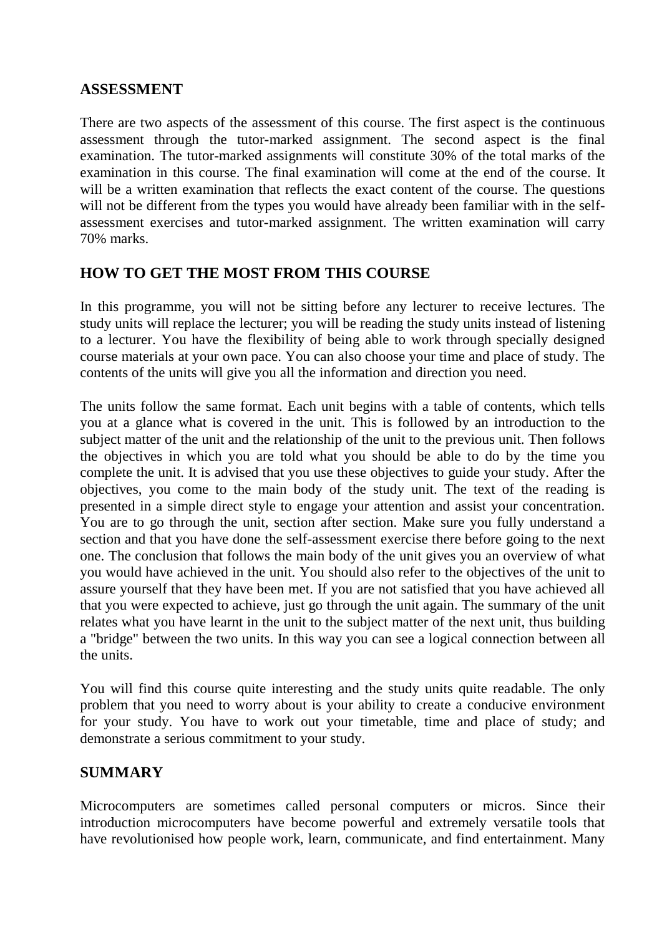## **ASSESSMENT**

There are two aspects of the assessment of this course. The first aspect is the continuous assessment through the tutor-marked assignment. The second aspect is the final examination. The tutor-marked assignments will constitute 30% of the total marks of the examination in this course. The final examination will come at the end of the course. It will be a written examination that reflects the exact content of the course. The questions will not be different from the types you would have already been familiar with in the selfassessment exercises and tutor-marked assignment. The written examination will carry 70% marks.

# **HOW TO GET THE MOST FROM THIS COURSE**

In this programme, you will not be sitting before any lecturer to receive lectures. The study units will replace the lecturer; you will be reading the study units instead of listening to a lecturer. You have the flexibility of being able to work through specially designed course materials at your own pace. You can also choose your time and place of study. The contents of the units will give you all the information and direction you need.

The units follow the same format. Each unit begins with a table of contents, which tells you at a glance what is covered in the unit. This is followed by an introduction to the subject matter of the unit and the relationship of the unit to the previous unit. Then follows the objectives in which you are told what you should be able to do by the time you complete the unit. It is advised that you use these objectives to guide your study. After the objectives, you come to the main body of the study unit. The text of the reading is presented in a simple direct style to engage your attention and assist your concentration. You are to go through the unit, section after section. Make sure you fully understand a section and that you have done the self-assessment exercise there before going to the next one. The conclusion that follows the main body of the unit gives you an overview of what you would have achieved in the unit. You should also refer to the objectives of the unit to assure yourself that they have been met. If you are not satisfied that you have achieved all that you were expected to achieve, just go through the unit again. The summary of the unit relates what you have learnt in the unit to the subject matter of the next unit, thus building a "bridge" between the two units. In this way you can see a logical connection between all the units.

You will find this course quite interesting and the study units quite readable. The only problem that you need to worry about is your ability to create a conducive environment for your study. You have to work out your timetable, time and place of study; and demonstrate a serious commitment to your study.

## **SUMMARY**

Microcomputers are sometimes called personal computers or micros. Since their introduction microcomputers have become powerful and extremely versatile tools that have revolutionised how people work, learn, communicate, and find entertainment. Many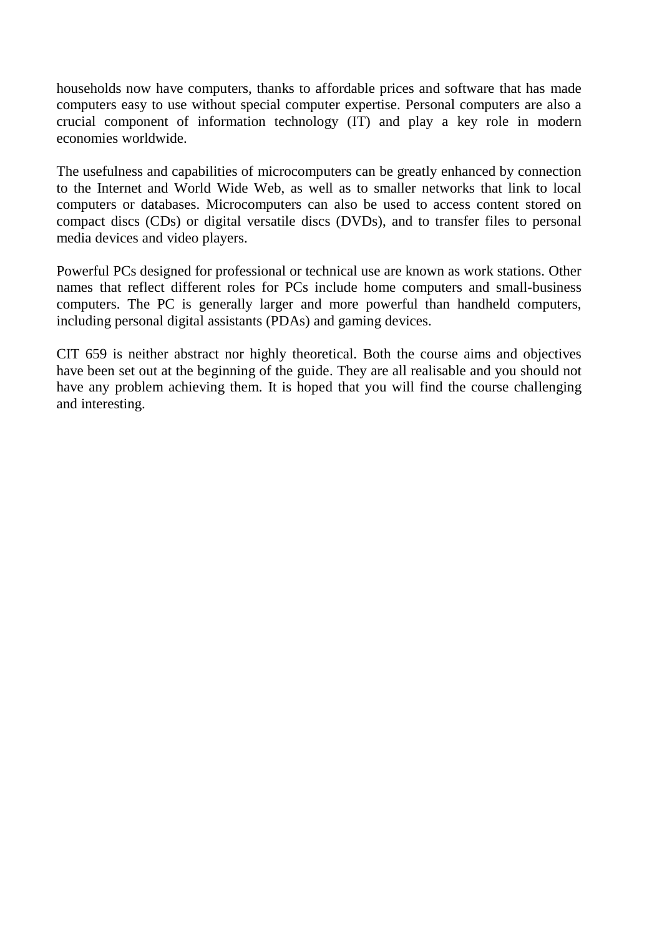households now have computers, thanks to affordable prices and software that has made computers easy to use without special computer expertise. Personal computers are also a crucial component of information technology (IT) and play a key role in modern economies worldwide.

The usefulness and capabilities of microcomputers can be greatly enhanced by connection to the Internet and World Wide Web, as well as to smaller networks that link to local computers or databases. Microcomputers can also be used to access content stored on compact discs (CDs) or digital versatile discs (DVDs), and to transfer files to personal media devices and video players.

Powerful PCs designed for professional or technical use are known as work stations. Other names that reflect different roles for PCs include home computers and small-business computers. The PC is generally larger and more powerful than handheld computers, including personal digital assistants (PDAs) and gaming devices.

CIT 659 is neither abstract nor highly theoretical. Both the course aims and objectives have been set out at the beginning of the guide. They are all realisable and you should not have any problem achieving them. It is hoped that you will find the course challenging and interesting.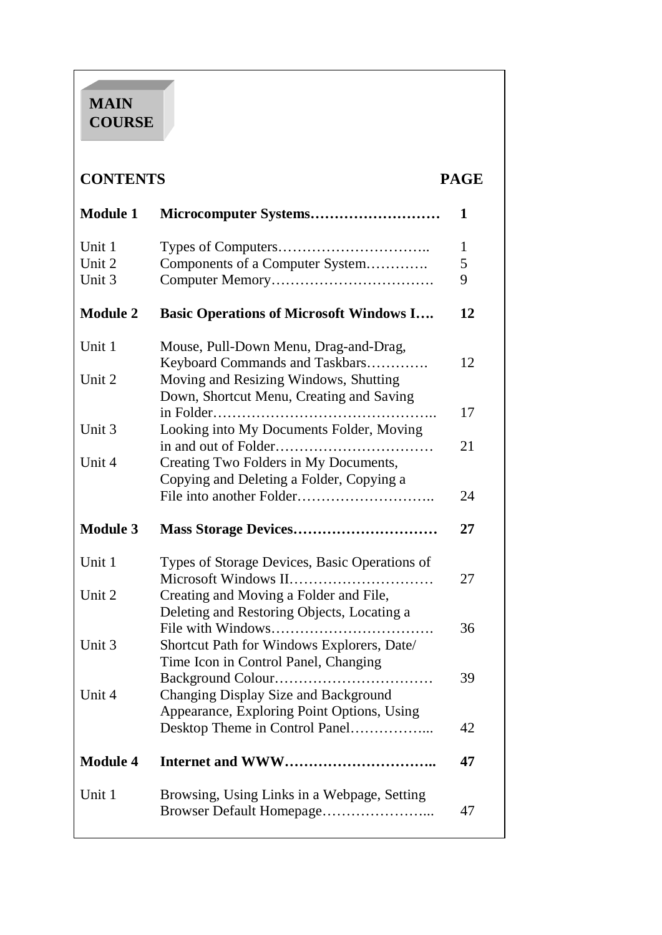# **MAIN COURSE**

# **CONTENTS PAGE**

| <b>Module 1</b>            | Microcomputer Systems                                                                                                | 1                      |
|----------------------------|----------------------------------------------------------------------------------------------------------------------|------------------------|
| Unit 1<br>Unit 2<br>Unit 3 | Components of a Computer System                                                                                      | $\mathbf{1}$<br>5<br>9 |
| <b>Module 2</b>            | <b>Basic Operations of Microsoft Windows I</b>                                                                       | 12                     |
| Unit 1                     | Mouse, Pull-Down Menu, Drag-and-Drag,<br>Keyboard Commands and Taskbars                                              | 12                     |
| Unit 2                     | Moving and Resizing Windows, Shutting<br>Down, Shortcut Menu, Creating and Saving                                    |                        |
| Unit 3                     | Looking into My Documents Folder, Moving                                                                             | 17<br>21               |
| Unit 4                     | Creating Two Folders in My Documents,<br>Copying and Deleting a Folder, Copying a                                    |                        |
|                            |                                                                                                                      | 24                     |
|                            |                                                                                                                      |                        |
| <b>Module 3</b>            | Mass Storage Devices                                                                                                 | 27                     |
| Unit 1                     | Types of Storage Devices, Basic Operations of                                                                        |                        |
| Unit 2                     | Microsoft Windows II<br>Creating and Moving a Folder and File,                                                       | 27                     |
| Unit 3                     | Deleting and Restoring Objects, Locating a<br>Shortcut Path for Windows Explorers, Date/                             | 36                     |
|                            | Time Icon in Control Panel, Changing                                                                                 | 39                     |
| Unit 4                     | Changing Display Size and Background<br>Appearance, Exploring Point Options, Using<br>Desktop Theme in Control Panel | 42                     |
| <b>Module 4</b>            |                                                                                                                      | 47                     |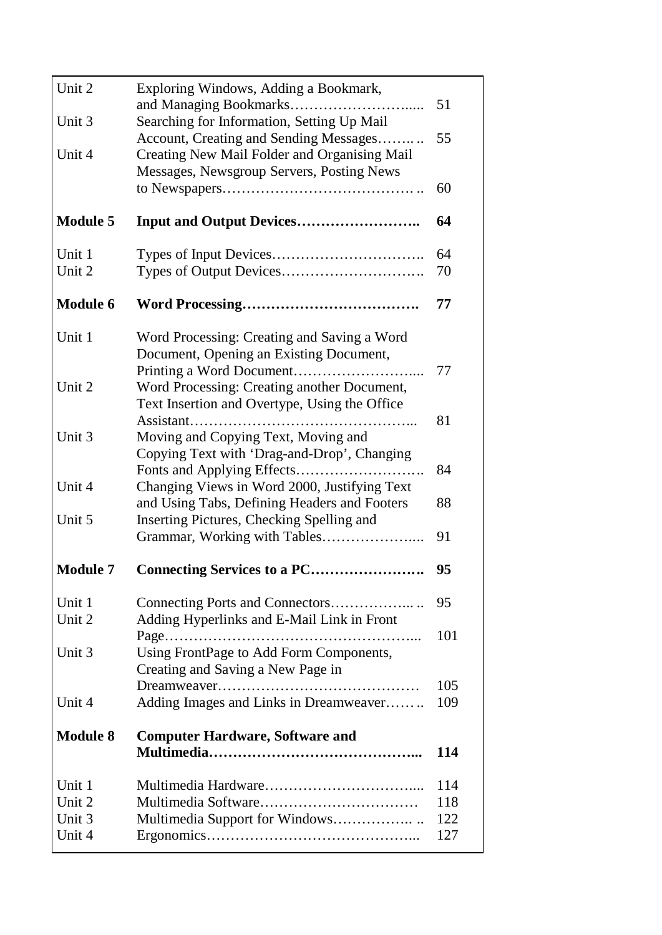| Unit 2                               | Exploring Windows, Adding a Bookmark,                                                                                                                                             | 51                       |
|--------------------------------------|-----------------------------------------------------------------------------------------------------------------------------------------------------------------------------------|--------------------------|
| Unit 3<br>Unit 4                     | Searching for Information, Setting Up Mail<br>Account, Creating and Sending Messages<br>Creating New Mail Folder and Organising Mail<br>Messages, Newsgroup Servers, Posting News | 55                       |
|                                      |                                                                                                                                                                                   | 60                       |
| <b>Module 5</b>                      |                                                                                                                                                                                   | 64                       |
| Unit 1<br>Unit 2                     |                                                                                                                                                                                   | 64<br>70                 |
| <b>Module 6</b>                      |                                                                                                                                                                                   | 77                       |
| Unit 1<br>Unit 2                     | Word Processing: Creating and Saving a Word<br>Document, Opening an Existing Document,<br>Word Processing: Creating another Document,                                             | 77                       |
| Unit 3                               | Text Insertion and Overtype, Using the Office<br>Assistant<br>Moving and Copying Text, Moving and<br>Copying Text with 'Drag-and-Drop', Changing                                  | 81                       |
| Unit 4                               | Changing Views in Word 2000, Justifying Text                                                                                                                                      | 84                       |
| Unit 5                               | and Using Tabs, Defining Headers and Footers<br>Inserting Pictures, Checking Spelling and<br>Grammar, Working with Tables                                                         | 88<br>91                 |
|                                      |                                                                                                                                                                                   |                          |
| <b>Module 7</b>                      | <b>Connecting Services to a PC</b>                                                                                                                                                | 95                       |
| Unit 1<br>Unit 2                     | Adding Hyperlinks and E-Mail Link in Front                                                                                                                                        | 95                       |
| Unit 3                               | Using FrontPage to Add Form Components,<br>Creating and Saving a New Page in                                                                                                      | 101                      |
| Unit 4                               | Adding Images and Links in Dreamweaver                                                                                                                                            | 105<br>109               |
| <b>Module 8</b>                      | <b>Computer Hardware, Software and</b>                                                                                                                                            | 114                      |
| Unit 1<br>Unit 2<br>Unit 3<br>Unit 4 |                                                                                                                                                                                   | 114<br>118<br>122<br>127 |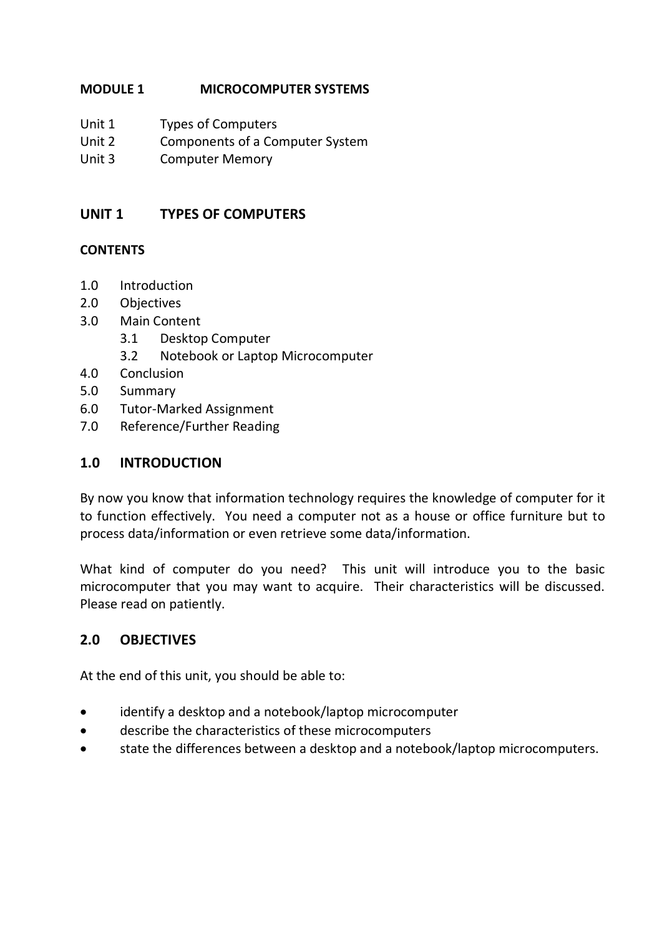## **MODULE 1 MICROCOMPUTER SYSTEMS**

- Unit 1 Types of Computers
- Unit 2 Components of a Computer System
- Unit 3 Computer Memory

## **UNIT 1 TYPES OF COMPUTERS**

#### **CONTENTS**

- 1.0 Introduction
- 2.0 Objectives
- 3.0 Main Content
	- 3.1 Desktop Computer
	- 3.2 Notebook or Laptop Microcomputer
- 4.0 Conclusion
- 5.0 Summary
- 6.0 Tutor-Marked Assignment
- 7.0 Reference/Further Reading

## **1.0 INTRODUCTION**

By now you know that information technology requires the knowledge of computer for it to function effectively. You need a computer not as a house or office furniture but to process data/information or even retrieve some data/information.

What kind of computer do you need? This unit will introduce you to the basic microcomputer that you may want to acquire. Their characteristics will be discussed. Please read on patiently.

## **2.0 OBJECTIVES**

At the end of this unit, you should be able to:

- identify a desktop and a notebook/laptop microcomputer
- describe the characteristics of these microcomputers
- state the differences between a desktop and a notebook/laptop microcomputers.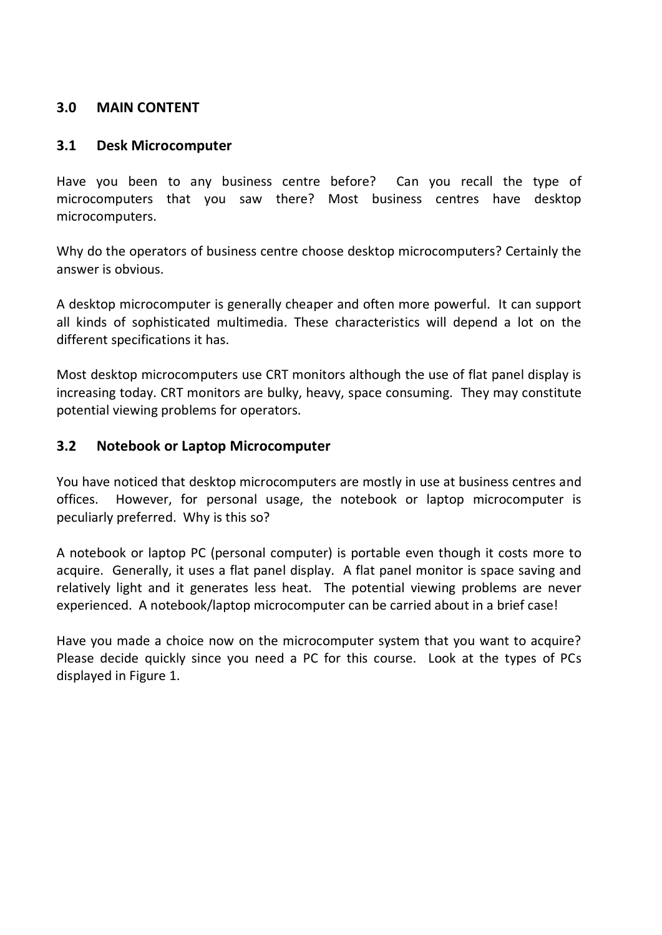## **3.0 MAIN CONTENT**

#### **3.1 Desk Microcomputer**

Have you been to any business centre before? Can you recall the type of microcomputers that you saw there? Most business centres have desktop microcomputers.

Why do the operators of business centre choose desktop microcomputers? Certainly the answer is obvious.

A desktop microcomputer is generally cheaper and often more powerful. It can support all kinds of sophisticated multimedia. These characteristics will depend a lot on the different specifications it has.

Most desktop microcomputers use CRT monitors although the use of flat panel display is increasing today. CRT monitors are bulky, heavy, space consuming. They may constitute potential viewing problems for operators.

## **3.2 Notebook or Laptop Microcomputer**

You have noticed that desktop microcomputers are mostly in use at business centres and offices. However, for personal usage, the notebook or laptop microcomputer is peculiarly preferred. Why is this so?

A notebook or laptop PC (personal computer) is portable even though it costs more to acquire. Generally, it uses a flat panel display. A flat panel monitor is space saving and relatively light and it generates less heat. The potential viewing problems are never experienced. A notebook/laptop microcomputer can be carried about in a brief case!

Have you made a choice now on the microcomputer system that you want to acquire? Please decide quickly since you need a PC for this course. Look at the types of PCs displayed in Figure 1.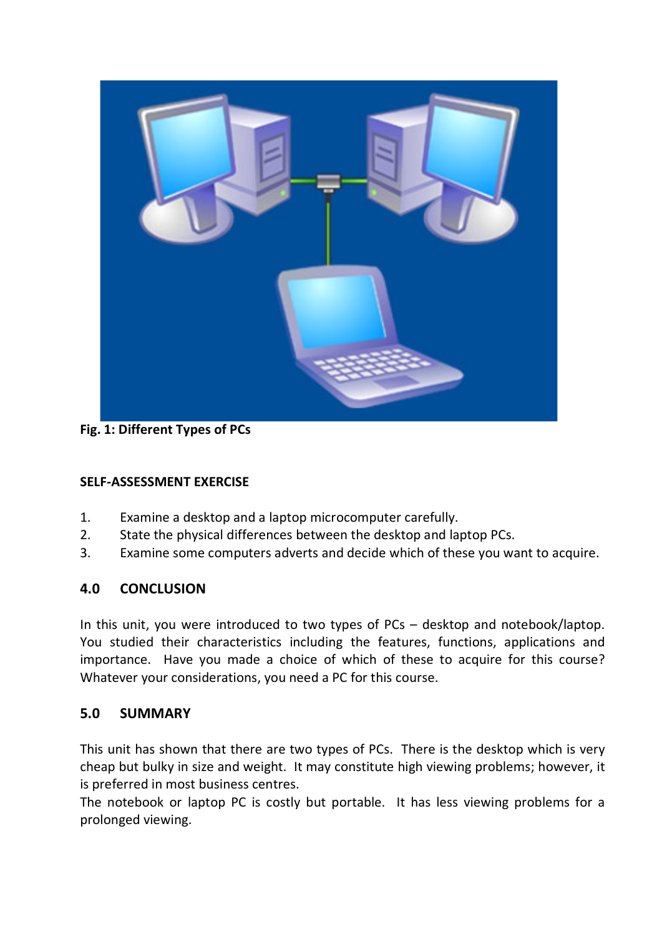

**Fig. 1: Different Types of PCs**

## **SELF-ASSESSMENT EXERCISE**

- 1. Examine a desktop and a laptop microcomputer carefully.
- 2. State the physical differences between the desktop and laptop PCs.
- 3. Examine some computers adverts and decide which of these you want to acquire.

## **4.0 CONCLUSION**

In this unit, you were introduced to two types of PCs – desktop and notebook/laptop. You studied their characteristics including the features, functions, applications and importance. Have you made a choice of which of these to acquire for this course? Whatever your considerations, you need a PC for this course.

## **5.0 SUMMARY**

This unit has shown that there are two types of PCs. There is the desktop which is very cheap but bulky in size and weight. It may constitute high viewing problems; however, it is preferred in most business centres.

The notebook or laptop PC is costly but portable. It has less viewing problems for a prolonged viewing.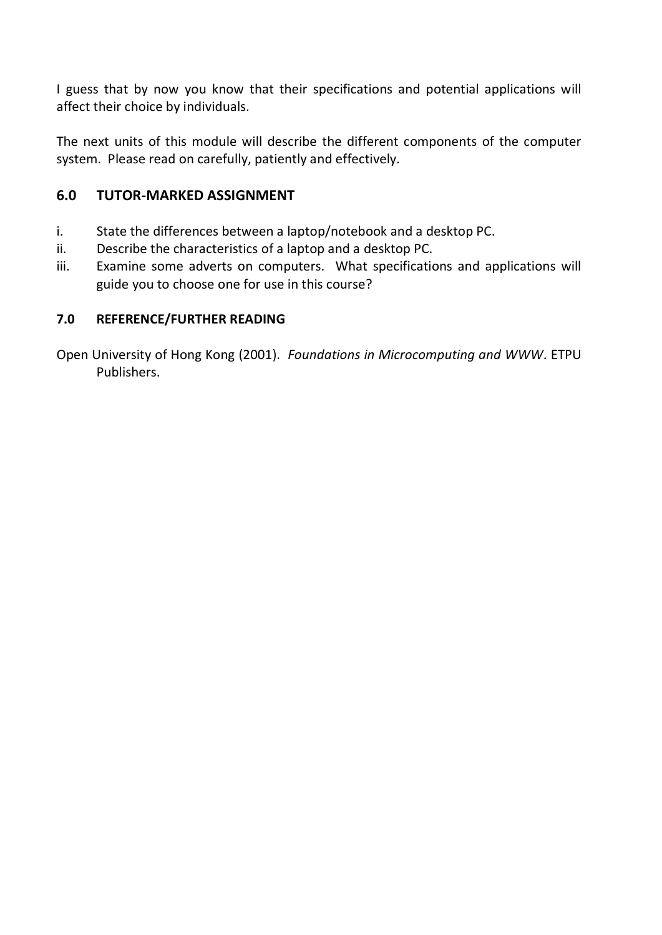I guess that by now you know that their specifications and potential applications will affect their choice by individuals.

The next units of this module will describe the different components of the computer system. Please read on carefully, patiently and effectively.

## **6.0 TUTOR-MARKED ASSIGNMENT**

- i. State the differences between a laptop/notebook and a desktop PC.
- ii. Describe the characteristics of a laptop and a desktop PC.
- iii. Examine some adverts on computers. What specifications and applications will guide you to choose one for use in this course?

## **7.0 REFERENCE/FURTHER READING**

Open University of Hong Kong (2001). *Foundations in Microcomputing and WWW*. ETPU Publishers.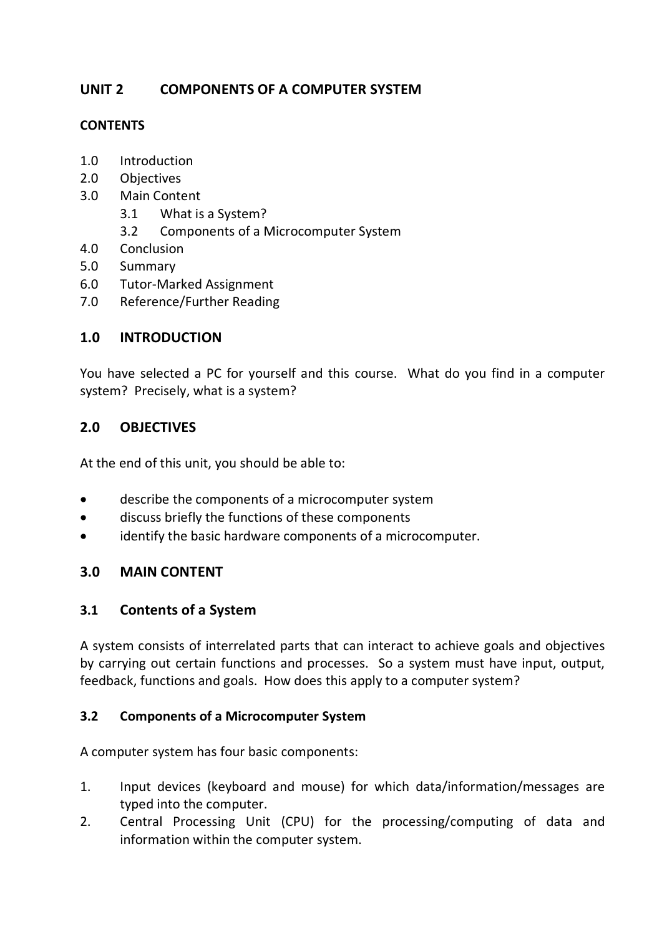# **UNIT 2 COMPONENTS OF A COMPUTER SYSTEM**

## **CONTENTS**

- 1.0 Introduction
- 2.0 Objectives
- 3.0 Main Content
	- 3.1 What is a System?
	- 3.2 Components of a Microcomputer System
- 4.0 Conclusion
- 5.0 Summary
- 6.0 Tutor-Marked Assignment
- 7.0 Reference/Further Reading

## **1.0 INTRODUCTION**

You have selected a PC for yourself and this course. What do you find in a computer system? Precisely, what is a system?

## **2.0 OBJECTIVES**

At the end of this unit, you should be able to:

- describe the components of a microcomputer system
- discuss briefly the functions of these components
- identify the basic hardware components of a microcomputer.

## **3.0 MAIN CONTENT**

## **3.1 Contents of a System**

A system consists of interrelated parts that can interact to achieve goals and objectives by carrying out certain functions and processes. So a system must have input, output, feedback, functions and goals. How does this apply to a computer system?

## **3.2 Components of a Microcomputer System**

A computer system has four basic components:

- 1. Input devices (keyboard and mouse) for which data/information/messages are typed into the computer.
- 2. Central Processing Unit (CPU) for the processing/computing of data and information within the computer system.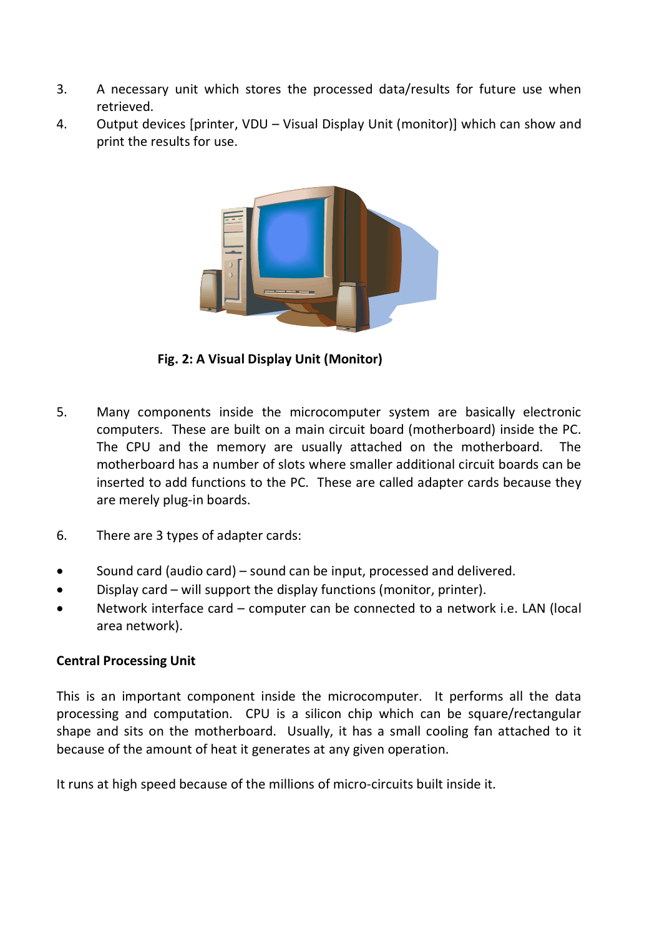- 3. A necessary unit which stores the processed data/results for future use when retrieved.
- 4. Output devices [printer, VDU Visual Display Unit (monitor)] which can show and print the results for use.



 **Fig. 2: A Visual Display Unit (Monitor)**

- 5. Many components inside the microcomputer system are basically electronic computers. These are built on a main circuit board (motherboard) inside the PC. The CPU and the memory are usually attached on the motherboard. The motherboard has a number of slots where smaller additional circuit boards can be inserted to add functions to the PC. These are called adapter cards because they are merely plug-in boards.
- 6. There are 3 types of adapter cards:
- Sound card (audio card) sound can be input, processed and delivered.
- Display card will support the display functions (monitor, printer).
- Network interface card computer can be connected to a network i.e. LAN (local area network).

## **Central Processing Unit**

This is an important component inside the microcomputer. It performs all the data processing and computation. CPU is a silicon chip which can be square/rectangular shape and sits on the motherboard. Usually, it has a small cooling fan attached to it because of the amount of heat it generates at any given operation.

It runs at high speed because of the millions of micro-circuits built inside it.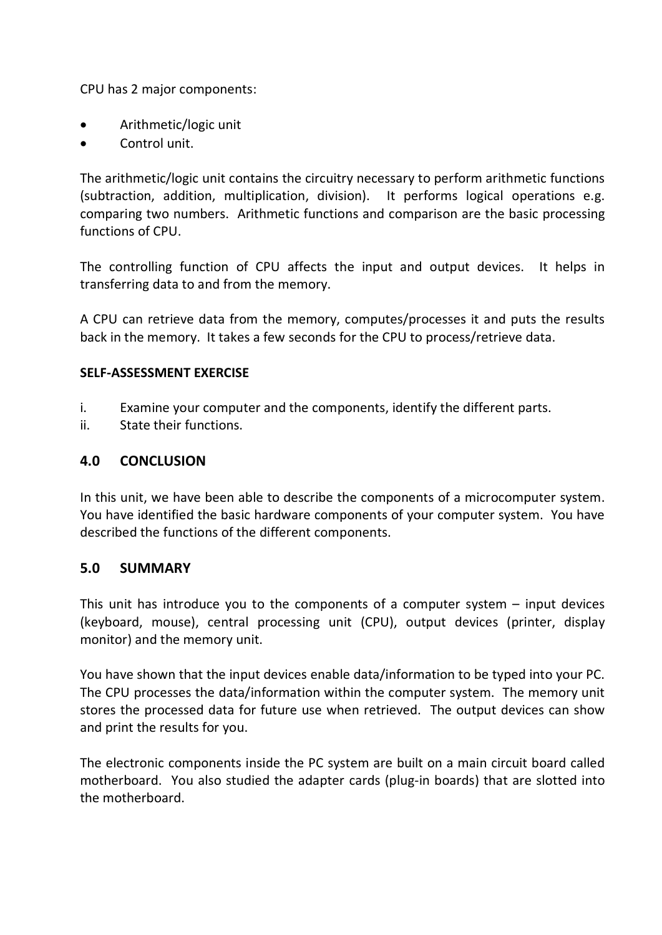CPU has 2 major components:

- Arithmetic/logic unit
- Control unit.

The arithmetic/logic unit contains the circuitry necessary to perform arithmetic functions (subtraction, addition, multiplication, division). It performs logical operations e.g. comparing two numbers. Arithmetic functions and comparison are the basic processing functions of CPU.

The controlling function of CPU affects the input and output devices. It helps in transferring data to and from the memory.

A CPU can retrieve data from the memory, computes/processes it and puts the results back in the memory. It takes a few seconds for the CPU to process/retrieve data.

## **SELF-ASSESSMENT EXERCISE**

- i. Examine your computer and the components, identify the different parts.
- ii. State their functions.

#### **4.0 CONCLUSION**

In this unit, we have been able to describe the components of a microcomputer system. You have identified the basic hardware components of your computer system. You have described the functions of the different components.

#### **5.0 SUMMARY**

This unit has introduce you to the components of a computer system  $-$  input devices (keyboard, mouse), central processing unit (CPU), output devices (printer, display monitor) and the memory unit.

You have shown that the input devices enable data/information to be typed into your PC. The CPU processes the data/information within the computer system. The memory unit stores the processed data for future use when retrieved. The output devices can show and print the results for you.

The electronic components inside the PC system are built on a main circuit board called motherboard. You also studied the adapter cards (plug-in boards) that are slotted into the motherboard.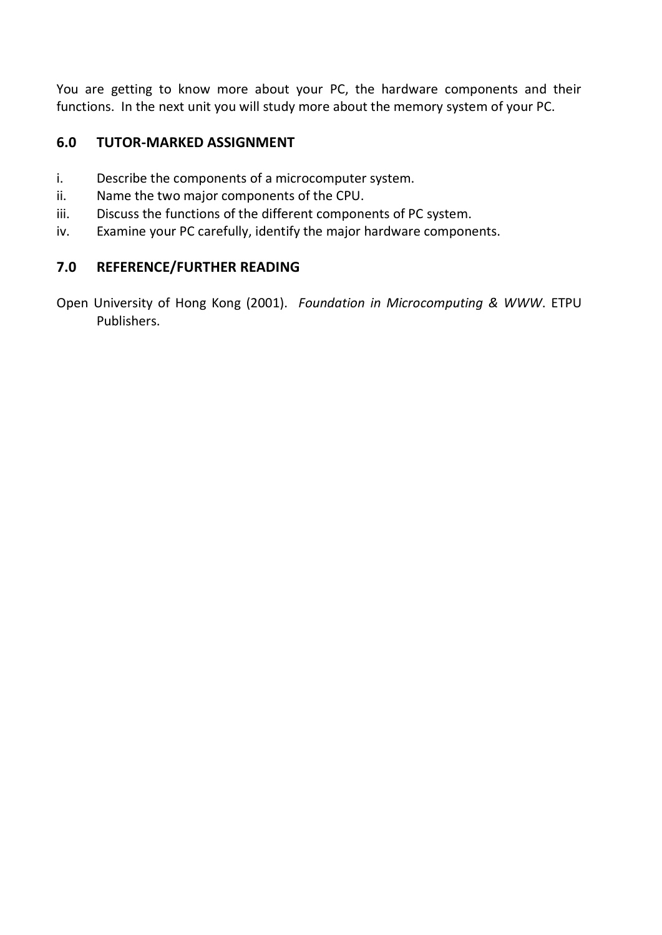You are getting to know more about your PC, the hardware components and their functions. In the next unit you will study more about the memory system of your PC.

## **6.0 TUTOR-MARKED ASSIGNMENT**

- i. Describe the components of a microcomputer system.
- ii. Name the two major components of the CPU.
- iii. Discuss the functions of the different components of PC system.
- iv. Examine your PC carefully, identify the major hardware components.

# **7.0 REFERENCE/FURTHER READING**

Open University of Hong Kong (2001). *Foundation in Microcomputing & WWW*. ETPU Publishers.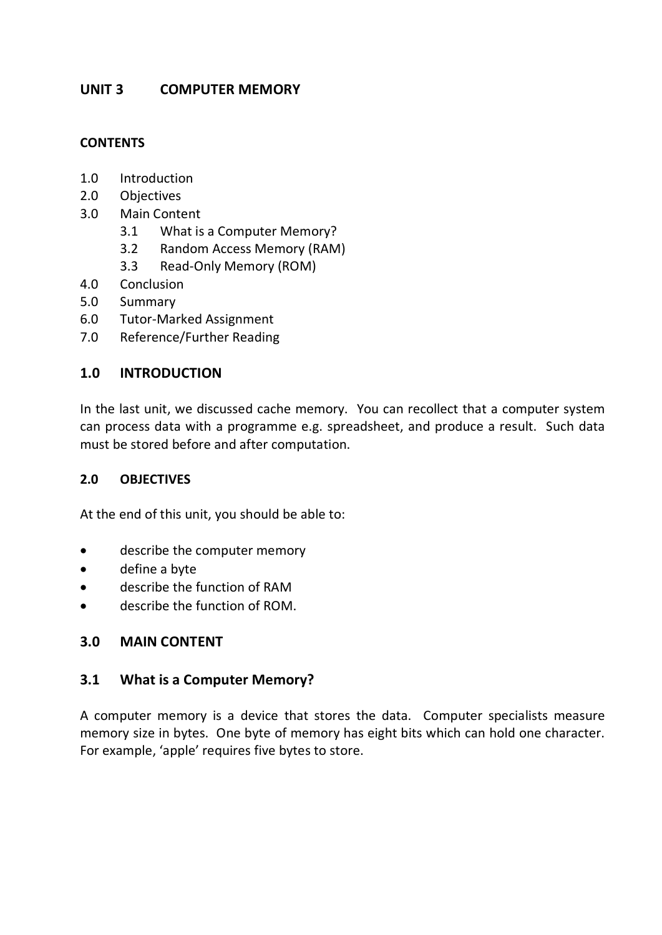## **UNIT 3 COMPUTER MEMORY**

#### **CONTENTS**

- 1.0 Introduction
- 2.0 Objectives
- 3.0 Main Content
	- 3.1 What is a Computer Memory?
	- 3.2 Random Access Memory (RAM)
	- 3.3 Read-Only Memory (ROM)
- 4.0 Conclusion
- 5.0 Summary
- 6.0 Tutor-Marked Assignment
- 7.0 Reference/Further Reading

## **1.0 INTRODUCTION**

In the last unit, we discussed cache memory. You can recollect that a computer system can process data with a programme e.g. spreadsheet, and produce a result. Such data must be stored before and after computation.

#### **2.0 OBJECTIVES**

At the end of this unit, you should be able to:

- describe the computer memory
- define a byte
- describe the function of RAM
- describe the function of ROM.

## **3.0 MAIN CONTENT**

#### **3.1 What is a Computer Memory?**

A computer memory is a device that stores the data. Computer specialists measure memory size in bytes. One byte of memory has eight bits which can hold one character. For example, 'apple' requires five bytes to store.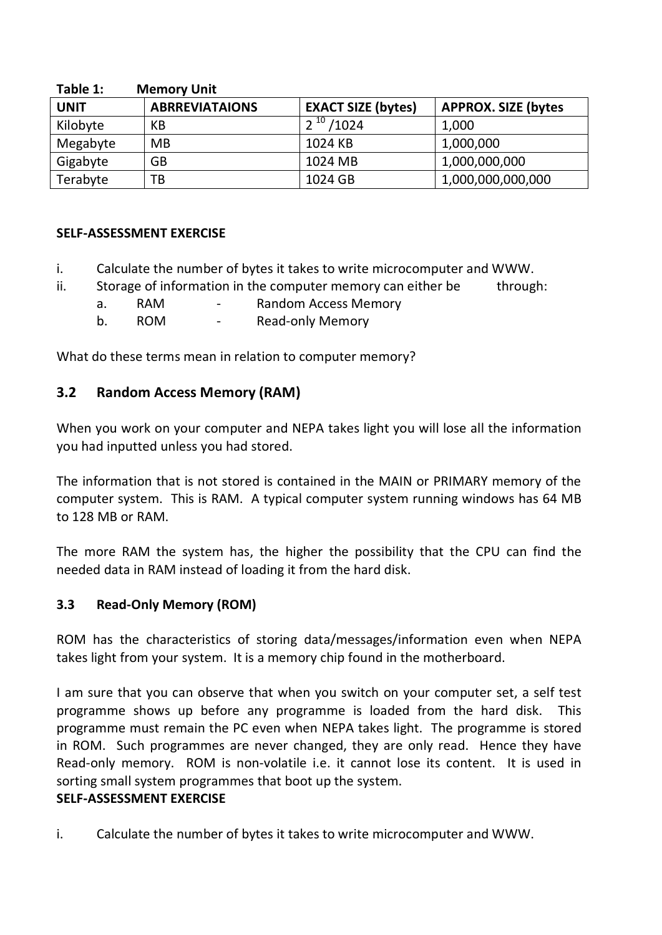| .           |                       |                           |                            |
|-------------|-----------------------|---------------------------|----------------------------|
| <b>UNIT</b> | <b>ABRREVIATAIONS</b> | <b>EXACT SIZE (bytes)</b> | <b>APPROX. SIZE (bytes</b> |
| Kilobyte    | <b>KB</b>             | $2^{10}/1024$             | 1,000                      |
| Megabyte    | <b>MB</b>             | 1024 KB                   | 1,000,000                  |
| Gigabyte    | GB                    | 1024 MB                   | 1,000,000,000              |
| Terabyte    | TB                    | 1024 GB                   | 1,000,000,000,000          |

#### **Table 1: Memory Unit**

#### **SELF-ASSESSMENT EXERCISE**

- i. Calculate the number of bytes it takes to write microcomputer and WWW.
- ii. Storage of information in the computer memory can either be through:
	- a. RAM Random Access Memory
	- b. ROM Read-only Memory

What do these terms mean in relation to computer memory?

## **3.2 Random Access Memory (RAM)**

When you work on your computer and NEPA takes light you will lose all the information you had inputted unless you had stored.

The information that is not stored is contained in the MAIN or PRIMARY memory of the computer system. This is RAM. A typical computer system running windows has 64 MB to 128 MB or RAM.

The more RAM the system has, the higher the possibility that the CPU can find the needed data in RAM instead of loading it from the hard disk.

## **3.3 Read-Only Memory (ROM)**

ROM has the characteristics of storing data/messages/information even when NEPA takes light from your system. It is a memory chip found in the motherboard.

I am sure that you can observe that when you switch on your computer set, a self test programme shows up before any programme is loaded from the hard disk. This programme must remain the PC even when NEPA takes light. The programme is stored in ROM. Such programmes are never changed, they are only read. Hence they have Read-only memory. ROM is non-volatile i.e. it cannot lose its content. It is used in sorting small system programmes that boot up the system.

#### **SELF-ASSESSMENT EXERCISE**

i. Calculate the number of bytes it takes to write microcomputer and WWW.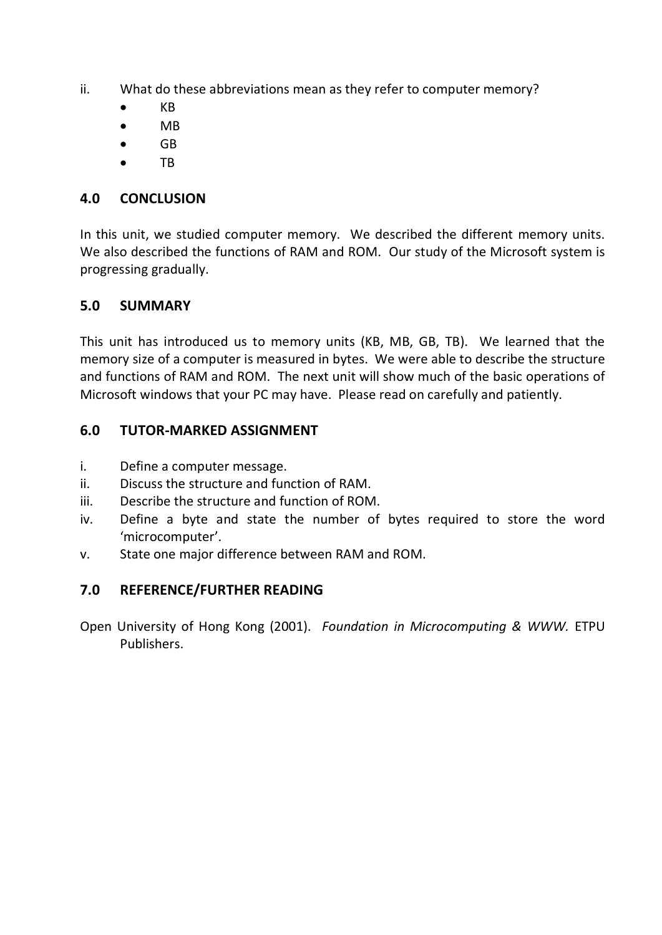- ii. What do these abbreviations mean as they refer to computer memory?
	- KB
	- MB
	- GB
	- TB

## **4.0 CONCLUSION**

In this unit, we studied computer memory. We described the different memory units. We also described the functions of RAM and ROM. Our study of the Microsoft system is progressing gradually.

## **5.0 SUMMARY**

This unit has introduced us to memory units (KB, MB, GB, TB). We learned that the memory size of a computer is measured in bytes. We were able to describe the structure and functions of RAM and ROM. The next unit will show much of the basic operations of Microsoft windows that your PC may have. Please read on carefully and patiently.

## **6.0 TUTOR-MARKED ASSIGNMENT**

- i. Define a computer message.
- ii. Discuss the structure and function of RAM.
- iii. Describe the structure and function of ROM.
- iv. Define a byte and state the number of bytes required to store the word 'microcomputer'.
- v. State one major difference between RAM and ROM.

## **7.0 REFERENCE/FURTHER READING**

Open University of Hong Kong (2001). *Foundation in Microcomputing & WWW.* ETPU Publishers.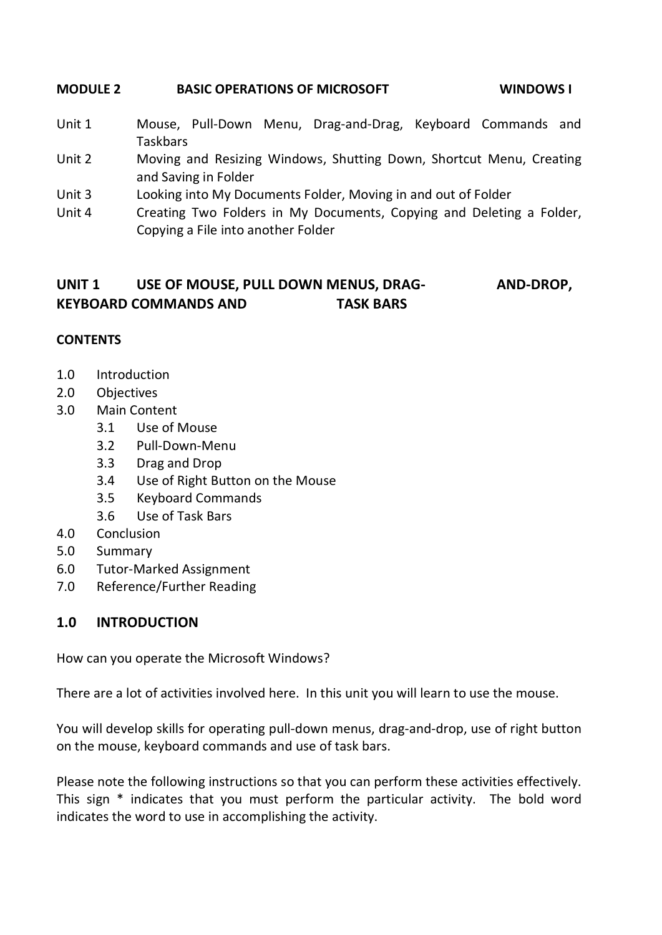#### **MODULE 2 BASIC OPERATIONS OF MICROSOFT WINDOWS I**

- Unit 1 Mouse, Pull-Down Menu, Drag-and-Drag, Keyboard Commands and **Taskbars**
- Unit 2 Moving and Resizing Windows, Shutting Down, Shortcut Menu, Creating and Saving in Folder
- Unit 3 Looking into My Documents Folder, Moving in and out of Folder
- Unit 4 Creating Two Folders in My Documents, Copying and Deleting a Folder, Copying a File into another Folder

# **UNIT 1 USE OF MOUSE, PULL DOWN MENUS, DRAG- AND-DROP, KEYBOARD COMMANDS AND TASK BARS**

#### **CONTENTS**

- 1.0 Introduction
- 2.0 Objectives
- 3.0 Main Content
	- 3.1 Use of Mouse
	- 3.2 Pull-Down-Menu
	- 3.3 Drag and Drop
	- 3.4 Use of Right Button on the Mouse
	- 3.5 Keyboard Commands
	- 3.6 Use of Task Bars
- 4.0 Conclusion
- 5.0 Summary
- 6.0 Tutor-Marked Assignment
- 7.0 Reference/Further Reading

## **1.0 INTRODUCTION**

How can you operate the Microsoft Windows?

There are a lot of activities involved here. In this unit you will learn to use the mouse.

You will develop skills for operating pull-down menus, drag-and-drop, use of right button on the mouse, keyboard commands and use of task bars.

Please note the following instructions so that you can perform these activities effectively. This sign \* indicates that you must perform the particular activity. The bold word indicates the word to use in accomplishing the activity.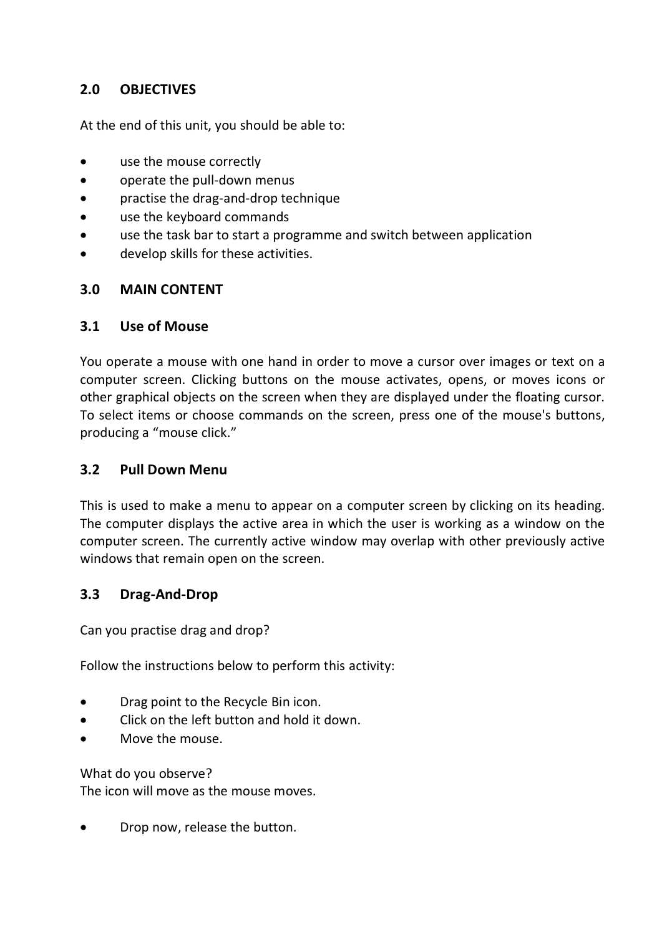## **2.0 OBJECTIVES**

At the end of this unit, you should be able to:

- use the mouse correctly
- operate the pull-down menus
- practise the drag-and-drop technique
- use the keyboard commands
- use the task bar to start a programme and switch between application
- develop skills for these activities.

## **3.0 MAIN CONTENT**

#### **3.1 Use of Mouse**

You operate a mouse with one hand in order to move a cursor over images or text on a computer screen. Clicking buttons on the mouse activates, opens, or moves icons or other graphical objects on the screen when they are displayed under the floating cursor. To select items or choose commands on the screen, press one of the mouse's buttons, producing a "mouse click."

## **3.2 Pull Down Menu**

This is used to make a menu to appear on a computer screen by clicking on its heading. The computer displays the active area in which the user is working as a window on the computer screen. The currently active window may overlap with other previously active windows that remain open on the screen.

## **3.3 Drag-And-Drop**

Can you practise drag and drop?

Follow the instructions below to perform this activity:

- Drag point to the Recycle Bin icon.
- Click on the left button and hold it down.
- Move the mouse.

What do you observe?

The icon will move as the mouse moves.

• Drop now, release the button.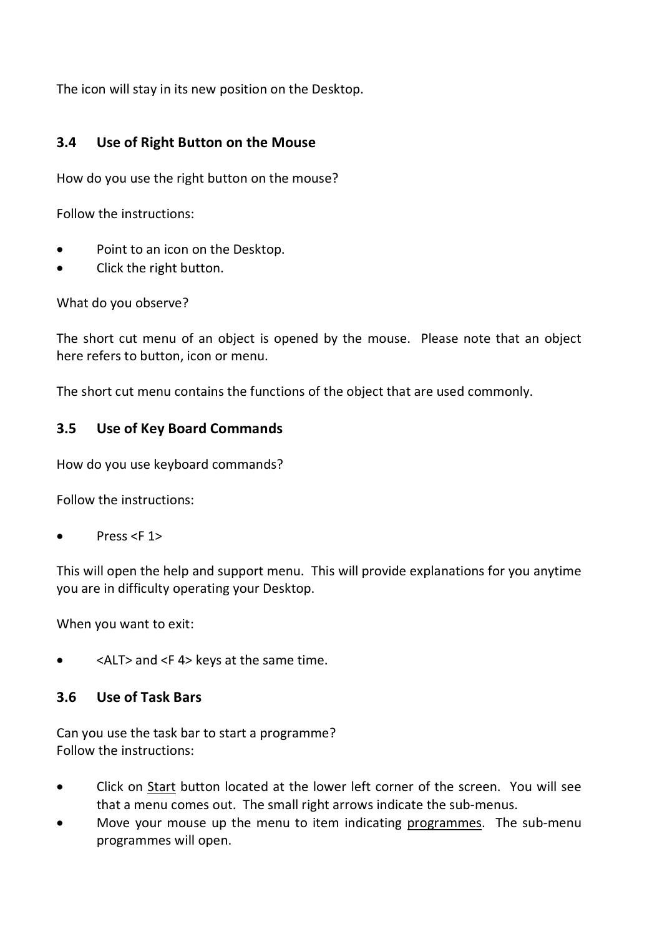The icon will stay in its new position on the Desktop.

## **3.4 Use of Right Button on the Mouse**

How do you use the right button on the mouse?

Follow the instructions:

- Point to an icon on the Desktop.
- Click the right button.

What do you observe?

The short cut menu of an object is opened by the mouse. Please note that an object here refers to button, icon or menu.

The short cut menu contains the functions of the object that are used commonly.

## **3.5 Use of Key Board Commands**

How do you use keyboard commands?

Follow the instructions:

 $\bullet$  Press <F 1>

This will open the help and support menu. This will provide explanations for you anytime you are in difficulty operating your Desktop.

When you want to exit:

• <ALT> and <F 4> keys at the same time.

## **3.6 Use of Task Bars**

Can you use the task bar to start a programme? Follow the instructions:

- Click on Start button located at the lower left corner of the screen. You will see that a menu comes out. The small right arrows indicate the sub-menus.
- Move your mouse up the menu to item indicating programmes. The sub-menu programmes will open.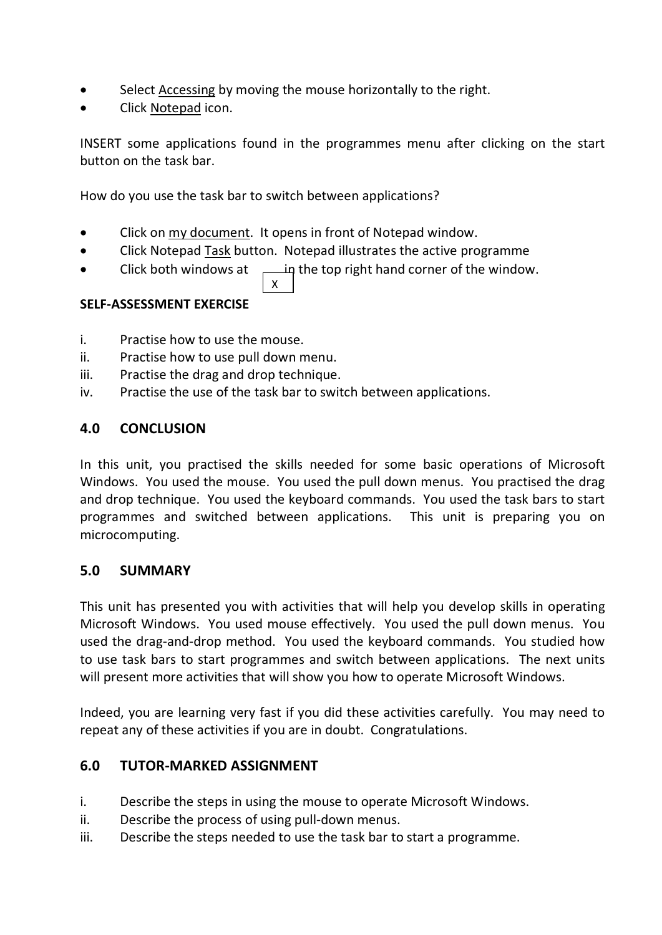- Select **Accessing by moving the mouse horizontally to the right.**
- Click Notepad icon.

INSERT some applications found in the programmes menu after clicking on the start button on the task bar.

How do you use the task bar to switch between applications?

• Click on my document. It opens in front of Notepad window.

X

- Click Notepad Task button. Notepad illustrates the active programme
- Click both windows at in the top right hand corner of the window.

## **SELF-ASSESSMENT EXERCISE**

- i. Practise how to use the mouse.
- ii. Practise how to use pull down menu.
- iii. Practise the drag and drop technique.
- iv. Practise the use of the task bar to switch between applications.

## **4.0 CONCLUSION**

In this unit, you practised the skills needed for some basic operations of Microsoft Windows. You used the mouse. You used the pull down menus. You practised the drag and drop technique. You used the keyboard commands. You used the task bars to start programmes and switched between applications. This unit is preparing you on microcomputing.

#### **5.0 SUMMARY**

This unit has presented you with activities that will help you develop skills in operating Microsoft Windows. You used mouse effectively. You used the pull down menus. You used the drag-and-drop method. You used the keyboard commands. You studied how to use task bars to start programmes and switch between applications. The next units will present more activities that will show you how to operate Microsoft Windows.

Indeed, you are learning very fast if you did these activities carefully. You may need to repeat any of these activities if you are in doubt. Congratulations.

## **6.0 TUTOR-MARKED ASSIGNMENT**

- i. Describe the steps in using the mouse to operate Microsoft Windows.
- ii. Describe the process of using pull-down menus.
- iii. Describe the steps needed to use the task bar to start a programme.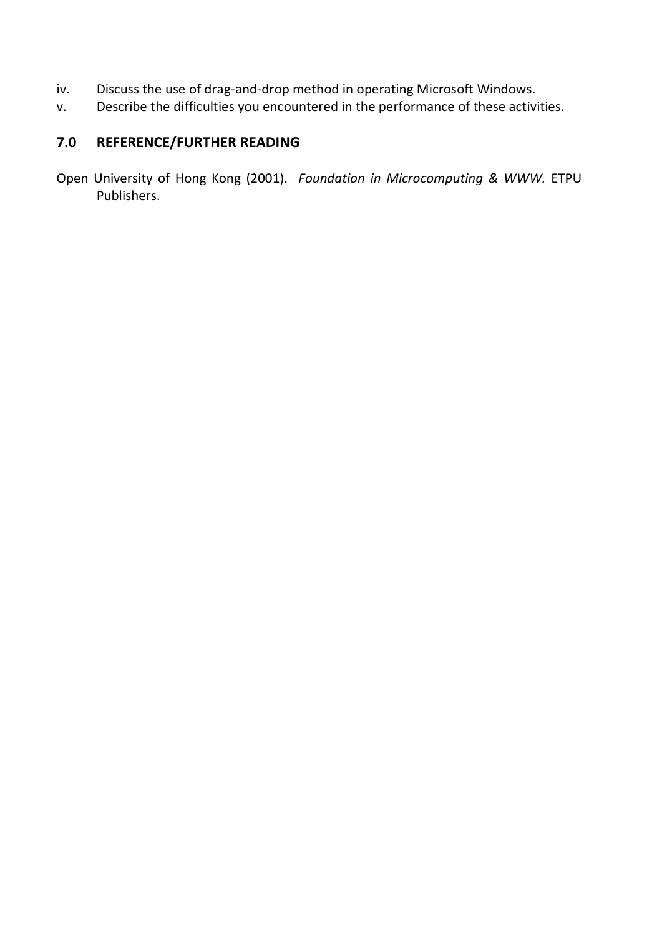- iv. Discuss the use of drag-and-drop method in operating Microsoft Windows.
- v. Describe the difficulties you encountered in the performance of these activities.

## **7.0 REFERENCE/FURTHER READING**

Open University of Hong Kong (2001). *Foundation in Microcomputing & WWW.* ETPU Publishers.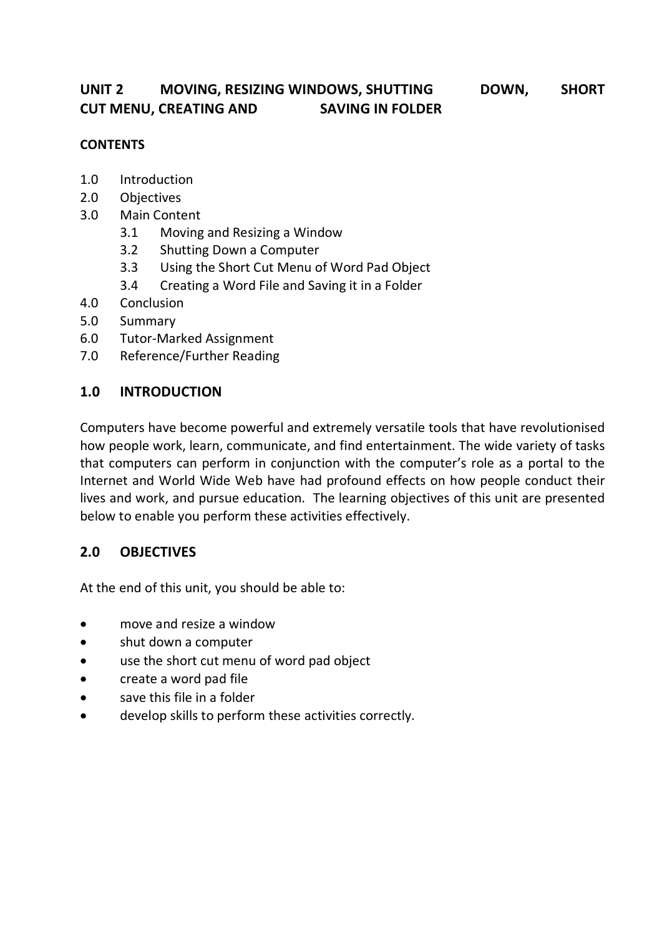# **UNIT 2 MOVING, RESIZING WINDOWS, SHUTTING DOWN, SHORT CUT MENU, CREATING AND SAVING IN FOLDER**

#### **CONTENTS**

- 1.0 Introduction
- 2.0 Objectives
- 3.0 Main Content
	- 3.1 Moving and Resizing a Window
	- 3.2 Shutting Down a Computer
	- 3.3 Using the Short Cut Menu of Word Pad Object
	- 3.4 Creating a Word File and Saving it in a Folder
- 4.0 Conclusion
- 5.0 Summary
- 6.0 Tutor-Marked Assignment
- 7.0 Reference/Further Reading

#### **1.0 INTRODUCTION**

Computers have become powerful and extremely versatile tools that have revolutionised how people work, learn, communicate, and find entertainment. The wide variety of tasks that computers can perform in conjunction with the computer's role as a portal to the Internet and World Wide Web have had profound effects on how people conduct their lives and work, and pursue education. The learning objectives of this unit are presented below to enable you perform these activities effectively.

## **2.0 OBJECTIVES**

At the end of this unit, you should be able to:

- move and resize a window
- shut down a computer
- use the short cut menu of word pad object
- create a word pad file
- save this file in a folder
- develop skills to perform these activities correctly.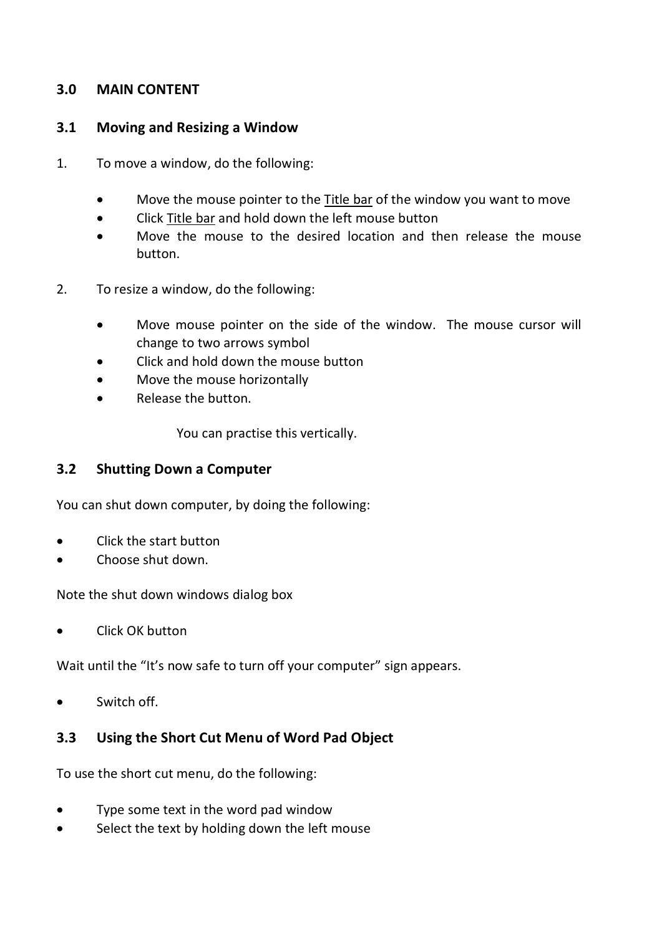## **3.0 MAIN CONTENT**

## **3.1 Moving and Resizing a Window**

- 1. To move a window, do the following:
	- Move the mouse pointer to the Title bar of the window you want to move
	- Click Title bar and hold down the left mouse button
	- Move the mouse to the desired location and then release the mouse button.
- 2. To resize a window, do the following:
	- Move mouse pointer on the side of the window. The mouse cursor will change to two arrows symbol
	- Click and hold down the mouse button
	- Move the mouse horizontally
	- Release the button.

You can practise this vertically.

## **3.2 Shutting Down a Computer**

You can shut down computer, by doing the following:

- Click the start button
- Choose shut down.

Note the shut down windows dialog box

Click OK button

Wait until the "It's now safe to turn off your computer" sign appears.

• Switch off.

## **3.3 Using the Short Cut Menu of Word Pad Object**

To use the short cut menu, do the following:

- Type some text in the word pad window
- Select the text by holding down the left mouse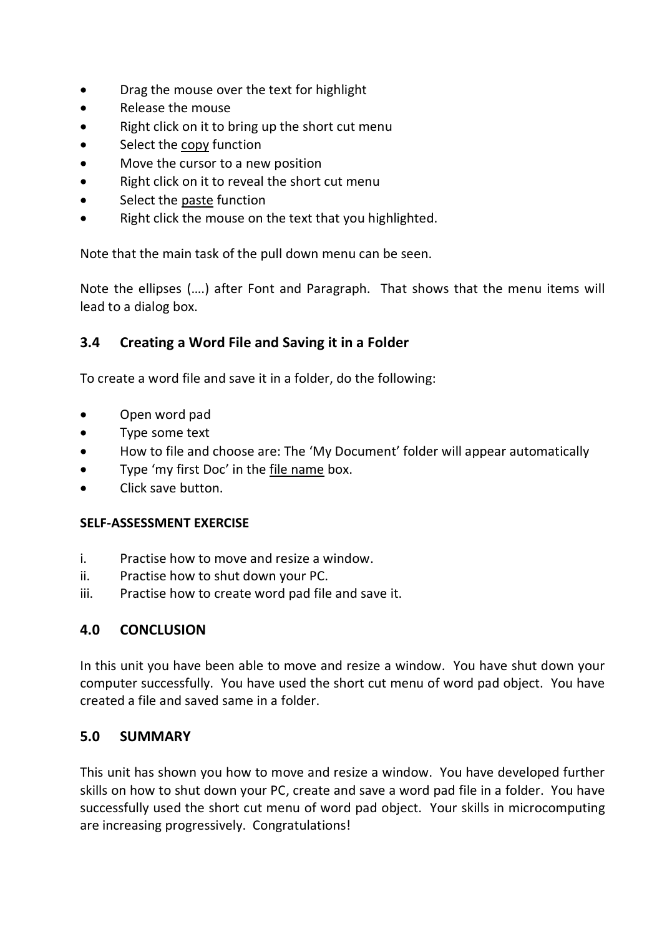- Drag the mouse over the text for highlight
- Release the mouse
- Right click on it to bring up the short cut menu
- Select the copy function
- Move the cursor to a new position
- Right click on it to reveal the short cut menu
- Select the paste function
- Right click the mouse on the text that you highlighted.

Note that the main task of the pull down menu can be seen.

Note the ellipses (….) after Font and Paragraph. That shows that the menu items will lead to a dialog box.

## **3.4 Creating a Word File and Saving it in a Folder**

To create a word file and save it in a folder, do the following:

- Open word pad
- Type some text
- How to file and choose are: The 'My Document' folder will appear automatically
- Type 'my first Doc' in the file name box.
- Click save button.

## **SELF-ASSESSMENT EXERCISE**

- i. Practise how to move and resize a window.
- ii. Practise how to shut down your PC.
- iii. Practise how to create word pad file and save it.

## **4.0 CONCLUSION**

In this unit you have been able to move and resize a window. You have shut down your computer successfully. You have used the short cut menu of word pad object. You have created a file and saved same in a folder.

## **5.0 SUMMARY**

This unit has shown you how to move and resize a window. You have developed further skills on how to shut down your PC, create and save a word pad file in a folder. You have successfully used the short cut menu of word pad object. Your skills in microcomputing are increasing progressively. Congratulations!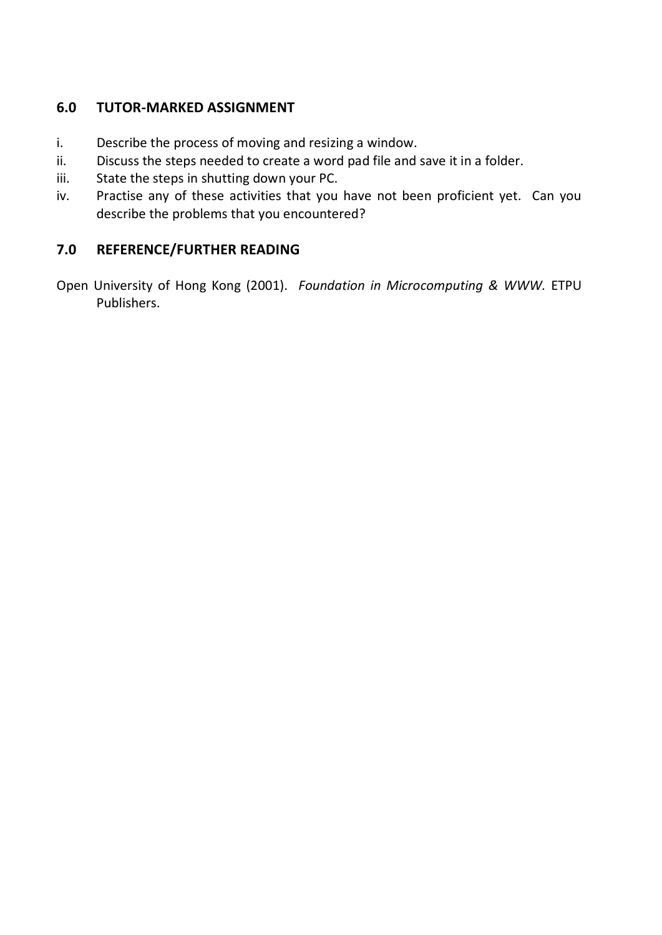# **6.0 TUTOR-MARKED ASSIGNMENT**

- i. Describe the process of moving and resizing a window.
- ii. Discuss the steps needed to create a word pad file and save it in a folder.
- iii. State the steps in shutting down your PC.
- iv. Practise any of these activities that you have not been proficient yet. Can you describe the problems that you encountered?

# **7.0 REFERENCE/FURTHER READING**

Open University of Hong Kong (2001). *Foundation in Microcomputing & WWW.* ETPU Publishers.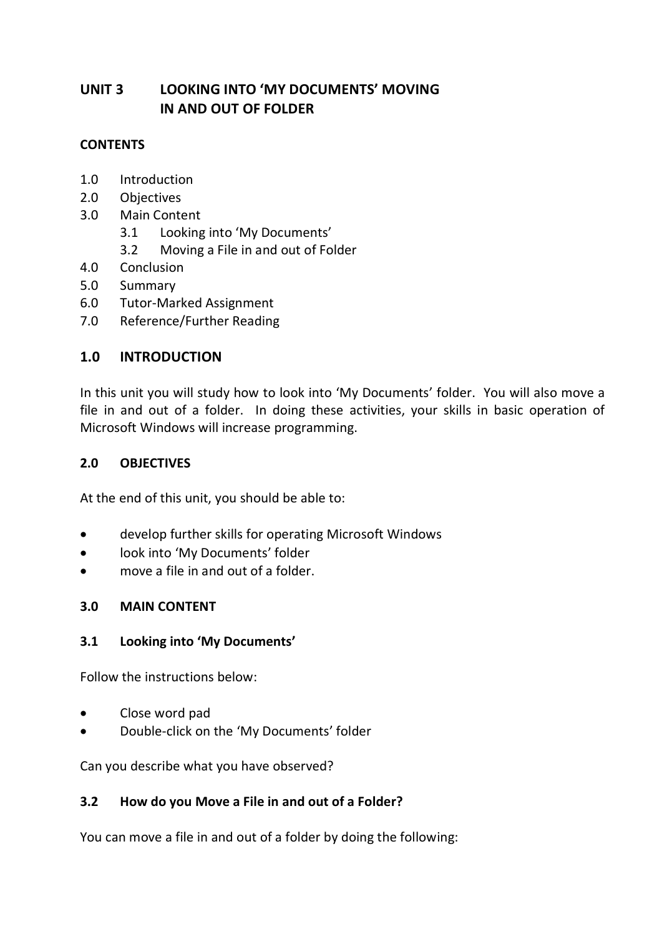# **UNIT 3 LOOKING INTO 'MY DOCUMENTS' MOVING IN AND OUT OF FOLDER**

## **CONTENTS**

- 1.0 Introduction
- 2.0 Objectives
- 3.0 Main Content
	- 3.1 Looking into 'My Documents'
	- 3.2 Moving a File in and out of Folder
- 4.0 Conclusion
- 5.0 Summary
- 6.0 Tutor-Marked Assignment
- 7.0 Reference/Further Reading

## **1.0 INTRODUCTION**

In this unit you will study how to look into 'My Documents' folder. You will also move a file in and out of a folder. In doing these activities, your skills in basic operation of Microsoft Windows will increase programming.

## **2.0 OBJECTIVES**

At the end of this unit, you should be able to:

- develop further skills for operating Microsoft Windows
- look into 'My Documents' folder
- move a file in and out of a folder.

## **3.0 MAIN CONTENT**

## **3.1 Looking into 'My Documents'**

Follow the instructions below:

- Close word pad
- Double-click on the 'My Documents' folder

Can you describe what you have observed?

## **3.2 How do you Move a File in and out of a Folder?**

You can move a file in and out of a folder by doing the following: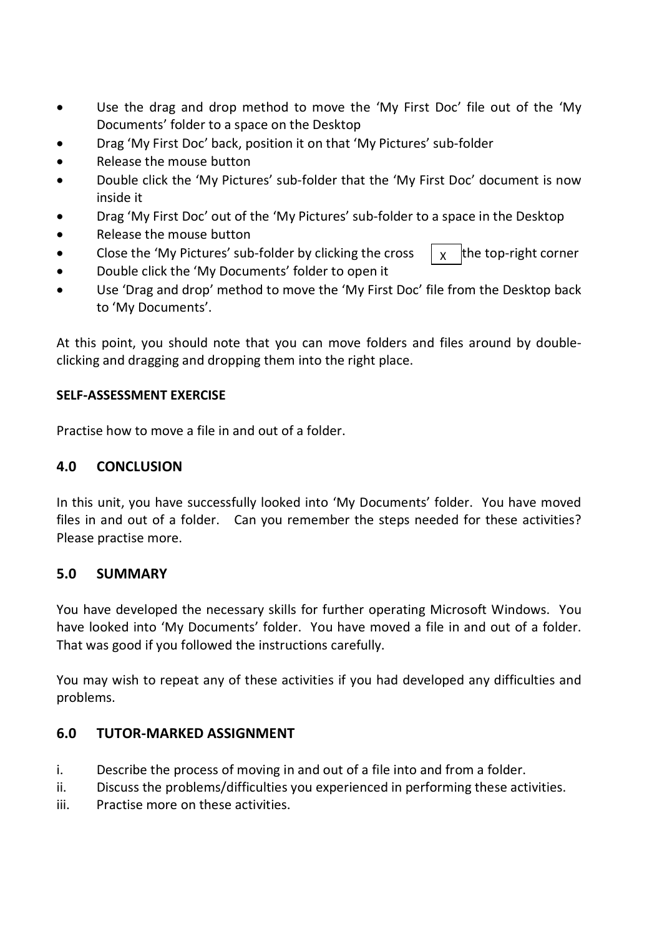- Use the drag and drop method to move the 'My First Doc' file out of the 'My Documents' folder to a space on the Desktop
- Drag 'My First Doc' back, position it on that 'My Pictures' sub-folder
- Release the mouse button
- Double click the 'My Pictures' sub-folder that the 'My First Doc' document is now inside it
- Drag 'My First Doc' out of the 'My Pictures' sub-folder to a space in the Desktop
- Release the mouse button
- Close the 'My Pictures' sub-folder by clicking the cross  $\parallel$  x the top-right corner X
- Double click the 'My Documents' folder to open it
- Use 'Drag and drop' method to move the 'My First Doc' file from the Desktop back to 'My Documents'.

At this point, you should note that you can move folders and files around by doubleclicking and dragging and dropping them into the right place.

## **SELF-ASSESSMENT EXERCISE**

Practise how to move a file in and out of a folder.

# **4.0 CONCLUSION**

In this unit, you have successfully looked into 'My Documents' folder. You have moved files in and out of a folder. Can you remember the steps needed for these activities? Please practise more.

## **5.0 SUMMARY**

You have developed the necessary skills for further operating Microsoft Windows. You have looked into 'My Documents' folder. You have moved a file in and out of a folder. That was good if you followed the instructions carefully.

You may wish to repeat any of these activities if you had developed any difficulties and problems.

## **6.0 TUTOR-MARKED ASSIGNMENT**

- i. Describe the process of moving in and out of a file into and from a folder.
- ii. Discuss the problems/difficulties you experienced in performing these activities.
- iii. Practise more on these activities.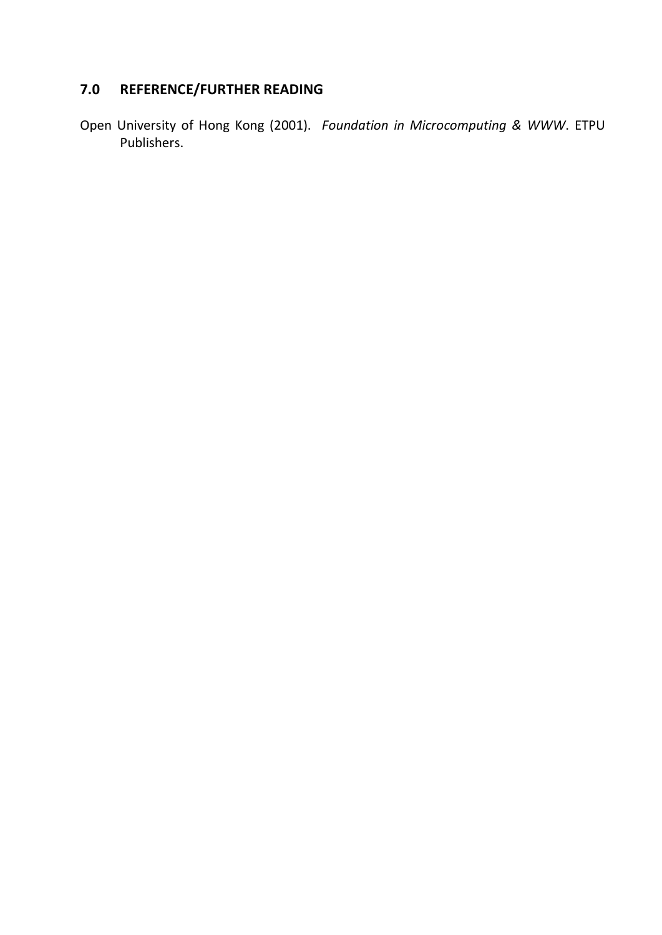# **7.0 REFERENCE/FURTHER READING**

Open University of Hong Kong (2001). *Foundation in Microcomputing & WWW*. ETPU Publishers.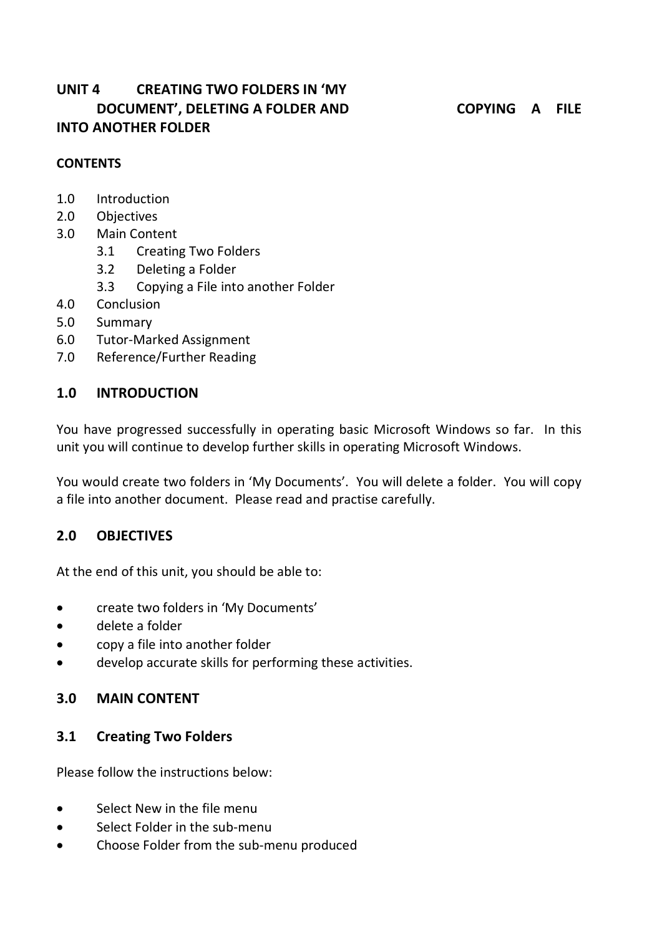# **UNIT 4 CREATING TWO FOLDERS IN 'MY DOCUMENT', DELETING A FOLDER AND COPYING A FILE INTO ANOTHER FOLDER**

#### **CONTENTS**

- 1.0 Introduction
- 2.0 Objectives
- 3.0 Main Content
	- 3.1 Creating Two Folders
	- 3.2 Deleting a Folder
	- 3.3 Copying a File into another Folder
- 4.0 Conclusion
- 5.0 Summary
- 6.0 Tutor-Marked Assignment
- 7.0 Reference/Further Reading

## **1.0 INTRODUCTION**

You have progressed successfully in operating basic Microsoft Windows so far. In this unit you will continue to develop further skills in operating Microsoft Windows.

You would create two folders in 'My Documents'. You will delete a folder. You will copy a file into another document. Please read and practise carefully.

## **2.0 OBJECTIVES**

At the end of this unit, you should be able to:

- create two folders in 'My Documents'
- delete a folder
- copy a file into another folder
- develop accurate skills for performing these activities.

## **3.0 MAIN CONTENT**

#### **3.1 Creating Two Folders**

Please follow the instructions below:

- Select New in the file menu
- Select Folder in the sub-menu
- Choose Folder from the sub-menu produced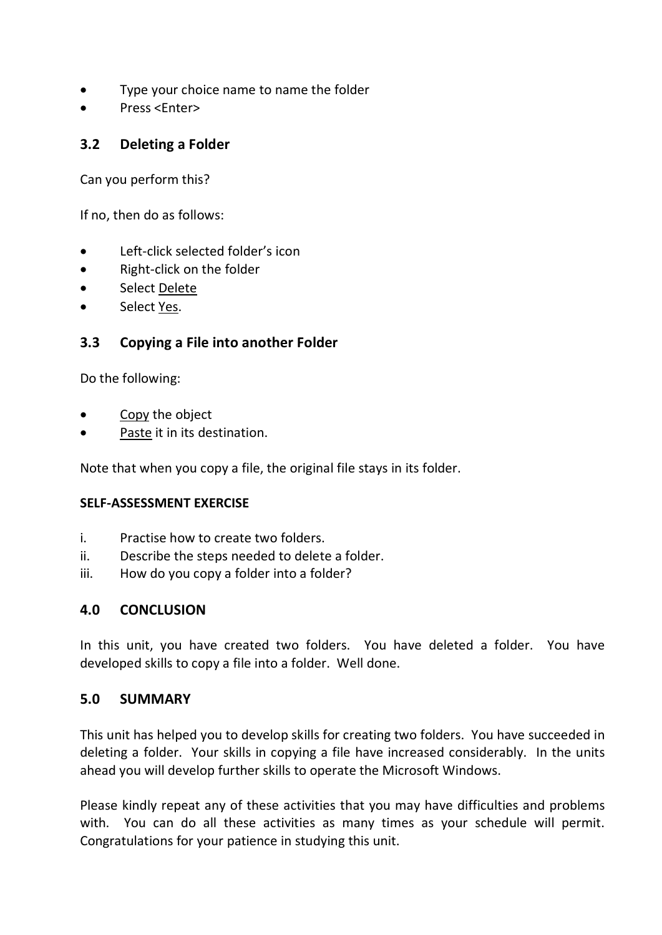- Type your choice name to name the folder
- Press <Enter>

## **3.2 Deleting a Folder**

Can you perform this?

If no, then do as follows:

- Left-click selected folder's icon
- Right-click on the folder
- Select Delete
- Select Yes.

## **3.3 Copying a File into another Folder**

Do the following:

- Copy the object
- Paste it in its destination.

Note that when you copy a file, the original file stays in its folder.

#### **SELF-ASSESSMENT EXERCISE**

- i. Practise how to create two folders.
- ii. Describe the steps needed to delete a folder.
- iii. How do you copy a folder into a folder?

#### **4.0 CONCLUSION**

In this unit, you have created two folders. You have deleted a folder. You have developed skills to copy a file into a folder. Well done.

#### **5.0 SUMMARY**

This unit has helped you to develop skills for creating two folders. You have succeeded in deleting a folder. Your skills in copying a file have increased considerably. In the units ahead you will develop further skills to operate the Microsoft Windows.

Please kindly repeat any of these activities that you may have difficulties and problems with. You can do all these activities as many times as your schedule will permit. Congratulations for your patience in studying this unit.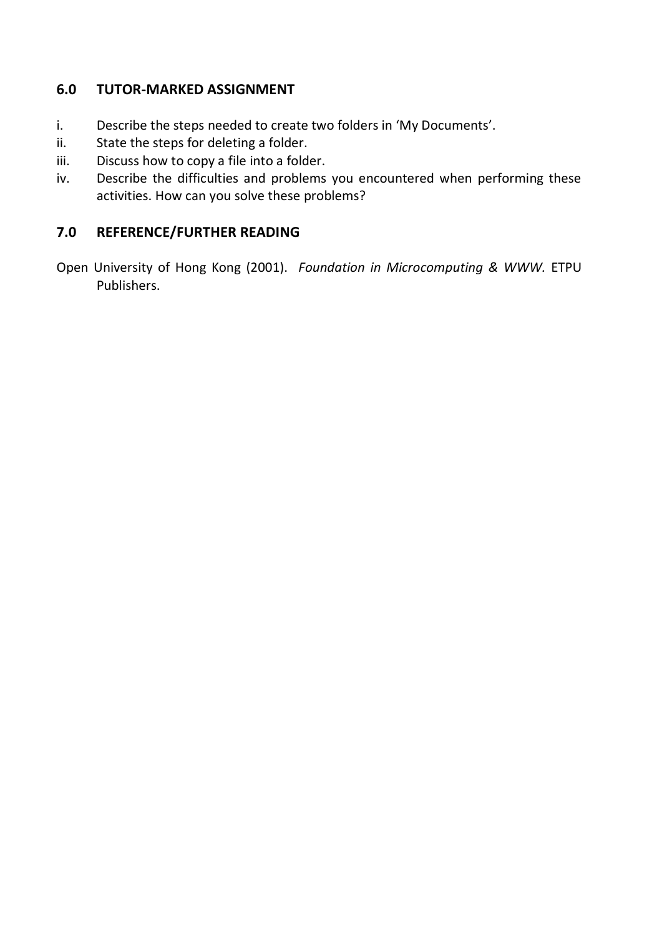# **6.0 TUTOR-MARKED ASSIGNMENT**

- i. Describe the steps needed to create two folders in 'My Documents'.
- ii. State the steps for deleting a folder.
- iii. Discuss how to copy a file into a folder.
- iv. Describe the difficulties and problems you encountered when performing these activities. How can you solve these problems?

# **7.0 REFERENCE/FURTHER READING**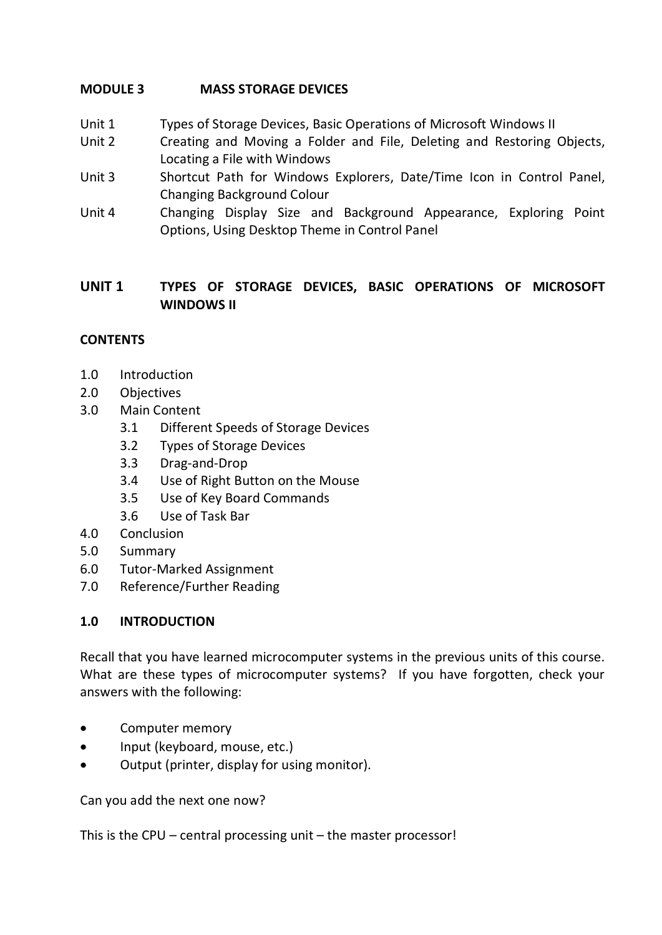## **MODULE 3 MASS STORAGE DEVICES**

- Unit 1 Types of Storage Devices, Basic Operations of Microsoft Windows II
- Unit 2 Creating and Moving a Folder and File, Deleting and Restoring Objects, Locating a File with Windows
- Unit 3 Shortcut Path for Windows Explorers, Date/Time Icon in Control Panel, Changing Background Colour
- Unit 4 Changing Display Size and Background Appearance, Exploring Point Options, Using Desktop Theme in Control Panel

## **UNIT 1 TYPES OF STORAGE DEVICES, BASIC OPERATIONS OF MICROSOFT WINDOWS II**

## **CONTENTS**

- 1.0 Introduction
- 2.0 Objectives
- 3.0 Main Content
	- 3.1 Different Speeds of Storage Devices
	- 3.2 Types of Storage Devices
	- 3.3 Drag-and-Drop
	- 3.4 Use of Right Button on the Mouse
	- 3.5 Use of Key Board Commands
	- 3.6 Use of Task Bar
- 4.0 Conclusion
- 5.0 Summary
- 6.0 Tutor-Marked Assignment
- 7.0 Reference/Further Reading

#### **1.0 INTRODUCTION**

Recall that you have learned microcomputer systems in the previous units of this course. What are these types of microcomputer systems? If you have forgotten, check your answers with the following:

- Computer memory
- Input (keyboard, mouse, etc.)
- Output (printer, display for using monitor).

Can you add the next one now?

This is the CPU – central processing unit – the master processor!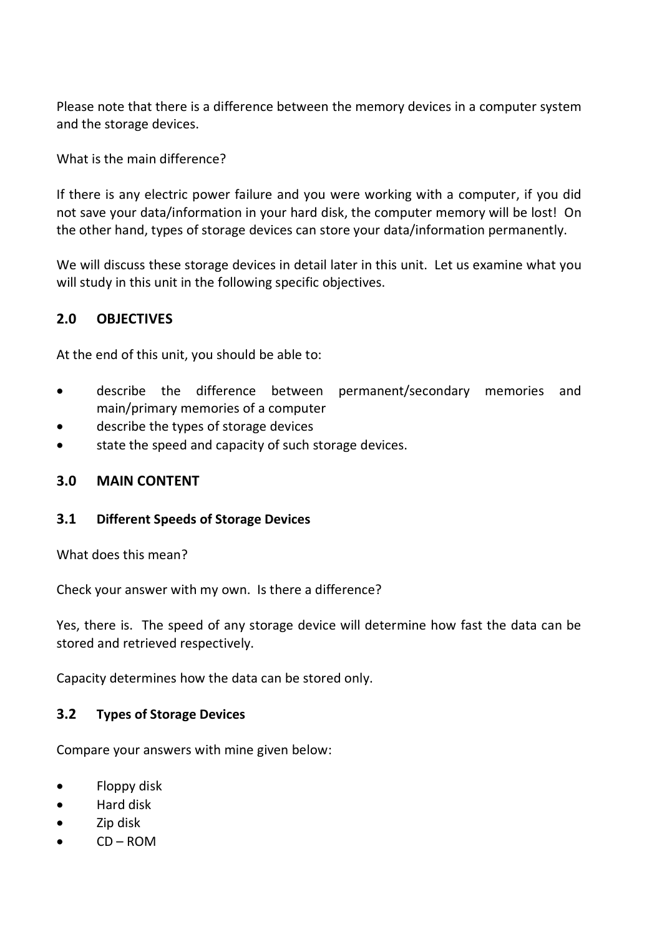Please note that there is a difference between the memory devices in a computer system and the storage devices.

What is the main difference?

If there is any electric power failure and you were working with a computer, if you did not save your data/information in your hard disk, the computer memory will be lost! On the other hand, types of storage devices can store your data/information permanently.

We will discuss these storage devices in detail later in this unit. Let us examine what you will study in this unit in the following specific objectives.

# **2.0 OBJECTIVES**

At the end of this unit, you should be able to:

- describe the difference between permanent/secondary memories and main/primary memories of a computer
- describe the types of storage devices
- state the speed and capacity of such storage devices.

#### **3.0 MAIN CONTENT**

#### **3.1 Different Speeds of Storage Devices**

What does this mean?

Check your answer with my own. Is there a difference?

Yes, there is. The speed of any storage device will determine how fast the data can be stored and retrieved respectively.

Capacity determines how the data can be stored only.

#### **3.2 Types of Storage Devices**

Compare your answers with mine given below:

- Floppy disk
- Hard disk
- Zip disk
- $CD ROM$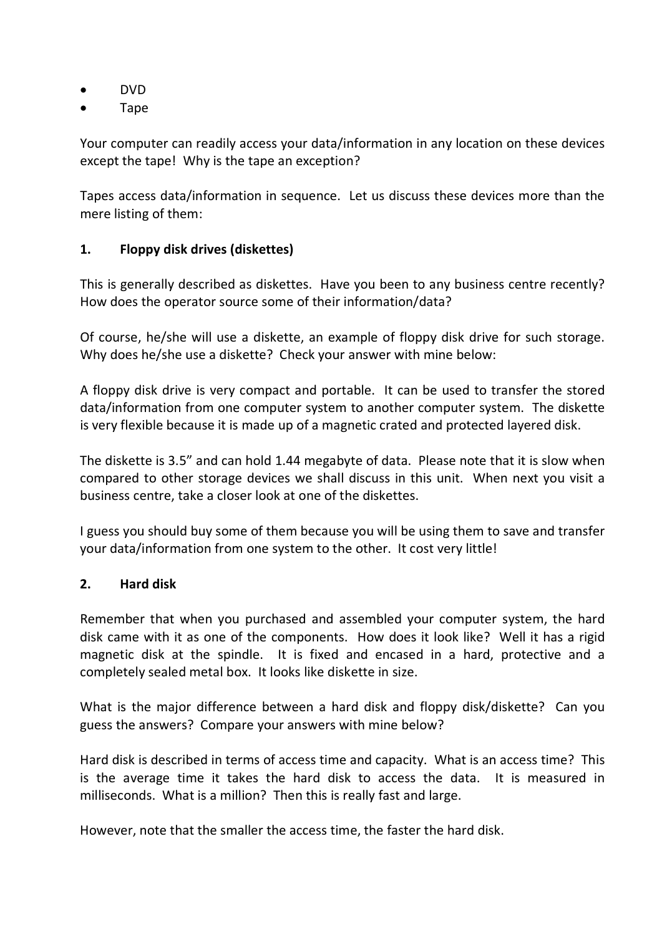- DVD
- Tape

Your computer can readily access your data/information in any location on these devices except the tape! Why is the tape an exception?

Tapes access data/information in sequence. Let us discuss these devices more than the mere listing of them:

#### **1. Floppy disk drives (diskettes)**

This is generally described as diskettes. Have you been to any business centre recently? How does the operator source some of their information/data?

Of course, he/she will use a diskette, an example of floppy disk drive for such storage. Why does he/she use a diskette? Check your answer with mine below:

A floppy disk drive is very compact and portable. It can be used to transfer the stored data/information from one computer system to another computer system. The diskette is very flexible because it is made up of a magnetic crated and protected layered disk.

The diskette is 3.5" and can hold 1.44 megabyte of data. Please note that it is slow when compared to other storage devices we shall discuss in this unit. When next you visit a business centre, take a closer look at one of the diskettes.

I guess you should buy some of them because you will be using them to save and transfer your data/information from one system to the other. It cost very little!

#### **2. Hard disk**

Remember that when you purchased and assembled your computer system, the hard disk came with it as one of the components. How does it look like? Well it has a rigid magnetic disk at the spindle. It is fixed and encased in a hard, protective and a completely sealed metal box. It looks like diskette in size.

What is the major difference between a hard disk and floppy disk/diskette? Can you guess the answers? Compare your answers with mine below?

Hard disk is described in terms of access time and capacity. What is an access time? This is the average time it takes the hard disk to access the data. It is measured in milliseconds. What is a million? Then this is really fast and large.

However, note that the smaller the access time, the faster the hard disk.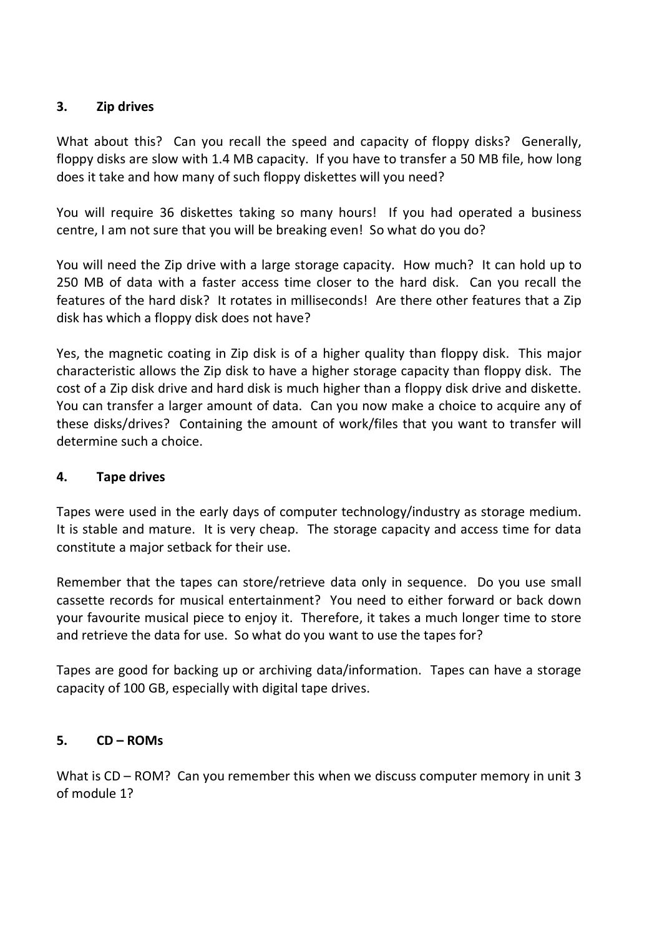#### **3. Zip drives**

What about this? Can you recall the speed and capacity of floppy disks? Generally, floppy disks are slow with 1.4 MB capacity. If you have to transfer a 50 MB file, how long does it take and how many of such floppy diskettes will you need?

You will require 36 diskettes taking so many hours! If you had operated a business centre, I am not sure that you will be breaking even! So what do you do?

You will need the Zip drive with a large storage capacity. How much? It can hold up to 250 MB of data with a faster access time closer to the hard disk. Can you recall the features of the hard disk? It rotates in milliseconds! Are there other features that a Zip disk has which a floppy disk does not have?

Yes, the magnetic coating in Zip disk is of a higher quality than floppy disk. This major characteristic allows the Zip disk to have a higher storage capacity than floppy disk. The cost of a Zip disk drive and hard disk is much higher than a floppy disk drive and diskette. You can transfer a larger amount of data. Can you now make a choice to acquire any of these disks/drives? Containing the amount of work/files that you want to transfer will determine such a choice.

#### **4. Tape drives**

Tapes were used in the early days of computer technology/industry as storage medium. It is stable and mature. It is very cheap. The storage capacity and access time for data constitute a major setback for their use.

Remember that the tapes can store/retrieve data only in sequence. Do you use small cassette records for musical entertainment? You need to either forward or back down your favourite musical piece to enjoy it. Therefore, it takes a much longer time to store and retrieve the data for use. So what do you want to use the tapes for?

Tapes are good for backing up or archiving data/information. Tapes can have a storage capacity of 100 GB, especially with digital tape drives.

#### **5. CD – ROMs**

What is CD – ROM? Can you remember this when we discuss computer memory in unit 3 of module 1?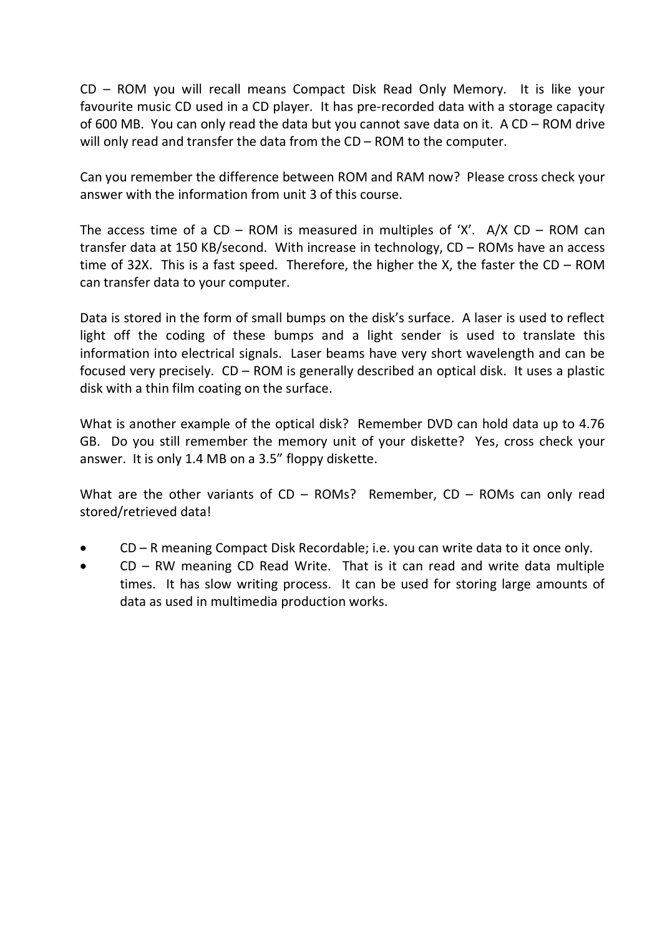CD – ROM you will recall means Compact Disk Read Only Memory. It is like your favourite music CD used in a CD player. It has pre-recorded data with a storage capacity of 600 MB. You can only read the data but you cannot save data on it. A CD – ROM drive will only read and transfer the data from the CD – ROM to the computer.

Can you remember the difference between ROM and RAM now? Please cross check your answer with the information from unit 3 of this course.

The access time of a CD – ROM is measured in multiples of 'X'.  $A/X$  CD – ROM can transfer data at 150 KB/second. With increase in technology, CD – ROMs have an access time of 32X. This is a fast speed. Therefore, the higher the  $X$ , the faster the  $CD - ROM$ can transfer data to your computer.

Data is stored in the form of small bumps on the disk's surface. A laser is used to reflect light off the coding of these bumps and a light sender is used to translate this information into electrical signals. Laser beams have very short wavelength and can be focused very precisely. CD – ROM is generally described an optical disk. It uses a plastic disk with a thin film coating on the surface.

What is another example of the optical disk? Remember DVD can hold data up to 4.76 GB. Do you still remember the memory unit of your diskette? Yes, cross check your answer. It is only 1.4 MB on a 3.5" floppy diskette.

What are the other variants of  $CD - ROMs$ ? Remember,  $CD - ROMs$  can only read stored/retrieved data!

- CD R meaning Compact Disk Recordable; i.e. you can write data to it once only.
- CD RW meaning CD Read Write. That is it can read and write data multiple times. It has slow writing process. It can be used for storing large amounts of data as used in multimedia production works.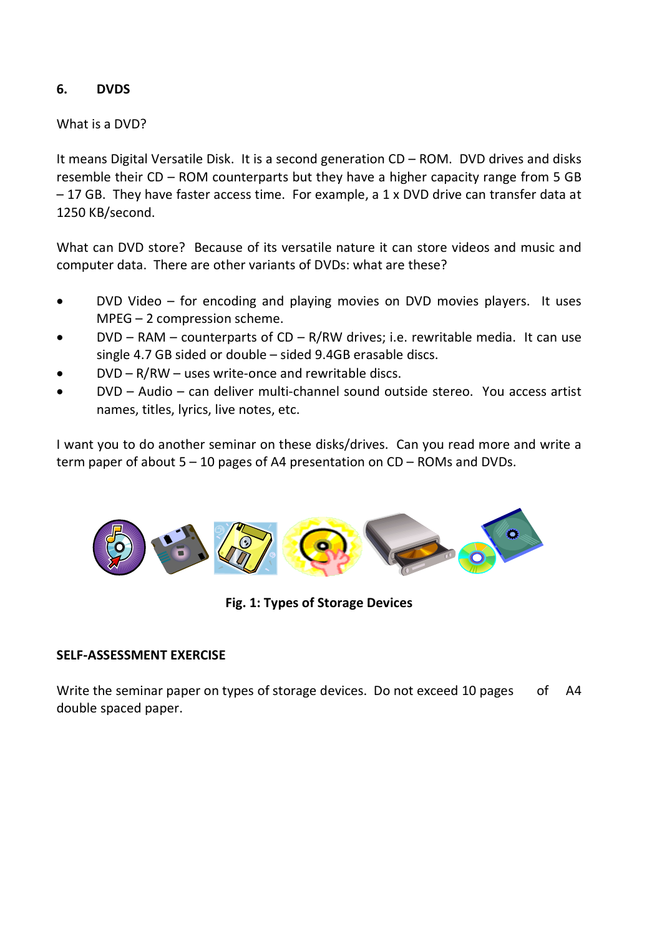# **6. DVDS**

What is a DVD?

It means Digital Versatile Disk. It is a second generation CD – ROM. DVD drives and disks resemble their CD – ROM counterparts but they have a higher capacity range from 5 GB – 17 GB. They have faster access time. For example, a 1 x DVD drive can transfer data at 1250 KB/second.

What can DVD store? Because of its versatile nature it can store videos and music and computer data. There are other variants of DVDs: what are these?

- DVD Video for encoding and playing movies on DVD movies players. It uses MPEG – 2 compression scheme.
- $DVD RAM counterparts of CD R/RW$  drives; i.e. rewritable media. It can use single 4.7 GB sided or double – sided 9.4GB erasable discs.
- $DVD R/RW -$  uses write-once and rewritable discs.
- DVD Audio can deliver multi-channel sound outside stereo. You access artist names, titles, lyrics, live notes, etc.

I want you to do another seminar on these disks/drives. Can you read more and write a term paper of about 5 – 10 pages of A4 presentation on CD – ROMs and DVDs.



**Fig. 1: Types of Storage Devices**

#### **SELF-ASSESSMENT EXERCISE**

Write the seminar paper on types of storage devices. Do not exceed 10 pages of A4 double spaced paper.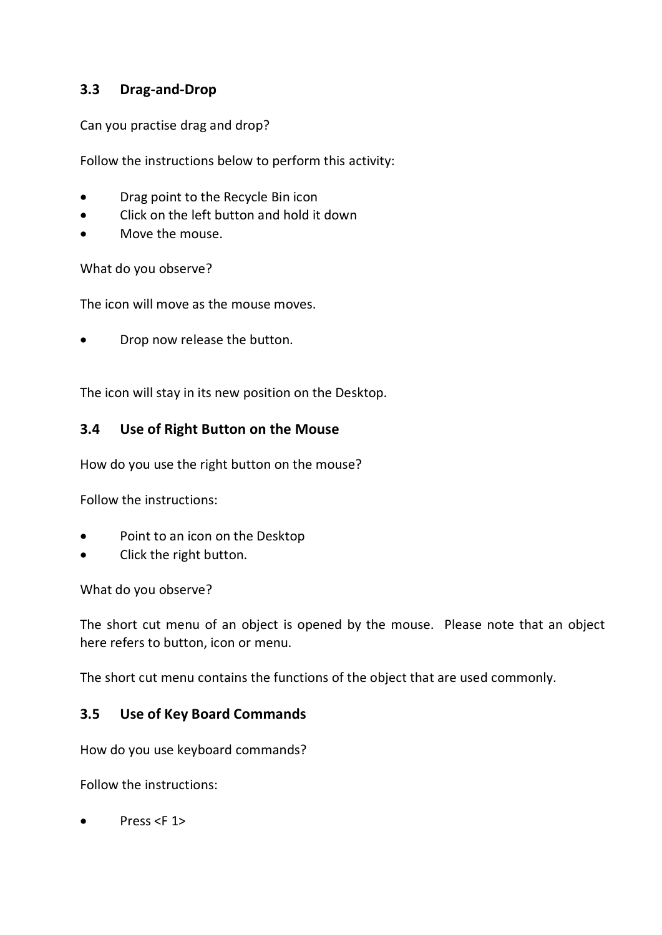## **3.3 Drag-and-Drop**

Can you practise drag and drop?

Follow the instructions below to perform this activity:

- Drag point to the Recycle Bin icon
- Click on the left button and hold it down
- Move the mouse.

What do you observe?

The icon will move as the mouse moves.

Drop now release the button.

The icon will stay in its new position on the Desktop.

## **3.4 Use of Right Button on the Mouse**

How do you use the right button on the mouse?

Follow the instructions:

- Point to an icon on the Desktop
- Click the right button.

What do you observe?

The short cut menu of an object is opened by the mouse. Please note that an object here refers to button, icon or menu.

The short cut menu contains the functions of the object that are used commonly.

#### **3.5 Use of Key Board Commands**

How do you use keyboard commands?

Follow the instructions:

Press <F 1>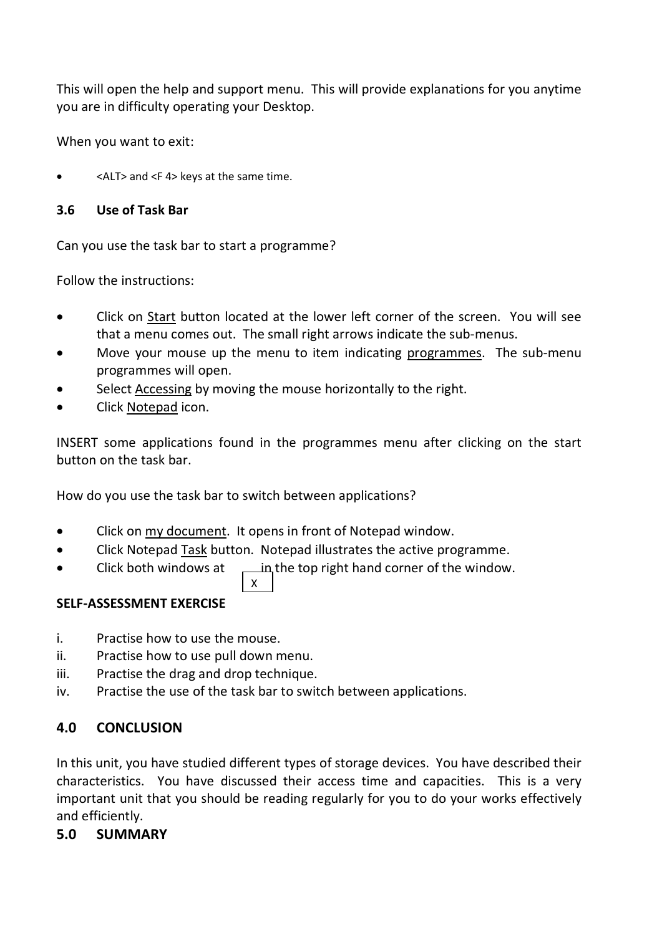This will open the help and support menu. This will provide explanations for you anytime you are in difficulty operating your Desktop.

When you want to exit:

• <ALT> and <F 4> keys at the same time.

## **3.6 Use of Task Bar**

Can you use the task bar to start a programme?

Follow the instructions:

- Click on Start button located at the lower left corner of the screen. You will see that a menu comes out. The small right arrows indicate the sub-menus.
- Move your mouse up the menu to item indicating programmes. The sub-menu programmes will open.
- Select Accessing by moving the mouse horizontally to the right.
- Click Notepad icon.

INSERT some applications found in the programmes menu after clicking on the start button on the task bar.

How do you use the task bar to switch between applications?

• Click on my document. It opens in front of Notepad window.

X

- Click Notepad Task button. Notepad illustrates the active programme.
- Click both windows at  $\quad \Box$  in the top right hand corner of the window.

#### **SELF-ASSESSMENT EXERCISE**

- i. Practise how to use the mouse.
- ii. Practise how to use pull down menu.
- iii. Practise the drag and drop technique.
- iv. Practise the use of the task bar to switch between applications.

# **4.0 CONCLUSION**

In this unit, you have studied different types of storage devices. You have described their characteristics. You have discussed their access time and capacities. This is a very important unit that you should be reading regularly for you to do your works effectively and efficiently.

## **5.0 SUMMARY**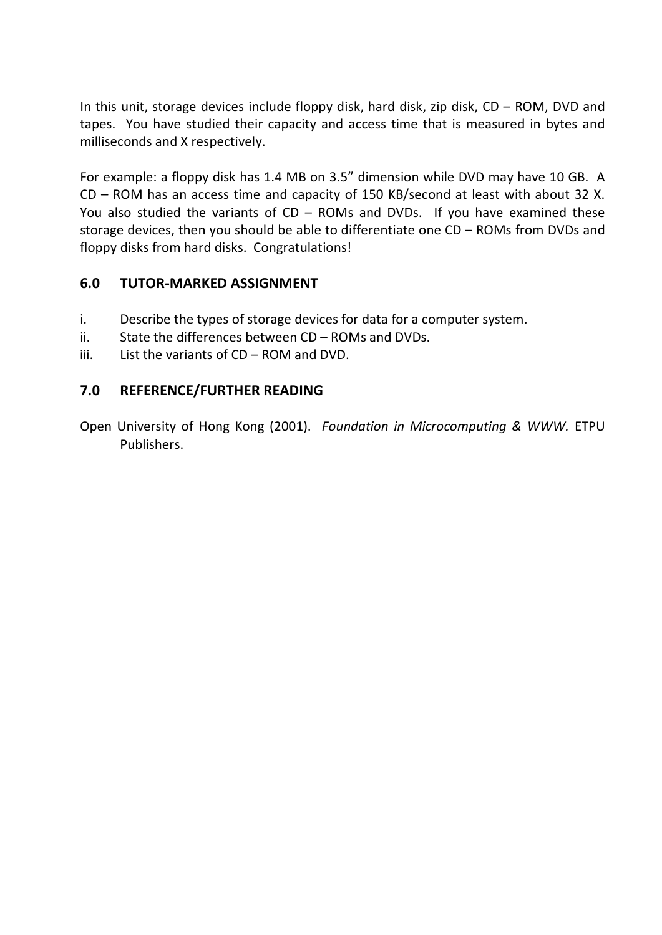In this unit, storage devices include floppy disk, hard disk, zip disk, CD – ROM, DVD and tapes. You have studied their capacity and access time that is measured in bytes and milliseconds and X respectively.

For example: a floppy disk has 1.4 MB on 3.5" dimension while DVD may have 10 GB. A CD – ROM has an access time and capacity of 150 KB/second at least with about 32 X. You also studied the variants of  $CD - ROMs$  and DVDs. If you have examined these storage devices, then you should be able to differentiate one CD – ROMs from DVDs and floppy disks from hard disks. Congratulations!

## **6.0 TUTOR-MARKED ASSIGNMENT**

- i. Describe the types of storage devices for data for a computer system.
- ii. State the differences between CD ROMs and DVDs.
- iii. List the variants of CD ROM and DVD.

## **7.0 REFERENCE/FURTHER READING**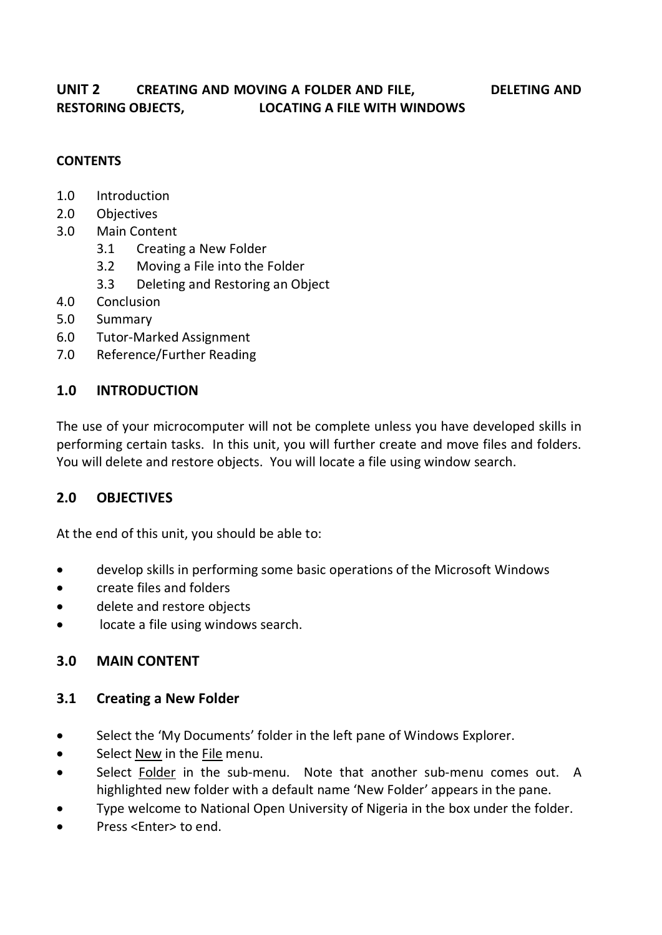## UNIT 2 **CREATING AND MOVING A FOLDER AND FILE, BELETING AND RESTORING OBJECTS, LOCATING A FILE WITH WINDOWS**

#### **CONTENTS**

- 1.0 Introduction
- 2.0 Objectives
- 3.0 Main Content
	- 3.1 Creating a New Folder
	- 3.2 Moving a File into the Folder
	- 3.3 Deleting and Restoring an Object
- 4.0 Conclusion
- 5.0 Summary
- 6.0 Tutor-Marked Assignment
- 7.0 Reference/Further Reading

#### **1.0 INTRODUCTION**

The use of your microcomputer will not be complete unless you have developed skills in performing certain tasks. In this unit, you will further create and move files and folders. You will delete and restore objects. You will locate a file using window search.

#### **2.0 OBJECTIVES**

At the end of this unit, you should be able to:

- develop skills in performing some basic operations of the Microsoft Windows
- create files and folders
- delete and restore objects
- locate a file using windows search.

#### **3.0 MAIN CONTENT**

#### **3.1 Creating a New Folder**

- Select the 'My Documents' folder in the left pane of Windows Explorer.
- Select New in the File menu.
- Select Folder in the sub-menu. Note that another sub-menu comes out. A highlighted new folder with a default name 'New Folder' appears in the pane.
- Type welcome to National Open University of Nigeria in the box under the folder.
- Press <Enter> to end.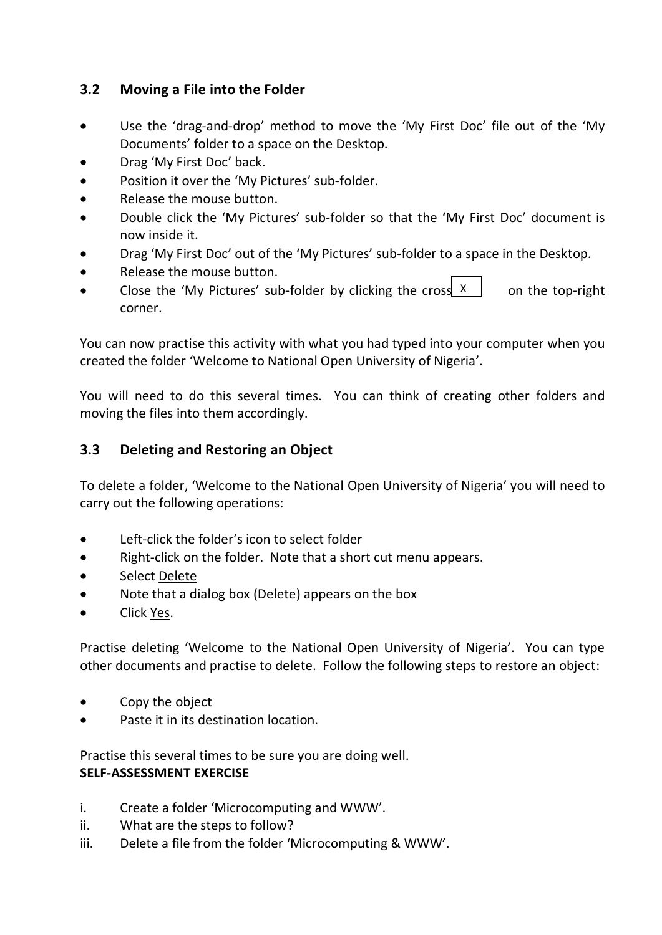# **3.2 Moving a File into the Folder**

- Use the 'drag-and-drop' method to move the 'My First Doc' file out of the 'My Documents' folder to a space on the Desktop.
- Drag 'My First Doc' back.
- Position it over the 'My Pictures' sub-folder.
- Release the mouse button.
- Double click the 'My Pictures' sub-folder so that the 'My First Doc' document is now inside it.
- Drag 'My First Doc' out of the 'My Pictures' sub-folder to a space in the Desktop.
- Release the mouse button.
- Close the 'My Pictures' sub-folder by clicking the cross  $X$  on the top-right corner.

You can now practise this activity with what you had typed into your computer when you created the folder 'Welcome to National Open University of Nigeria'.

You will need to do this several times. You can think of creating other folders and moving the files into them accordingly.

## **3.3 Deleting and Restoring an Object**

To delete a folder, 'Welcome to the National Open University of Nigeria' you will need to carry out the following operations:

- Left-click the folder's icon to select folder
- Right-click on the folder. Note that a short cut menu appears.
- Select Delete
- Note that a dialog box (Delete) appears on the box
- Click Yes.

Practise deleting 'Welcome to the National Open University of Nigeria'. You can type other documents and practise to delete. Follow the following steps to restore an object:

- Copy the object
- Paste it in its destination location.

Practise this several times to be sure you are doing well. **SELF-ASSESSMENT EXERCISE**

- i. Create a folder 'Microcomputing and WWW'.
- ii. What are the steps to follow?
- iii. Delete a file from the folder 'Microcomputing & WWW'.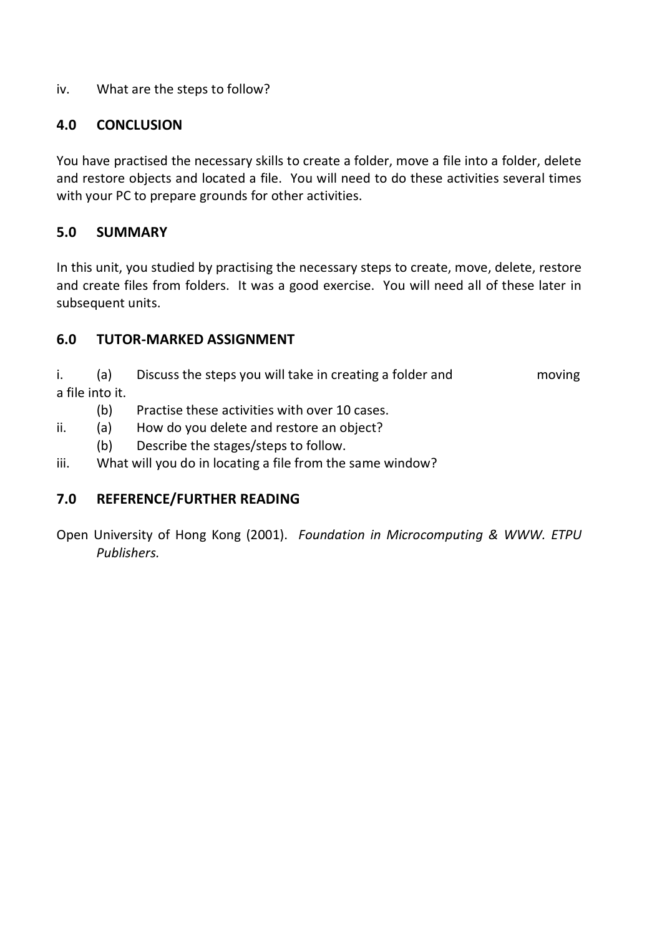#### iv. What are the steps to follow?

## **4.0 CONCLUSION**

You have practised the necessary skills to create a folder, move a file into a folder, delete and restore objects and located a file. You will need to do these activities several times with your PC to prepare grounds for other activities.

## **5.0 SUMMARY**

In this unit, you studied by practising the necessary steps to create, move, delete, restore and create files from folders. It was a good exercise. You will need all of these later in subsequent units.

## **6.0 TUTOR-MARKED ASSIGNMENT**

i. (a) Discuss the steps you will take in creating a folder and moving a file into it.

- (b) Practise these activities with over 10 cases.
- ii. (a) How do you delete and restore an object?
	- (b) Describe the stages/steps to follow.
- iii. What will you do in locating a file from the same window?

#### **7.0 REFERENCE/FURTHER READING**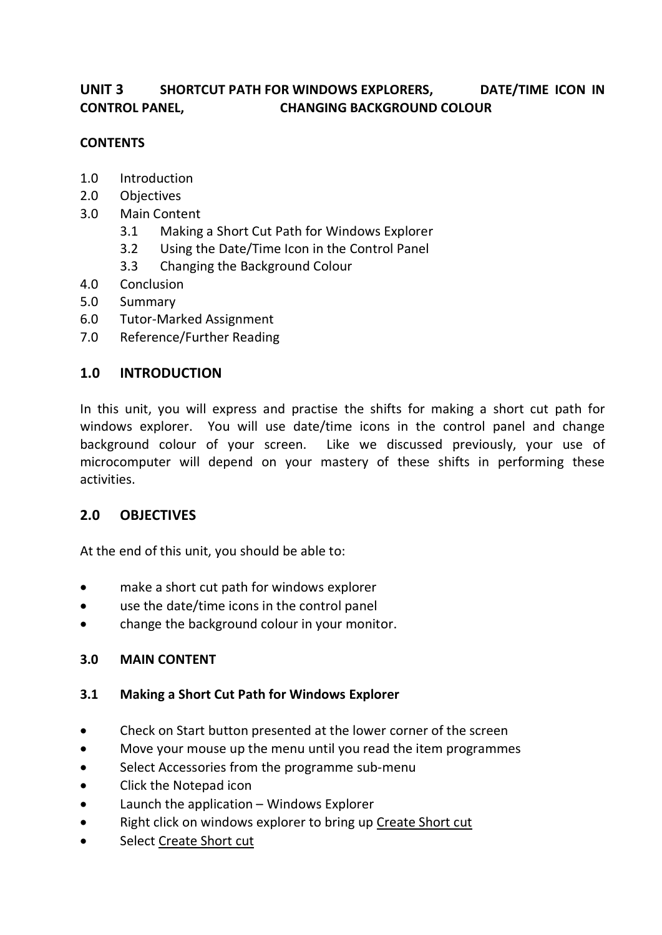# UNIT 3 SHORTCUT PATH FOR WINDOWS EXPLORERS, DATE/TIME ICON IN **CONTROL PANEL, CHANGING BACKGROUND COLOUR**

#### **CONTENTS**

- 1.0 Introduction
- 2.0 Objectives
- 3.0 Main Content
	- 3.1 Making a Short Cut Path for Windows Explorer
	- 3.2 Using the Date/Time Icon in the Control Panel
	- 3.3 Changing the Background Colour
- 4.0 Conclusion
- 5.0 Summary
- 6.0 Tutor-Marked Assignment
- 7.0 Reference/Further Reading

## **1.0 INTRODUCTION**

In this unit, you will express and practise the shifts for making a short cut path for windows explorer. You will use date/time icons in the control panel and change background colour of your screen. Like we discussed previously, your use of microcomputer will depend on your mastery of these shifts in performing these activities.

#### **2.0 OBJECTIVES**

At the end of this unit, you should be able to:

- make a short cut path for windows explorer
- use the date/time icons in the control panel
- change the background colour in your monitor.

#### **3.0 MAIN CONTENT**

#### **3.1 Making a Short Cut Path for Windows Explorer**

- Check on Start button presented at the lower corner of the screen
- Move your mouse up the menu until you read the item programmes
- Select Accessories from the programme sub-menu
- Click the Notepad icon
- Launch the application Windows Explorer
- Right click on windows explorer to bring up Create Short cut
- Select Create Short cut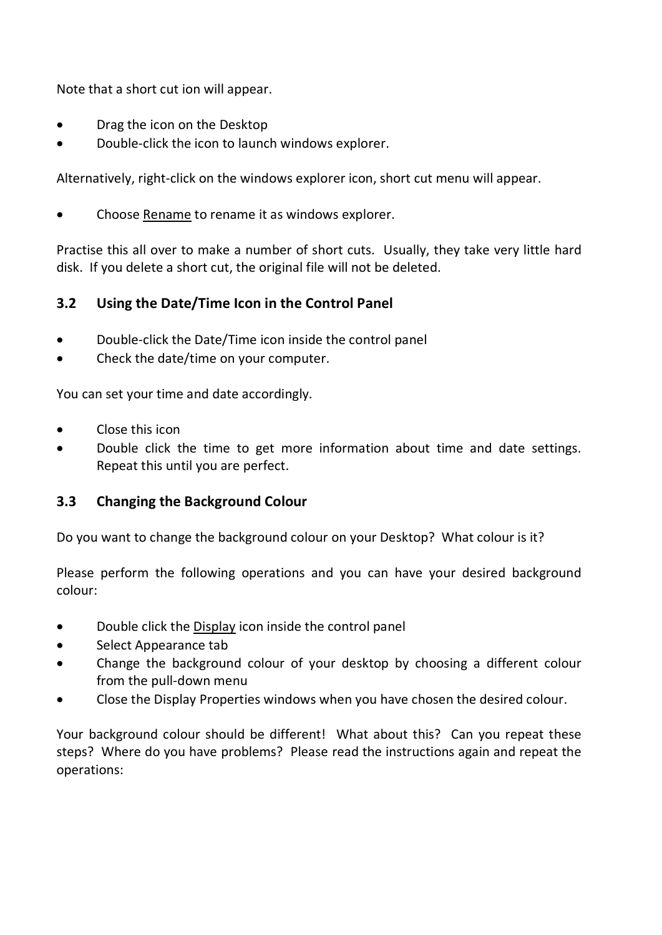Note that a short cut ion will appear.

- Drag the icon on the Desktop
- Double-click the icon to launch windows explorer.

Alternatively, right-click on the windows explorer icon, short cut menu will appear.

• Choose Rename to rename it as windows explorer.

Practise this all over to make a number of short cuts. Usually, they take very little hard disk. If you delete a short cut, the original file will not be deleted.

## **3.2 Using the Date/Time Icon in the Control Panel**

- Double-click the Date/Time icon inside the control panel
- Check the date/time on your computer.

You can set your time and date accordingly.

- Close this icon
- Double click the time to get more information about time and date settings. Repeat this until you are perfect.

#### **3.3 Changing the Background Colour**

Do you want to change the background colour on your Desktop? What colour is it?

Please perform the following operations and you can have your desired background colour:

- Double click the Display icon inside the control panel
- Select Appearance tab
- Change the background colour of your desktop by choosing a different colour from the pull-down menu
- Close the Display Properties windows when you have chosen the desired colour.

Your background colour should be different! What about this? Can you repeat these steps? Where do you have problems? Please read the instructions again and repeat the operations: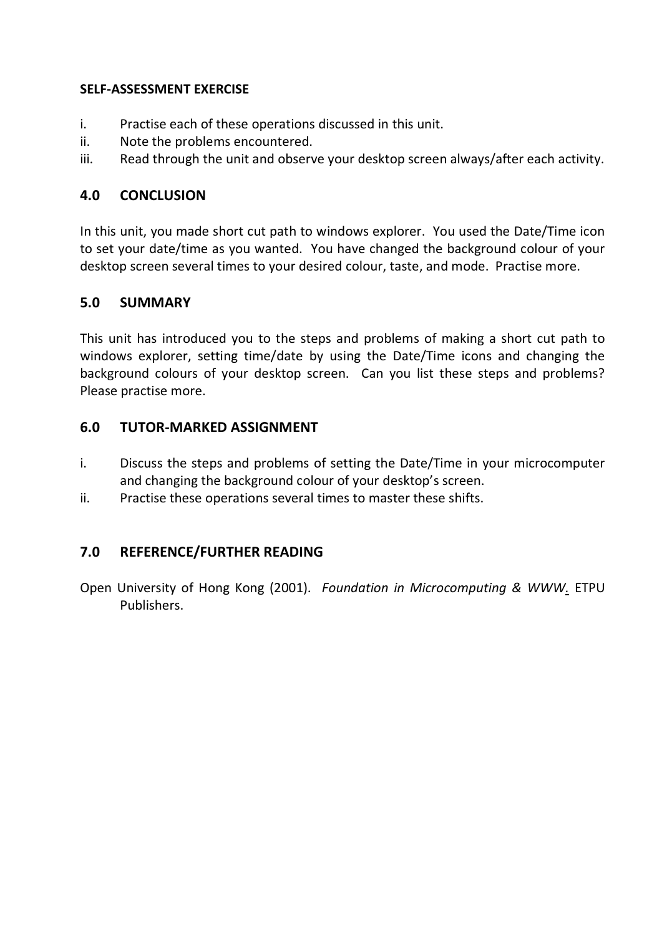#### **SELF-ASSESSMENT EXERCISE**

- i. Practise each of these operations discussed in this unit.
- ii. Note the problems encountered.
- iii. Read through the unit and observe your desktop screen always/after each activity.

## **4.0 CONCLUSION**

In this unit, you made short cut path to windows explorer. You used the Date/Time icon to set your date/time as you wanted. You have changed the background colour of your desktop screen several times to your desired colour, taste, and mode. Practise more.

## **5.0 SUMMARY**

This unit has introduced you to the steps and problems of making a short cut path to windows explorer, setting time/date by using the Date/Time icons and changing the background colours of your desktop screen. Can you list these steps and problems? Please practise more.

#### **6.0 TUTOR-MARKED ASSIGNMENT**

- i. Discuss the steps and problems of setting the Date/Time in your microcomputer and changing the background colour of your desktop's screen.
- ii. Practise these operations several times to master these shifts.

## **7.0 REFERENCE/FURTHER READING**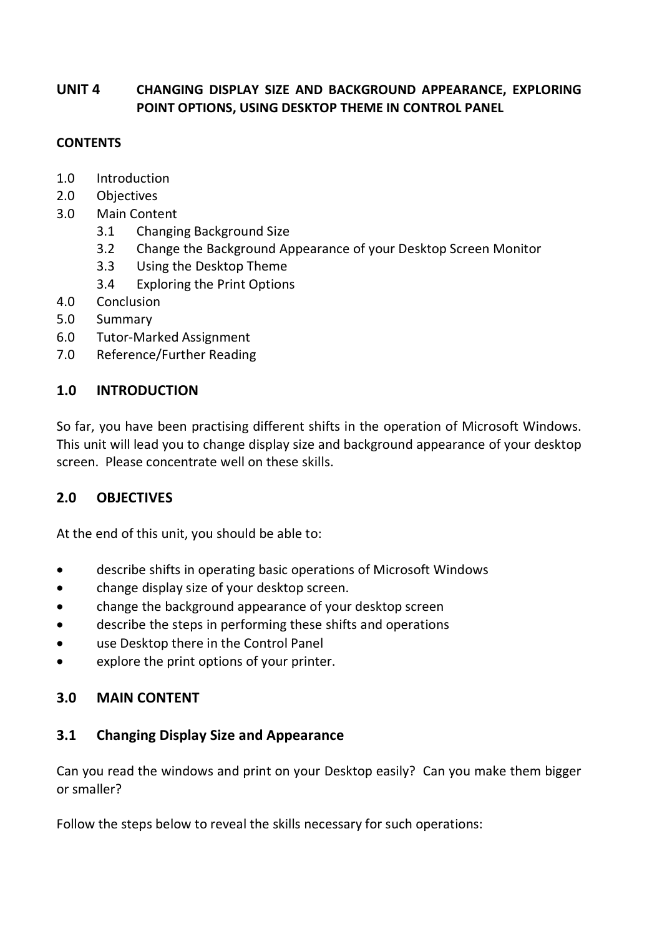## **UNIT 4 CHANGING DISPLAY SIZE AND BACKGROUND APPEARANCE, EXPLORING POINT OPTIONS, USING DESKTOP THEME IN CONTROL PANEL**

#### **CONTENTS**

- 1.0 Introduction
- 2.0 Objectives
- 3.0 Main Content
	- 3.1 Changing Background Size
	- 3.2 Change the Background Appearance of your Desktop Screen Monitor
	- 3.3 Using the Desktop Theme
	- 3.4 Exploring the Print Options
- 4.0 Conclusion
- 5.0 Summary
- 6.0 Tutor-Marked Assignment
- 7.0 Reference/Further Reading

#### **1.0 INTRODUCTION**

So far, you have been practising different shifts in the operation of Microsoft Windows. This unit will lead you to change display size and background appearance of your desktop screen. Please concentrate well on these skills.

## **2.0 OBJECTIVES**

At the end of this unit, you should be able to:

- describe shifts in operating basic operations of Microsoft Windows
- change display size of your desktop screen.
- change the background appearance of your desktop screen
- describe the steps in performing these shifts and operations
- use Desktop there in the Control Panel
- explore the print options of your printer.

#### **3.0 MAIN CONTENT**

#### **3.1 Changing Display Size and Appearance**

Can you read the windows and print on your Desktop easily? Can you make them bigger or smaller?

Follow the steps below to reveal the skills necessary for such operations: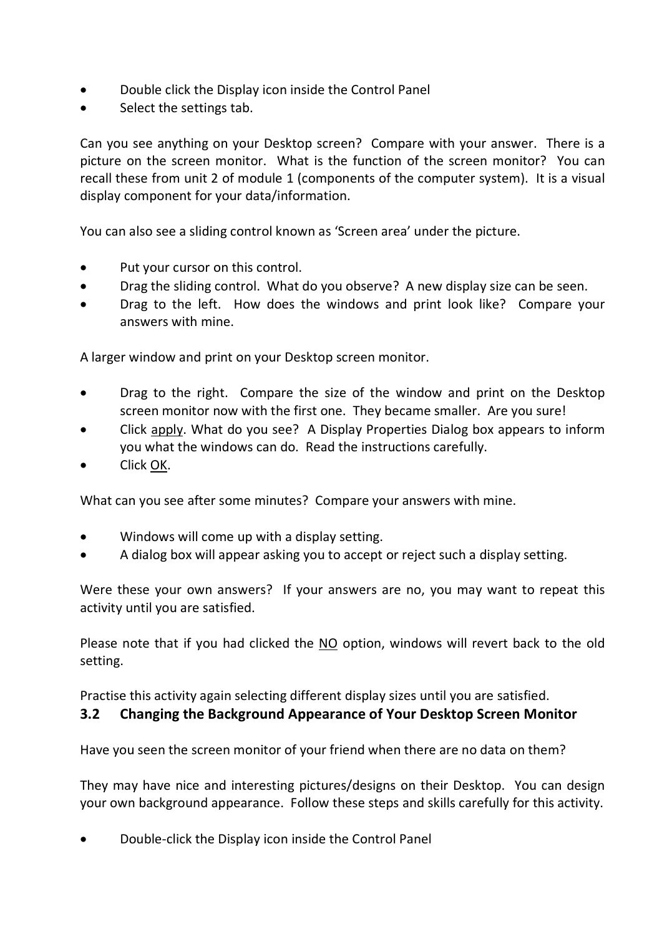- Double click the Display icon inside the Control Panel
- Select the settings tab.

Can you see anything on your Desktop screen? Compare with your answer. There is a picture on the screen monitor. What is the function of the screen monitor? You can recall these from unit 2 of module 1 (components of the computer system). It is a visual display component for your data/information.

You can also see a sliding control known as 'Screen area' under the picture.

- Put your cursor on this control.
- Drag the sliding control. What do you observe? A new display size can be seen.
- Drag to the left. How does the windows and print look like? Compare your answers with mine.

A larger window and print on your Desktop screen monitor.

- Drag to the right. Compare the size of the window and print on the Desktop screen monitor now with the first one. They became smaller. Are you sure!
- Click apply. What do you see? A Display Properties Dialog box appears to inform you what the windows can do. Read the instructions carefully.
- Click OK.

What can you see after some minutes? Compare your answers with mine.

- Windows will come up with a display setting.
- A dialog box will appear asking you to accept or reject such a display setting.

Were these your own answers? If your answers are no, you may want to repeat this activity until you are satisfied.

Please note that if you had clicked the NO option, windows will revert back to the old setting.

Practise this activity again selecting different display sizes until you are satisfied.

## **3.2 Changing the Background Appearance of Your Desktop Screen Monitor**

Have you seen the screen monitor of your friend when there are no data on them?

They may have nice and interesting pictures/designs on their Desktop. You can design your own background appearance. Follow these steps and skills carefully for this activity.

• Double-click the Display icon inside the Control Panel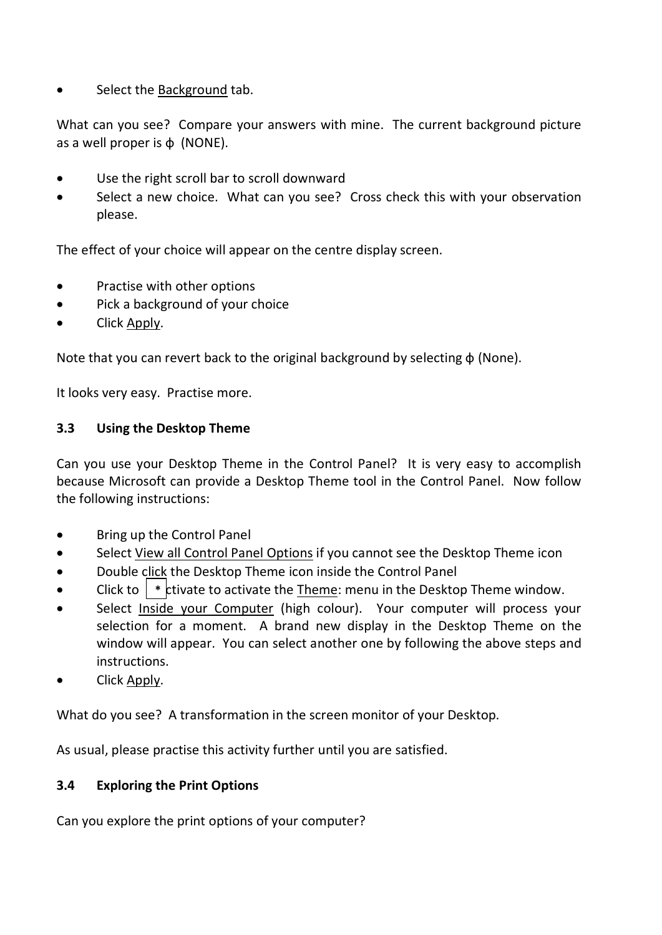## • Select the **Background** tab.

What can you see? Compare your answers with mine. The current background picture as a well proper is  $\phi$  (NONE).

- Use the right scroll bar to scroll downward
- Select a new choice. What can you see? Cross check this with your observation please.

The effect of your choice will appear on the centre display screen.

- Practise with other options
- Pick a background of your choice
- Click Apply.

Note that you can revert back to the original background by selecting  $\phi$  (None).

It looks very easy. Practise more.

#### **3.3 Using the Desktop Theme**

Can you use your Desktop Theme in the Control Panel? It is very easy to accomplish because Microsoft can provide a Desktop Theme tool in the Control Panel. Now follow the following instructions:

- Bring up the Control Panel
- Select View all Control Panel Options if you cannot see the Desktop Theme icon
- Double click the Desktop Theme icon inside the Control Panel
- Click to  $\vert * \rangle$  tivate to activate the Theme: menu in the Desktop Theme window.
- Select Inside your Computer (high colour). Your computer will process your selection for a moment. A brand new display in the Desktop Theme on the window will appear. You can select another one by following the above steps and instructions.
- Click Apply.

What do you see? A transformation in the screen monitor of your Desktop.

As usual, please practise this activity further until you are satisfied.

#### **3.4 Exploring the Print Options**

Can you explore the print options of your computer?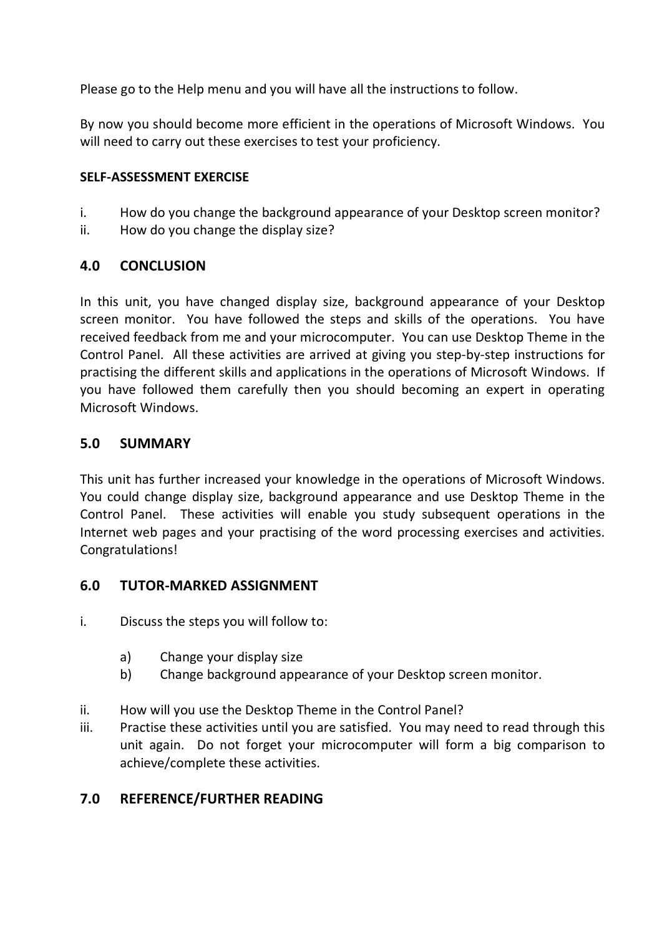Please go to the Help menu and you will have all the instructions to follow.

By now you should become more efficient in the operations of Microsoft Windows. You will need to carry out these exercises to test your proficiency.

## **SELF-ASSESSMENT EXERCISE**

- i. How do you change the background appearance of your Desktop screen monitor?
- ii. How do you change the display size?

## **4.0 CONCLUSION**

In this unit, you have changed display size, background appearance of your Desktop screen monitor. You have followed the steps and skills of the operations. You have received feedback from me and your microcomputer. You can use Desktop Theme in the Control Panel. All these activities are arrived at giving you step-by-step instructions for practising the different skills and applications in the operations of Microsoft Windows. If you have followed them carefully then you should becoming an expert in operating Microsoft Windows.

## **5.0 SUMMARY**

This unit has further increased your knowledge in the operations of Microsoft Windows. You could change display size, background appearance and use Desktop Theme in the Control Panel. These activities will enable you study subsequent operations in the Internet web pages and your practising of the word processing exercises and activities. Congratulations!

## **6.0 TUTOR-MARKED ASSIGNMENT**

- i. Discuss the steps you will follow to:
	- a) Change your display size
	- b) Change background appearance of your Desktop screen monitor.
- ii. How will you use the Desktop Theme in the Control Panel?
- iii. Practise these activities until you are satisfied. You may need to read through this unit again. Do not forget your microcomputer will form a big comparison to achieve/complete these activities.

## **7.0 REFERENCE/FURTHER READING**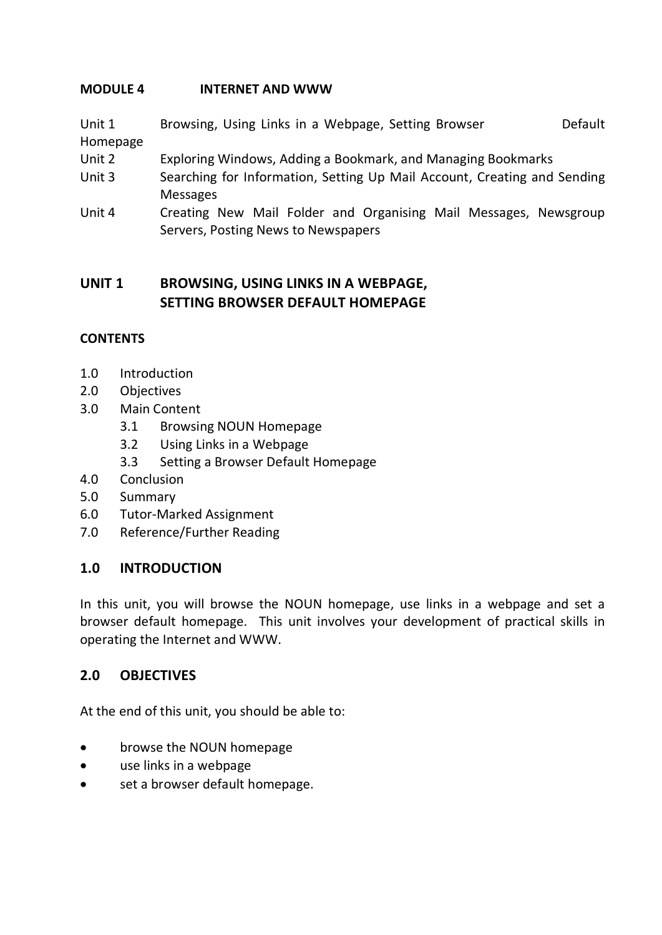## **MODULE 4 INTERNET AND WWW**

Unit 1 Browsing, Using Links in a Webpage, Setting Browser **Default** 

Homepage

- Unit 2 Exploring Windows, Adding a Bookmark, and Managing Bookmarks
- Unit 3 Searching for Information, Setting Up Mail Account, Creating and Sending Messages
- Unit 4 Creating New Mail Folder and Organising Mail Messages, Newsgroup Servers, Posting News to Newspapers

# **UNIT 1 BROWSING, USING LINKS IN A WEBPAGE, SETTING BROWSER DEFAULT HOMEPAGE**

## **CONTENTS**

- 1.0 Introduction
- 2.0 Objectives
- 3.0 Main Content
	- 3.1 Browsing NOUN Homepage
	- 3.2 Using Links in a Webpage
	- 3.3 Setting a Browser Default Homepage
- 4.0 Conclusion
- 5.0 Summary
- 6.0 Tutor-Marked Assignment
- 7.0 Reference/Further Reading

## **1.0 INTRODUCTION**

In this unit, you will browse the NOUN homepage, use links in a webpage and set a browser default homepage. This unit involves your development of practical skills in operating the Internet and WWW.

# **2.0 OBJECTIVES**

At the end of this unit, you should be able to:

- browse the NOUN homepage
- use links in a webpage
- set a browser default homepage.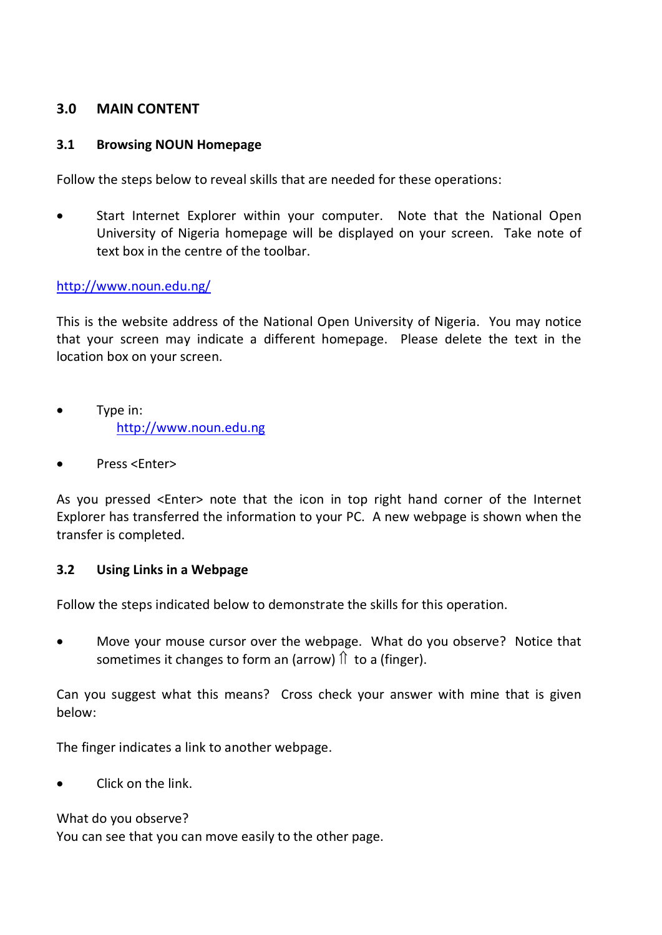## **3.0 MAIN CONTENT**

#### **3.1 Browsing NOUN Homepage**

Follow the steps below to reveal skills that are needed for these operations:

• Start Internet Explorer within your computer. Note that the National Open University of Nigeria homepage will be displayed on your screen. Take note of text box in the centre of the toolbar.

#### <http://www.noun.edu.ng/>

This is the website address of the National Open University of Nigeria. You may notice that your screen may indicate a different homepage. Please delete the text in the location box on your screen.

- Type in: [http://www.noun.edu.ng](http://www.noun.edu.ng/)
- Press <Enter>

As you pressed <Enter> note that the icon in top right hand corner of the Internet Explorer has transferred the information to your PC. A new webpage is shown when the transfer is completed.

#### **3.2 Using Links in a Webpage**

Follow the steps indicated below to demonstrate the skills for this operation.

Move your mouse cursor over the webpage. What do you observe? Notice that sometimes it changes to form an (arrow)  $\hat{I}$  to a (finger).

Can you suggest what this means? Cross check your answer with mine that is given below:

The finger indicates a link to another webpage.

• Click on the link.

#### What do you observe?

You can see that you can move easily to the other page.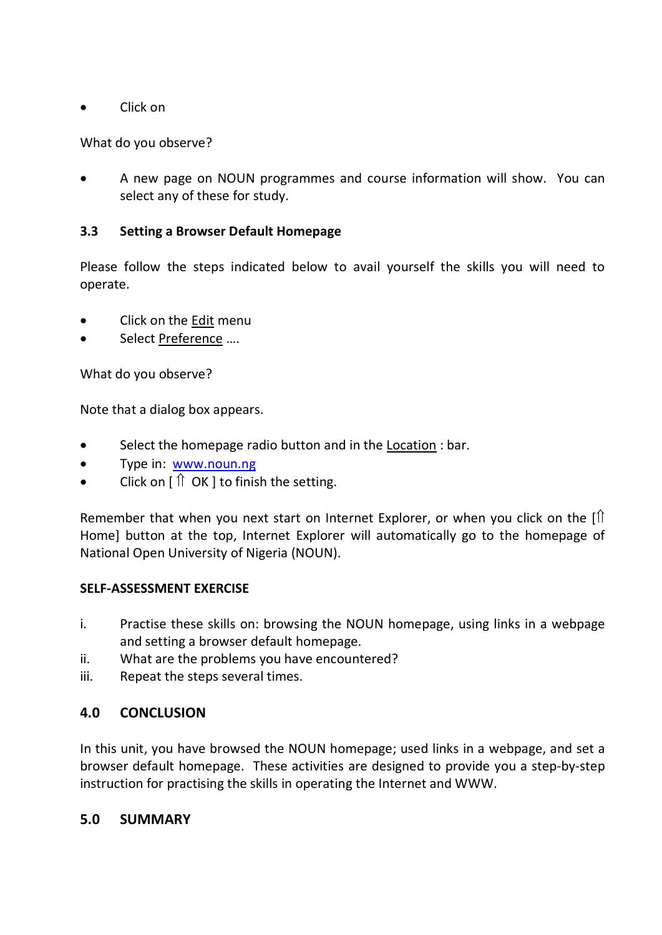• Click on

What do you observe?

• A new page on NOUN programmes and course information will show. You can select any of these for study.

#### **3.3 Setting a Browser Default Homepage**

Please follow the steps indicated below to avail yourself the skills you will need to operate.

- Click on the **Edit** menu
- Select Preference ....

What do you observe?

Note that a dialog box appears.

- Select the homepage radio button and in the Location : bar.
- Type in: [www.noun.ng](http://www.noun.ng/)
- Click on  $\lceil \hat{\parallel} \text{ OK} \rceil$  to finish the setting.

Remember that when you next start on Internet Explorer, or when you click on the  $\lceil \hat{\mathbb{R}} \rceil$ Home] button at the top, Internet Explorer will automatically go to the homepage of National Open University of Nigeria (NOUN).

#### **SELF-ASSESSMENT EXERCISE**

- i. Practise these skills on: browsing the NOUN homepage, using links in a webpage and setting a browser default homepage.
- ii. What are the problems you have encountered?
- iii. Repeat the steps several times.

## **4.0 CONCLUSION**

In this unit, you have browsed the NOUN homepage; used links in a webpage, and set a browser default homepage. These activities are designed to provide you a step-by-step instruction for practising the skills in operating the Internet and WWW.

#### **5.0 SUMMARY**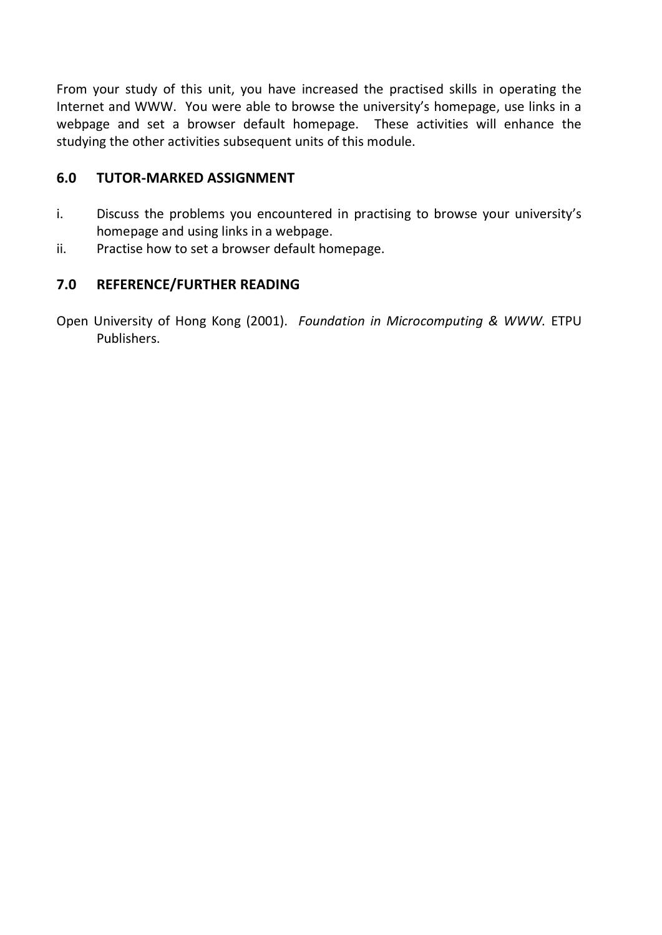From your study of this unit, you have increased the practised skills in operating the Internet and WWW. You were able to browse the university's homepage, use links in a webpage and set a browser default homepage. These activities will enhance the studying the other activities subsequent units of this module.

# **6.0 TUTOR-MARKED ASSIGNMENT**

- i. Discuss the problems you encountered in practising to browse your university's homepage and using links in a webpage.
- ii. Practise how to set a browser default homepage.

# **7.0 REFERENCE/FURTHER READING**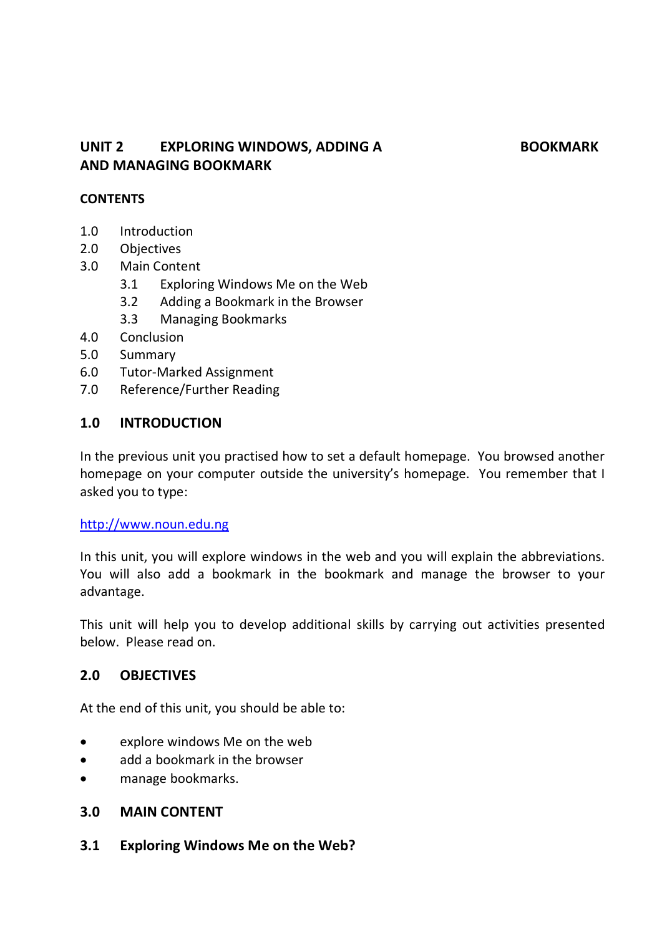# **UNIT 2 EXPLORING WINDOWS, ADDING A BOOKMARK AND MANAGING BOOKMARK**

## **CONTENTS**

- 1.0 Introduction
- 2.0 Objectives
- 3.0 Main Content
	- 3.1 Exploring Windows Me on the Web
	- 3.2 Adding a Bookmark in the Browser
	- 3.3 Managing Bookmarks
- 4.0 Conclusion
- 5.0 Summary
- 6.0 Tutor-Marked Assignment
- 7.0 Reference/Further Reading

## **1.0 INTRODUCTION**

In the previous unit you practised how to set a default homepage. You browsed another homepage on your computer outside the university's homepage. You remember that I asked you to type:

#### [http://www.noun.edu.ng](http://www.noun.edu.ng/)

In this unit, you will explore windows in the web and you will explain the abbreviations. You will also add a bookmark in the bookmark and manage the browser to your advantage.

This unit will help you to develop additional skills by carrying out activities presented below. Please read on.

## **2.0 OBJECTIVES**

At the end of this unit, you should be able to:

- explore windows Me on the web
- add a bookmark in the browser
- manage bookmarks.

#### **3.0 MAIN CONTENT**

**3.1 Exploring Windows Me on the Web?**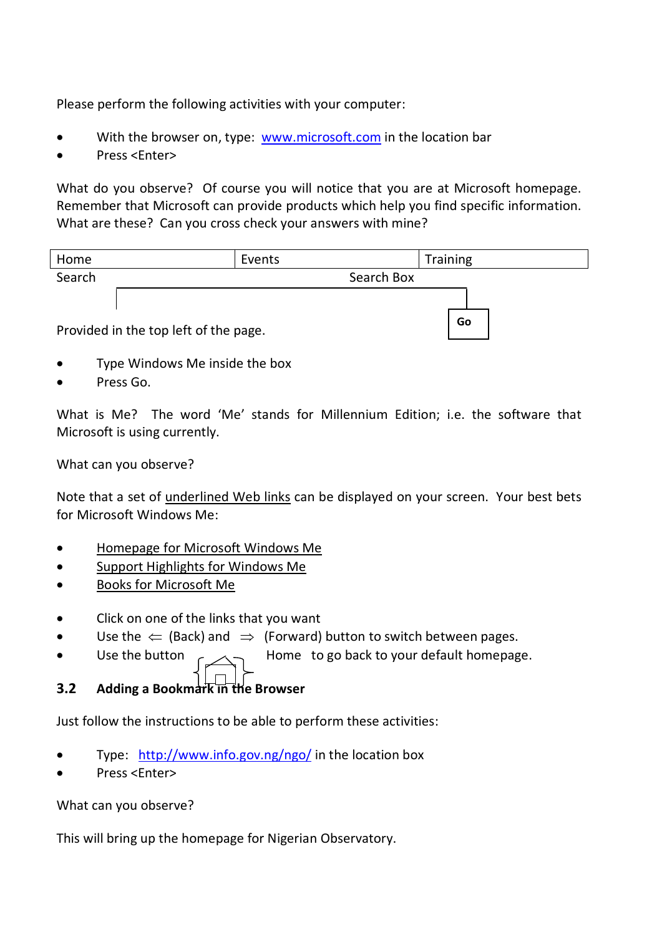Please perform the following activities with your computer:

- With the browser on, type: [www.microsoft.com](http://www.microsoft.com/) in the location bar
- Press <Enter>

What do you observe? Of course you will notice that you are at Microsoft homepage. Remember that Microsoft can provide products which help you find specific information. What are these? Can you cross check your answers with mine?

| Home                                  | Events |            | <b>Training</b> |  |
|---------------------------------------|--------|------------|-----------------|--|
| Search                                |        | Search Box |                 |  |
|                                       |        |            |                 |  |
| Provided in the top left of the page. |        |            | Go              |  |

• Type Windows Me inside the box • Press Go.

What is Me? The word 'Me' stands for Millennium Edition; i.e. the software that Microsoft is using currently.

What can you observe?

Note that a set of underlined Web links can be displayed on your screen. Your best bets for Microsoft Windows Me:

- Homepage for Microsoft Windows Me
- Support Highlights for Windows Me
- Books for Microsoft Me
- Click on one of the links that you want
- Use the  $\Leftarrow$  (Back) and  $\Rightarrow$  (Forward) button to switch between pages.
- Use the button  $\epsilon \nearrow$  Home to go back to your default homepage.

## **3.2 Adding a Bookmark in the Browser**

Just follow the instructions to be able to perform these activities:

- Type: <http://www.info.gov.ng/ngo/> in the location box
- Press <Enter>

What can you observe?

This will bring up the homepage for Nigerian Observatory.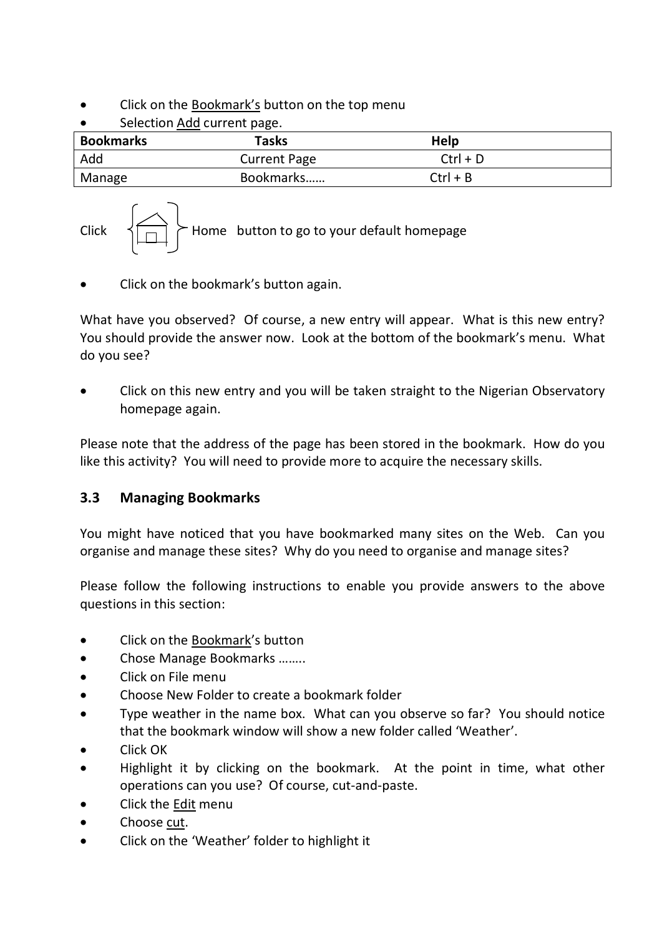- Click on the **Bookmark's** button on the top menu
- Selection Add current page.

| <b>Bookmarks</b> | Tasks               | Help       |
|------------------|---------------------|------------|
| Add              | <b>Current Page</b> | $Ctrl + D$ |
| Manage           | Bookmarks           | $Ctrl + B$ |

Click  $\left\{\left(\begin{matrix} 1 \\ 1 \end{matrix}\right)\right\}$  Home button to go to your default homepage

• Click on the bookmark's button again.

What have you observed? Of course, a new entry will appear. What is this new entry? You should provide the answer now. Look at the bottom of the bookmark's menu. What do you see?

• Click on this new entry and you will be taken straight to the Nigerian Observatory homepage again.

Please note that the address of the page has been stored in the bookmark. How do you like this activity? You will need to provide more to acquire the necessary skills.

## **3.3 Managing Bookmarks**

You might have noticed that you have bookmarked many sites on the Web. Can you organise and manage these sites? Why do you need to organise and manage sites?

Please follow the following instructions to enable you provide answers to the above questions in this section:

- Click on the Bookmark's button
- Chose Manage Bookmarks ……..
- Click on File menu
- Choose New Folder to create a bookmark folder
- Type weather in the name box. What can you observe so far? You should notice that the bookmark window will show a new folder called 'Weather'.
- Click OK
- Highlight it by clicking on the bookmark. At the point in time, what other operations can you use? Of course, cut-and-paste.
- Click the Edit menu
- Choose cut.
- Click on the 'Weather' folder to highlight it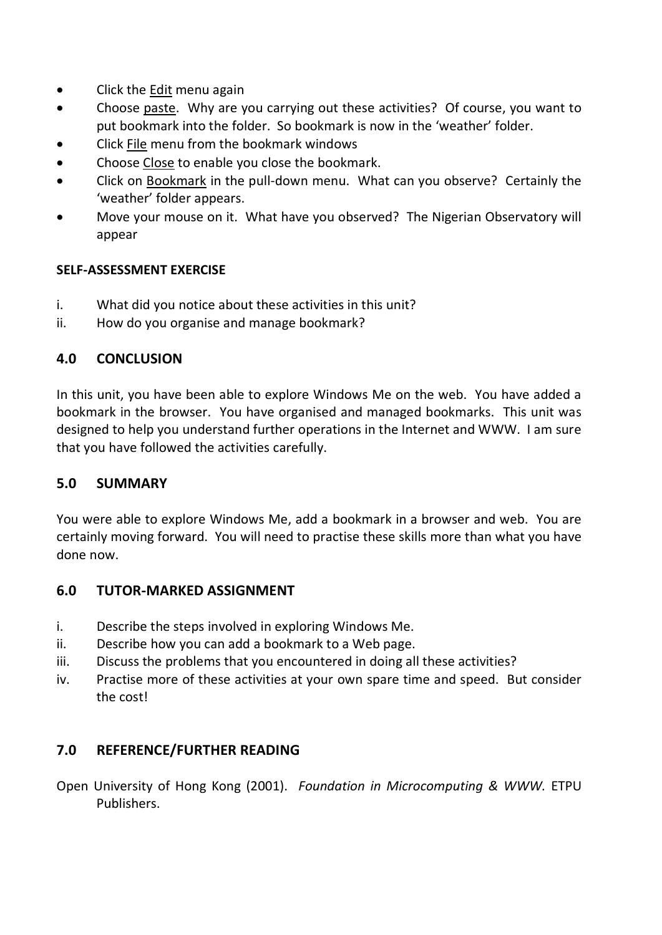- Click the Edit menu again
- Choose paste. Why are you carrying out these activities? Of course, you want to put bookmark into the folder. So bookmark is now in the 'weather' folder.
- Click File menu from the bookmark windows
- Choose Close to enable you close the bookmark.
- Click on Bookmark in the pull-down menu. What can you observe? Certainly the 'weather' folder appears.
- Move your mouse on it. What have you observed? The Nigerian Observatory will appear

#### **SELF-ASSESSMENT EXERCISE**

- i. What did you notice about these activities in this unit?
- ii. How do you organise and manage bookmark?

## **4.0 CONCLUSION**

In this unit, you have been able to explore Windows Me on the web. You have added a bookmark in the browser. You have organised and managed bookmarks. This unit was designed to help you understand further operations in the Internet and WWW. I am sure that you have followed the activities carefully.

#### **5.0 SUMMARY**

You were able to explore Windows Me, add a bookmark in a browser and web. You are certainly moving forward. You will need to practise these skills more than what you have done now.

#### **6.0 TUTOR-MARKED ASSIGNMENT**

- i. Describe the steps involved in exploring Windows Me.
- ii. Describe how you can add a bookmark to a Web page.
- iii. Discuss the problems that you encountered in doing all these activities?
- iv. Practise more of these activities at your own spare time and speed. But consider the cost!

#### **7.0 REFERENCE/FURTHER READING**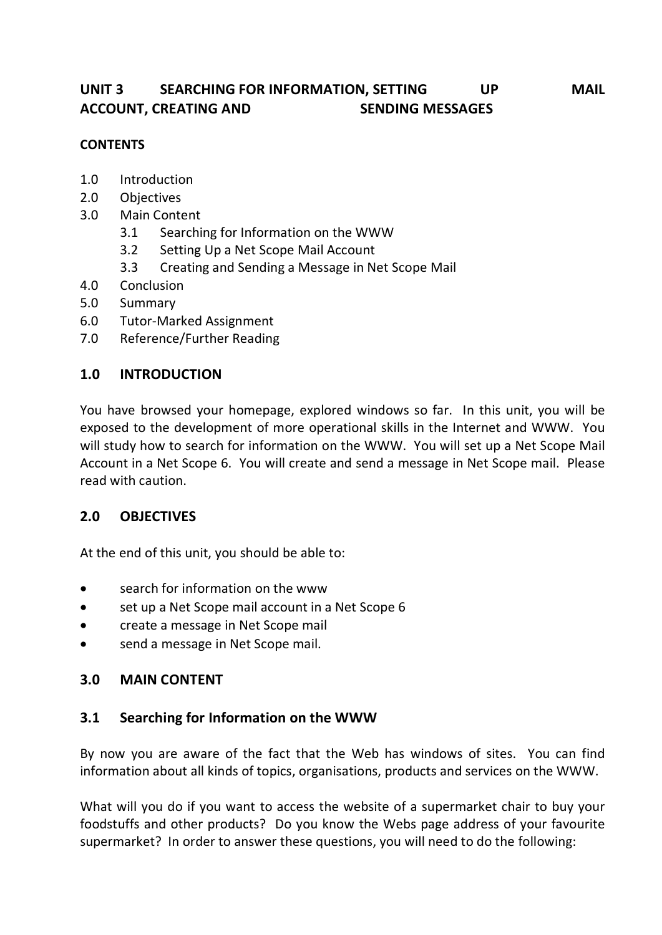# **UNIT 3 SEARCHING FOR INFORMATION, SETTING UP MAIL** ACCOUNT, CREATING AND **SENDING MESSAGES**

#### **CONTENTS**

- 1.0 Introduction
- 2.0 Objectives
- 3.0 Main Content
	- 3.1 Searching for Information on the WWW
	- 3.2 Setting Up a Net Scope Mail Account
	- 3.3 Creating and Sending a Message in Net Scope Mail
- 4.0 Conclusion
- 5.0 Summary
- 6.0 Tutor-Marked Assignment
- 7.0 Reference/Further Reading

#### **1.0 INTRODUCTION**

You have browsed your homepage, explored windows so far. In this unit, you will be exposed to the development of more operational skills in the Internet and WWW. You will study how to search for information on the WWW. You will set up a Net Scope Mail Account in a Net Scope 6. You will create and send a message in Net Scope mail. Please read with caution.

#### **2.0 OBJECTIVES**

At the end of this unit, you should be able to:

- search for information on the www
- set up a Net Scope mail account in a Net Scope 6
- create a message in Net Scope mail
- send a message in Net Scope mail.

#### **3.0 MAIN CONTENT**

#### **3.1 Searching for Information on the WWW**

By now you are aware of the fact that the Web has windows of sites. You can find information about all kinds of topics, organisations, products and services on the WWW.

What will you do if you want to access the website of a supermarket chair to buy your foodstuffs and other products? Do you know the Webs page address of your favourite supermarket? In order to answer these questions, you will need to do the following: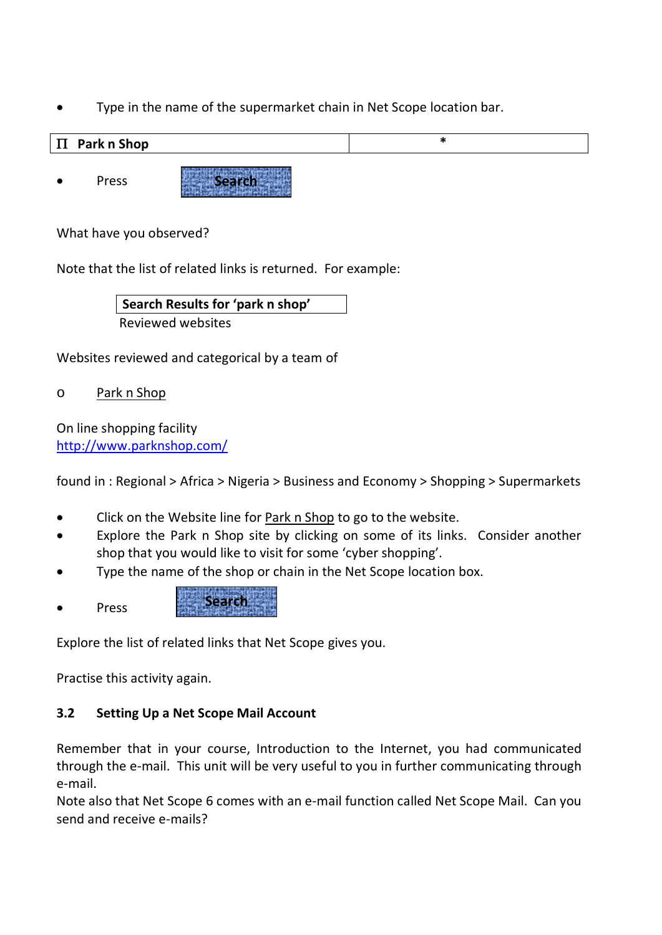• Type in the name of the supermarket chain in Net Scope location bar.

|           | $\Pi$ Park n Shop | ∗ |  |
|-----------|-------------------|---|--|
| $\bullet$ | Press             |   |  |

What have you observed?

Note that the list of related links is returned. For example:

| Search Results for 'park n shop' |  |
|----------------------------------|--|
| Reviewed websites                |  |

Websites reviewed and categorical by a team of

o Park n Shop

On line shopping facility <http://www.parknshop.com/>

found in : Regional > Africa > Nigeria > Business and Economy > Shopping > Supermarkets

- Click on the Website line for Park n Shop to go to the website.
- Explore the Park n Shop site by clicking on some of its links. Consider another shop that you would like to visit for some 'cyber shopping'.
- Type the name of the shop or chain in the Net Scope location box.
- Press



Explore the list of related links that Net Scope gives you.

Practise this activity again.

## **3.2 Setting Up a Net Scope Mail Account**

Remember that in your course, Introduction to the Internet, you had communicated through the e-mail. This unit will be very useful to you in further communicating through e-mail.

Note also that Net Scope 6 comes with an e-mail function called Net Scope Mail. Can you send and receive e-mails?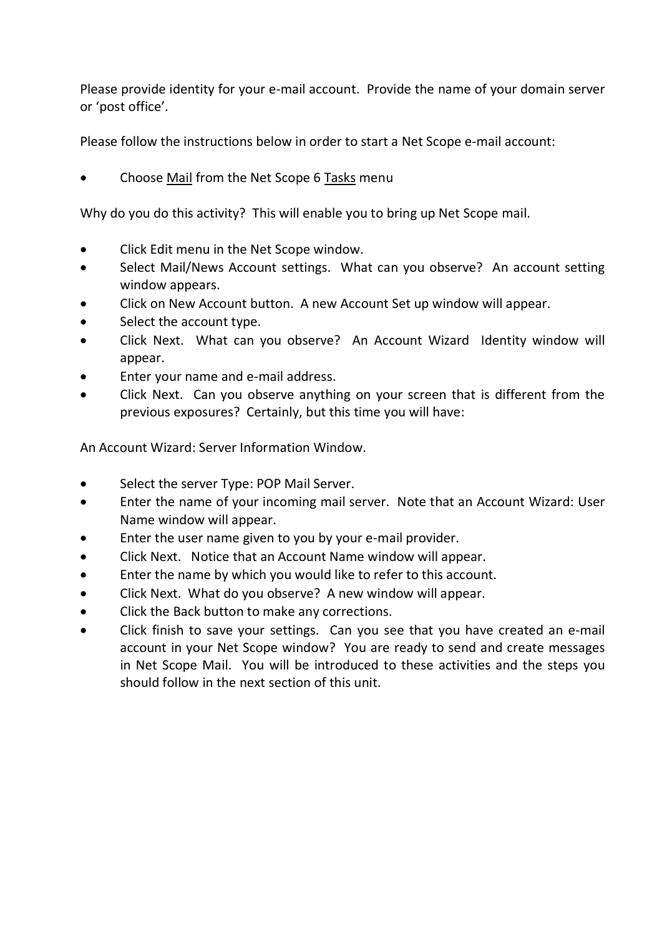Please provide identity for your e-mail account. Provide the name of your domain server or 'post office'.

Please follow the instructions below in order to start a Net Scope e-mail account:

• Choose Mail from the Net Scope 6 Tasks menu

Why do you do this activity? This will enable you to bring up Net Scope mail.

- Click Edit menu in the Net Scope window.
- Select Mail/News Account settings. What can you observe? An account setting window appears.
- Click on New Account button. A new Account Set up window will appear.
- Select the account type.
- Click Next. What can you observe? An Account Wizard Identity window will appear.
- Enter your name and e-mail address.
- Click Next. Can you observe anything on your screen that is different from the previous exposures? Certainly, but this time you will have:

An Account Wizard: Server Information Window.

- Select the server Type: POP Mail Server.
- Enter the name of your incoming mail server. Note that an Account Wizard: User Name window will appear.
- Enter the user name given to you by your e-mail provider.
- Click Next. Notice that an Account Name window will appear.
- Enter the name by which you would like to refer to this account.
- Click Next. What do you observe? A new window will appear.
- Click the Back button to make any corrections.
- Click finish to save your settings. Can you see that you have created an e-mail account in your Net Scope window? You are ready to send and create messages in Net Scope Mail. You will be introduced to these activities and the steps you should follow in the next section of this unit.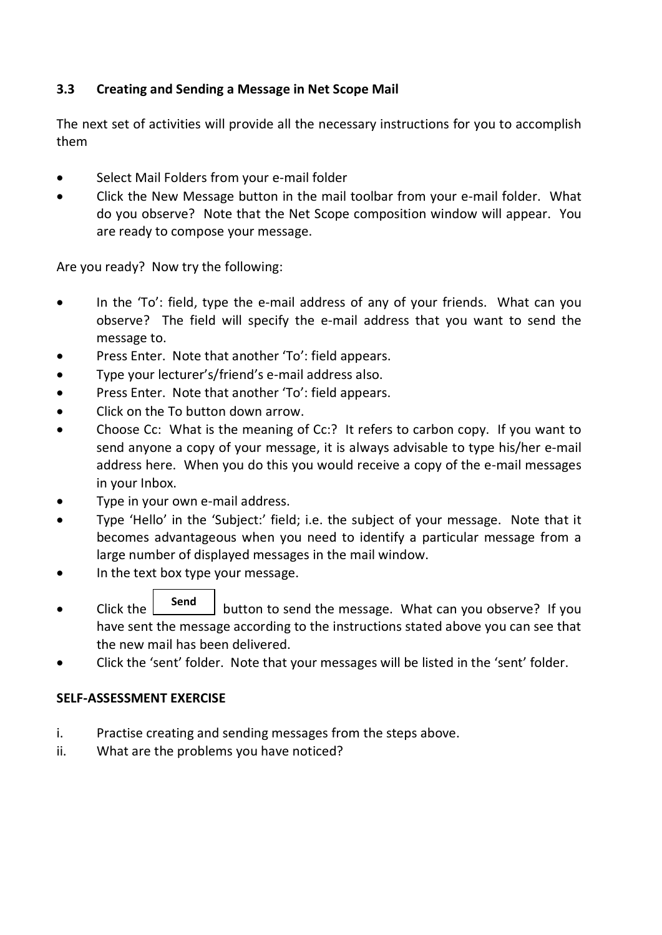## **3.3 Creating and Sending a Message in Net Scope Mail**

The next set of activities will provide all the necessary instructions for you to accomplish them

- Select Mail Folders from your e-mail folder
- Click the New Message button in the mail toolbar from your e-mail folder. What do you observe? Note that the Net Scope composition window will appear. You are ready to compose your message.

Are you ready? Now try the following:

- In the 'To': field, type the e-mail address of any of your friends. What can you observe? The field will specify the e-mail address that you want to send the message to.
- Press Enter. Note that another 'To': field appears.
- Type your lecturer's/friend's e-mail address also.
- Press Enter. Note that another 'To': field appears.
- Click on the To button down arrow.
- Choose Cc: What is the meaning of Cc:? It refers to carbon copy. If you want to send anyone a copy of your message, it is always advisable to type his/her e-mail address here. When you do this you would receive a copy of the e-mail messages in your Inbox.
- Type in your own e-mail address.
- Type 'Hello' in the 'Subject:' field; i.e. the subject of your message. Note that it becomes advantageous when you need to identify a particular message from a large number of displayed messages in the mail window.
- In the text box type your message.
- Click the  $\Box$  send  $\Box$  button to send the message. What can you observe? If you have sent the message according to the instructions stated above you can see that the new mail has been delivered. **Send**
- Click the 'sent' folder. Note that your messages will be listed in the 'sent' folder.

#### **SELF-ASSESSMENT EXERCISE**

- i. Practise creating and sending messages from the steps above.
- ii. What are the problems you have noticed?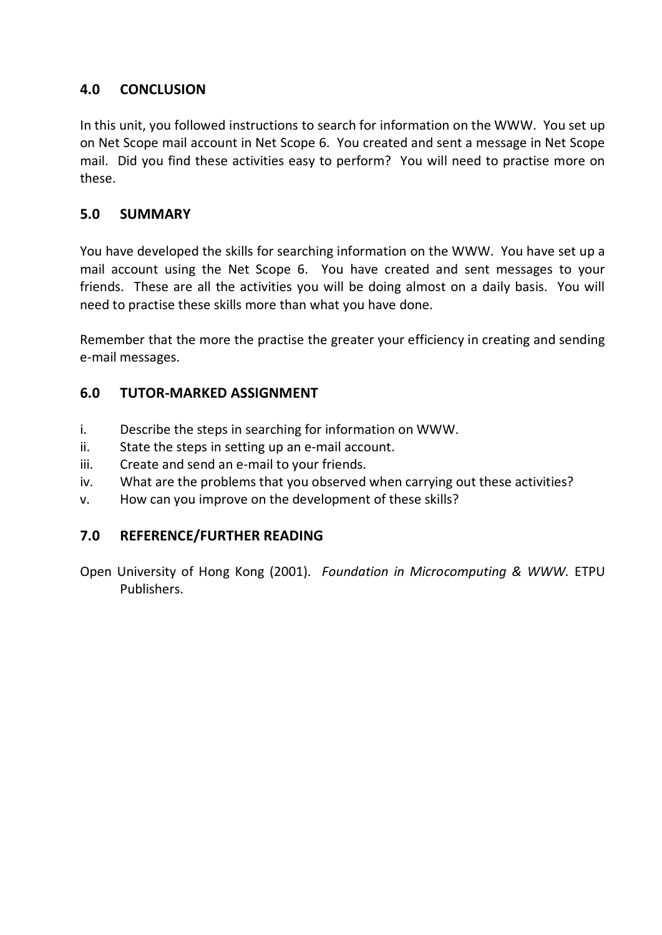# **4.0 CONCLUSION**

In this unit, you followed instructions to search for information on the WWW. You set up on Net Scope mail account in Net Scope 6. You created and sent a message in Net Scope mail. Did you find these activities easy to perform? You will need to practise more on these.

# **5.0 SUMMARY**

You have developed the skills for searching information on the WWW. You have set up a mail account using the Net Scope 6. You have created and sent messages to your friends. These are all the activities you will be doing almost on a daily basis. You will need to practise these skills more than what you have done.

Remember that the more the practise the greater your efficiency in creating and sending e-mail messages.

## **6.0 TUTOR-MARKED ASSIGNMENT**

- i. Describe the steps in searching for information on WWW.
- ii. State the steps in setting up an e-mail account.
- iii. Create and send an e-mail to your friends.
- iv. What are the problems that you observed when carrying out these activities?
- v. How can you improve on the development of these skills?

# **7.0 REFERENCE/FURTHER READING**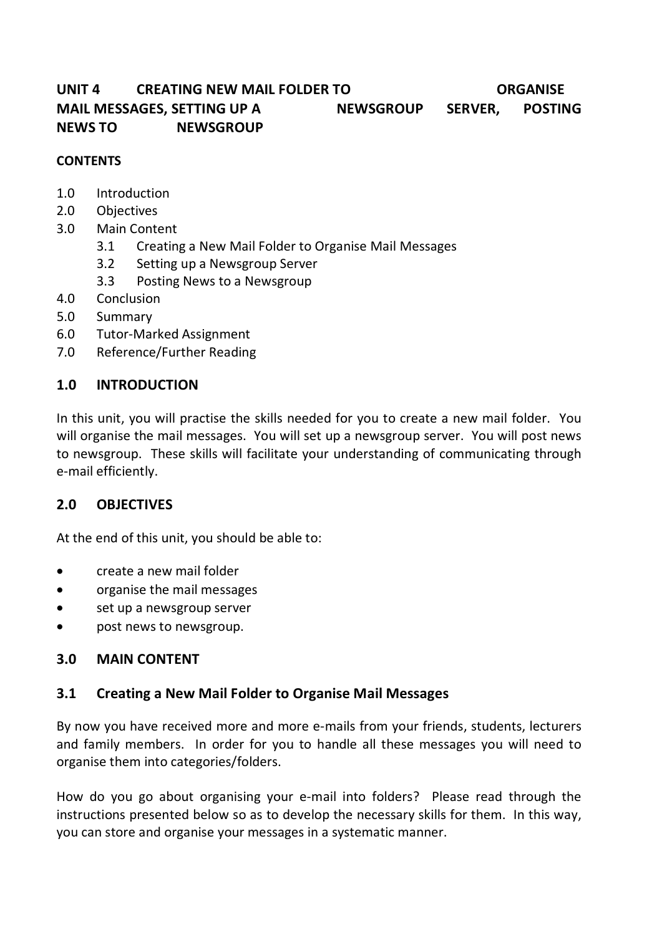# **UNIT 4 CREATING NEW MAIL FOLDER TO ORGANISE MAIL MESSAGES, SETTING UP A NEWSGROUP SERVER, POSTING NEWS TO NEWSGROUP**

#### **CONTENTS**

- 1.0 Introduction
- 2.0 Objectives
- 3.0 Main Content
	- 3.1 Creating a New Mail Folder to Organise Mail Messages
	- 3.2 Setting up a Newsgroup Server
	- 3.3 Posting News to a Newsgroup
- 4.0 Conclusion
- 5.0 Summary
- 6.0 Tutor-Marked Assignment
- 7.0 Reference/Further Reading

## **1.0 INTRODUCTION**

In this unit, you will practise the skills needed for you to create a new mail folder. You will organise the mail messages. You will set up a newsgroup server. You will post news to newsgroup. These skills will facilitate your understanding of communicating through e-mail efficiently.

## **2.0 OBJECTIVES**

At the end of this unit, you should be able to:

- create a new mail folder
- organise the mail messages
- set up a newsgroup server
- post news to newsgroup.

#### **3.0 MAIN CONTENT**

#### **3.1 Creating a New Mail Folder to Organise Mail Messages**

By now you have received more and more e-mails from your friends, students, lecturers and family members. In order for you to handle all these messages you will need to organise them into categories/folders.

How do you go about organising your e-mail into folders? Please read through the instructions presented below so as to develop the necessary skills for them. In this way, you can store and organise your messages in a systematic manner.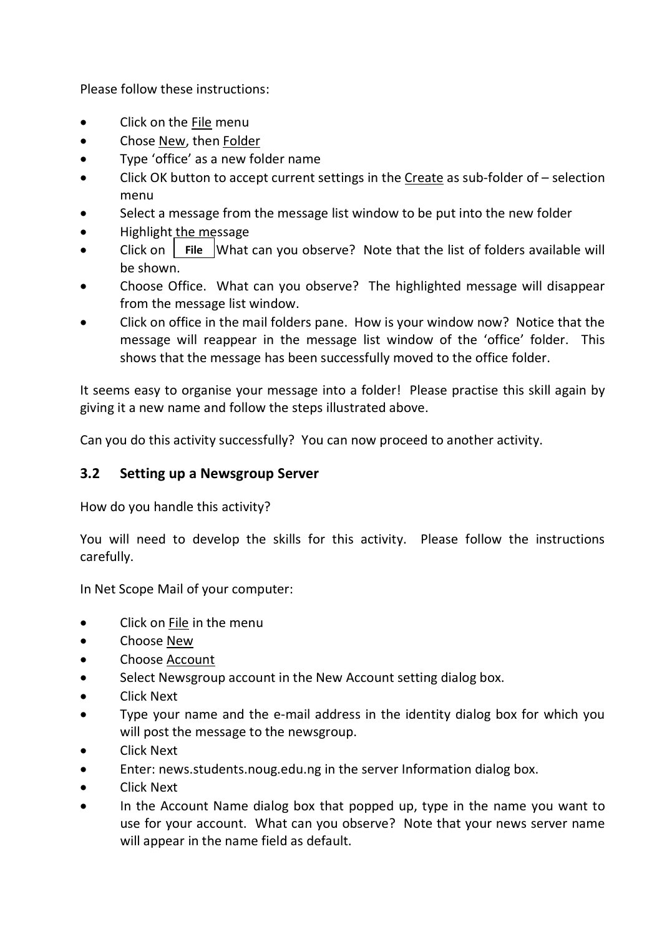Please follow these instructions:

- Click on the File menu
- Chose New, then Folder
- Type 'office' as a new folder name
- Click OK button to accept current settings in the Create as sub-folder of  $-$  selection menu
- Select a message from the message list window to be put into the new folder
- Highlight the message
- Click on File What can you observe? Note that the list of folders available will be shown.
- Choose Office. What can you observe? The highlighted message will disappear from the message list window.
- Click on office in the mail folders pane. How is your window now? Notice that the message will reappear in the message list window of the 'office' folder. This shows that the message has been successfully moved to the office folder.

It seems easy to organise your message into a folder! Please practise this skill again by giving it a new name and follow the steps illustrated above.

Can you do this activity successfully? You can now proceed to another activity.

## **3.2 Setting up a Newsgroup Server**

How do you handle this activity?

You will need to develop the skills for this activity. Please follow the instructions carefully.

In Net Scope Mail of your computer:

- Click on File in the menu
- Choose New
- Choose Account
- Select Newsgroup account in the New Account setting dialog box.
- Click Next
- Type your name and the e-mail address in the identity dialog box for which you will post the message to the newsgroup.
- Click Next
- Enter: news.students.noug.edu.ng in the server Information dialog box.
- Click Next
- In the Account Name dialog box that popped up, type in the name you want to use for your account. What can you observe? Note that your news server name will appear in the name field as default.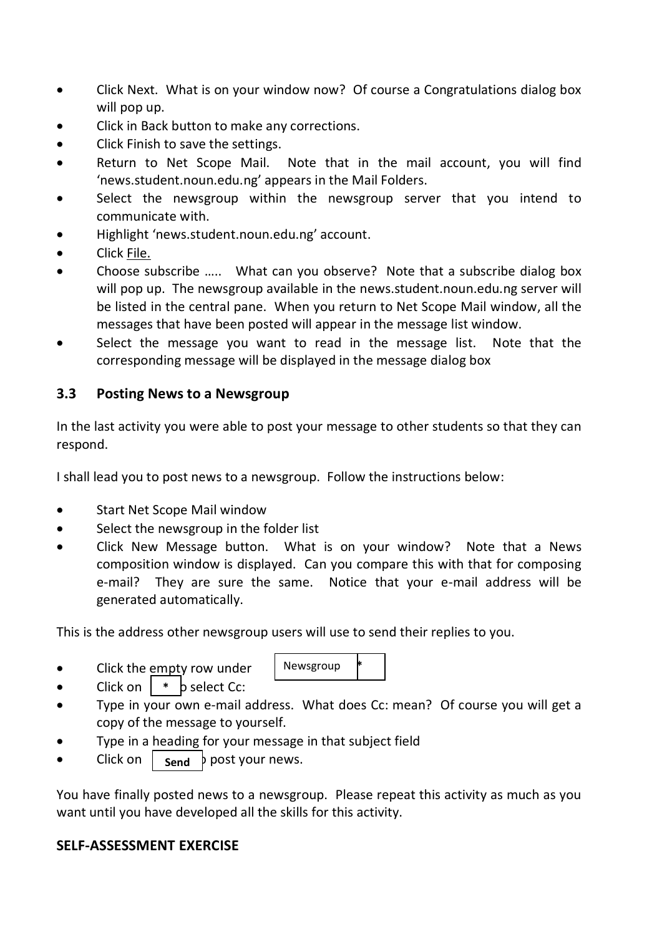- Click Next. What is on your window now? Of course a Congratulations dialog box will pop up.
- Click in Back button to make any corrections.
- Click Finish to save the settings.
- Return to Net Scope Mail. Note that in the mail account, you will find 'news.student.noun.edu.ng' appears in the Mail Folders.
- Select the newsgroup within the newsgroup server that you intend to communicate with.
- Highlight 'news.student.noun.edu.ng' account.
- Click File.
- Choose subscribe ….. What can you observe? Note that a subscribe dialog box will pop up. The newsgroup available in the news.student.noun.edu.ng server will be listed in the central pane. When you return to Net Scope Mail window, all the messages that have been posted will appear in the message list window.
- Select the message you want to read in the message list. Note that the corresponding message will be displayed in the message dialog box

# **3.3 Posting News to a Newsgroup**

In the last activity you were able to post your message to other students so that they can respond.

I shall lead you to post news to a newsgroup. Follow the instructions below:

- Start Net Scope Mail window
- Select the newsgroup in the folder list
- Click New Message button. What is on your window? Note that a News composition window is displayed. Can you compare this with that for composing e-mail? They are sure the same. Notice that your e-mail address will be generated automatically.

This is the address other newsgroup users will use to send their replies to you.

Click the empty row under

| Newsgroup | ⊭ |
|-----------|---|
|-----------|---|

- Click on  $\vert * \rangle$  b select Cc:
- Type in your own e-mail address. What does Cc: mean? Of course you will get a copy of the message to yourself.
- Type in a heading for your message in that subject field
- Click on  $\vert$  send  $\vert$  post your news.

You have finally posted news to a newsgroup. Please repeat this activity as much as you want until you have developed all the skills for this activity.

## **SELF-ASSESSMENT EXERCISE**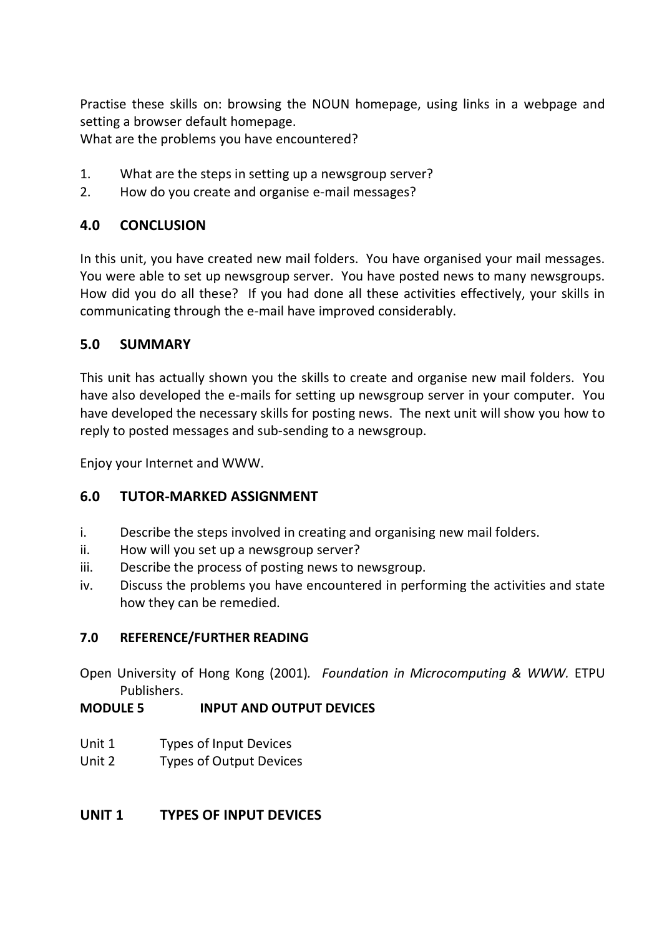Practise these skills on: browsing the NOUN homepage, using links in a webpage and setting a browser default homepage.

What are the problems you have encountered?

- 1. What are the steps in setting up a newsgroup server?
- 2. How do you create and organise e-mail messages?

## **4.0 CONCLUSION**

In this unit, you have created new mail folders. You have organised your mail messages. You were able to set up newsgroup server. You have posted news to many newsgroups. How did you do all these? If you had done all these activities effectively, your skills in communicating through the e-mail have improved considerably.

#### **5.0 SUMMARY**

This unit has actually shown you the skills to create and organise new mail folders. You have also developed the e-mails for setting up newsgroup server in your computer. You have developed the necessary skills for posting news. The next unit will show you how to reply to posted messages and sub-sending to a newsgroup.

Enjoy your Internet and WWW.

## **6.0 TUTOR-MARKED ASSIGNMENT**

- i. Describe the steps involved in creating and organising new mail folders.
- ii. How will you set up a newsgroup server?
- iii. Describe the process of posting news to newsgroup.
- iv. Discuss the problems you have encountered in performing the activities and state how they can be remedied.

#### **7.0 REFERENCE/FURTHER READING**

Open University of Hong Kong (2001)*. Foundation in Microcomputing & WWW.* ETPU Publishers.

## **MODULE 5 INPUT AND OUTPUT DEVICES**

- Unit 1 Types of Input Devices
- Unit 2 Types of Output Devices

## **UNIT 1 TYPES OF INPUT DEVICES**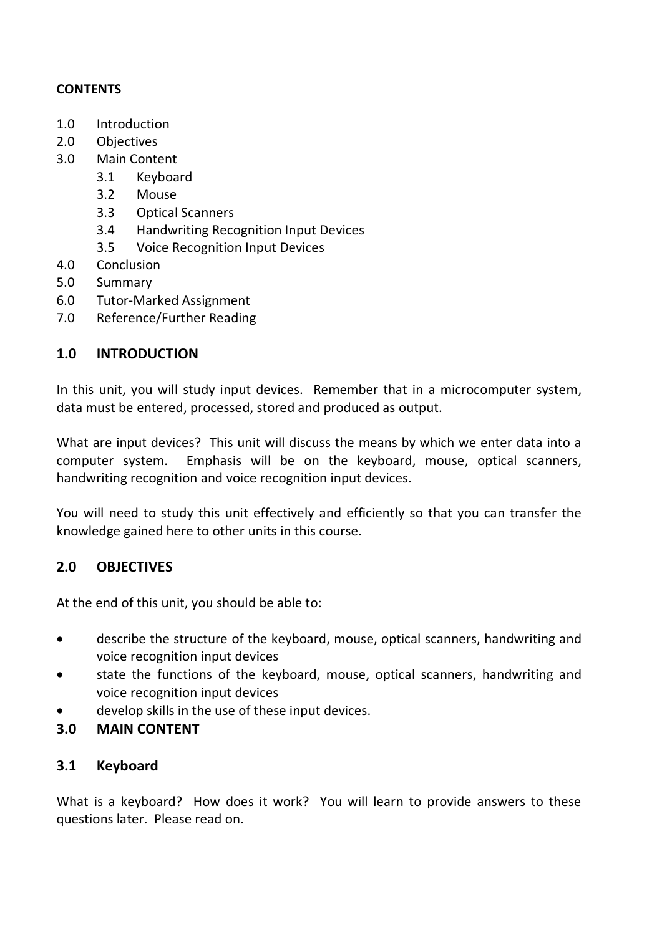#### **CONTENTS**

- 1.0 Introduction
- 2.0 Objectives
- 3.0 Main Content
	- 3.1 Keyboard
	- 3.2 Mouse
	- 3.3 Optical Scanners
	- 3.4 Handwriting Recognition Input Devices
	- 3.5 Voice Recognition Input Devices
- 4.0 Conclusion
- 5.0 Summary
- 6.0 Tutor-Marked Assignment
- 7.0 Reference/Further Reading

## **1.0 INTRODUCTION**

In this unit, you will study input devices. Remember that in a microcomputer system, data must be entered, processed, stored and produced as output.

What are input devices? This unit will discuss the means by which we enter data into a computer system. Emphasis will be on the keyboard, mouse, optical scanners, handwriting recognition and voice recognition input devices.

You will need to study this unit effectively and efficiently so that you can transfer the knowledge gained here to other units in this course.

## **2.0 OBJECTIVES**

At the end of this unit, you should be able to:

- describe the structure of the keyboard, mouse, optical scanners, handwriting and voice recognition input devices
- state the functions of the keyboard, mouse, optical scanners, handwriting and voice recognition input devices
- develop skills in the use of these input devices.
- **3.0 MAIN CONTENT**

#### **3.1 Keyboard**

What is a keyboard? How does it work? You will learn to provide answers to these questions later. Please read on.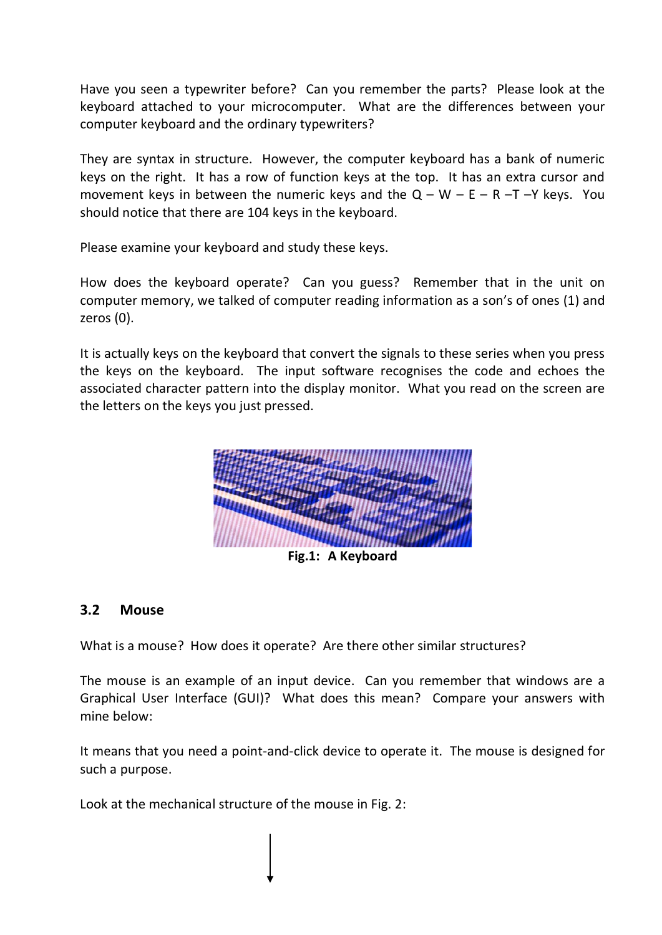Have you seen a typewriter before? Can you remember the parts? Please look at the keyboard attached to your microcomputer. What are the differences between your computer keyboard and the ordinary typewriters?

They are syntax in structure. However, the computer keyboard has a bank of numeric keys on the right. It has a row of function keys at the top. It has an extra cursor and movement keys in between the numeric keys and the  $Q - W - E - R - T - Y$  keys. You should notice that there are 104 keys in the keyboard.

Please examine your keyboard and study these keys.

How does the keyboard operate? Can you guess? Remember that in the unit on computer memory, we talked of computer reading information as a son's of ones (1) and zeros (0).

It is actually keys on the keyboard that convert the signals to these series when you press the keys on the keyboard. The input software recognises the code and echoes the associated character pattern into the display monitor. What you read on the screen are the letters on the keys you just pressed.



**Fig.1: A Keyboard**

#### **3.2 Mouse**

What is a mouse? How does it operate? Are there other similar structures?

The mouse is an example of an input device. Can you remember that windows are a Graphical User Interface (GUI)? What does this mean? Compare your answers with mine below:

It means that you need a point-and-click device to operate it. The mouse is designed for such a purpose.

Look at the mechanical structure of the mouse in Fig. 2: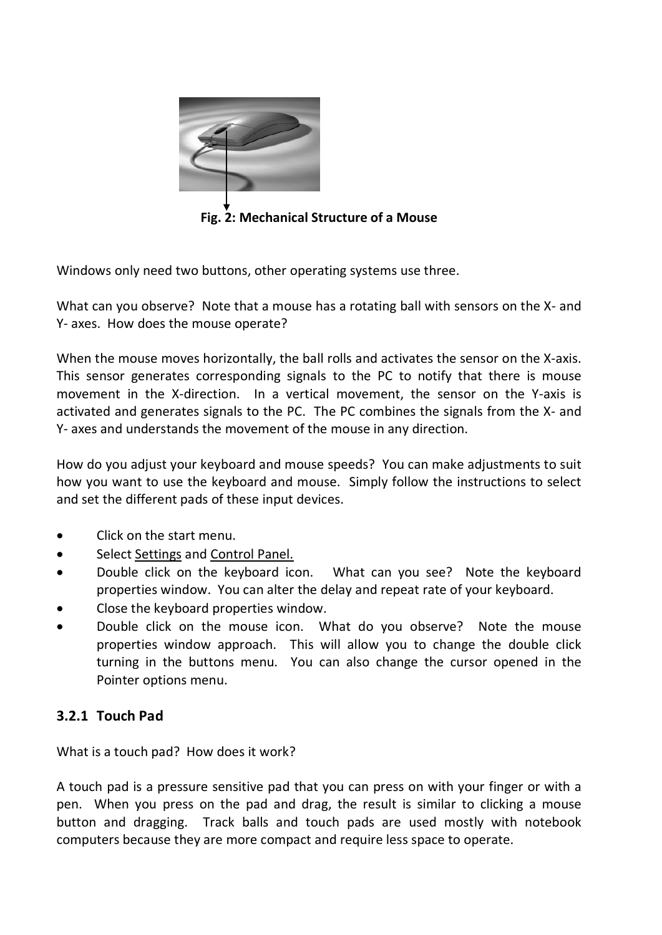

**Fig. 2: Mechanical Structure of a Mouse**

Windows only need two buttons, other operating systems use three.

What can you observe? Note that a mouse has a rotating ball with sensors on the X- and Y- axes. How does the mouse operate?

When the mouse moves horizontally, the ball rolls and activates the sensor on the X-axis. This sensor generates corresponding signals to the PC to notify that there is mouse movement in the X-direction. In a vertical movement, the sensor on the Y-axis is activated and generates signals to the PC. The PC combines the signals from the X- and Y- axes and understands the movement of the mouse in any direction.

How do you adjust your keyboard and mouse speeds? You can make adjustments to suit how you want to use the keyboard and mouse. Simply follow the instructions to select and set the different pads of these input devices.

- Click on the start menu.
- Select Settings and Control Panel.
- Double click on the keyboard icon. What can you see? Note the keyboard properties window. You can alter the delay and repeat rate of your keyboard.
- Close the keyboard properties window.
- Double click on the mouse icon. What do you observe? Note the mouse properties window approach. This will allow you to change the double click turning in the buttons menu. You can also change the cursor opened in the Pointer options menu.

# **3.2.1 Touch Pad**

What is a touch pad? How does it work?

A touch pad is a pressure sensitive pad that you can press on with your finger or with a pen. When you press on the pad and drag, the result is similar to clicking a mouse button and dragging. Track balls and touch pads are used mostly with notebook computers because they are more compact and require less space to operate.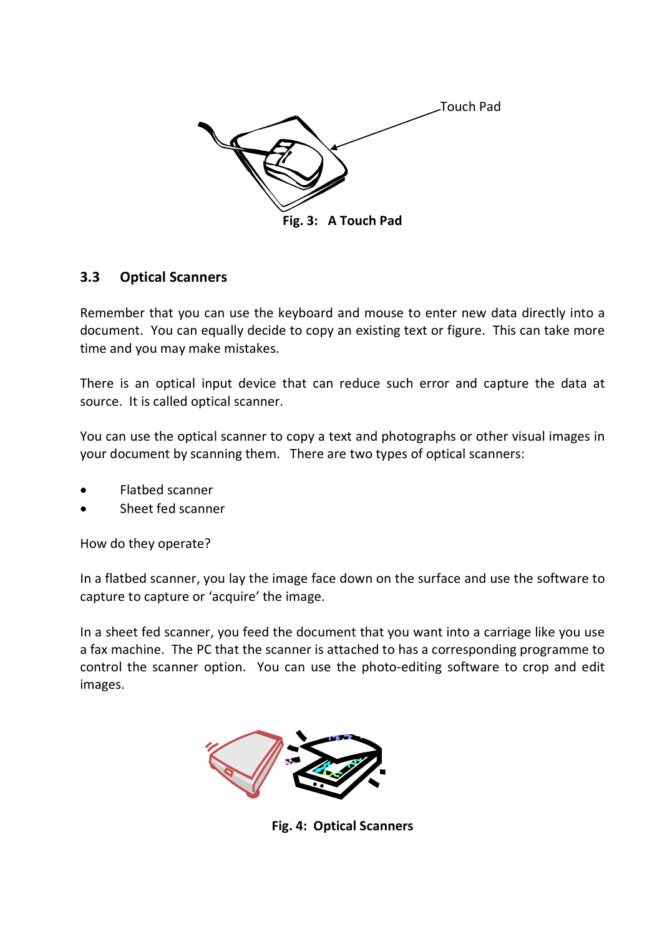

## **3.3 Optical Scanners**

Remember that you can use the keyboard and mouse to enter new data directly into a document. You can equally decide to copy an existing text or figure. This can take more time and you may make mistakes.

There is an optical input device that can reduce such error and capture the data at source. It is called optical scanner.

You can use the optical scanner to copy a text and photographs or other visual images in your document by scanning them. There are two types of optical scanners:

- Flatbed scanner
- Sheet fed scanner

How do they operate?

In a flatbed scanner, you lay the image face down on the surface and use the software to capture to capture or 'acquire' the image.

In a sheet fed scanner, you feed the document that you want into a carriage like you use a fax machine. The PC that the scanner is attached to has a corresponding programme to control the scanner option. You can use the photo-editing software to crop and edit images.



**Fig. 4: Optical Scanners**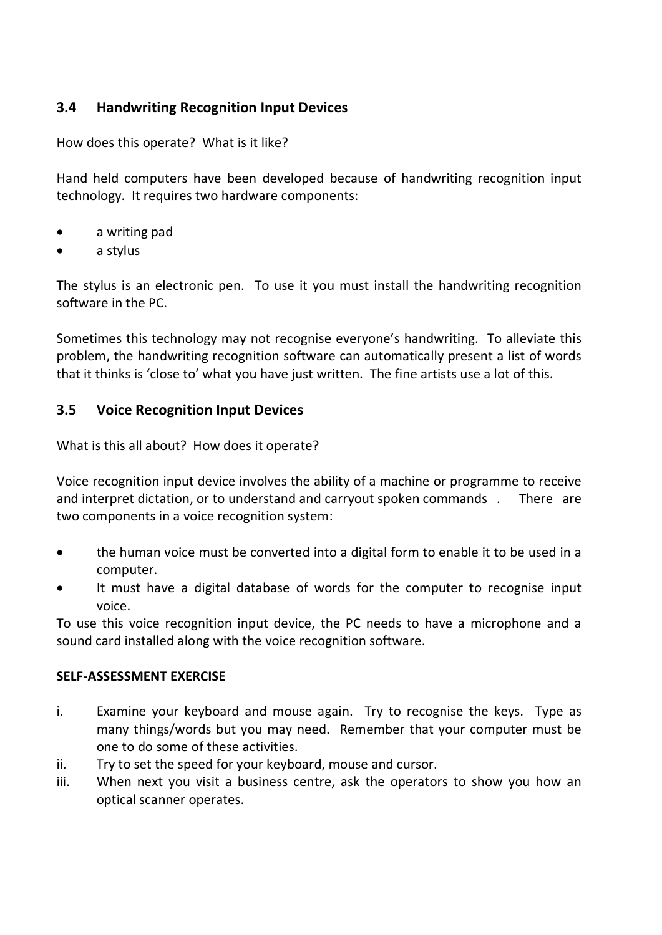# **3.4 Handwriting Recognition Input Devices**

How does this operate? What is it like?

Hand held computers have been developed because of handwriting recognition input technology. It requires two hardware components:

- a writing pad
- a stylus

The stylus is an electronic pen. To use it you must install the handwriting recognition software in the PC.

Sometimes this technology may not recognise everyone's handwriting. To alleviate this problem, the handwriting recognition software can automatically present a list of words that it thinks is 'close to' what you have just written. The fine artists use a lot of this.

#### **3.5 Voice Recognition Input Devices**

What is this all about? How does it operate?

Voice recognition input device involves the ability of a machine or programme to receive and interpret dictation, or to understand and carryout spoken commands . There are two components in a voice recognition system:

- the human voice must be converted into a digital form to enable it to be used in a computer.
- It must have a digital database of words for the computer to recognise input voice.

To use this voice recognition input device, the PC needs to have a microphone and a sound card installed along with the voice recognition software.

#### **SELF-ASSESSMENT EXERCISE**

- i. Examine your keyboard and mouse again. Try to recognise the keys. Type as many things/words but you may need. Remember that your computer must be one to do some of these activities.
- ii. Try to set the speed for your keyboard, mouse and cursor.
- iii. When next you visit a business centre, ask the operators to show you how an optical scanner operates.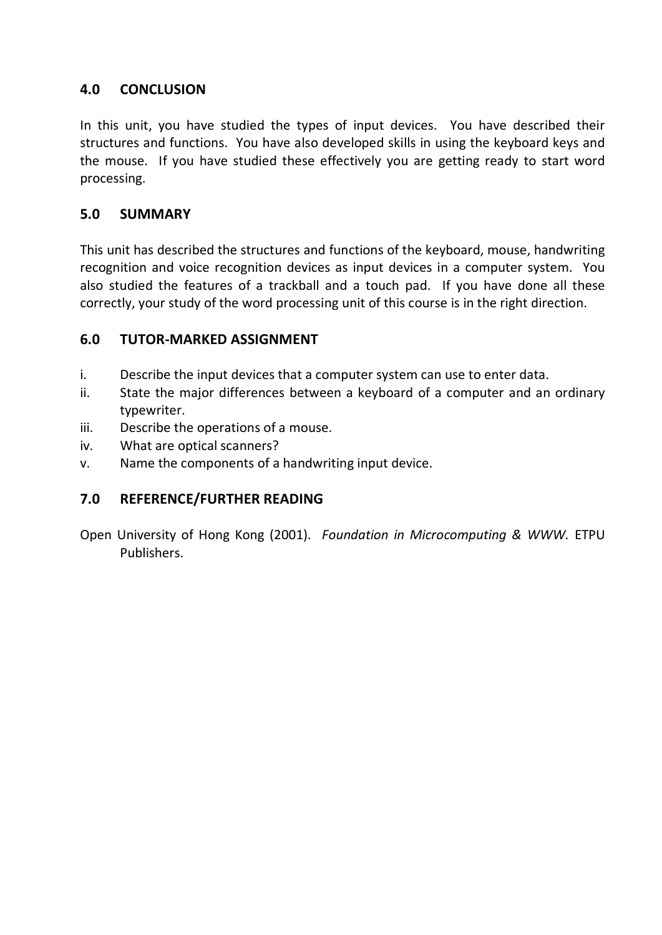## **4.0 CONCLUSION**

In this unit, you have studied the types of input devices. You have described their structures and functions. You have also developed skills in using the keyboard keys and the mouse. If you have studied these effectively you are getting ready to start word processing.

#### **5.0 SUMMARY**

This unit has described the structures and functions of the keyboard, mouse, handwriting recognition and voice recognition devices as input devices in a computer system. You also studied the features of a trackball and a touch pad. If you have done all these correctly, your study of the word processing unit of this course is in the right direction.

#### **6.0 TUTOR-MARKED ASSIGNMENT**

- i. Describe the input devices that a computer system can use to enter data.
- ii. State the major differences between a keyboard of a computer and an ordinary typewriter.
- iii. Describe the operations of a mouse.
- iv. What are optical scanners?
- v. Name the components of a handwriting input device.

## **7.0 REFERENCE/FURTHER READING**

Open University of Hong Kong (2001). *Foundation in Microcomputing & WWW.* ETPU Publishers.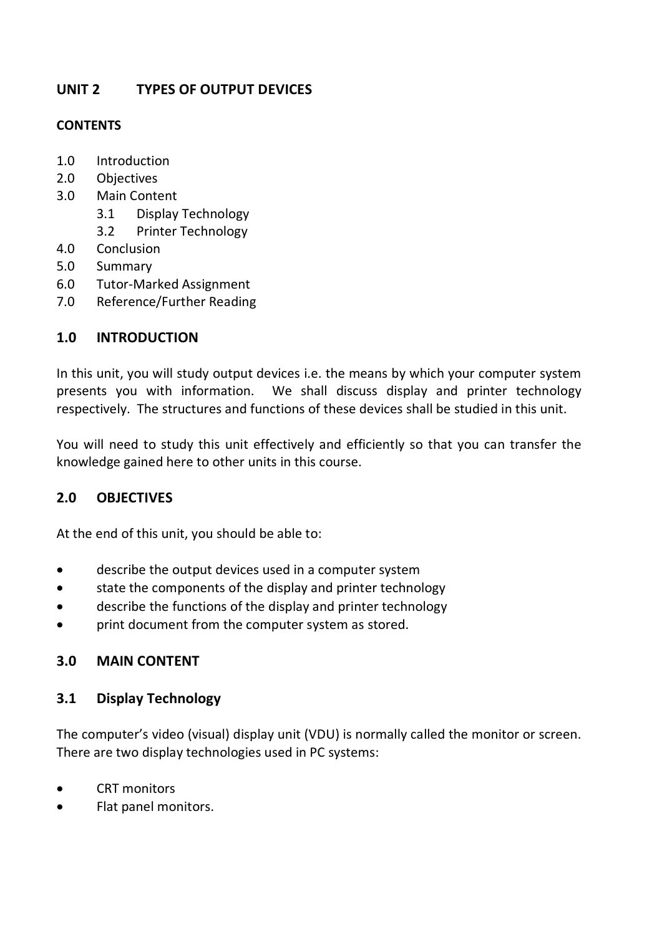# **UNIT 2 TYPES OF OUTPUT DEVICES**

#### **CONTENTS**

- 1.0 Introduction
- 2.0 Objectives
- 3.0 Main Content
	- 3.1 Display Technology
	- 3.2 Printer Technology
- 4.0 Conclusion
- 5.0 Summary
- 6.0 Tutor-Marked Assignment
- 7.0 Reference/Further Reading

# **1.0 INTRODUCTION**

In this unit, you will study output devices i.e. the means by which your computer system presents you with information. We shall discuss display and printer technology respectively. The structures and functions of these devices shall be studied in this unit.

You will need to study this unit effectively and efficiently so that you can transfer the knowledge gained here to other units in this course.

## **2.0 OBJECTIVES**

At the end of this unit, you should be able to:

- describe the output devices used in a computer system
- state the components of the display and printer technology
- describe the functions of the display and printer technology
- print document from the computer system as stored.

#### **3.0 MAIN CONTENT**

#### **3.1 Display Technology**

The computer's video (visual) display unit (VDU) is normally called the monitor or screen. There are two display technologies used in PC systems:

- CRT monitors
- Flat panel monitors.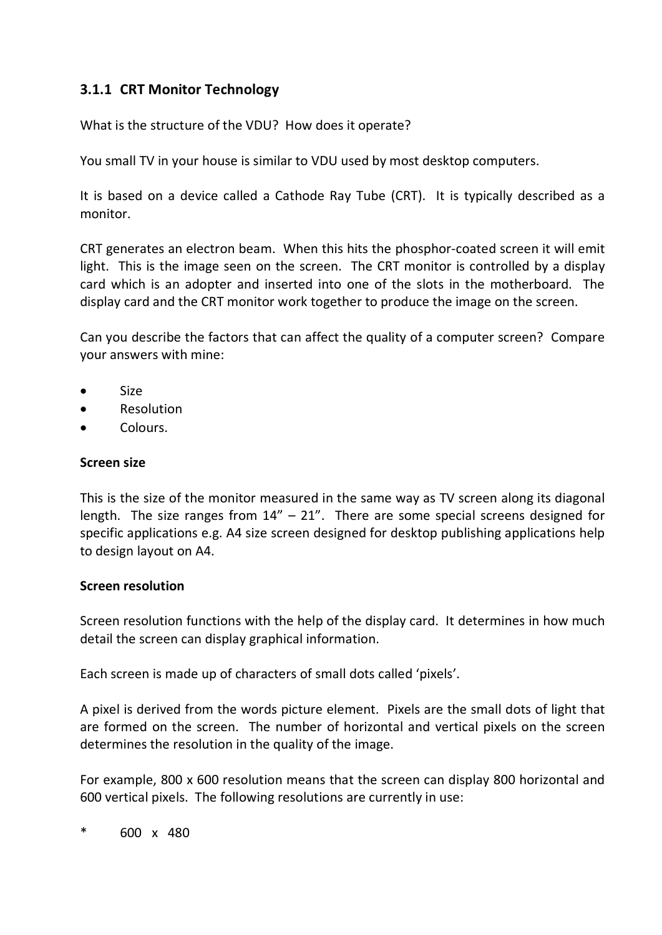# **3.1.1 CRT Monitor Technology**

What is the structure of the VDU? How does it operate?

You small TV in your house is similar to VDU used by most desktop computers.

It is based on a device called a Cathode Ray Tube (CRT). It is typically described as a monitor.

CRT generates an electron beam. When this hits the phosphor-coated screen it will emit light. This is the image seen on the screen. The CRT monitor is controlled by a display card which is an adopter and inserted into one of the slots in the motherboard. The display card and the CRT monitor work together to produce the image on the screen.

Can you describe the factors that can affect the quality of a computer screen? Compare your answers with mine:

- Size
- **Resolution**
- Colours.

#### **Screen size**

This is the size of the monitor measured in the same way as TV screen along its diagonal length. The size ranges from  $14" - 21"$ . There are some special screens designed for specific applications e.g. A4 size screen designed for desktop publishing applications help to design layout on A4.

#### **Screen resolution**

Screen resolution functions with the help of the display card. It determines in how much detail the screen can display graphical information.

Each screen is made up of characters of small dots called 'pixels'.

A pixel is derived from the words picture element. Pixels are the small dots of light that are formed on the screen. The number of horizontal and vertical pixels on the screen determines the resolution in the quality of the image.

For example, 800 x 600 resolution means that the screen can display 800 horizontal and 600 vertical pixels. The following resolutions are currently in use:

\* 600 x 480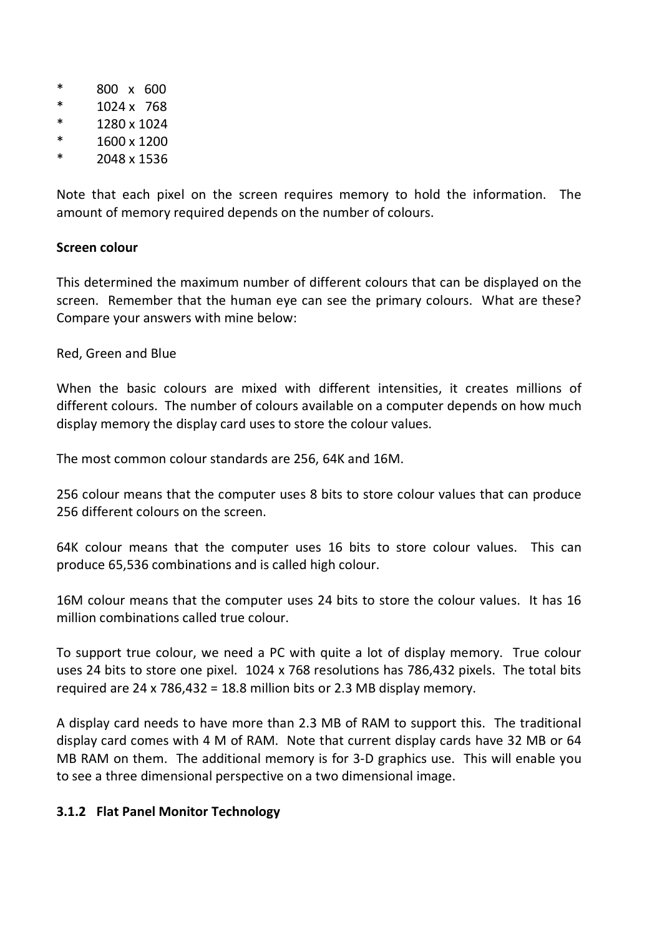- \* 800 x 600
- $*$  1024 x 768
- 1280 x 1024
- 1600 x 1200
- \* 2048 x 1536

Note that each pixel on the screen requires memory to hold the information. The amount of memory required depends on the number of colours.

#### **Screen colour**

This determined the maximum number of different colours that can be displayed on the screen. Remember that the human eye can see the primary colours. What are these? Compare your answers with mine below:

Red, Green and Blue

When the basic colours are mixed with different intensities, it creates millions of different colours. The number of colours available on a computer depends on how much display memory the display card uses to store the colour values.

The most common colour standards are 256, 64K and 16M.

256 colour means that the computer uses 8 bits to store colour values that can produce 256 different colours on the screen.

64K colour means that the computer uses 16 bits to store colour values. This can produce 65,536 combinations and is called high colour.

16M colour means that the computer uses 24 bits to store the colour values. It has 16 million combinations called true colour.

To support true colour, we need a PC with quite a lot of display memory. True colour uses 24 bits to store one pixel. 1024 x 768 resolutions has 786,432 pixels. The total bits required are 24 x 786,432 = 18.8 million bits or 2.3 MB display memory.

A display card needs to have more than 2.3 MB of RAM to support this. The traditional display card comes with 4 M of RAM. Note that current display cards have 32 MB or 64 MB RAM on them. The additional memory is for 3-D graphics use. This will enable you to see a three dimensional perspective on a two dimensional image.

#### **3.1.2 Flat Panel Monitor Technology**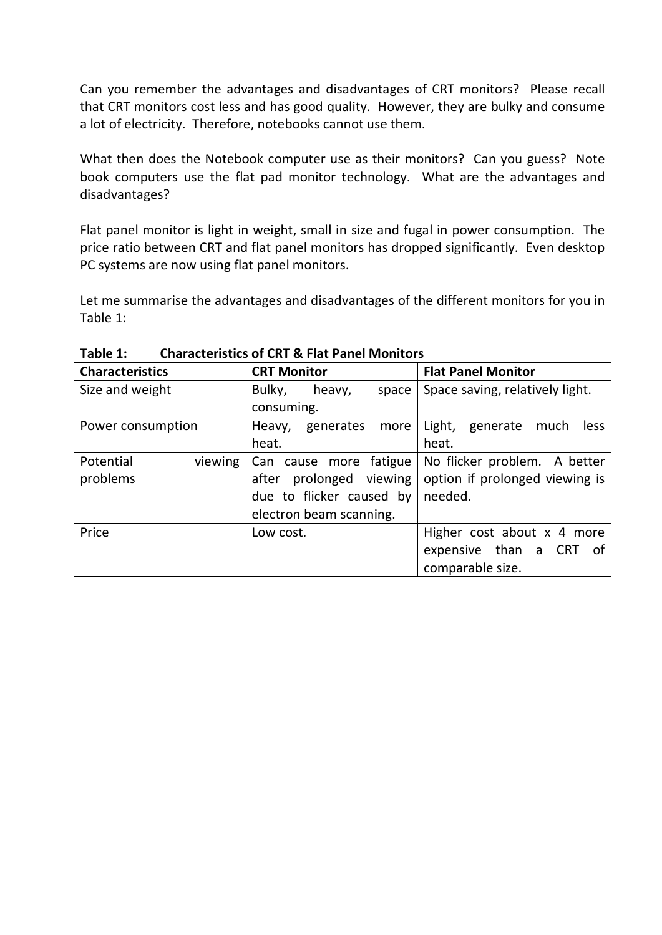Can you remember the advantages and disadvantages of CRT monitors? Please recall that CRT monitors cost less and has good quality. However, they are bulky and consume a lot of electricity. Therefore, notebooks cannot use them.

What then does the Notebook computer use as their monitors? Can you guess? Note book computers use the flat pad monitor technology. What are the advantages and disadvantages?

Flat panel monitor is light in weight, small in size and fugal in power consumption. The price ratio between CRT and flat panel monitors has dropped significantly. Even desktop PC systems are now using flat panel monitors.

Let me summarise the advantages and disadvantages of the different monitors for you in Table 1:

| <b>Characteristics</b> | <b>CRT Monitor</b>           | <b>Flat Panel Monitor</b>                 |  |
|------------------------|------------------------------|-------------------------------------------|--|
| Size and weight        | Bulky,<br>heavy,<br>space    | Space saving, relatively light.           |  |
|                        | consuming.                   |                                           |  |
| Power consumption      | Heavy,<br>generates<br>more  | Light,<br>generate<br>much<br><b>less</b> |  |
|                        | heat.                        | heat.                                     |  |
| Potential<br>viewing   | fatigue<br>Can cause<br>more | No flicker problem. A better              |  |
| problems               | prolonged viewing<br>after   | option if prolonged viewing is            |  |
|                        | due to flicker caused by     | needed.                                   |  |
|                        | electron beam scanning.      |                                           |  |
| Price                  | Low cost.                    | Higher cost about x 4 more                |  |
|                        |                              | expensive than a CRT of                   |  |
|                        |                              | comparable size.                          |  |

**Table 1: Characteristics of CRT & Flat Panel Monitors**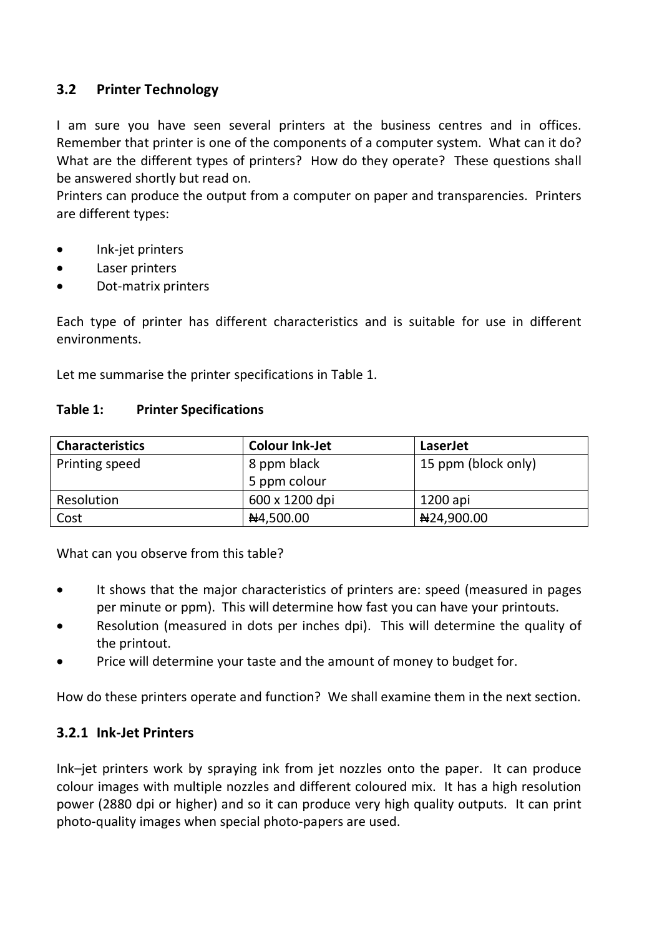# **3.2 Printer Technology**

I am sure you have seen several printers at the business centres and in offices. Remember that printer is one of the components of a computer system. What can it do? What are the different types of printers? How do they operate? These questions shall be answered shortly but read on.

Printers can produce the output from a computer on paper and transparencies. Printers are different types:

- Ink-jet printers
- Laser printers
- Dot-matrix printers

Each type of printer has different characteristics and is suitable for use in different environments.

Let me summarise the printer specifications in Table 1.

#### **Table 1: Printer Specifications**

| <b>Characteristics</b> | <b>Colour Ink-Jet</b> | LaserJet            |
|------------------------|-----------------------|---------------------|
| Printing speed         | 8 ppm black           | 15 ppm (block only) |
|                        | 5 ppm colour          |                     |
| Resolution             | 600 x 1200 dpi        | 1200 api            |
| Cost                   | <del>N</del> 4,500.00 | H24,900.00          |

What can you observe from this table?

- It shows that the major characteristics of printers are: speed (measured in pages per minute or ppm). This will determine how fast you can have your printouts.
- Resolution (measured in dots per inches dpi). This will determine the quality of the printout.
- Price will determine your taste and the amount of money to budget for.

How do these printers operate and function? We shall examine them in the next section.

## **3.2.1 Ink-Jet Printers**

Ink–jet printers work by spraying ink from jet nozzles onto the paper. It can produce colour images with multiple nozzles and different coloured mix. It has a high resolution power (2880 dpi or higher) and so it can produce very high quality outputs. It can print photo-quality images when special photo-papers are used.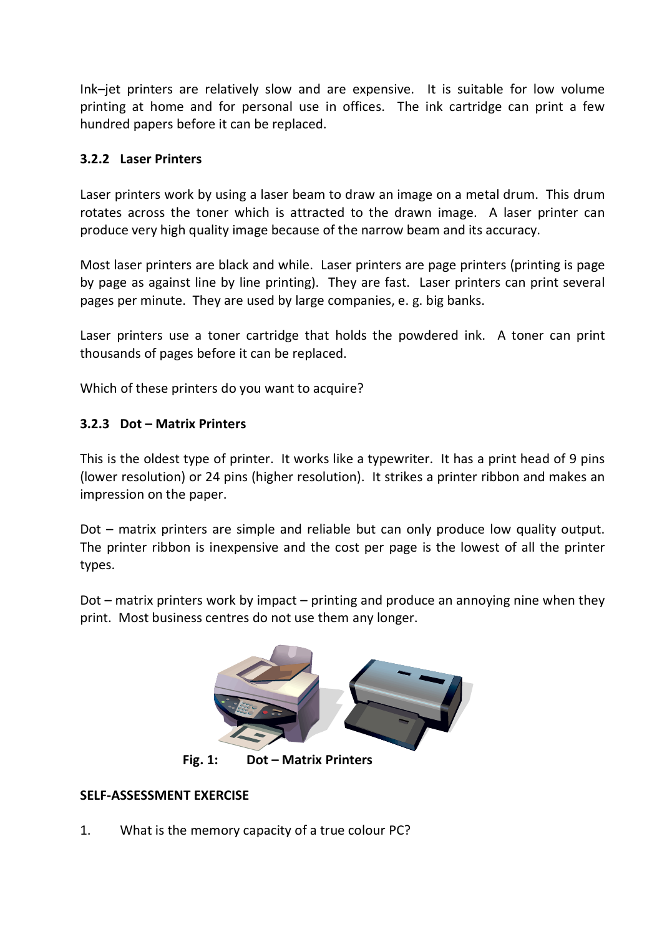Ink–jet printers are relatively slow and are expensive. It is suitable for low volume printing at home and for personal use in offices. The ink cartridge can print a few hundred papers before it can be replaced.

#### **3.2.2 Laser Printers**

Laser printers work by using a laser beam to draw an image on a metal drum. This drum rotates across the toner which is attracted to the drawn image. A laser printer can produce very high quality image because of the narrow beam and its accuracy.

Most laser printers are black and while. Laser printers are page printers (printing is page by page as against line by line printing). They are fast. Laser printers can print several pages per minute. They are used by large companies, e. g. big banks.

Laser printers use a toner cartridge that holds the powdered ink. A toner can print thousands of pages before it can be replaced.

Which of these printers do you want to acquire?

#### **3.2.3 Dot – Matrix Printers**

This is the oldest type of printer. It works like a typewriter. It has a print head of 9 pins (lower resolution) or 24 pins (higher resolution). It strikes a printer ribbon and makes an impression on the paper.

Dot – matrix printers are simple and reliable but can only produce low quality output. The printer ribbon is inexpensive and the cost per page is the lowest of all the printer types.

Dot – matrix printers work by impact – printing and produce an annoying nine when they print. Most business centres do not use them any longer.



#### **SELF-ASSESSMENT EXERCISE**

1. What is the memory capacity of a true colour PC?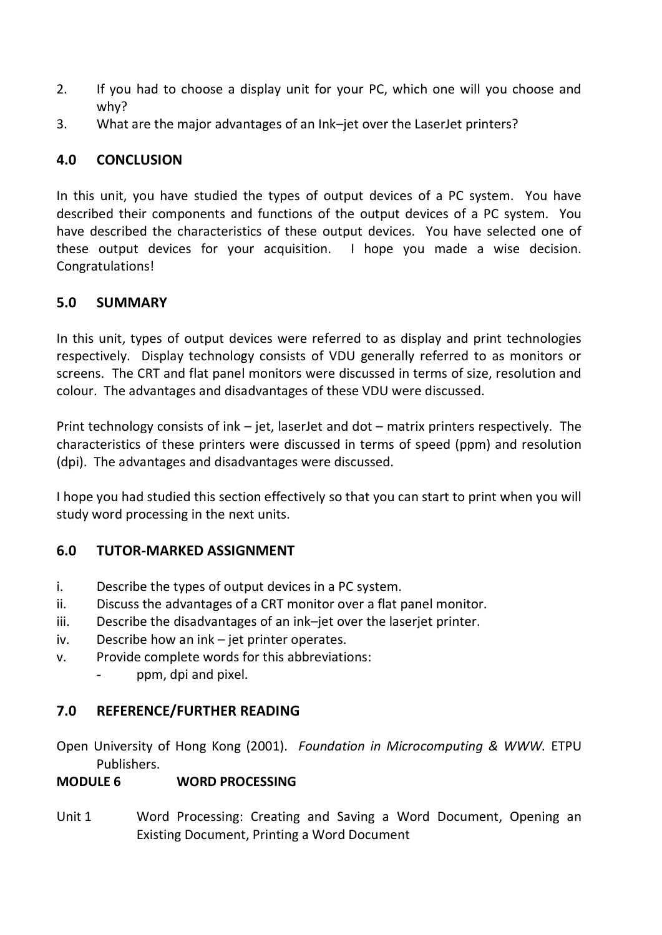- 2. If you had to choose a display unit for your PC, which one will you choose and why?
- 3. What are the major advantages of an Ink–jet over the LaserJet printers?

# **4.0 CONCLUSION**

In this unit, you have studied the types of output devices of a PC system. You have described their components and functions of the output devices of a PC system. You have described the characteristics of these output devices. You have selected one of these output devices for your acquisition. I hope you made a wise decision. Congratulations!

# **5.0 SUMMARY**

In this unit, types of output devices were referred to as display and print technologies respectively. Display technology consists of VDU generally referred to as monitors or screens. The CRT and flat panel monitors were discussed in terms of size, resolution and colour. The advantages and disadvantages of these VDU were discussed.

Print technology consists of ink – jet, laserJet and dot – matrix printers respectively. The characteristics of these printers were discussed in terms of speed (ppm) and resolution (dpi). The advantages and disadvantages were discussed.

I hope you had studied this section effectively so that you can start to print when you will study word processing in the next units.

# **6.0 TUTOR-MARKED ASSIGNMENT**

- i. Describe the types of output devices in a PC system.
- ii. Discuss the advantages of a CRT monitor over a flat panel monitor.
- iii. Describe the disadvantages of an ink–jet over the laserjet printer.
- iv. Describe how an ink jet printer operates.
- v. Provide complete words for this abbreviations:
	- ppm, dpi and pixel.

# **7.0 REFERENCE/FURTHER READING**

Open University of Hong Kong (2001). *Foundation in Microcomputing & WWW.* ETPU Publishers.

## **MODULE 6 WORD PROCESSING**

Unit 1 Word Processing: Creating and Saving a Word Document, Opening an Existing Document, Printing a Word Document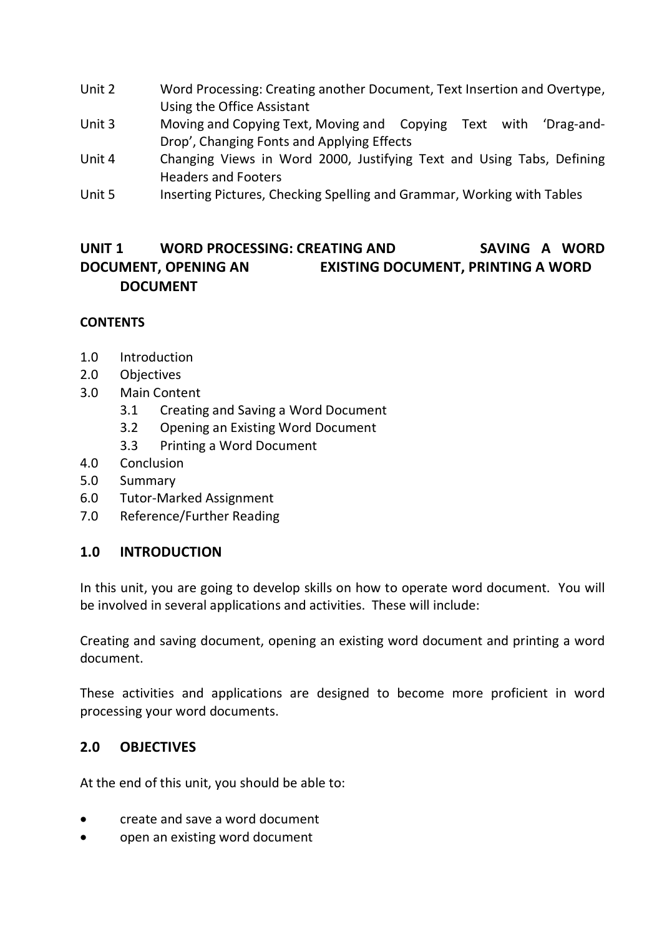- Unit 2 Word Processing: Creating another Document, Text Insertion and Overtype, Using the Office Assistant
- Unit 3 Moving and Copying Text, Moving and Copying Text with 'Drag-and-Drop', Changing Fonts and Applying Effects
- Unit 4 Changing Views in Word 2000, Justifying Text and Using Tabs, Defining Headers and Footers
- Unit 5 Inserting Pictures, Checking Spelling and Grammar, Working with Tables

# **UNIT 1 WORD PROCESSING: CREATING AND SAVING A WORD DOCUMENT, OPENING AN EXISTING DOCUMENT, PRINTING A WORD DOCUMENT**

#### **CONTENTS**

- 1.0 Introduction
- 2.0 Objectives
- 3.0 Main Content
	- 3.1 Creating and Saving a Word Document
	- 3.2 Opening an Existing Word Document
	- 3.3 Printing a Word Document
- 4.0 Conclusion
- 5.0 Summary
- 6.0 Tutor-Marked Assignment
- 7.0 Reference/Further Reading

## **1.0 INTRODUCTION**

In this unit, you are going to develop skills on how to operate word document. You will be involved in several applications and activities. These will include:

Creating and saving document, opening an existing word document and printing a word document.

These activities and applications are designed to become more proficient in word processing your word documents.

## **2.0 OBJECTIVES**

At the end of this unit, you should be able to:

- create and save a word document
- open an existing word document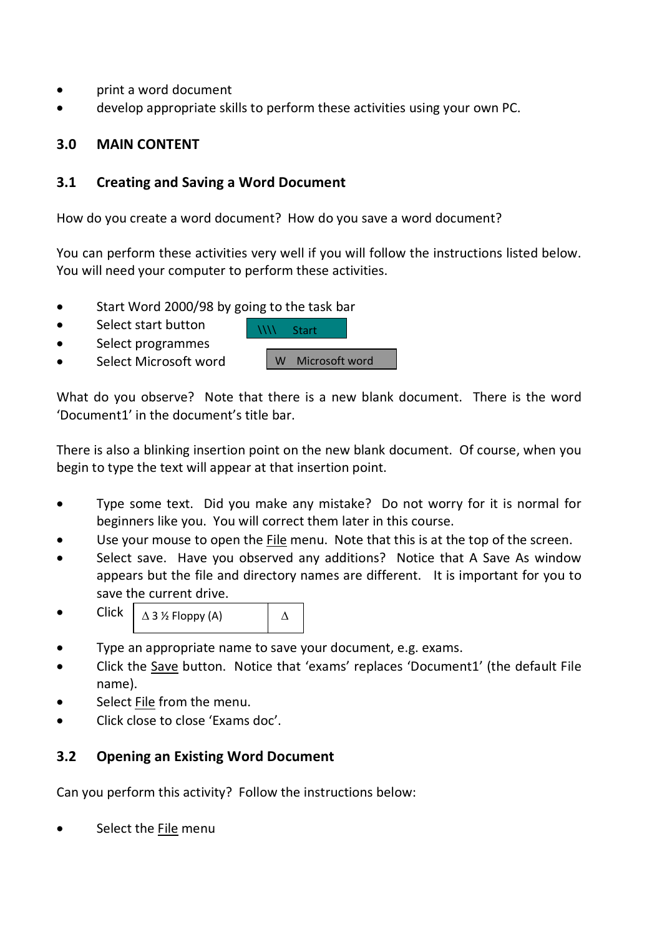- print a word document
- develop appropriate skills to perform these activities using your own PC.

# **3.0 MAIN CONTENT**

# **3.1 Creating and Saving a Word Document**

How do you create a word document? How do you save a word document?

 $\| \cdot \|$  Start

You can perform these activities very well if you will follow the instructions listed below. You will need your computer to perform these activities.

- Start Word 2000/98 by going to the task bar
- Select start button
- Select programmes
- Select Microsoft word

What do you observe? Note that there is a new blank document. There is the word 'Document1' in the document's title bar.

W Microsoft word

There is also a blinking insertion point on the new blank document. Of course, when you begin to type the text will appear at that insertion point.

- Type some text. Did you make any mistake? Do not worry for it is normal for beginners like you. You will correct them later in this course.
- Use your mouse to open the File menu. Note that this is at the top of the screen.
- Select save. Have you observed any additions? Notice that A Save As window appears but the file and directory names are different. It is important for you to save the current drive.
- Click  $\Delta$  3 ½ Floppy (A)  $\Delta$
- Type an appropriate name to save your document, e.g. exams.
- Click the Save button. Notice that 'exams' replaces 'Document1' (the default File name).
- Select File from the menu.
- Click close to close 'Exams doc'.

# **3.2 Opening an Existing Word Document**

Can you perform this activity? Follow the instructions below:

Select the File menu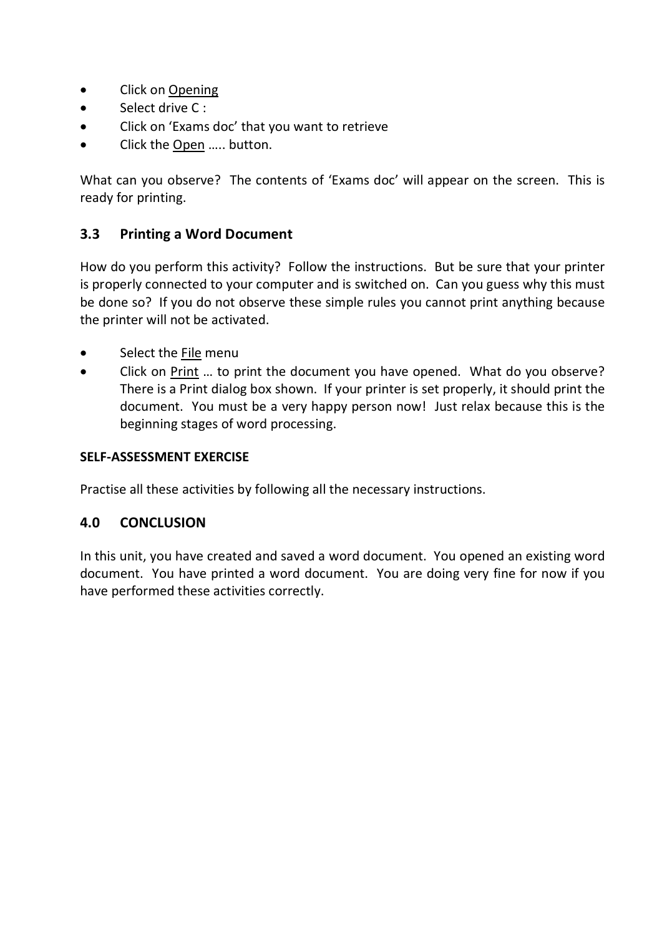- Click on Opening
- Select drive C :
- Click on 'Exams doc' that you want to retrieve
- Click the Open ..... button.

What can you observe? The contents of 'Exams doc' will appear on the screen. This is ready for printing.

# **3.3 Printing a Word Document**

How do you perform this activity? Follow the instructions. But be sure that your printer is properly connected to your computer and is switched on. Can you guess why this must be done so? If you do not observe these simple rules you cannot print anything because the printer will not be activated.

- Select the File menu
- Click on Print … to print the document you have opened. What do you observe? There is a Print dialog box shown. If your printer is set properly, it should print the document. You must be a very happy person now! Just relax because this is the beginning stages of word processing.

#### **SELF-ASSESSMENT EXERCISE**

Practise all these activities by following all the necessary instructions.

## **4.0 CONCLUSION**

In this unit, you have created and saved a word document. You opened an existing word document. You have printed a word document. You are doing very fine for now if you have performed these activities correctly.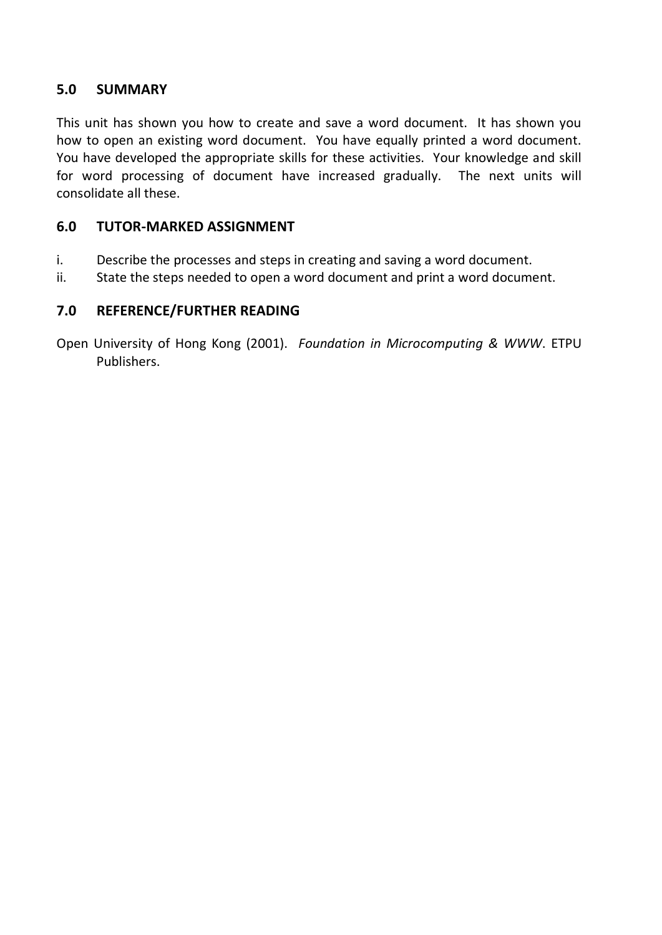## **5.0 SUMMARY**

This unit has shown you how to create and save a word document. It has shown you how to open an existing word document. You have equally printed a word document. You have developed the appropriate skills for these activities. Your knowledge and skill for word processing of document have increased gradually. The next units will consolidate all these.

#### **6.0 TUTOR-MARKED ASSIGNMENT**

- i. Describe the processes and steps in creating and saving a word document.
- ii. State the steps needed to open a word document and print a word document.

#### **7.0 REFERENCE/FURTHER READING**

Open University of Hong Kong (2001). *Foundation in Microcomputing & WWW*. ETPU Publishers.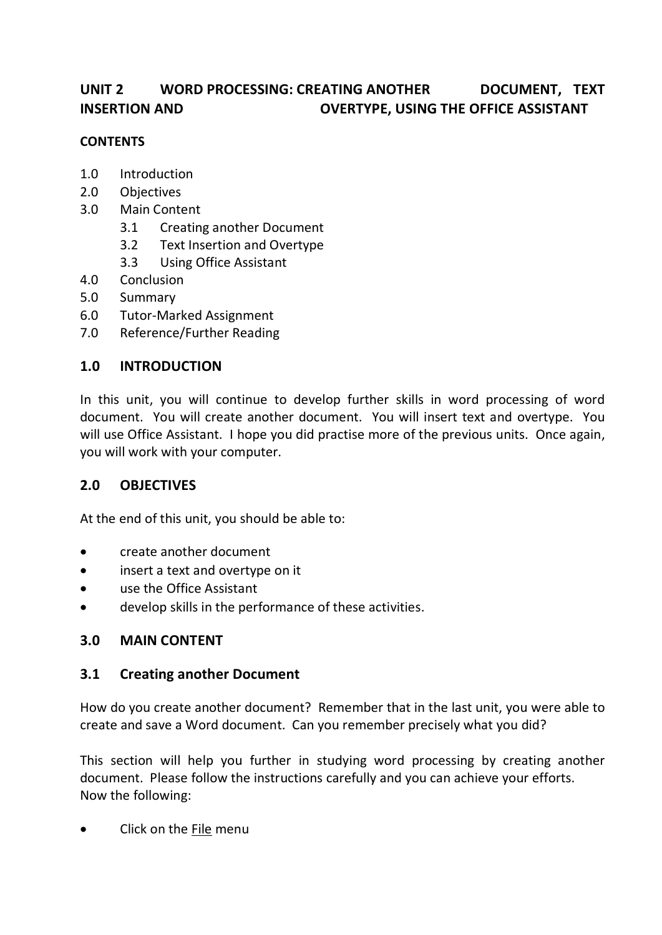# **UNIT 2 WORD PROCESSING: CREATING ANOTHER DOCUMENT, TEXT INSERTION AND OVERTYPE, USING THE OFFICE ASSISTANT**

#### **CONTENTS**

- 1.0 Introduction
- 2.0 Objectives
- 3.0 Main Content
	- 3.1 Creating another Document
	- 3.2 Text Insertion and Overtype
	- 3.3 Using Office Assistant
- 4.0 Conclusion
- 5.0 Summary
- 6.0 Tutor-Marked Assignment
- 7.0 Reference/Further Reading

#### **1.0 INTRODUCTION**

In this unit, you will continue to develop further skills in word processing of word document. You will create another document. You will insert text and overtype. You will use Office Assistant. I hope you did practise more of the previous units. Once again, you will work with your computer.

#### **2.0 OBJECTIVES**

At the end of this unit, you should be able to:

- create another document
- insert a text and overtype on it
- use the Office Assistant
- develop skills in the performance of these activities.

#### **3.0 MAIN CONTENT**

#### **3.1 Creating another Document**

How do you create another document? Remember that in the last unit, you were able to create and save a Word document. Can you remember precisely what you did?

This section will help you further in studying word processing by creating another document. Please follow the instructions carefully and you can achieve your efforts. Now the following:

• Click on the File menu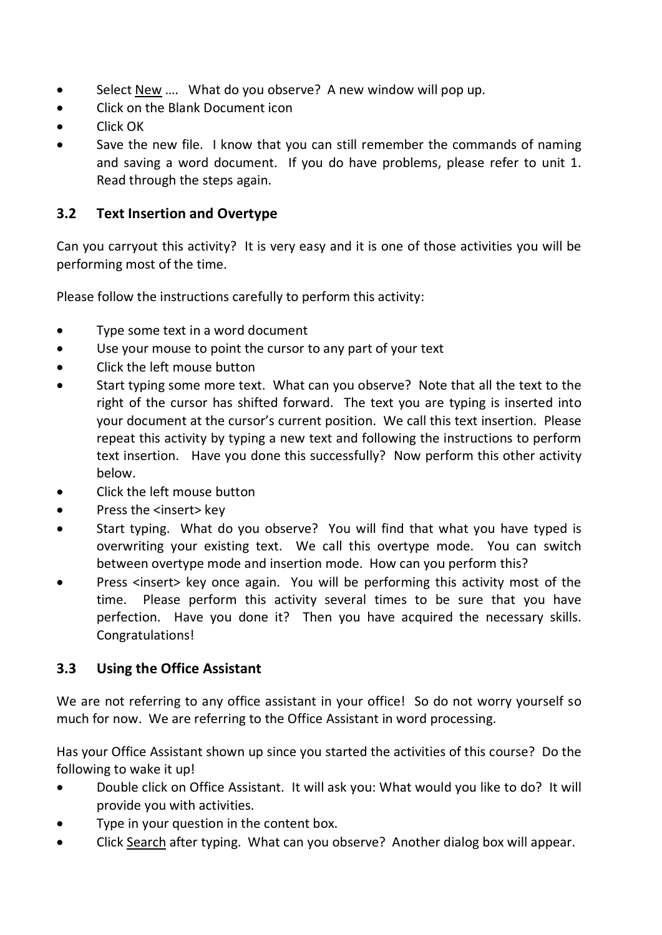- Select New .... What do you observe? A new window will pop up.
- Click on the Blank Document icon
- Click OK
- Save the new file. I know that you can still remember the commands of naming and saving a word document. If you do have problems, please refer to unit 1. Read through the steps again.

## **3.2 Text Insertion and Overtype**

Can you carryout this activity? It is very easy and it is one of those activities you will be performing most of the time.

Please follow the instructions carefully to perform this activity:

- Type some text in a word document
- Use your mouse to point the cursor to any part of your text
- Click the left mouse button
- Start typing some more text. What can you observe? Note that all the text to the right of the cursor has shifted forward. The text you are typing is inserted into your document at the cursor's current position. We call this text insertion. Please repeat this activity by typing a new text and following the instructions to perform text insertion. Have you done this successfully? Now perform this other activity below.
- Click the left mouse button
- Press the <insert> key
- Start typing. What do you observe? You will find that what you have typed is overwriting your existing text. We call this overtype mode. You can switch between overtype mode and insertion mode. How can you perform this?
- Press <insert> key once again. You will be performing this activity most of the time. Please perform this activity several times to be sure that you have perfection. Have you done it? Then you have acquired the necessary skills. Congratulations!

## **3.3 Using the Office Assistant**

We are not referring to any office assistant in your office! So do not worry yourself so much for now. We are referring to the Office Assistant in word processing.

Has your Office Assistant shown up since you started the activities of this course? Do the following to wake it up!

- Double click on Office Assistant. It will ask you: What would you like to do? It will provide you with activities.
- Type in your question in the content box.
- Click Search after typing. What can you observe? Another dialog box will appear.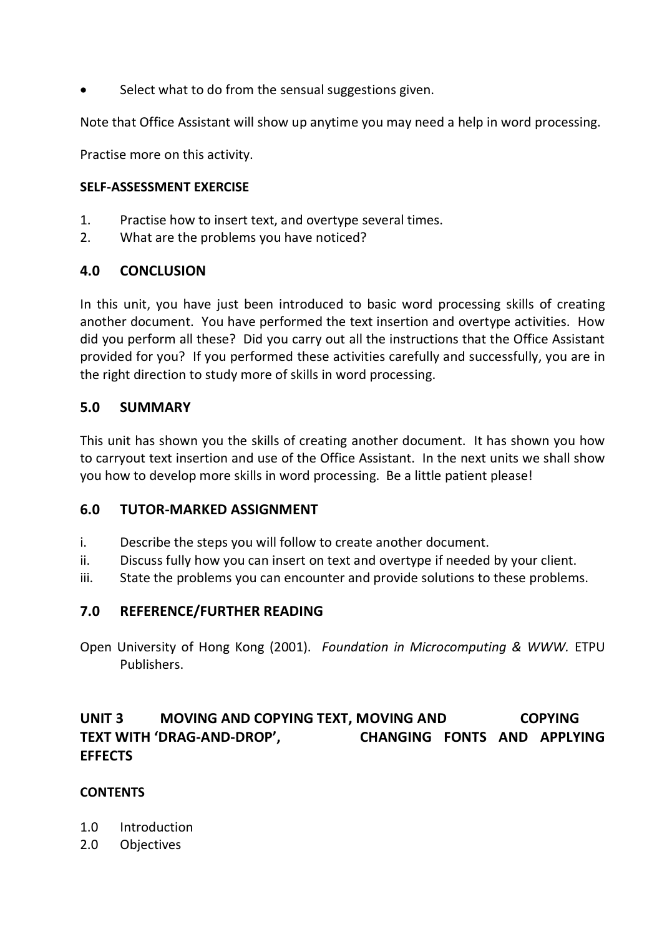Select what to do from the sensual suggestions given.

Note that Office Assistant will show up anytime you may need a help in word processing.

Practise more on this activity.

#### **SELF-ASSESSMENT EXERCISE**

- 1. Practise how to insert text, and overtype several times.
- 2. What are the problems you have noticed?

#### **4.0 CONCLUSION**

In this unit, you have just been introduced to basic word processing skills of creating another document. You have performed the text insertion and overtype activities. How did you perform all these? Did you carry out all the instructions that the Office Assistant provided for you? If you performed these activities carefully and successfully, you are in the right direction to study more of skills in word processing.

#### **5.0 SUMMARY**

This unit has shown you the skills of creating another document. It has shown you how to carryout text insertion and use of the Office Assistant. In the next units we shall show you how to develop more skills in word processing. Be a little patient please!

#### **6.0 TUTOR-MARKED ASSIGNMENT**

- i. Describe the steps you will follow to create another document.
- ii. Discuss fully how you can insert on text and overtype if needed by your client.
- iii. State the problems you can encounter and provide solutions to these problems.

## **7.0 REFERENCE/FURTHER READING**

Open University of Hong Kong (2001). *Foundation in Microcomputing & WWW.* ETPU Publishers.

# **UNIT 3 MOVING AND COPYING TEXT, MOVING AND COPYING TEXT WITH 'DRAG-AND-DROP', CHANGING FONTS AND APPLYING EFFECTS**

#### **CONTENTS**

- 1.0 Introduction
- 2.0 Objectives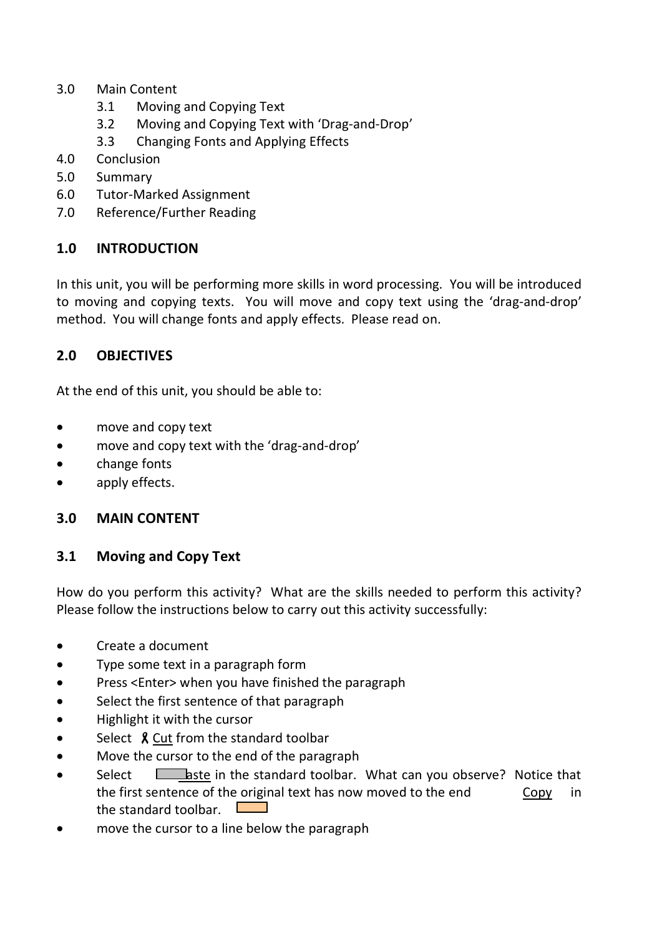## 3.0 Main Content

- 3.1 Moving and Copying Text
- 3.2 Moving and Copying Text with 'Drag-and-Drop'
- 3.3 Changing Fonts and Applying Effects
- 4.0 Conclusion
- 5.0 Summary
- 6.0 Tutor-Marked Assignment
- 7.0 Reference/Further Reading

## **1.0 INTRODUCTION**

In this unit, you will be performing more skills in word processing. You will be introduced to moving and copying texts. You will move and copy text using the 'drag-and-drop' method. You will change fonts and apply effects. Please read on.

## **2.0 OBJECTIVES**

At the end of this unit, you should be able to:

- move and copy text
- move and copy text with the 'drag-and-drop'
- change fonts
- apply effects.

#### **3.0 MAIN CONTENT**

## **3.1 Moving and Copy Text**

How do you perform this activity? What are the skills needed to perform this activity? Please follow the instructions below to carry out this activity successfully:

- Create a document
- Type some text in a paragraph form
- Press <Enter> when you have finished the paragraph
- Select the first sentence of that paragraph
- Highlight it with the cursor
- Select  $\lambda$  Cut from the standard toolbar
- Move the cursor to the end of the paragraph
- Select  $\Box$  aste in the standard toolbar. What can you observe? Notice that the first sentence of the original text has now moved to the end Copy in the standard toolbar.  $\Box$
- move the cursor to a line below the paragraph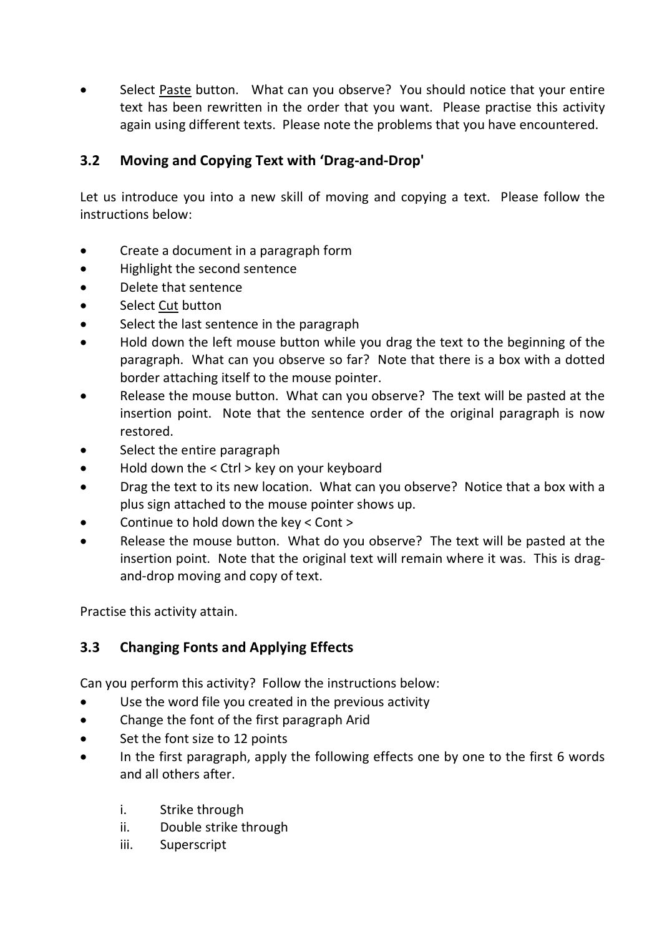Select Paste button. What can you observe? You should notice that your entire text has been rewritten in the order that you want. Please practise this activity again using different texts. Please note the problems that you have encountered.

# **3.2 Moving and Copying Text with 'Drag-and-Drop'**

Let us introduce you into a new skill of moving and copying a text. Please follow the instructions below:

- Create a document in a paragraph form
- Highlight the second sentence
- Delete that sentence
- Select Cut button
- Select the last sentence in the paragraph
- Hold down the left mouse button while you drag the text to the beginning of the paragraph. What can you observe so far? Note that there is a box with a dotted border attaching itself to the mouse pointer.
- Release the mouse button. What can you observe? The text will be pasted at the insertion point. Note that the sentence order of the original paragraph is now restored.
- Select the entire paragraph
- Hold down the < Ctrl > key on your keyboard
- Drag the text to its new location. What can you observe? Notice that a box with a plus sign attached to the mouse pointer shows up.
- Continue to hold down the key < Cont >
- Release the mouse button. What do you observe? The text will be pasted at the insertion point. Note that the original text will remain where it was. This is dragand-drop moving and copy of text.

Practise this activity attain.

## **3.3 Changing Fonts and Applying Effects**

Can you perform this activity? Follow the instructions below:

- Use the word file you created in the previous activity
- Change the font of the first paragraph Arid
- Set the font size to 12 points
- In the first paragraph, apply the following effects one by one to the first 6 words and all others after.
	- i. Strike through
	- ii. Double strike through
	- iii. Superscript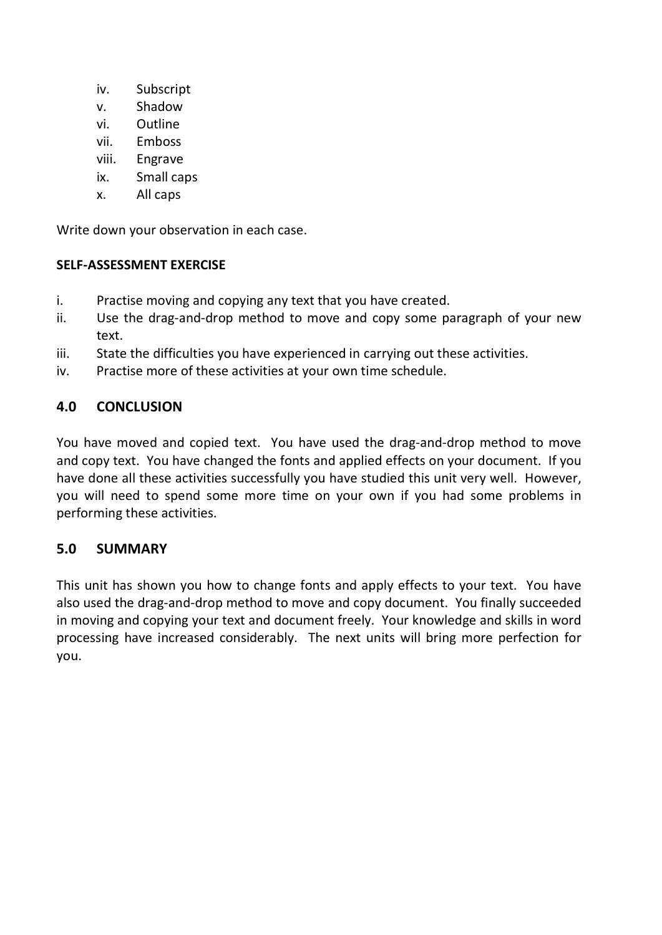- iv. Subscript
- v. Shadow
- vi. Outline
- vii. Emboss
- viii. Engrave
- ix. Small caps
- x. All caps

Write down your observation in each case.

#### **SELF-ASSESSMENT EXERCISE**

- i. Practise moving and copying any text that you have created.
- ii. Use the drag-and-drop method to move and copy some paragraph of your new text.
- iii. State the difficulties you have experienced in carrying out these activities.
- iv. Practise more of these activities at your own time schedule.

## **4.0 CONCLUSION**

You have moved and copied text. You have used the drag-and-drop method to move and copy text. You have changed the fonts and applied effects on your document. If you have done all these activities successfully you have studied this unit very well. However, you will need to spend some more time on your own if you had some problems in performing these activities.

#### **5.0 SUMMARY**

This unit has shown you how to change fonts and apply effects to your text. You have also used the drag-and-drop method to move and copy document. You finally succeeded in moving and copying your text and document freely. Your knowledge and skills in word processing have increased considerably. The next units will bring more perfection for you.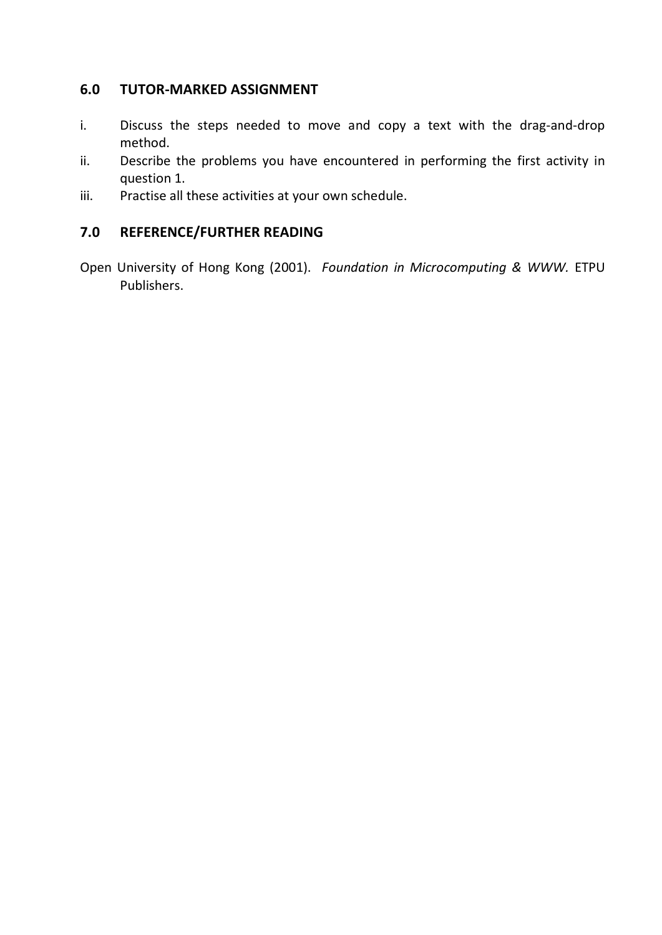#### **6.0 TUTOR-MARKED ASSIGNMENT**

- i. Discuss the steps needed to move and copy a text with the drag-and-drop method.
- ii. Describe the problems you have encountered in performing the first activity in question 1.
- iii. Practise all these activities at your own schedule.

#### **7.0 REFERENCE/FURTHER READING**

Open University of Hong Kong (2001). *Foundation in Microcomputing & WWW.* ETPU Publishers.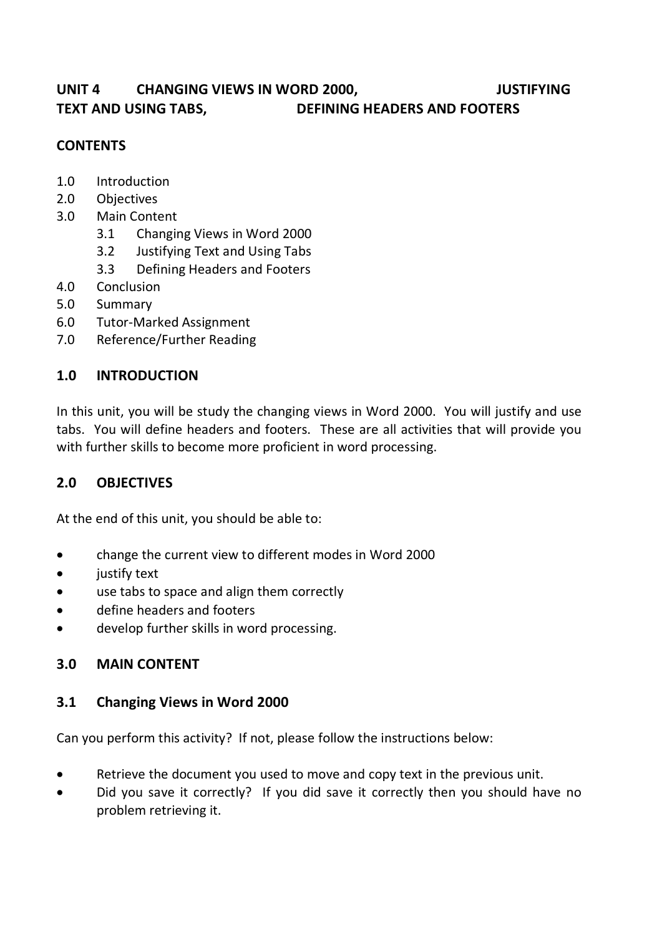# **UNIT 4 CHANGING VIEWS IN WORD 2000, JUSTIFYING TEXT AND USING TABS, DEFINING HEADERS AND FOOTERS**

# **CONTENTS**

- 1.0 Introduction
- 2.0 Objectives
- 3.0 Main Content
	- 3.1 Changing Views in Word 2000
	- 3.2 Justifying Text and Using Tabs
	- 3.3 Defining Headers and Footers
- 4.0 Conclusion
- 5.0 Summary
- 6.0 Tutor-Marked Assignment
- 7.0 Reference/Further Reading

# **1.0 INTRODUCTION**

In this unit, you will be study the changing views in Word 2000. You will justify and use tabs. You will define headers and footers. These are all activities that will provide you with further skills to become more proficient in word processing.

## **2.0 OBJECTIVES**

At the end of this unit, you should be able to:

- change the current view to different modes in Word 2000
- justify text
- use tabs to space and align them correctly
- define headers and footers
- develop further skills in word processing.

## **3.0 MAIN CONTENT**

#### **3.1 Changing Views in Word 2000**

Can you perform this activity? If not, please follow the instructions below:

- Retrieve the document you used to move and copy text in the previous unit.
- Did you save it correctly? If you did save it correctly then you should have no problem retrieving it.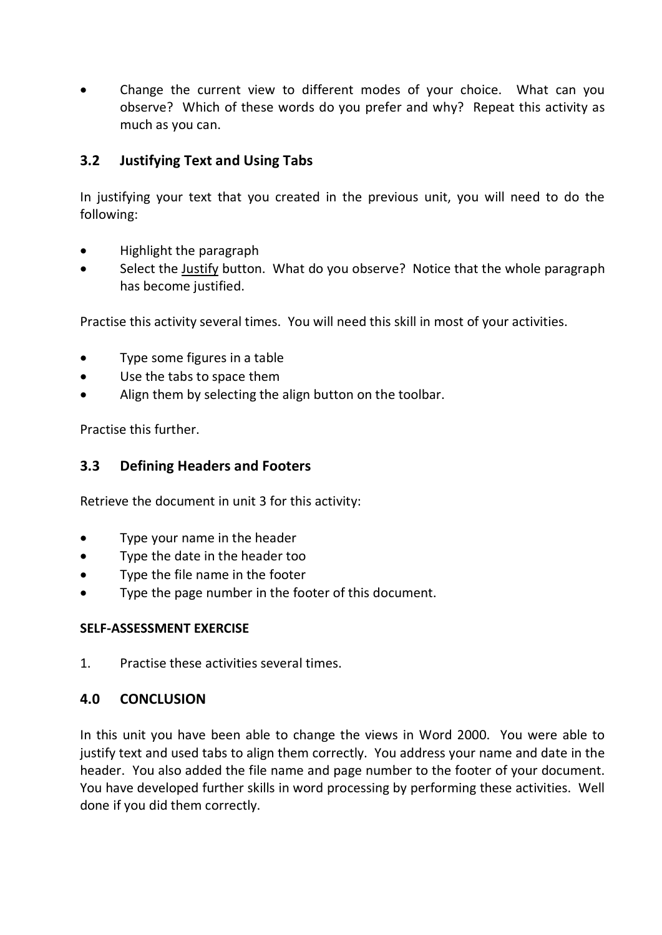Change the current view to different modes of your choice. What can you observe? Which of these words do you prefer and why? Repeat this activity as much as you can.

# **3.2 Justifying Text and Using Tabs**

In justifying your text that you created in the previous unit, you will need to do the following:

- Highlight the paragraph
- Select the Justify button. What do you observe? Notice that the whole paragraph has become justified.

Practise this activity several times. You will need this skill in most of your activities.

- Type some figures in a table
- Use the tabs to space them
- Align them by selecting the align button on the toolbar.

Practise this further.

#### **3.3 Defining Headers and Footers**

Retrieve the document in unit 3 for this activity:

- Type your name in the header
- Type the date in the header too
- Type the file name in the footer
- Type the page number in the footer of this document.

#### **SELF-ASSESSMENT EXERCISE**

1. Practise these activities several times.

#### **4.0 CONCLUSION**

In this unit you have been able to change the views in Word 2000. You were able to justify text and used tabs to align them correctly. You address your name and date in the header. You also added the file name and page number to the footer of your document. You have developed further skills in word processing by performing these activities. Well done if you did them correctly.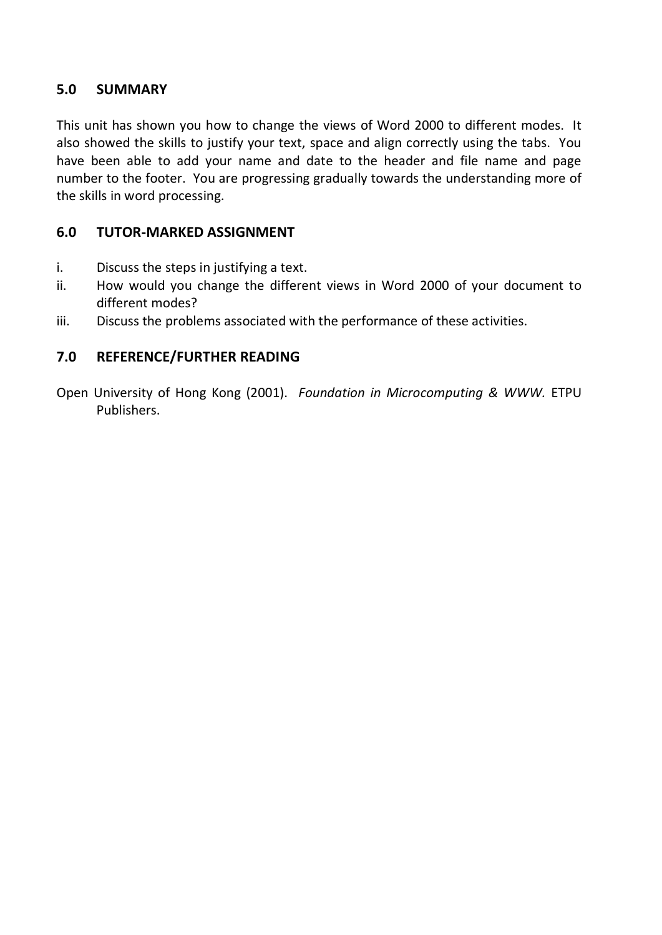#### **5.0 SUMMARY**

This unit has shown you how to change the views of Word 2000 to different modes. It also showed the skills to justify your text, space and align correctly using the tabs. You have been able to add your name and date to the header and file name and page number to the footer. You are progressing gradually towards the understanding more of the skills in word processing.

#### **6.0 TUTOR-MARKED ASSIGNMENT**

- i. Discuss the steps in justifying a text.
- ii. How would you change the different views in Word 2000 of your document to different modes?
- iii. Discuss the problems associated with the performance of these activities.

#### **7.0 REFERENCE/FURTHER READING**

Open University of Hong Kong (2001). *Foundation in Microcomputing & WWW.* ETPU Publishers.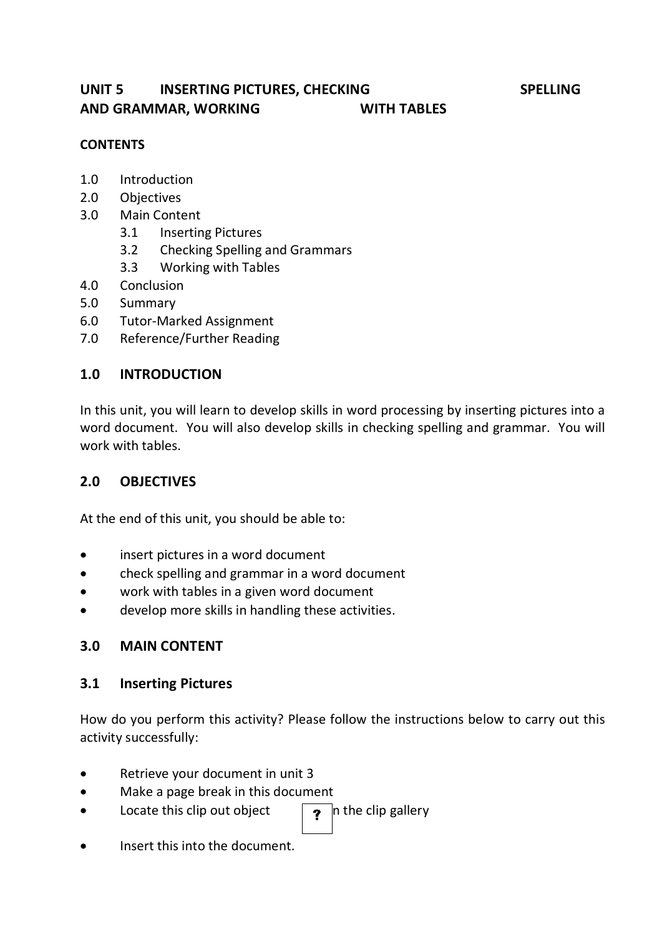# UNIT 5 INSERTING PICTURES, CHECKING **SPELLING AND GRAMMAR, WORKING WITH TABLES**

#### **CONTENTS**

- 1.0 Introduction
- 2.0 Objectives
- 3.0 Main Content
	- 3.1 Inserting Pictures
	- 3.2 Checking Spelling and Grammars
	- 3.3 Working with Tables
- 4.0 Conclusion
- 5.0 Summary
- 6.0 Tutor-Marked Assignment
- 7.0 Reference/Further Reading

#### **1.0 INTRODUCTION**

In this unit, you will learn to develop skills in word processing by inserting pictures into a word document. You will also develop skills in checking spelling and grammar. You will work with tables.

#### **2.0 OBJECTIVES**

At the end of this unit, you should be able to:

- insert pictures in a word document
- check spelling and grammar in a word document
- work with tables in a given word document
- develop more skills in handling these activities.

#### **3.0 MAIN CONTENT**

#### **3.1 Inserting Pictures**

How do you perform this activity? Please follow the instructions below to carry out this activity successfully:

- Retrieve your document in unit 3
- Make a page break in this document
- $\bullet$  Locate this clip out object  $\bullet$  In the clip gallery

• Insert this into the document.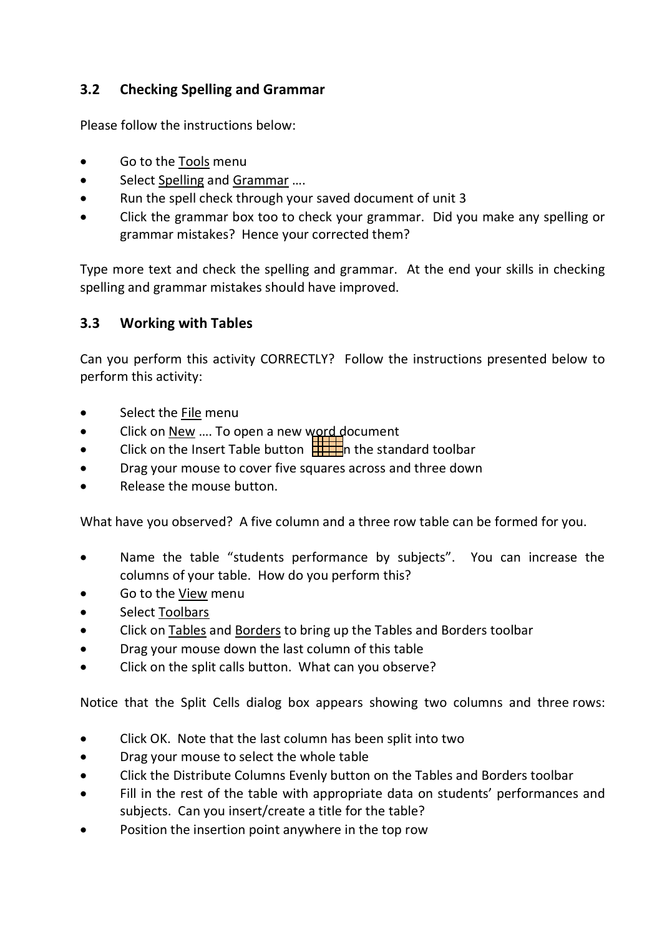# **3.2 Checking Spelling and Grammar**

Please follow the instructions below:

- Go to the Tools menu
- Select Spelling and Grammar ....
- Run the spell check through your saved document of unit 3
- Click the grammar box too to check your grammar. Did you make any spelling or grammar mistakes? Hence your corrected them?

Type more text and check the spelling and grammar. At the end your skills in checking spelling and grammar mistakes should have improved.

## **3.3 Working with Tables**

Can you perform this activity CORRECTLY? Follow the instructions presented below to perform this activity:

- Select the File menu
- Click on New .... To open a new word document
- Click on the Insert Table button  $\frac{1}{\sqrt{1+\frac{1}{n}}}$ n the standard toolbar
- Drag your mouse to cover five squares across and three down
- Release the mouse button.

What have you observed? A five column and a three row table can be formed for you.

- Name the table "students performance by subjects". You can increase the columns of your table. How do you perform this?
- Go to the View menu
- Select Toolbars
- Click on Tables and Borders to bring up the Tables and Borders toolbar
- Drag your mouse down the last column of this table
- Click on the split calls button. What can you observe?

Notice that the Split Cells dialog box appears showing two columns and three rows:

- Click OK. Note that the last column has been split into two
- Drag your mouse to select the whole table
- Click the Distribute Columns Evenly button on the Tables and Borders toolbar
- Fill in the rest of the table with appropriate data on students' performances and subjects. Can you insert/create a title for the table?
- Position the insertion point anywhere in the top row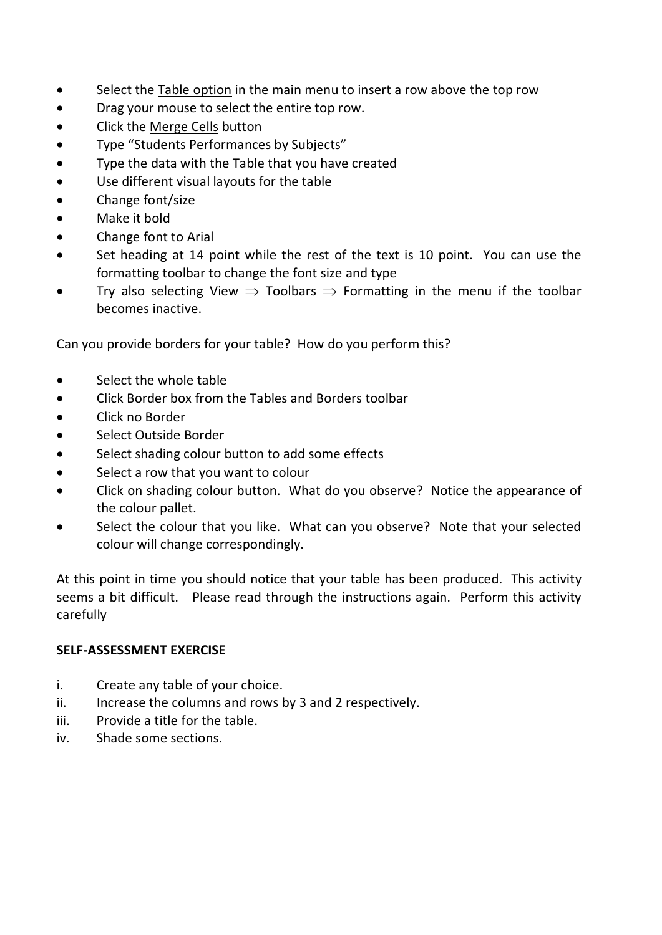- Select the Table option in the main menu to insert a row above the top row
- Drag your mouse to select the entire top row.
- Click the Merge Cells button
- Type "Students Performances by Subjects"
- Type the data with the Table that you have created
- Use different visual layouts for the table
- Change font/size
- Make it bold
- Change font to Arial
- Set heading at 14 point while the rest of the text is 10 point. You can use the formatting toolbar to change the font size and type
- Try also selecting View  $\Rightarrow$  Toolbars  $\Rightarrow$  Formatting in the menu if the toolbar becomes inactive.

Can you provide borders for your table? How do you perform this?

- Select the whole table
- Click Border box from the Tables and Borders toolbar
- Click no Border
- Select Outside Border
- Select shading colour button to add some effects
- Select a row that you want to colour
- Click on shading colour button. What do you observe? Notice the appearance of the colour pallet.
- Select the colour that you like. What can you observe? Note that your selected colour will change correspondingly.

At this point in time you should notice that your table has been produced. This activity seems a bit difficult. Please read through the instructions again. Perform this activity carefully

#### **SELF-ASSESSMENT EXERCISE**

- i. Create any table of your choice.
- ii. Increase the columns and rows by 3 and 2 respectively.
- iii. Provide a title for the table.
- iv. Shade some sections.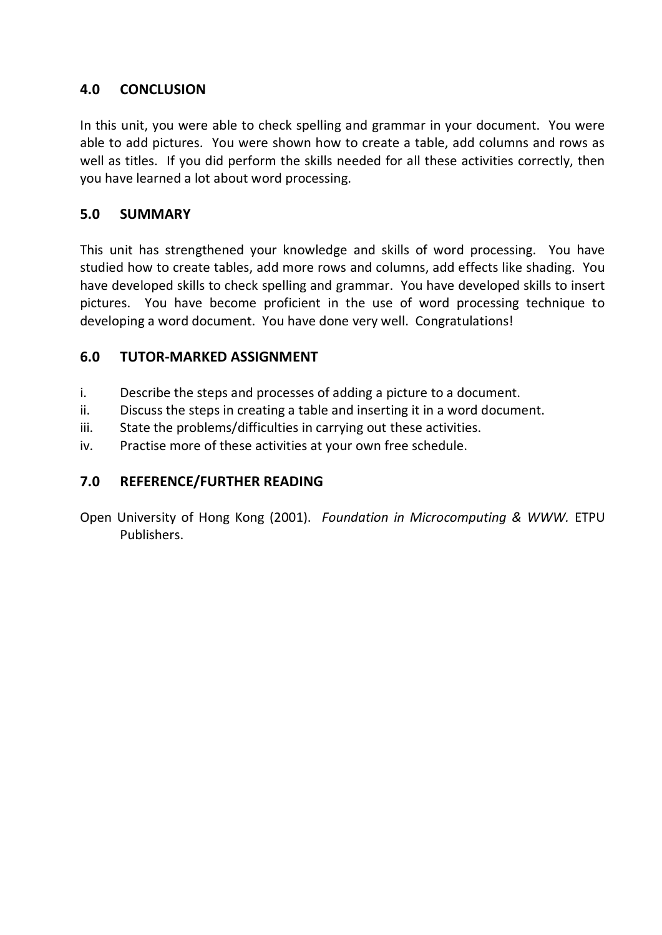## **4.0 CONCLUSION**

In this unit, you were able to check spelling and grammar in your document. You were able to add pictures. You were shown how to create a table, add columns and rows as well as titles. If you did perform the skills needed for all these activities correctly, then you have learned a lot about word processing.

#### **5.0 SUMMARY**

This unit has strengthened your knowledge and skills of word processing. You have studied how to create tables, add more rows and columns, add effects like shading. You have developed skills to check spelling and grammar. You have developed skills to insert pictures. You have become proficient in the use of word processing technique to developing a word document. You have done very well. Congratulations!

#### **6.0 TUTOR-MARKED ASSIGNMENT**

- i. Describe the steps and processes of adding a picture to a document.
- ii. Discuss the steps in creating a table and inserting it in a word document.
- iii. State the problems/difficulties in carrying out these activities.
- iv. Practise more of these activities at your own free schedule.

## **7.0 REFERENCE/FURTHER READING**

Open University of Hong Kong (2001). *Foundation in Microcomputing & WWW.* ETPU Publishers.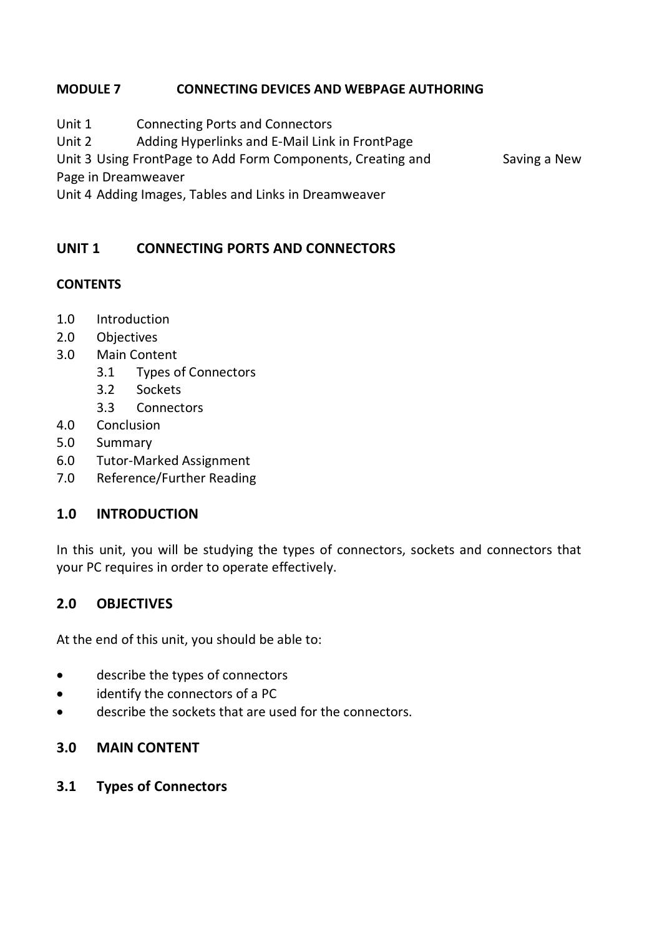## **MODULE 7 CONNECTING DEVICES AND WEBPAGE AUTHORING**

Unit 1 Connecting Ports and Connectors

Unit 2 Adding Hyperlinks and E-Mail Link in FrontPage

Unit 3 Using FrontPage to Add Form Components, Creating and Saving a New

Page in Dreamweaver

Unit 4 Adding Images, Tables and Links in Dreamweaver

# **UNIT 1 CONNECTING PORTS AND CONNECTORS**

#### **CONTENTS**

- 1.0 Introduction
- 2.0 Objectives
- 3.0 Main Content
	- 3.1 Types of Connectors
	- 3.2 Sockets
	- 3.3 Connectors
- 4.0 Conclusion
- 5.0 Summary
- 6.0 Tutor-Marked Assignment
- 7.0 Reference/Further Reading

## **1.0 INTRODUCTION**

In this unit, you will be studying the types of connectors, sockets and connectors that your PC requires in order to operate effectively.

## **2.0 OBJECTIVES**

At the end of this unit, you should be able to:

- describe the types of connectors
- identify the connectors of a PC
- describe the sockets that are used for the connectors.

# **3.0 MAIN CONTENT**

**3.1 Types of Connectors**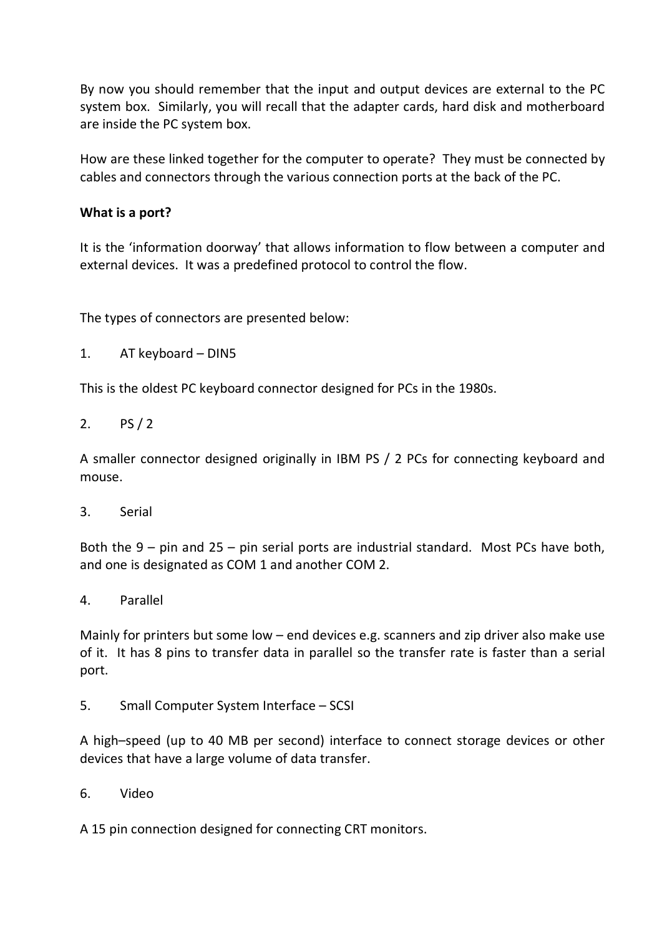By now you should remember that the input and output devices are external to the PC system box. Similarly, you will recall that the adapter cards, hard disk and motherboard are inside the PC system box.

How are these linked together for the computer to operate? They must be connected by cables and connectors through the various connection ports at the back of the PC.

#### **What is a port?**

It is the 'information doorway' that allows information to flow between a computer and external devices. It was a predefined protocol to control the flow.

The types of connectors are presented below:

1. AT keyboard – DIN5

This is the oldest PC keyboard connector designed for PCs in the 1980s.

2. PS / 2

A smaller connector designed originally in IBM PS / 2 PCs for connecting keyboard and mouse.

3. Serial

Both the 9 – pin and 25 – pin serial ports are industrial standard. Most PCs have both, and one is designated as COM 1 and another COM 2.

4. Parallel

Mainly for printers but some low – end devices e.g. scanners and zip driver also make use of it. It has 8 pins to transfer data in parallel so the transfer rate is faster than a serial port.

5. Small Computer System Interface – SCSI

A high–speed (up to 40 MB per second) interface to connect storage devices or other devices that have a large volume of data transfer.

6. Video

A 15 pin connection designed for connecting CRT monitors.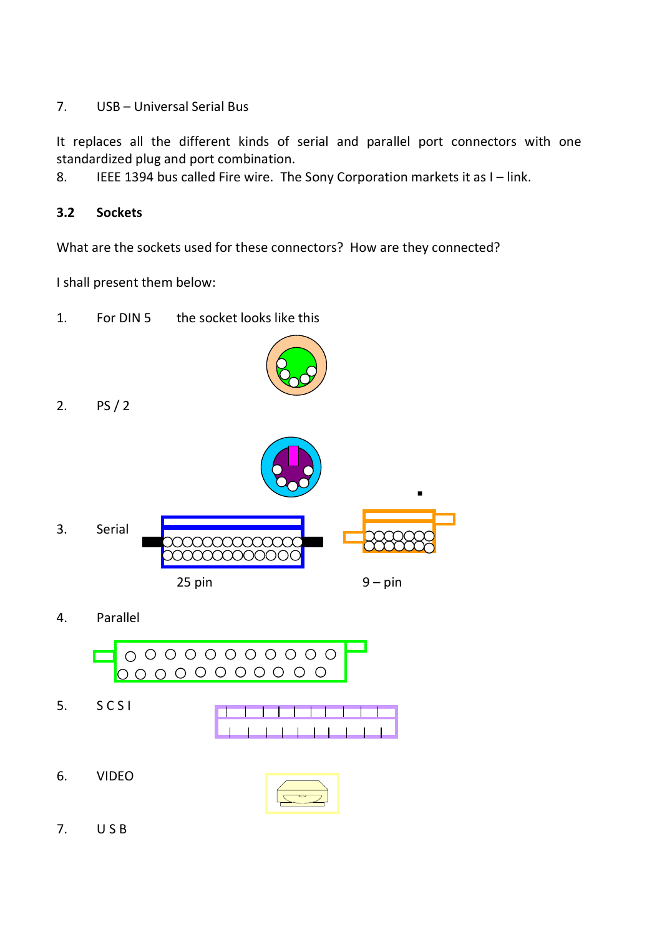7. USB – Universal Serial Bus

It replaces all the different kinds of serial and parallel port connectors with one standardized plug and port combination.

8. IEEE 1394 bus called Fire wire. The Sony Corporation markets it as I-link.

## **3.2 Sockets**

What are the sockets used for these connectors? How are they connected?

I shall present them below:

1. For DIN 5 the socket looks like this

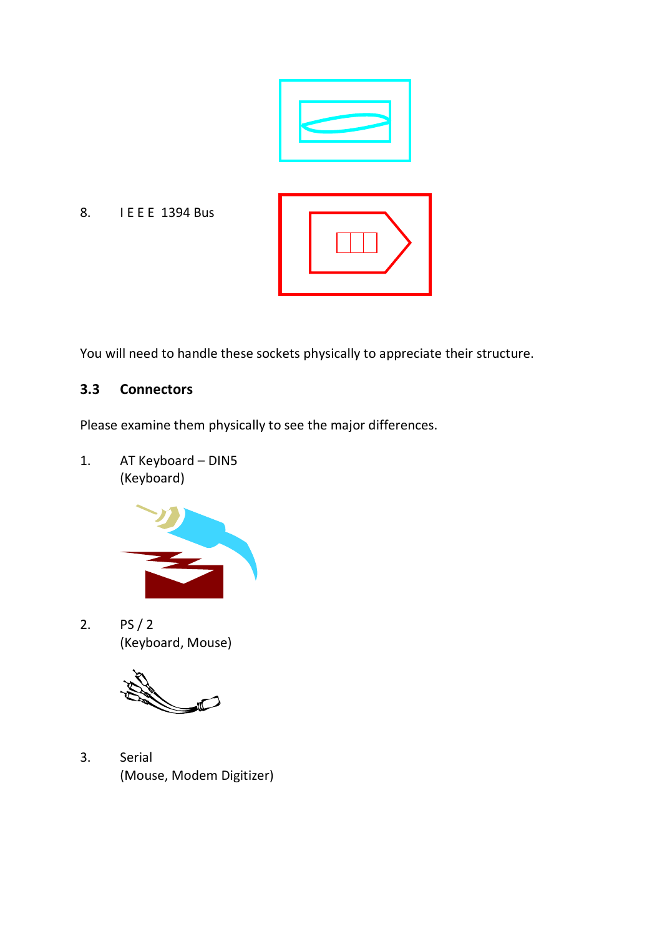

You will need to handle these sockets physically to appreciate their structure.

# **3.3 Connectors**

Please examine them physically to see the major differences.

1. AT Keyboard – DIN5 (Keyboard)



2. PS / 2 (Keyboard, Mouse)

i,

3. Serial (Mouse, Modem Digitizer)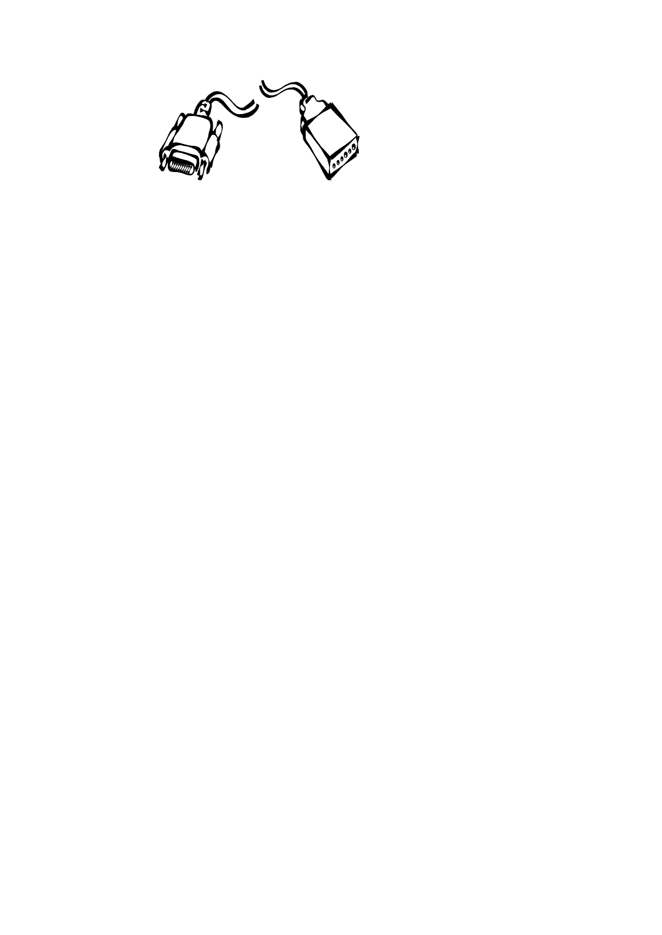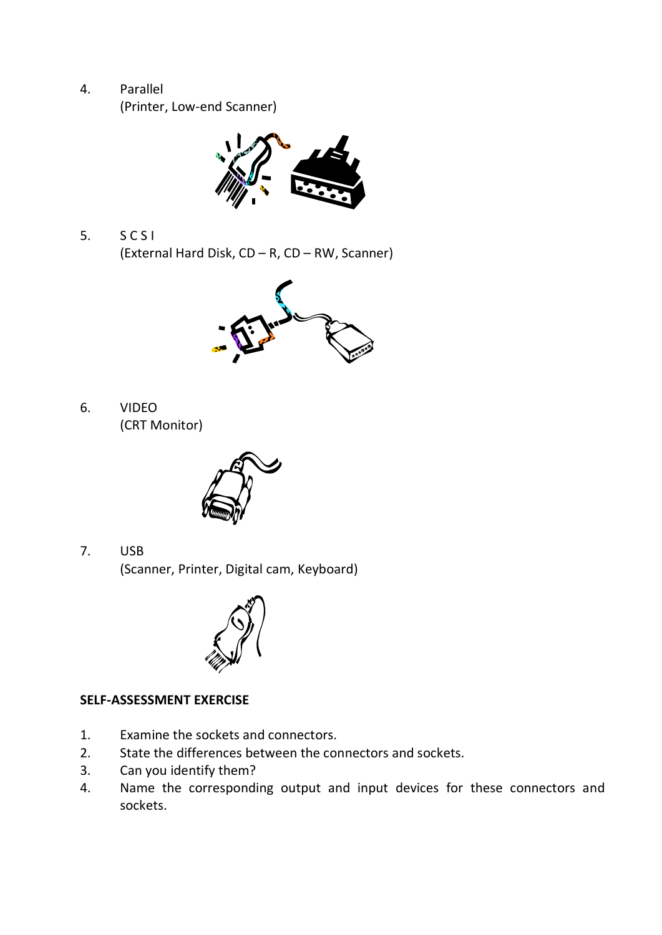4. Parallel (Printer, Low-end Scanner)



5. S C S I (External Hard Disk, CD – R, CD – RW, Scanner)



6. VIDEO (CRT Monitor)



7. USB (Scanner, Printer, Digital cam, Keyboard)



## **SELF-ASSESSMENT EXERCISE**

- 1. Examine the sockets and connectors.
- 2. State the differences between the connectors and sockets.
- 3. Can you identify them?
- 4. Name the corresponding output and input devices for these connectors and sockets.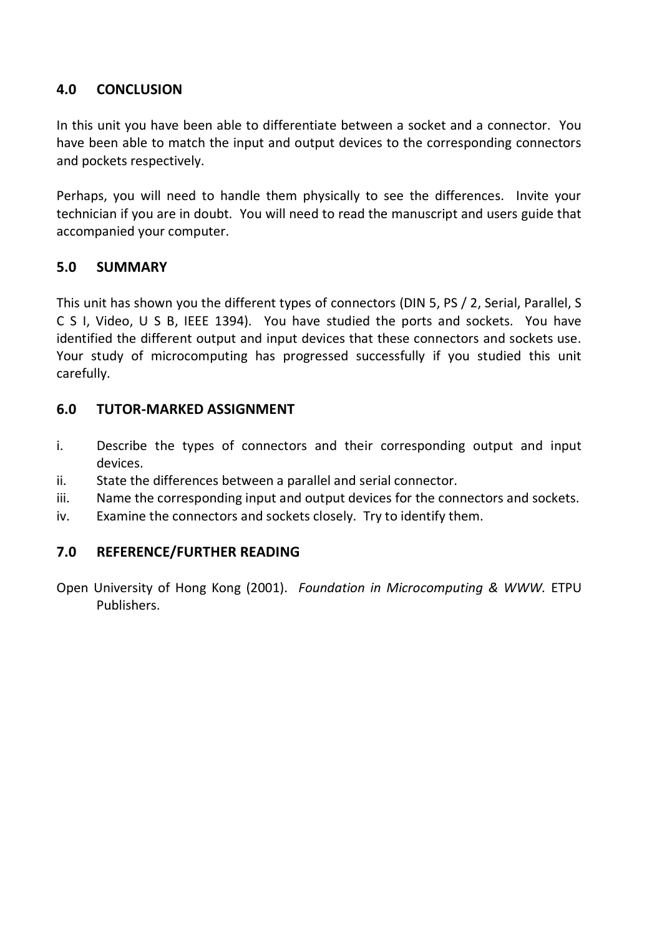# **4.0 CONCLUSION**

In this unit you have been able to differentiate between a socket and a connector. You have been able to match the input and output devices to the corresponding connectors and pockets respectively.

Perhaps, you will need to handle them physically to see the differences. Invite your technician if you are in doubt. You will need to read the manuscript and users guide that accompanied your computer.

## **5.0 SUMMARY**

This unit has shown you the different types of connectors (DIN 5, PS / 2, Serial, Parallel, S C S I, Video, U S B, IEEE 1394). You have studied the ports and sockets. You have identified the different output and input devices that these connectors and sockets use. Your study of microcomputing has progressed successfully if you studied this unit carefully.

## **6.0 TUTOR-MARKED ASSIGNMENT**

- i. Describe the types of connectors and their corresponding output and input devices.
- ii. State the differences between a parallel and serial connector.
- iii. Name the corresponding input and output devices for the connectors and sockets.
- iv. Examine the connectors and sockets closely. Try to identify them.

## **7.0 REFERENCE/FURTHER READING**

Open University of Hong Kong (2001). *Foundation in Microcomputing & WWW.* ETPU Publishers.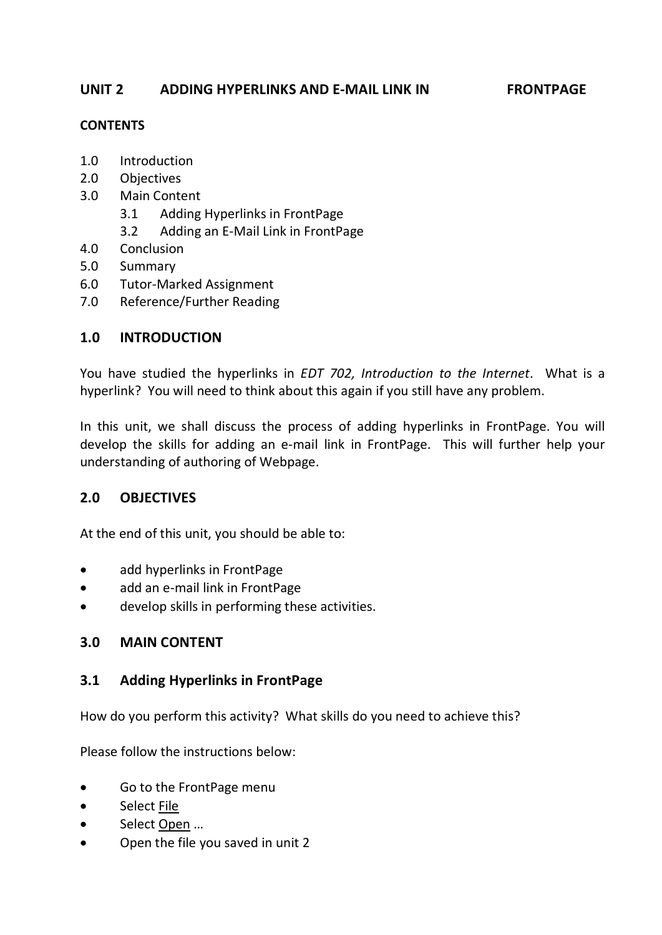## **UNIT 2 ADDING HYPERLINKS AND E-MAIL LINK IN FRONTPAGE**

#### **CONTENTS**

- 1.0 Introduction
- 2.0 Objectives
- 3.0 Main Content
	- 3.1 Adding Hyperlinks in FrontPage
	- 3.2 Adding an E-Mail Link in FrontPage
- 4.0 Conclusion
- 5.0 Summary
- 6.0 Tutor-Marked Assignment
- 7.0 Reference/Further Reading

## **1.0 INTRODUCTION**

You have studied the hyperlinks in *EDT 702, Introduction to the Internet*. What is a hyperlink? You will need to think about this again if you still have any problem.

In this unit, we shall discuss the process of adding hyperlinks in FrontPage. You will develop the skills for adding an e-mail link in FrontPage. This will further help your understanding of authoring of Webpage.

#### **2.0 OBJECTIVES**

At the end of this unit, you should be able to:

- add hyperlinks in FrontPage
- add an e-mail link in FrontPage
- develop skills in performing these activities.

#### **3.0 MAIN CONTENT**

#### **3.1 Adding Hyperlinks in FrontPage**

How do you perform this activity? What skills do you need to achieve this?

Please follow the instructions below:

- Go to the FrontPage menu
- Select File
- Select Open …
- Open the file you saved in unit 2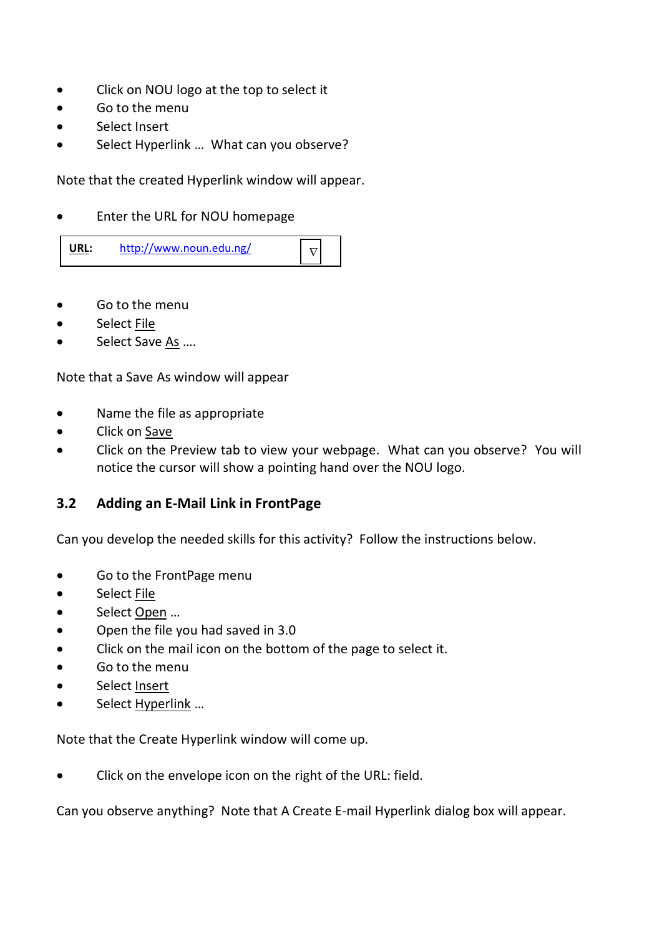- Click on NOU logo at the top to select it
- Go to the menu
- Select Insert
- Select Hyperlink ... What can you observe?

Note that the created Hyperlink window will appear.

Enter the URL for NOU homepage

**URL:** <http://www.noun.edu.ng/>∇

- Go to the menu
- Select File
- Select Save As ....

Note that a Save As window will appear

- Name the file as appropriate
- Click on Save
- Click on the Preview tab to view your webpage. What can you observe? You will notice the cursor will show a pointing hand over the NOU logo.

## **3.2 Adding an E-Mail Link in FrontPage**

Can you develop the needed skills for this activity? Follow the instructions below.

- Go to the FrontPage menu
- Select File
- Select Open ...
- Open the file you had saved in 3.0
- Click on the mail icon on the bottom of the page to select it.
- Go to the menu
- Select Insert
- Select Hyperlink ...

Note that the Create Hyperlink window will come up.

Click on the envelope icon on the right of the URL: field.

Can you observe anything? Note that A Create E-mail Hyperlink dialog box will appear.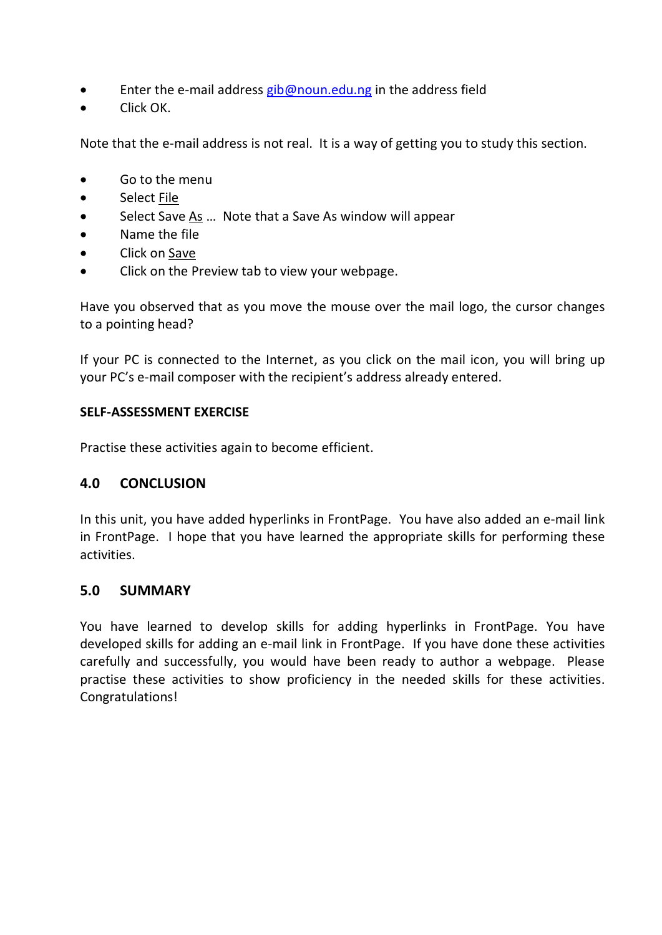- Enter the e-mail address  $gib@noun.edu.ng$  in the address field
- Click OK.

Note that the e-mail address is not real. It is a way of getting you to study this section.

- Go to the menu
- Select File
- Select Save As ... Note that a Save As window will appear
- Name the file
- Click on Save
- Click on the Preview tab to view your webpage.

Have you observed that as you move the mouse over the mail logo, the cursor changes to a pointing head?

If your PC is connected to the Internet, as you click on the mail icon, you will bring up your PC's e-mail composer with the recipient's address already entered.

#### **SELF-ASSESSMENT EXERCISE**

Practise these activities again to become efficient.

## **4.0 CONCLUSION**

In this unit, you have added hyperlinks in FrontPage. You have also added an e-mail link in FrontPage. I hope that you have learned the appropriate skills for performing these activities.

## **5.0 SUMMARY**

You have learned to develop skills for adding hyperlinks in FrontPage. You have developed skills for adding an e-mail link in FrontPage. If you have done these activities carefully and successfully, you would have been ready to author a webpage. Please practise these activities to show proficiency in the needed skills for these activities. Congratulations!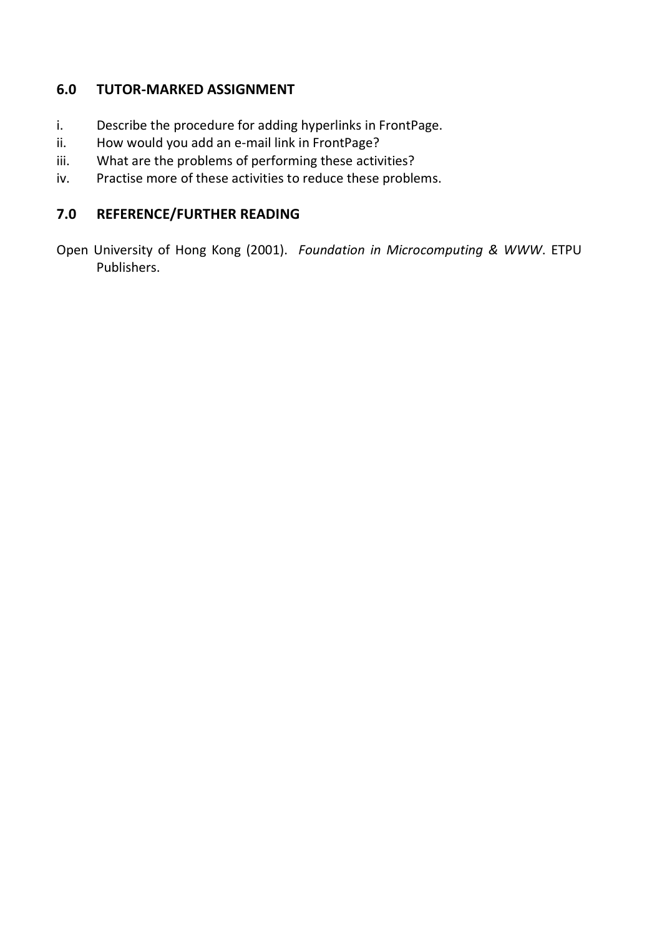# **6.0 TUTOR-MARKED ASSIGNMENT**

- i. Describe the procedure for adding hyperlinks in FrontPage.
- ii. How would you add an e-mail link in FrontPage?
- iii. What are the problems of performing these activities?
- iv. Practise more of these activities to reduce these problems.

# **7.0 REFERENCE/FURTHER READING**

Open University of Hong Kong (2001). *Foundation in Microcomputing & WWW*. ETPU Publishers.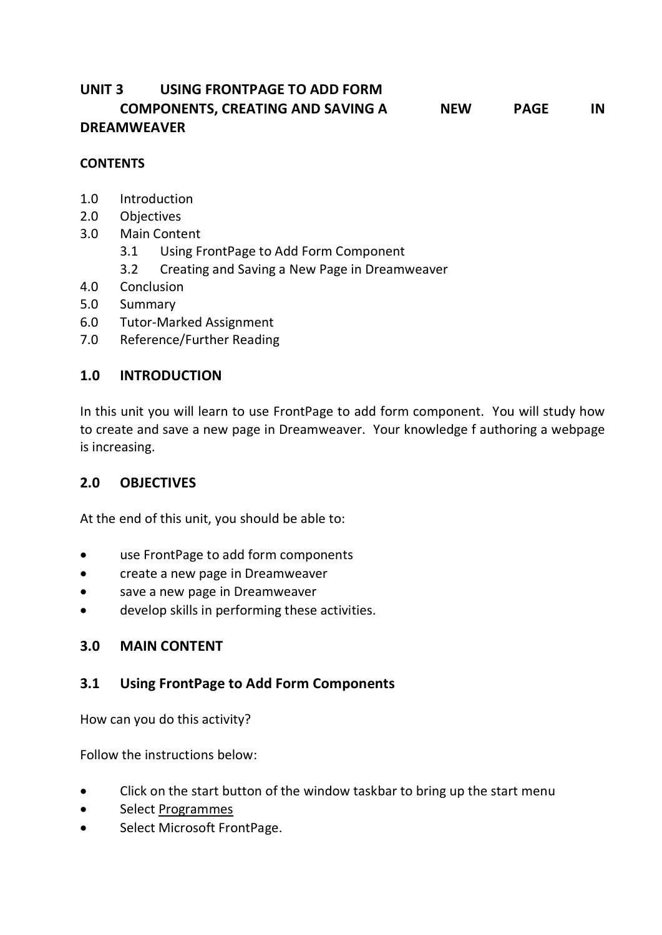# **UNIT 3 USING FRONTPAGE TO ADD FORM COMPONENTS, CREATING AND SAVING A NEW PAGE IN DREAMWEAVER**

#### **CONTENTS**

- 1.0 Introduction
- 2.0 Objectives
- 3.0 Main Content
	- 3.1 Using FrontPage to Add Form Component
	- 3.2 Creating and Saving a New Page in Dreamweaver
- 4.0 Conclusion
- 5.0 Summary
- 6.0 Tutor-Marked Assignment
- 7.0 Reference/Further Reading

## **1.0 INTRODUCTION**

In this unit you will learn to use FrontPage to add form component. You will study how to create and save a new page in Dreamweaver. Your knowledge f authoring a webpage is increasing.

## **2.0 OBJECTIVES**

At the end of this unit, you should be able to:

- use FrontPage to add form components
- create a new page in Dreamweaver
- save a new page in Dreamweaver
- develop skills in performing these activities.

#### **3.0 MAIN CONTENT**

## **3.1 Using FrontPage to Add Form Components**

How can you do this activity?

Follow the instructions below:

- Click on the start button of the window taskbar to bring up the start menu
- Select Programmes
- Select Microsoft FrontPage.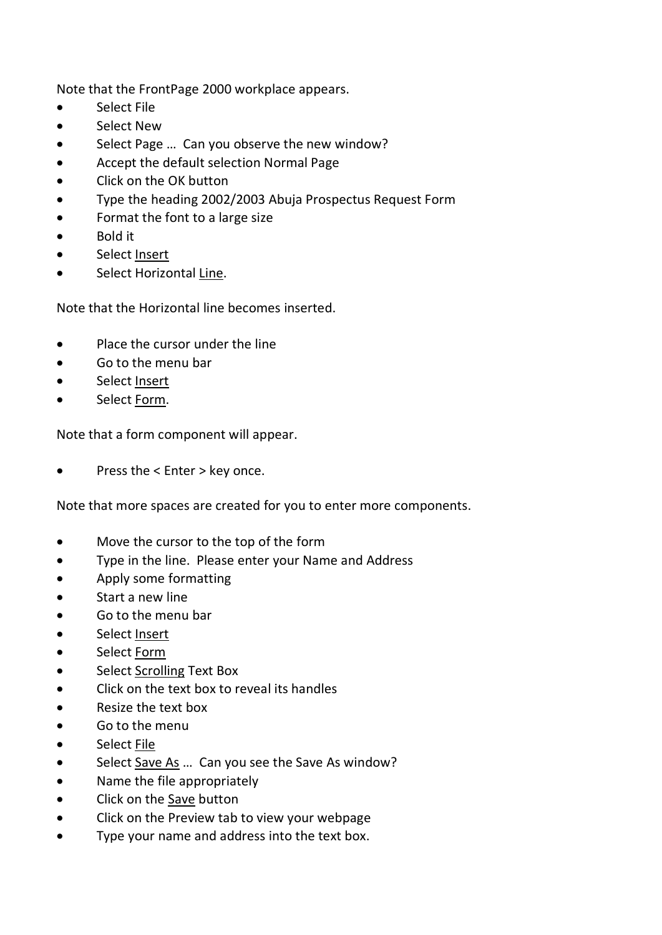Note that the FrontPage 2000 workplace appears.

- Select File
- Select New
- Select Page ... Can you observe the new window?
- Accept the default selection Normal Page
- Click on the OK button
- Type the heading 2002/2003 Abuja Prospectus Request Form
- Format the font to a large size
- Bold it
- Select Insert
- Select Horizontal Line.

Note that the Horizontal line becomes inserted.

- Place the cursor under the line
- Go to the menu bar
- Select Insert
- Select Form.

Note that a form component will appear.

• Press the < Enter > key once.

Note that more spaces are created for you to enter more components.

- Move the cursor to the top of the form
- Type in the line. Please enter your Name and Address
- Apply some formatting
- Start a new line
- Go to the menu bar
- Select Insert
- Select Form
- Select Scrolling Text Box
- Click on the text box to reveal its handles
- Resize the text box
- Go to the menu
- Select File
- Select Save As ... Can you see the Save As window?
- Name the file appropriately
- Click on the Save button
- Click on the Preview tab to view your webpage
- Type your name and address into the text box.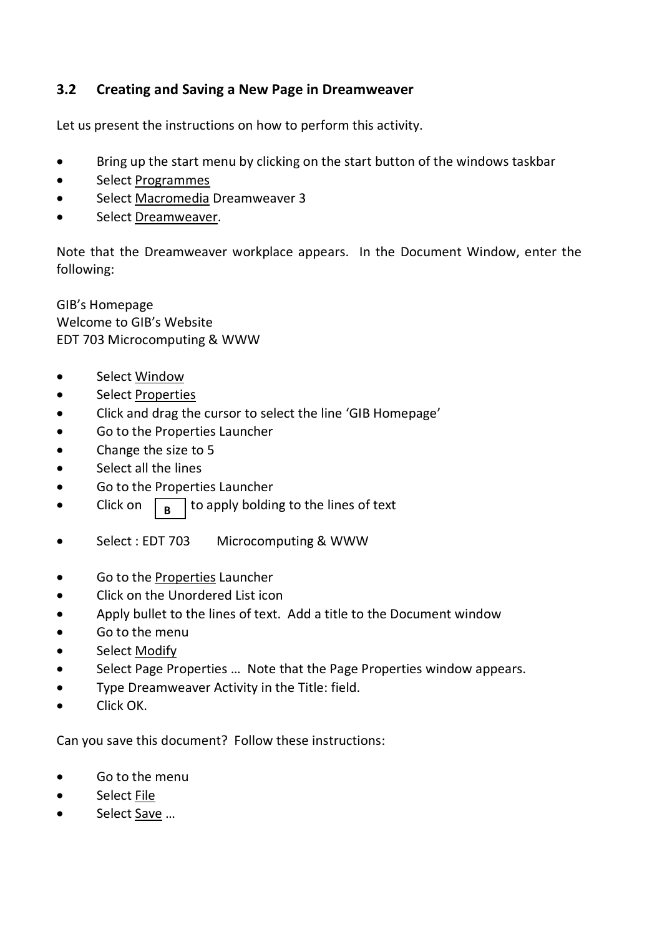# **3.2 Creating and Saving a New Page in Dreamweaver**

Let us present the instructions on how to perform this activity.

- Bring up the start menu by clicking on the start button of the windows taskbar
- Select Programmes
- Select Macromedia Dreamweaver 3
- Select Dreamweaver.

Note that the Dreamweaver workplace appears. In the Document Window, enter the following:

GIB's Homepage Welcome to GIB's Website EDT 703 Microcomputing & WWW

- Select Window
- Select Properties
- Click and drag the cursor to select the line 'GIB Homepage'
- Go to the Properties Launcher
- Change the size to 5
- Select all the lines
- Go to the Properties Launcher
- Click on  $\boxed{B}$  to apply bolding to the lines of text
- Select : EDT 703 Microcomputing & WWW
- Go to the Properties Launcher
- Click on the Unordered List icon
- Apply bullet to the lines of text. Add a title to the Document window
- Go to the menu
- Select Modify
- Select Page Properties … Note that the Page Properties window appears.
- Type Dreamweaver Activity in the Title: field.
- Click OK.

Can you save this document? Follow these instructions:

- Go to the menu
- Select File
- Select Save ...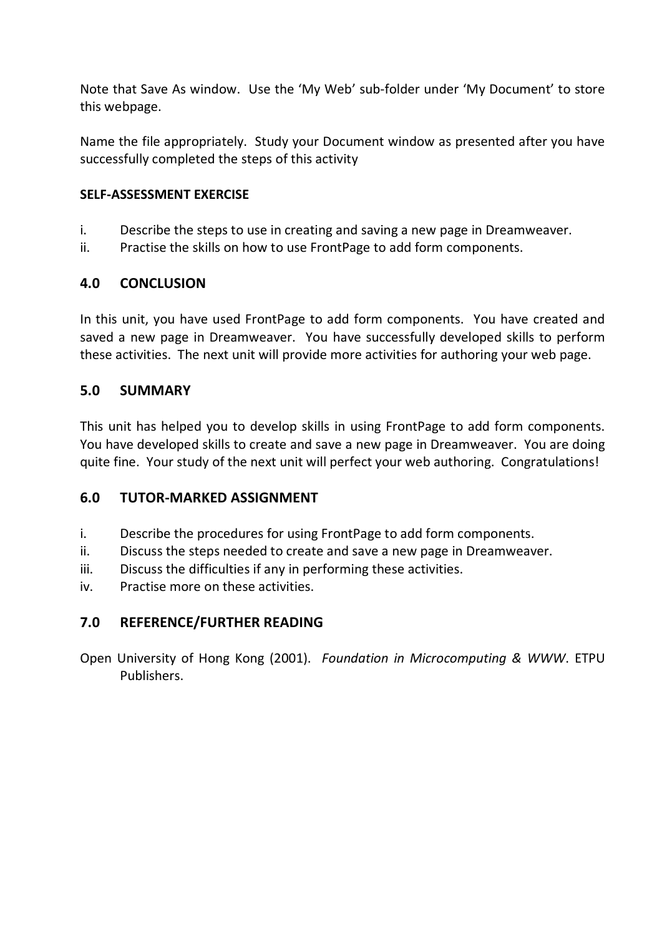Note that Save As window. Use the 'My Web' sub-folder under 'My Document' to store this webpage.

Name the file appropriately. Study your Document window as presented after you have successfully completed the steps of this activity

#### **SELF-ASSESSMENT EXERCISE**

- i. Describe the steps to use in creating and saving a new page in Dreamweaver.
- ii. Practise the skills on how to use FrontPage to add form components.

## **4.0 CONCLUSION**

In this unit, you have used FrontPage to add form components. You have created and saved a new page in Dreamweaver. You have successfully developed skills to perform these activities. The next unit will provide more activities for authoring your web page.

## **5.0 SUMMARY**

This unit has helped you to develop skills in using FrontPage to add form components. You have developed skills to create and save a new page in Dreamweaver. You are doing quite fine. Your study of the next unit will perfect your web authoring. Congratulations!

## **6.0 TUTOR-MARKED ASSIGNMENT**

- i. Describe the procedures for using FrontPage to add form components.
- ii. Discuss the steps needed to create and save a new page in Dreamweaver.
- iii. Discuss the difficulties if any in performing these activities.
- iv. Practise more on these activities.

# **7.0 REFERENCE/FURTHER READING**

Open University of Hong Kong (2001). *Foundation in Microcomputing & WWW*. ETPU Publishers.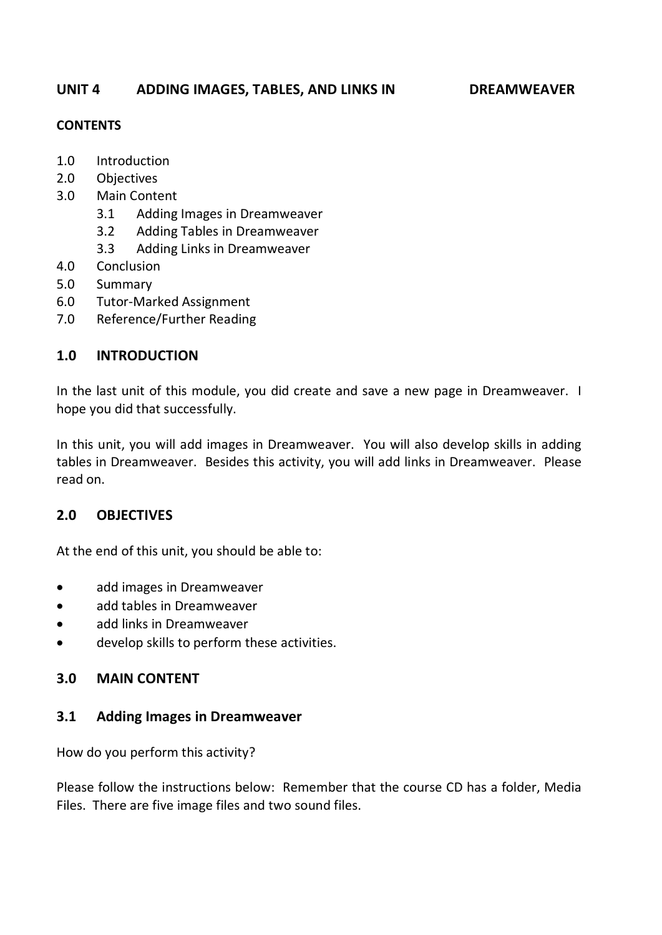## **UNIT 4 ADDING IMAGES, TABLES, AND LINKS IN DREAMWEAVER**

#### **CONTENTS**

- 1.0 Introduction
- 2.0 Objectives
- 3.0 Main Content
	- 3.1 Adding Images in Dreamweaver
	- 3.2 Adding Tables in Dreamweaver
	- 3.3 Adding Links in Dreamweaver
- 4.0 Conclusion
- 5.0 Summary
- 6.0 Tutor-Marked Assignment
- 7.0 Reference/Further Reading

## **1.0 INTRODUCTION**

In the last unit of this module, you did create and save a new page in Dreamweaver. I hope you did that successfully.

In this unit, you will add images in Dreamweaver. You will also develop skills in adding tables in Dreamweaver. Besides this activity, you will add links in Dreamweaver. Please read on.

## **2.0 OBJECTIVES**

At the end of this unit, you should be able to:

- add images in Dreamweaver
- add tables in Dreamweaver
- add links in Dreamweaver
- develop skills to perform these activities.

## **3.0 MAIN CONTENT**

## **3.1 Adding Images in Dreamweaver**

How do you perform this activity?

Please follow the instructions below: Remember that the course CD has a folder, Media Files. There are five image files and two sound files.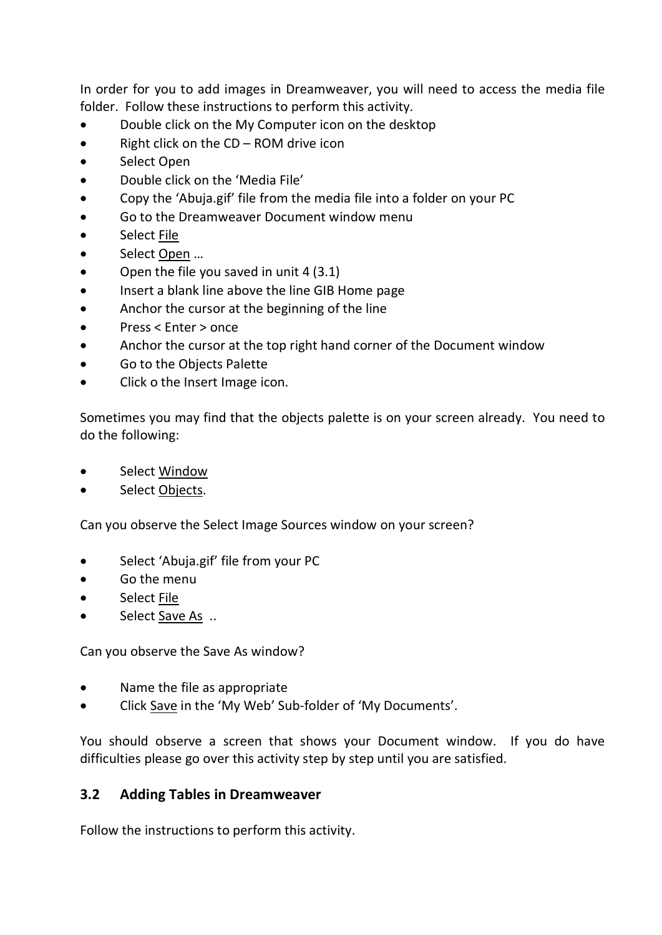In order for you to add images in Dreamweaver, you will need to access the media file folder. Follow these instructions to perform this activity.

- Double click on the My Computer icon on the desktop
- Right click on the CD ROM drive icon
- Select Open
- Double click on the 'Media File'
- Copy the 'Abuja.gif' file from the media file into a folder on your PC
- Go to the Dreamweaver Document window menu
- Select File
- Select Open ...
- Open the file you saved in unit 4 (3.1)
- Insert a blank line above the line GIB Home page
- Anchor the cursor at the beginning of the line
- Press < Enter > once
- Anchor the cursor at the top right hand corner of the Document window
- Go to the Objects Palette
- Click o the Insert Image icon.

Sometimes you may find that the objects palette is on your screen already. You need to do the following:

- Select Window
- Select Objects.

Can you observe the Select Image Sources window on your screen?

- Select 'Abuja.gif' file from your PC
- Go the menu
- Select File
- Select Save As ..

Can you observe the Save As window?

- Name the file as appropriate
- Click Save in the 'My Web' Sub-folder of 'My Documents'.

You should observe a screen that shows your Document window. If you do have difficulties please go over this activity step by step until you are satisfied.

## **3.2 Adding Tables in Dreamweaver**

Follow the instructions to perform this activity.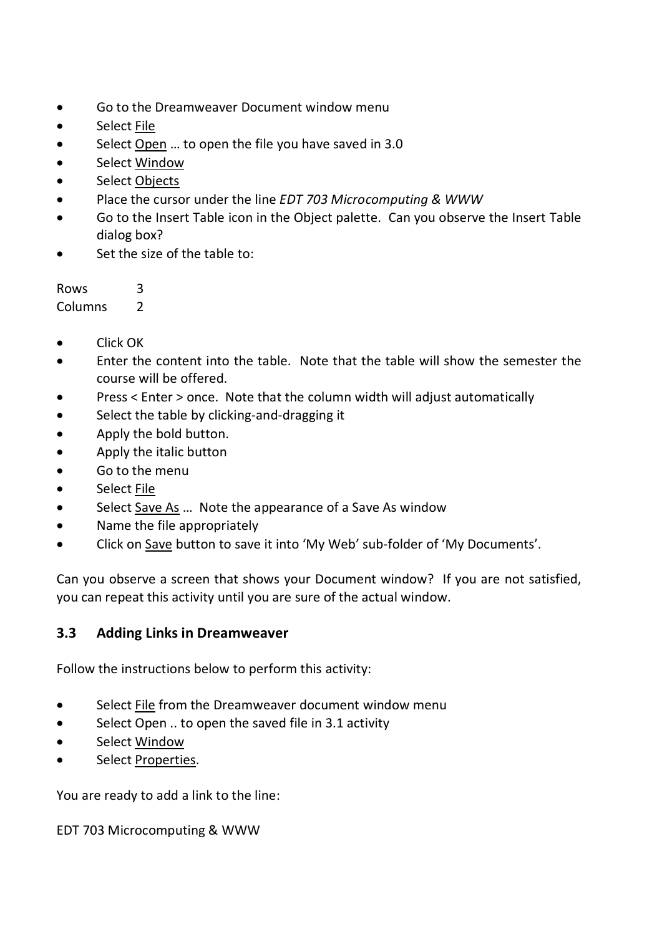- Go to the Dreamweaver Document window menu
- Select File
- Select Open ... to open the file you have saved in 3.0
- Select Window
- Select Objects
- Place the cursor under the line *EDT 703 Microcomputing & WWW*
- Go to the Insert Table icon in the Object palette. Can you observe the Insert Table dialog box?
- Set the size of the table to:

Rows 3 Columns 2

- Click OK
- Enter the content into the table. Note that the table will show the semester the course will be offered.
- Press < Enter > once. Note that the column width will adjust automatically
- Select the table by clicking-and-dragging it
- Apply the bold button.
- Apply the italic button
- Go to the menu
- Select File
- Select Save As … Note the appearance of a Save As window
- Name the file appropriately
- Click on Save button to save it into 'My Web' sub-folder of 'My Documents'.

Can you observe a screen that shows your Document window? If you are not satisfied, you can repeat this activity until you are sure of the actual window.

## **3.3 Adding Links in Dreamweaver**

Follow the instructions below to perform this activity:

- Select File from the Dreamweaver document window menu
- Select Open .. to open the saved file in 3.1 activity
- Select Window
- Select Properties.

You are ready to add a link to the line:

EDT 703 Microcomputing & WWW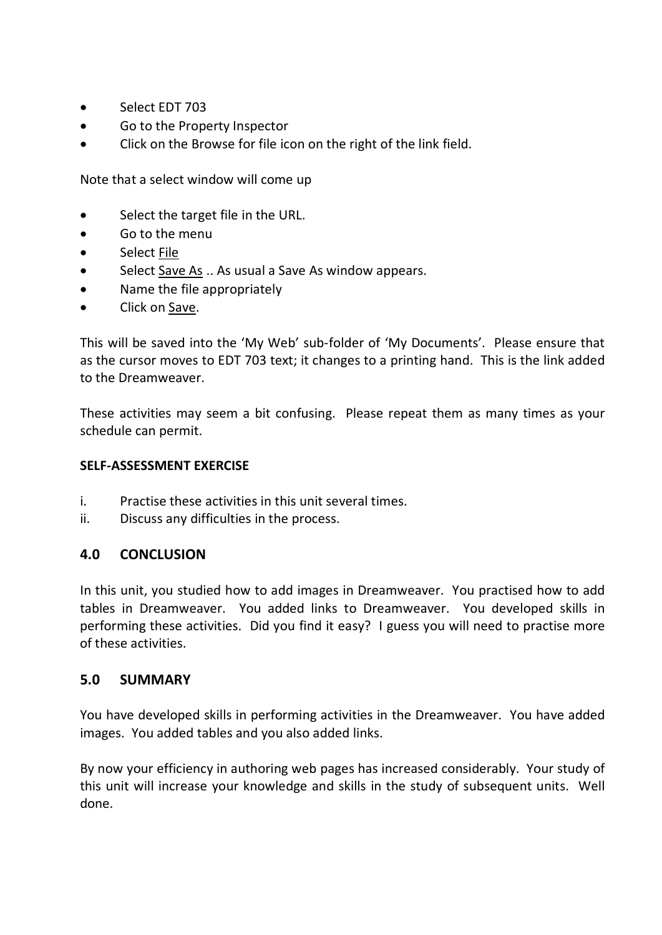- Select EDT 703
- Go to the Property Inspector
- Click on the Browse for file icon on the right of the link field.

Note that a select window will come up

- Select the target file in the URL.
- Go to the menu
- Select File
- Select Save As .. As usual a Save As window appears.
- Name the file appropriately
- Click on Save.

This will be saved into the 'My Web' sub-folder of 'My Documents'. Please ensure that as the cursor moves to EDT 703 text; it changes to a printing hand. This is the link added to the Dreamweaver.

These activities may seem a bit confusing. Please repeat them as many times as your schedule can permit.

#### **SELF-ASSESSMENT EXERCISE**

- i. Practise these activities in this unit several times.
- ii. Discuss any difficulties in the process.

## **4.0 CONCLUSION**

In this unit, you studied how to add images in Dreamweaver. You practised how to add tables in Dreamweaver. You added links to Dreamweaver. You developed skills in performing these activities. Did you find it easy? I guess you will need to practise more of these activities.

## **5.0 SUMMARY**

You have developed skills in performing activities in the Dreamweaver. You have added images. You added tables and you also added links.

By now your efficiency in authoring web pages has increased considerably. Your study of this unit will increase your knowledge and skills in the study of subsequent units. Well done.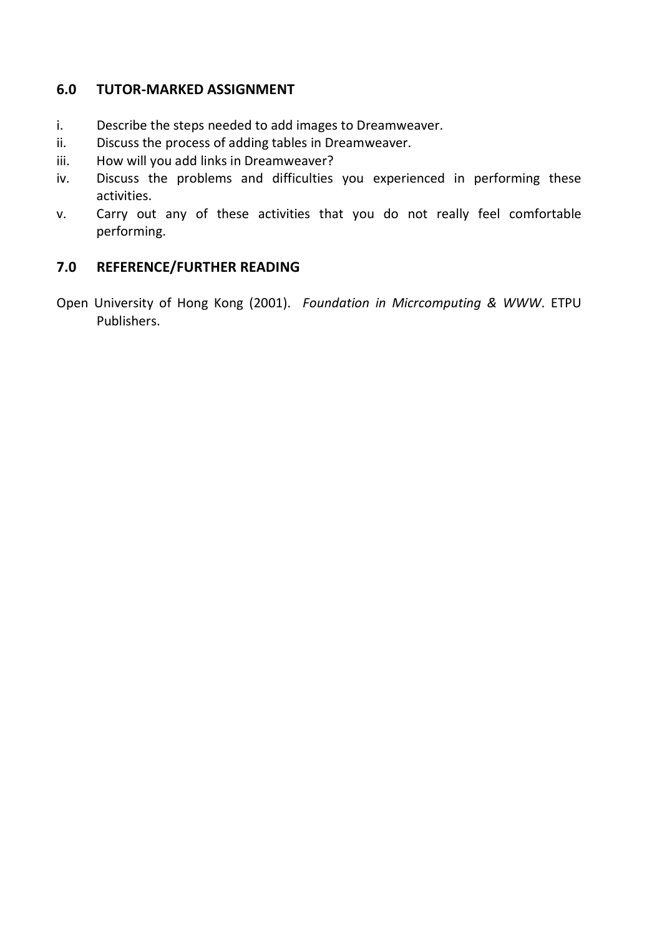## **6.0 TUTOR-MARKED ASSIGNMENT**

- i. Describe the steps needed to add images to Dreamweaver.
- ii. Discuss the process of adding tables in Dreamweaver.
- iii. How will you add links in Dreamweaver?
- iv. Discuss the problems and difficulties you experienced in performing these activities.
- v. Carry out any of these activities that you do not really feel comfortable performing.

## **7.0 REFERENCE/FURTHER READING**

Open University of Hong Kong (2001). *Foundation in Micrcomputing & WWW*. ETPU Publishers.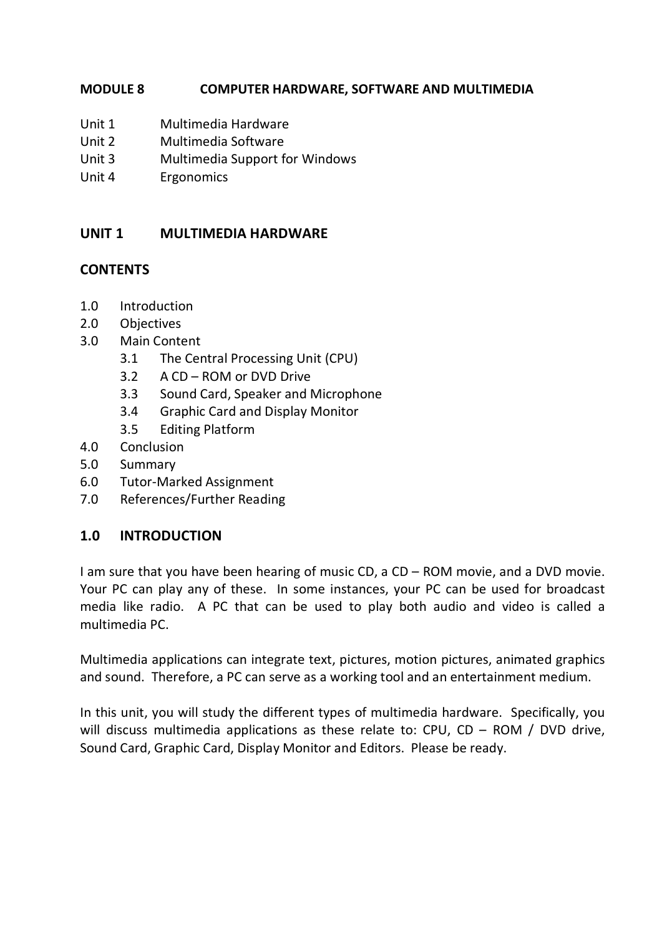## **MODULE 8 COMPUTER HARDWARE, SOFTWARE AND MULTIMEDIA**

- Unit 1 Multimedia Hardware
- Unit 2 Multimedia Software
- Unit 3 Multimedia Support for Windows
- Unit 4 Ergonomics

## **UNIT 1 MULTIMEDIA HARDWARE**

## **CONTENTS**

- 1.0 Introduction
- 2.0 Objectives
- 3.0 Main Content
	- 3.1 The Central Processing Unit (CPU)
	- 3.2 A CD ROM or DVD Drive
	- 3.3 Sound Card, Speaker and Microphone
	- 3.4 Graphic Card and Display Monitor
	- 3.5 Editing Platform
- 4.0 Conclusion
- 5.0 Summary
- 6.0 Tutor-Marked Assignment
- 7.0 References/Further Reading

## **1.0 INTRODUCTION**

I am sure that you have been hearing of music CD, a CD – ROM movie, and a DVD movie. Your PC can play any of these. In some instances, your PC can be used for broadcast media like radio. A PC that can be used to play both audio and video is called a multimedia PC.

Multimedia applications can integrate text, pictures, motion pictures, animated graphics and sound. Therefore, a PC can serve as a working tool and an entertainment medium.

In this unit, you will study the different types of multimedia hardware. Specifically, you will discuss multimedia applications as these relate to: CPU, CD – ROM / DVD drive, Sound Card, Graphic Card, Display Monitor and Editors. Please be ready.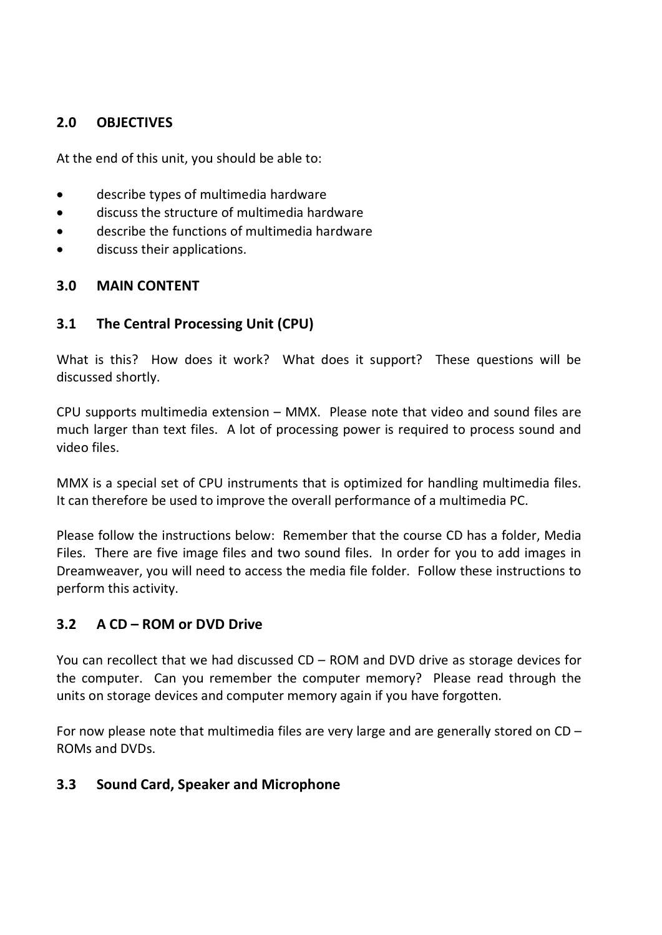# **2.0 OBJECTIVES**

At the end of this unit, you should be able to:

- describe types of multimedia hardware
- discuss the structure of multimedia hardware
- describe the functions of multimedia hardware
- discuss their applications.

## **3.0 MAIN CONTENT**

## **3.1 The Central Processing Unit (CPU)**

What is this? How does it work? What does it support? These questions will be discussed shortly.

CPU supports multimedia extension – MMX. Please note that video and sound files are much larger than text files. A lot of processing power is required to process sound and video files.

MMX is a special set of CPU instruments that is optimized for handling multimedia files. It can therefore be used to improve the overall performance of a multimedia PC.

Please follow the instructions below: Remember that the course CD has a folder, Media Files. There are five image files and two sound files. In order for you to add images in Dreamweaver, you will need to access the media file folder. Follow these instructions to perform this activity.

## **3.2 A CD – ROM or DVD Drive**

You can recollect that we had discussed CD – ROM and DVD drive as storage devices for the computer. Can you remember the computer memory? Please read through the units on storage devices and computer memory again if you have forgotten.

For now please note that multimedia files are very large and are generally stored on CD – ROMs and DVDs.

## **3.3 Sound Card, Speaker and Microphone**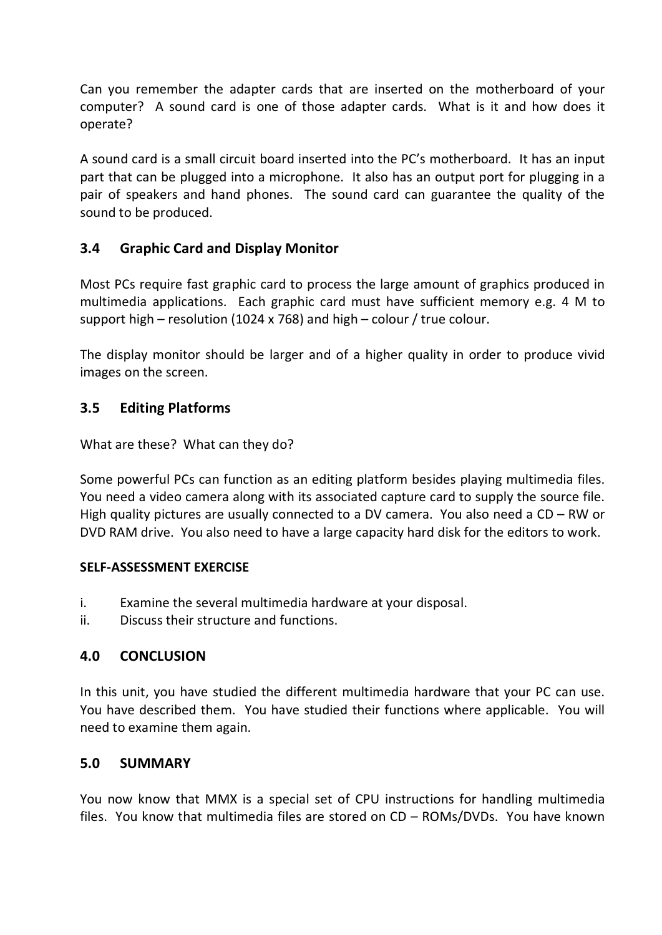Can you remember the adapter cards that are inserted on the motherboard of your computer? A sound card is one of those adapter cards. What is it and how does it operate?

A sound card is a small circuit board inserted into the PC's motherboard. It has an input part that can be plugged into a microphone. It also has an output port for plugging in a pair of speakers and hand phones. The sound card can guarantee the quality of the sound to be produced.

# **3.4 Graphic Card and Display Monitor**

Most PCs require fast graphic card to process the large amount of graphics produced in multimedia applications. Each graphic card must have sufficient memory e.g. 4 M to support high – resolution (1024 x 768) and high – colour / true colour.

The display monitor should be larger and of a higher quality in order to produce vivid images on the screen.

## **3.5 Editing Platforms**

What are these? What can they do?

Some powerful PCs can function as an editing platform besides playing multimedia files. You need a video camera along with its associated capture card to supply the source file. High quality pictures are usually connected to a DV camera. You also need a CD – RW or DVD RAM drive. You also need to have a large capacity hard disk for the editors to work.

## **SELF-ASSESSMENT EXERCISE**

- i. Examine the several multimedia hardware at your disposal.
- ii. Discuss their structure and functions.

## **4.0 CONCLUSION**

In this unit, you have studied the different multimedia hardware that your PC can use. You have described them. You have studied their functions where applicable. You will need to examine them again.

## **5.0 SUMMARY**

You now know that MMX is a special set of CPU instructions for handling multimedia files. You know that multimedia files are stored on CD – ROMs/DVDs. You have known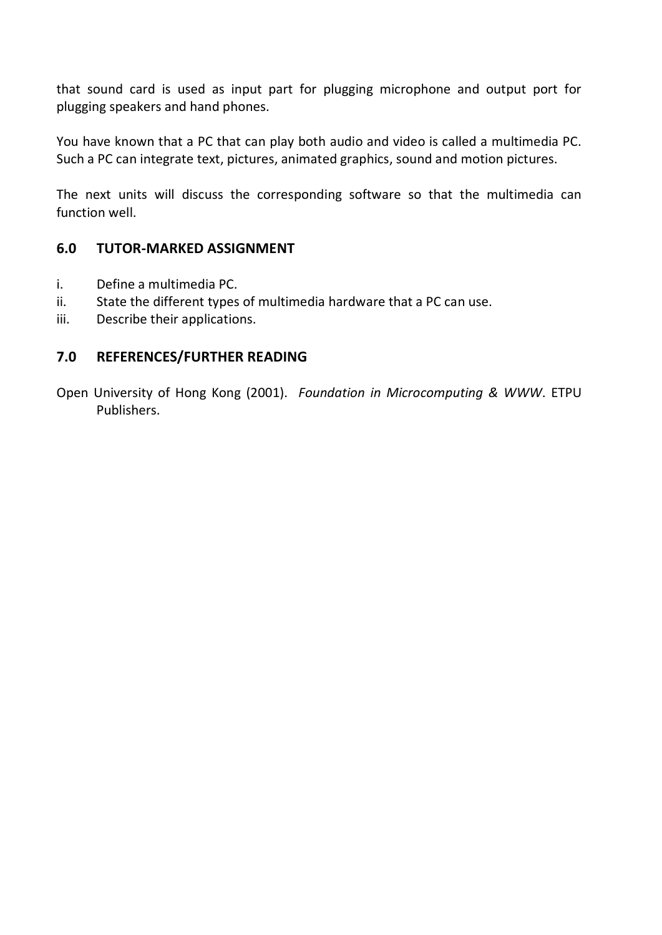that sound card is used as input part for plugging microphone and output port for plugging speakers and hand phones.

You have known that a PC that can play both audio and video is called a multimedia PC. Such a PC can integrate text, pictures, animated graphics, sound and motion pictures.

The next units will discuss the corresponding software so that the multimedia can function well.

## **6.0 TUTOR-MARKED ASSIGNMENT**

- i. Define a multimedia PC.
- ii. State the different types of multimedia hardware that a PC can use.
- iii. Describe their applications.

## **7.0 REFERENCES/FURTHER READING**

Open University of Hong Kong (2001). *Foundation in Microcomputing & WWW*. ETPU Publishers.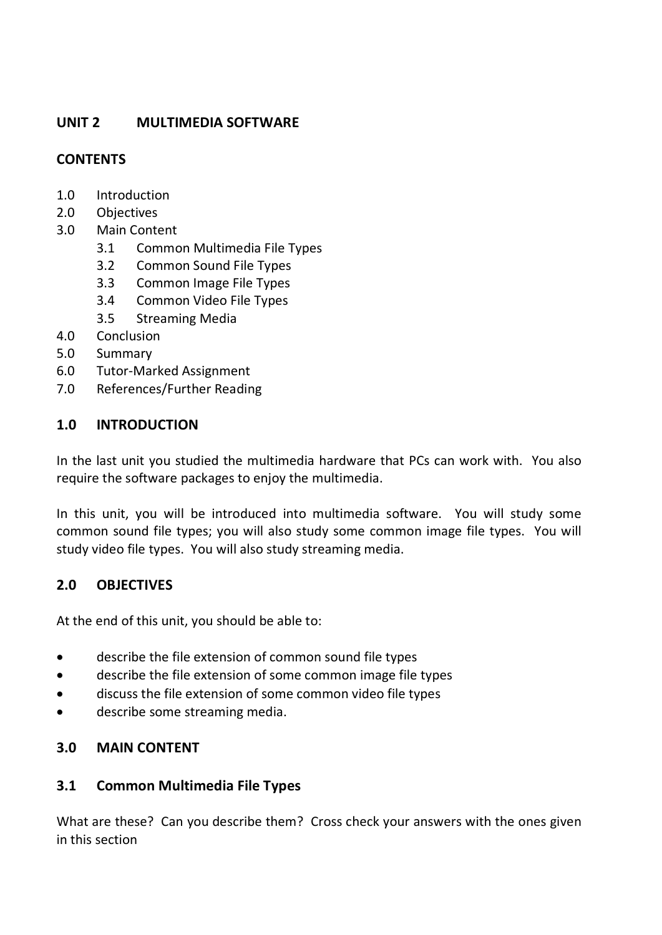# **UNIT 2 MULTIMEDIA SOFTWARE**

# **CONTENTS**

- 1.0 Introduction
- 2.0 Objectives
- 3.0 Main Content
	- 3.1 Common Multimedia File Types
	- 3.2 Common Sound File Types
	- 3.3 Common Image File Types
	- 3.4 Common Video File Types
	- 3.5 Streaming Media
- 4.0 Conclusion
- 5.0 Summary
- 6.0 Tutor-Marked Assignment
- 7.0 References/Further Reading

## **1.0 INTRODUCTION**

In the last unit you studied the multimedia hardware that PCs can work with. You also require the software packages to enjoy the multimedia.

In this unit, you will be introduced into multimedia software. You will study some common sound file types; you will also study some common image file types. You will study video file types. You will also study streaming media.

## **2.0 OBJECTIVES**

At the end of this unit, you should be able to:

- describe the file extension of common sound file types
- describe the file extension of some common image file types
- discuss the file extension of some common video file types
- describe some streaming media.

## **3.0 MAIN CONTENT**

## **3.1 Common Multimedia File Types**

What are these? Can you describe them? Cross check your answers with the ones given in this section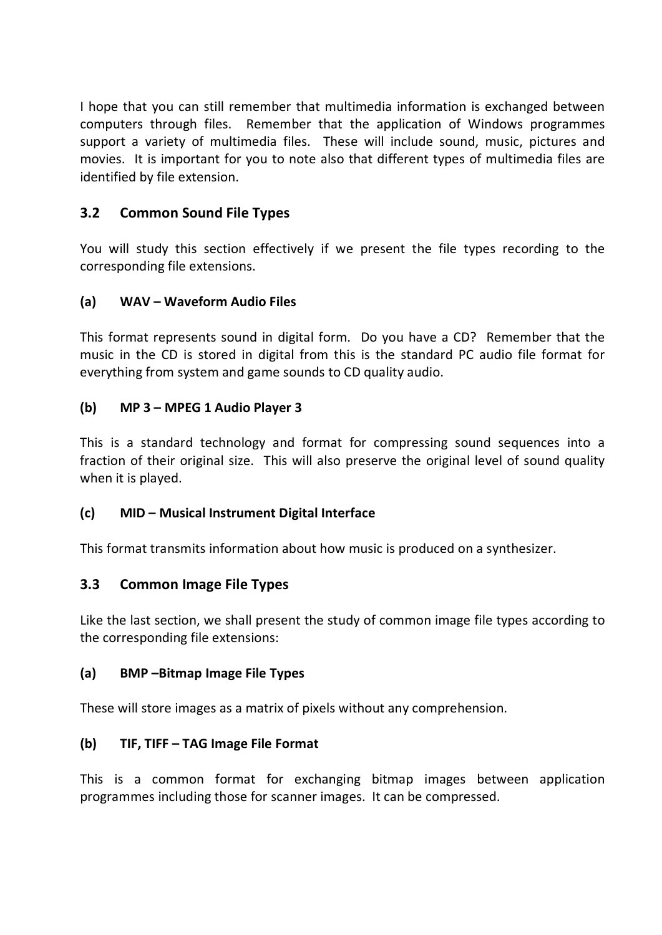I hope that you can still remember that multimedia information is exchanged between computers through files. Remember that the application of Windows programmes support a variety of multimedia files. These will include sound, music, pictures and movies. It is important for you to note also that different types of multimedia files are identified by file extension.

# **3.2 Common Sound File Types**

You will study this section effectively if we present the file types recording to the corresponding file extensions.

## **(a) WAV – Waveform Audio Files**

This format represents sound in digital form. Do you have a CD? Remember that the music in the CD is stored in digital from this is the standard PC audio file format for everything from system and game sounds to CD quality audio.

## **(b) MP 3 – MPEG 1 Audio Player 3**

This is a standard technology and format for compressing sound sequences into a fraction of their original size. This will also preserve the original level of sound quality when it is played.

## **(c) MID – Musical Instrument Digital Interface**

This format transmits information about how music is produced on a synthesizer.

## **3.3 Common Image File Types**

Like the last section, we shall present the study of common image file types according to the corresponding file extensions:

## **(a) BMP –Bitmap Image File Types**

These will store images as a matrix of pixels without any comprehension.

## **(b) TIF, TIFF – TAG Image File Format**

This is a common format for exchanging bitmap images between application programmes including those for scanner images. It can be compressed.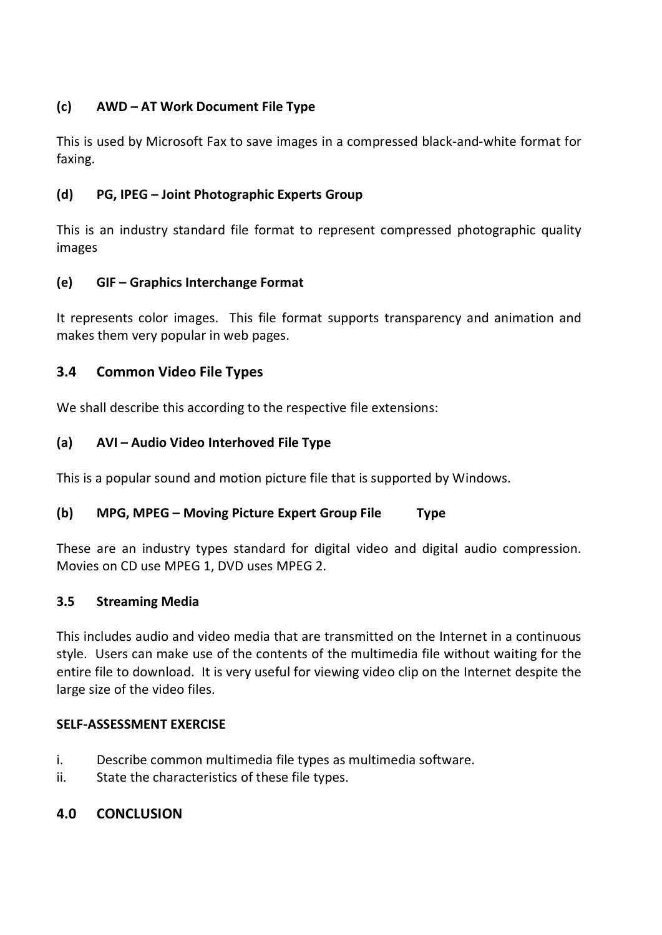# **(c) AWD – AT Work Document File Type**

This is used by Microsoft Fax to save images in a compressed black-and-white format for faxing.

## **(d) PG, IPEG – Joint Photographic Experts Group**

This is an industry standard file format to represent compressed photographic quality images

## **(e) GIF – Graphics Interchange Format**

It represents color images. This file format supports transparency and animation and makes them very popular in web pages.

## **3.4 Common Video File Types**

We shall describe this according to the respective file extensions:

## **(a) AVI – Audio Video Interhoved File Type**

This is a popular sound and motion picture file that is supported by Windows.

## **(b) MPG, MPEG – Moving Picture Expert Group File Type**

These are an industry types standard for digital video and digital audio compression. Movies on CD use MPEG 1, DVD uses MPEG 2.

## **3.5 Streaming Media**

This includes audio and video media that are transmitted on the Internet in a continuous style. Users can make use of the contents of the multimedia file without waiting for the entire file to download. It is very useful for viewing video clip on the Internet despite the large size of the video files.

## **SELF-ASSESSMENT EXERCISE**

- i. Describe common multimedia file types as multimedia software.
- ii. State the characteristics of these file types.

## **4.0 CONCLUSION**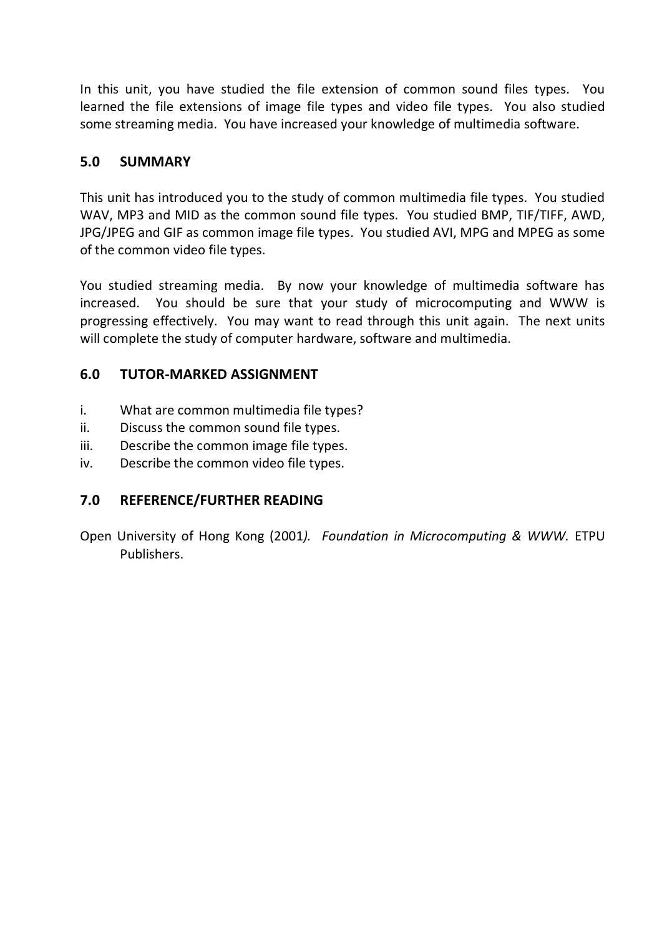In this unit, you have studied the file extension of common sound files types. You learned the file extensions of image file types and video file types. You also studied some streaming media. You have increased your knowledge of multimedia software.

# **5.0 SUMMARY**

This unit has introduced you to the study of common multimedia file types. You studied WAV, MP3 and MID as the common sound file types. You studied BMP, TIF/TIFF, AWD, JPG/JPEG and GIF as common image file types. You studied AVI, MPG and MPEG as some of the common video file types.

You studied streaming media. By now your knowledge of multimedia software has increased. You should be sure that your study of microcomputing and WWW is progressing effectively. You may want to read through this unit again. The next units will complete the study of computer hardware, software and multimedia.

# **6.0 TUTOR-MARKED ASSIGNMENT**

- i. What are common multimedia file types?
- ii. Discuss the common sound file types.
- iii. Describe the common image file types.
- iv. Describe the common video file types.

## **7.0 REFERENCE/FURTHER READING**

Open University of Hong Kong (2001*). Foundation in Microcomputing & WWW.* ETPU Publishers.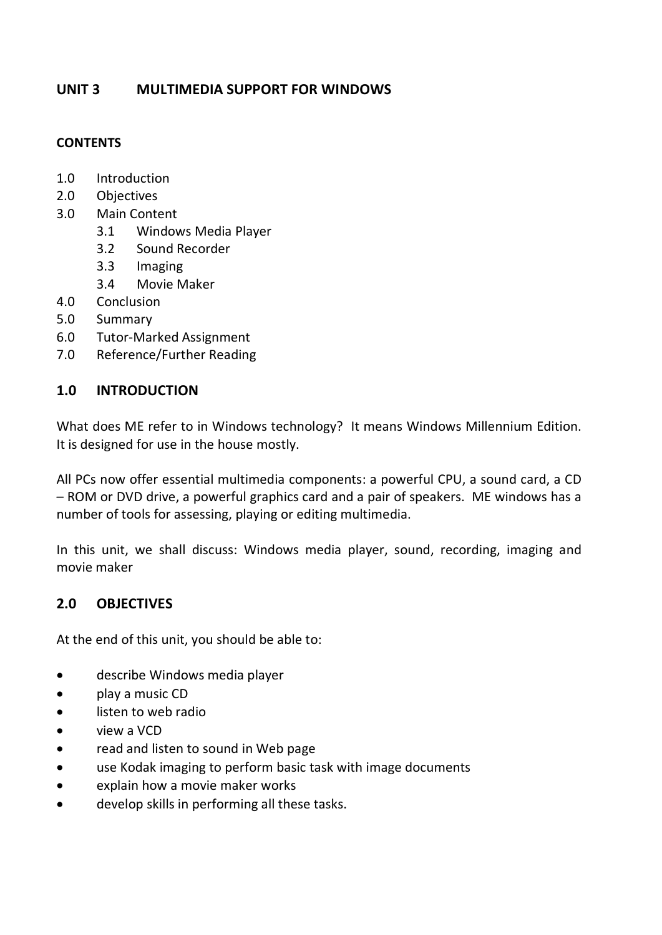## **UNIT 3 MULTIMEDIA SUPPORT FOR WINDOWS**

#### **CONTENTS**

- 1.0 Introduction
- 2.0 Objectives
- 3.0 Main Content
	- 3.1 Windows Media Player
	- 3.2 Sound Recorder
	- 3.3 Imaging
	- 3.4 Movie Maker
- 4.0 Conclusion
- 5.0 Summary
- 6.0 Tutor-Marked Assignment
- 7.0 Reference/Further Reading

## **1.0 INTRODUCTION**

What does ME refer to in Windows technology? It means Windows Millennium Edition. It is designed for use in the house mostly.

All PCs now offer essential multimedia components: a powerful CPU, a sound card, a CD – ROM or DVD drive, a powerful graphics card and a pair of speakers. ME windows has a number of tools for assessing, playing or editing multimedia.

In this unit, we shall discuss: Windows media player, sound, recording, imaging and movie maker

## **2.0 OBJECTIVES**

At the end of this unit, you should be able to:

- describe Windows media player
- play a music CD
- listen to web radio
- view a VCD
- read and listen to sound in Web page
- use Kodak imaging to perform basic task with image documents
- explain how a movie maker works
- develop skills in performing all these tasks.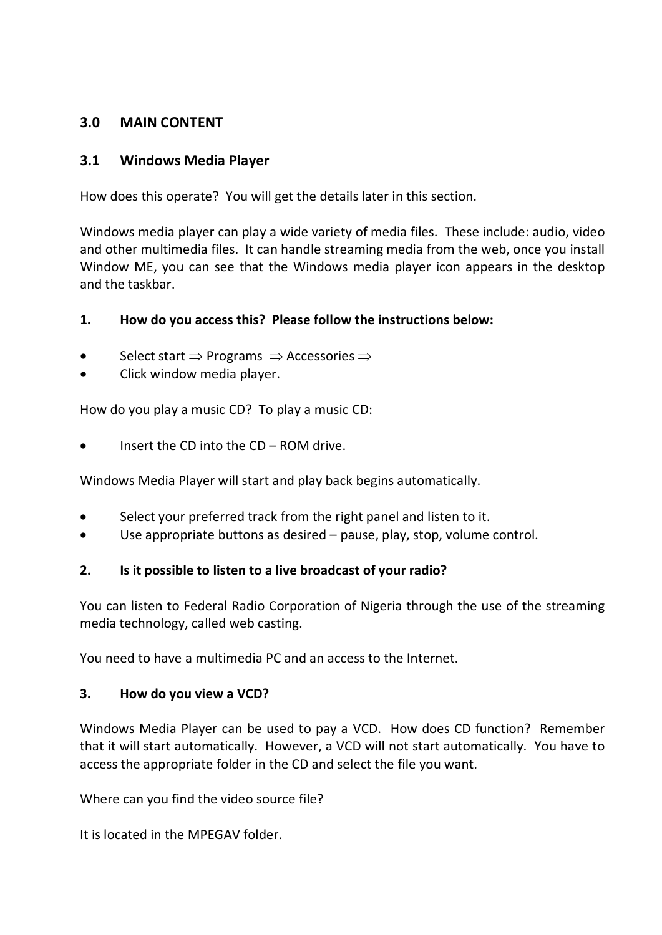## **3.0 MAIN CONTENT**

## **3.1 Windows Media Player**

How does this operate? You will get the details later in this section.

Windows media player can play a wide variety of media files. These include: audio, video and other multimedia files. It can handle streaming media from the web, once you install Window ME, you can see that the Windows media player icon appears in the desktop and the taskbar.

## **1. How do you access this? Please follow the instructions below:**

- Select start ⇒ Programs ⇒ Accessories ⇒
- Click window media player.

How do you play a music CD? To play a music CD:

• Insert the CD into the CD – ROM drive.

Windows Media Player will start and play back begins automatically.

- Select your preferred track from the right panel and listen to it.
- Use appropriate buttons as desired pause, play, stop, volume control.

## **2. Is it possible to listen to a live broadcast of your radio?**

You can listen to Federal Radio Corporation of Nigeria through the use of the streaming media technology, called web casting.

You need to have a multimedia PC and an access to the Internet.

#### **3. How do you view a VCD?**

Windows Media Player can be used to pay a VCD. How does CD function? Remember that it will start automatically. However, a VCD will not start automatically. You have to access the appropriate folder in the CD and select the file you want.

Where can you find the video source file?

It is located in the MPEGAV folder.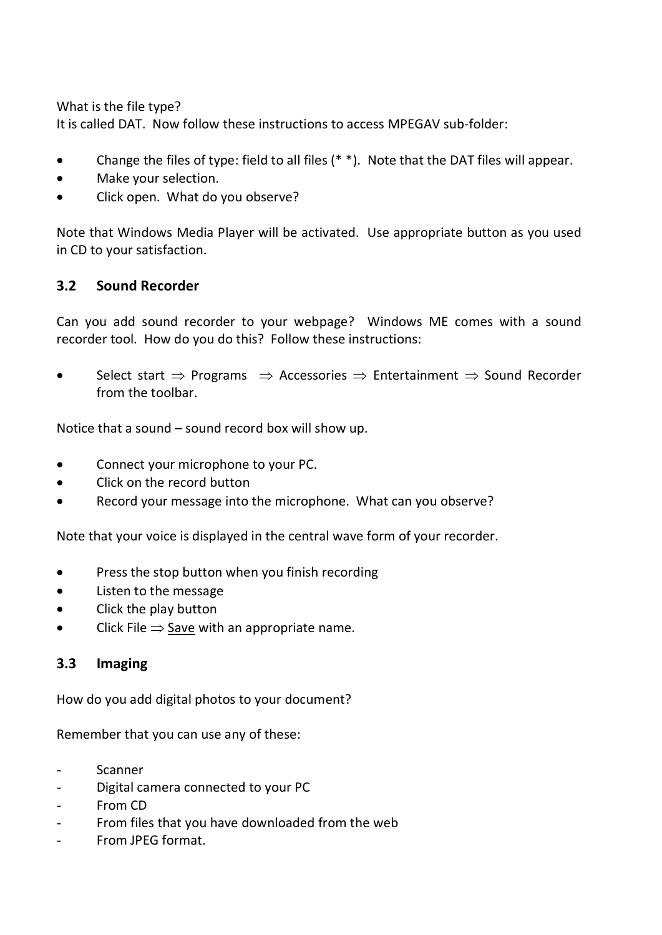What is the file type?

It is called DAT. Now follow these instructions to access MPEGAV sub-folder:

- Change the files of type: field to all files (\* \*). Note that the DAT files will appear.
- Make your selection.
- Click open. What do you observe?

Note that Windows Media Player will be activated. Use appropriate button as you used in CD to your satisfaction.

## **3.2 Sound Recorder**

Can you add sound recorder to your webpage? Windows ME comes with a sound recorder tool. How do you do this? Follow these instructions:

• Select start ⇒ Programs ⇒ Accessories ⇒ Entertainment ⇒ Sound Recorder from the toolbar.

Notice that a sound – sound record box will show up.

- Connect your microphone to your PC.
- Click on the record button
- Record your message into the microphone. What can you observe?

Note that your voice is displayed in the central wave form of your recorder.

- Press the stop button when you finish recording
- Listen to the message
- Click the play button
- Click File  $\Rightarrow$  Save with an appropriate name.

## **3.3 Imaging**

How do you add digital photos to your document?

Remember that you can use any of these:

- **Scanner**
- Digital camera connected to your PC
- From CD
- From files that you have downloaded from the web
- From JPEG format.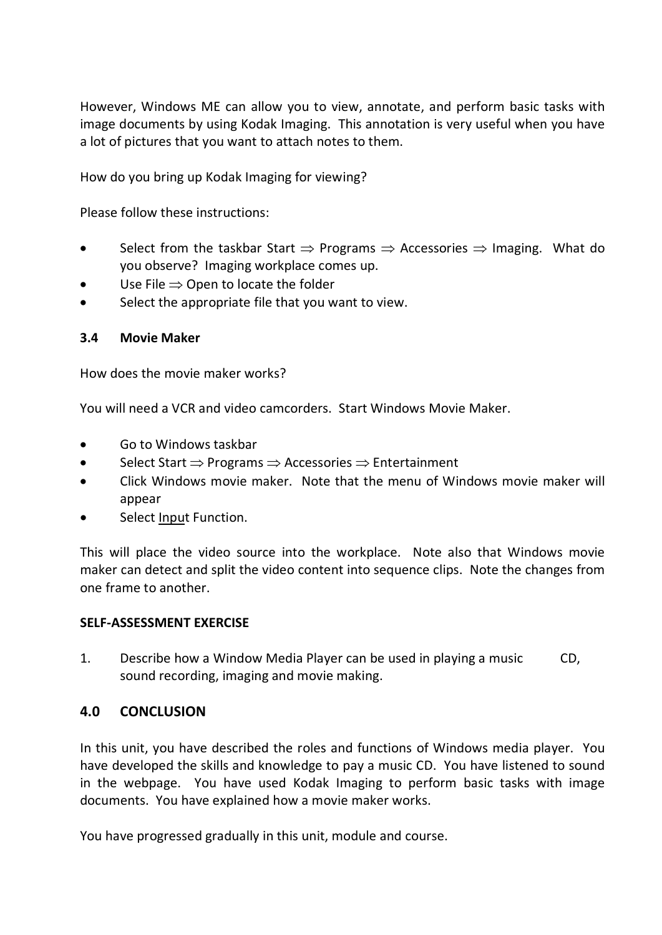However, Windows ME can allow you to view, annotate, and perform basic tasks with image documents by using Kodak Imaging. This annotation is very useful when you have a lot of pictures that you want to attach notes to them.

How do you bring up Kodak Imaging for viewing?

Please follow these instructions:

- Select from the taskbar Start  $\Rightarrow$  Programs  $\Rightarrow$  Accessories  $\Rightarrow$  Imaging. What do you observe? Imaging workplace comes up.
- Use File  $\Rightarrow$  Open to locate the folder
- Select the appropriate file that you want to view.

#### **3.4 Movie Maker**

How does the movie maker works?

You will need a VCR and video camcorders. Start Windows Movie Maker.

- Go to Windows taskbar
- Select Start ⇒ Programs ⇒ Accessories ⇒ Entertainment
- Click Windows movie maker. Note that the menu of Windows movie maker will appear
- Select Input Function.

This will place the video source into the workplace. Note also that Windows movie maker can detect and split the video content into sequence clips. Note the changes from one frame to another.

#### **SELF-ASSESSMENT EXERCISE**

1. Describe how a Window Media Player can be used in playing a music CD, sound recording, imaging and movie making.

#### **4.0 CONCLUSION**

In this unit, you have described the roles and functions of Windows media player. You have developed the skills and knowledge to pay a music CD. You have listened to sound in the webpage. You have used Kodak Imaging to perform basic tasks with image documents. You have explained how a movie maker works.

You have progressed gradually in this unit, module and course.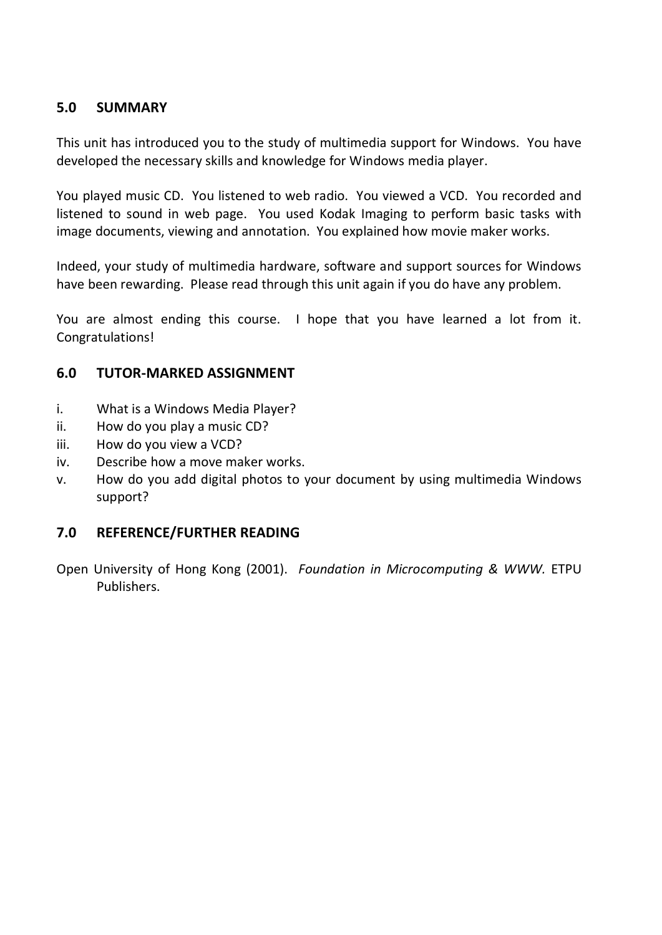# **5.0 SUMMARY**

This unit has introduced you to the study of multimedia support for Windows. You have developed the necessary skills and knowledge for Windows media player.

You played music CD. You listened to web radio. You viewed a VCD. You recorded and listened to sound in web page. You used Kodak Imaging to perform basic tasks with image documents, viewing and annotation. You explained how movie maker works.

Indeed, your study of multimedia hardware, software and support sources for Windows have been rewarding. Please read through this unit again if you do have any problem.

You are almost ending this course. I hope that you have learned a lot from it. Congratulations!

## **6.0 TUTOR-MARKED ASSIGNMENT**

- i. What is a Windows Media Player?
- ii. How do you play a music CD?
- iii. How do you view a VCD?
- iv. Describe how a move maker works.
- v. How do you add digital photos to your document by using multimedia Windows support?

## **7.0 REFERENCE/FURTHER READING**

Open University of Hong Kong (2001). *Foundation in Microcomputing & WWW.* ETPU Publishers.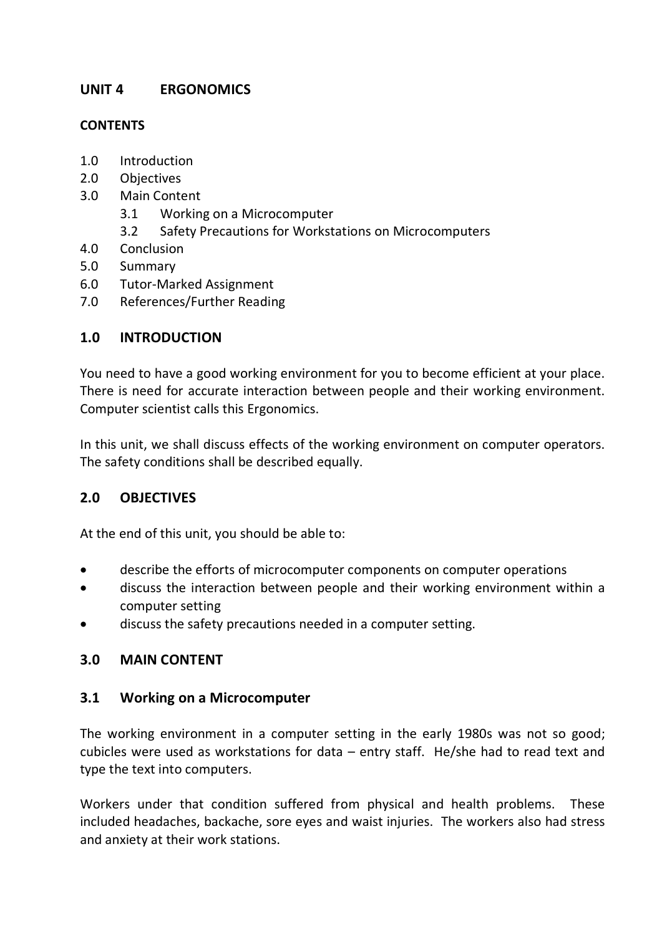# **UNIT 4 ERGONOMICS**

## **CONTENTS**

- 1.0 Introduction
- 2.0 Objectives
- 3.0 Main Content
	- 3.1 Working on a Microcomputer
	- 3.2 Safety Precautions for Workstations on Microcomputers
- 4.0 Conclusion
- 5.0 Summary
- 6.0 Tutor-Marked Assignment
- 7.0 References/Further Reading

## **1.0 INTRODUCTION**

You need to have a good working environment for you to become efficient at your place. There is need for accurate interaction between people and their working environment. Computer scientist calls this Ergonomics.

In this unit, we shall discuss effects of the working environment on computer operators. The safety conditions shall be described equally.

## **2.0 OBJECTIVES**

At the end of this unit, you should be able to:

- describe the efforts of microcomputer components on computer operations
- discuss the interaction between people and their working environment within a computer setting
- discuss the safety precautions needed in a computer setting.

## **3.0 MAIN CONTENT**

## **3.1 Working on a Microcomputer**

The working environment in a computer setting in the early 1980s was not so good; cubicles were used as workstations for data – entry staff. He/she had to read text and type the text into computers.

Workers under that condition suffered from physical and health problems. These included headaches, backache, sore eyes and waist injuries. The workers also had stress and anxiety at their work stations.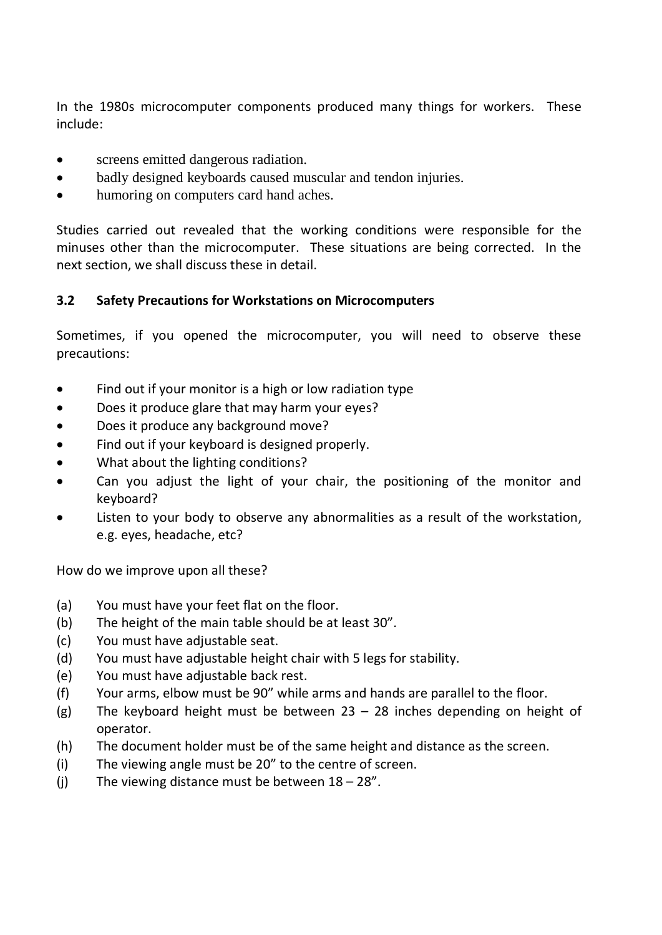In the 1980s microcomputer components produced many things for workers. These include:

- screens emitted dangerous radiation.
- badly designed keyboards caused muscular and tendon injuries.
- humoring on computers card hand aches.

Studies carried out revealed that the working conditions were responsible for the minuses other than the microcomputer. These situations are being corrected. In the next section, we shall discuss these in detail.

## **3.2 Safety Precautions for Workstations on Microcomputers**

Sometimes, if you opened the microcomputer, you will need to observe these precautions:

- Find out if your monitor is a high or low radiation type
- Does it produce glare that may harm your eyes?
- Does it produce any background move?
- Find out if your keyboard is designed properly.
- What about the lighting conditions?
- Can you adjust the light of your chair, the positioning of the monitor and keyboard?
- Listen to your body to observe any abnormalities as a result of the workstation, e.g. eyes, headache, etc?

How do we improve upon all these?

- (a) You must have your feet flat on the floor.
- (b) The height of the main table should be at least 30".
- (c) You must have adjustable seat.
- (d) You must have adjustable height chair with 5 legs for stability.
- (e) You must have adjustable back rest.
- (f) Your arms, elbow must be 90" while arms and hands are parallel to the floor.
- (g) The keyboard height must be between  $23 28$  inches depending on height of operator.
- (h) The document holder must be of the same height and distance as the screen.
- (i) The viewing angle must be 20" to the centre of screen.
- (i) The viewing distance must be between  $18 28$ ".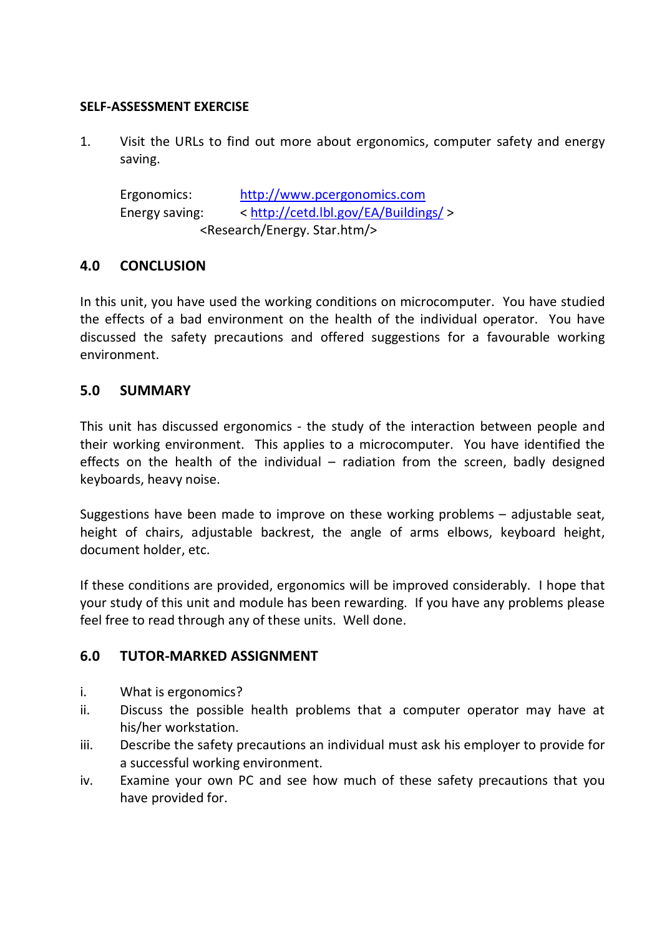#### **SELF-ASSESSMENT EXERCISE**

1. Visit the URLs to find out more about ergonomics, computer safety and energy saving.

Ergonomics: http://www.pcergonomics.com Energy saving: <<http://cetd.lbl.gov/EA/Buildings/> > <Research/Energy. Star.htm/>

## **4.0 CONCLUSION**

In this unit, you have used the working conditions on microcomputer. You have studied the effects of a bad environment on the health of the individual operator. You have discussed the safety precautions and offered suggestions for a favourable working environment.

### **5.0 SUMMARY**

This unit has discussed ergonomics - the study of the interaction between people and their working environment. This applies to a microcomputer. You have identified the effects on the health of the individual  $-$  radiation from the screen, badly designed keyboards, heavy noise.

Suggestions have been made to improve on these working problems – adjustable seat, height of chairs, adjustable backrest, the angle of arms elbows, keyboard height, document holder, etc.

If these conditions are provided, ergonomics will be improved considerably. I hope that your study of this unit and module has been rewarding. If you have any problems please feel free to read through any of these units. Well done.

### **6.0 TUTOR-MARKED ASSIGNMENT**

- i. What is ergonomics?
- ii. Discuss the possible health problems that a computer operator may have at his/her workstation.
- iii. Describe the safety precautions an individual must ask his employer to provide for a successful working environment.
- iv. Examine your own PC and see how much of these safety precautions that you have provided for.